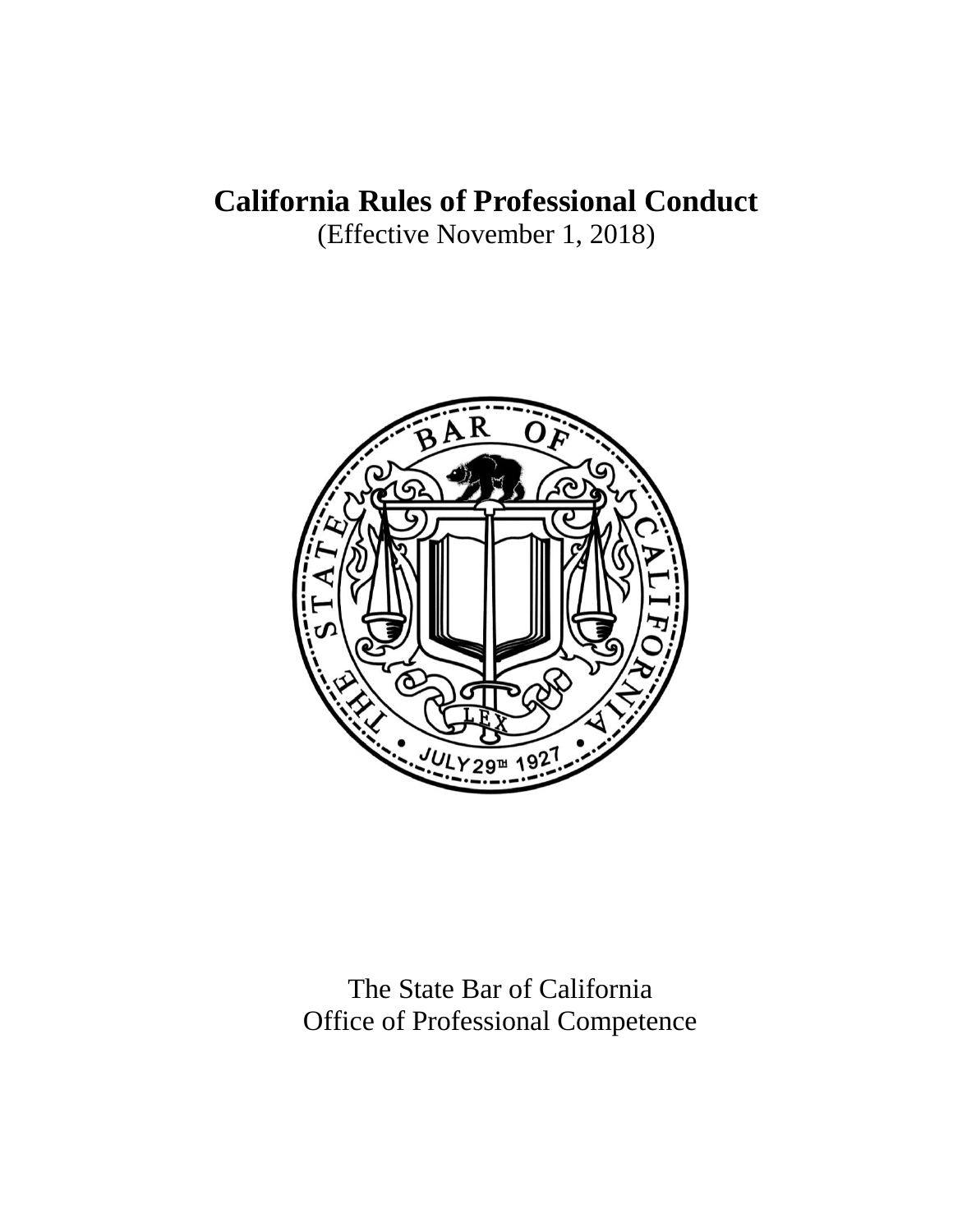# **California Rules of Professional Conduct**

(Effective November 1, 2018)



The State Bar of California Office of Professional Competence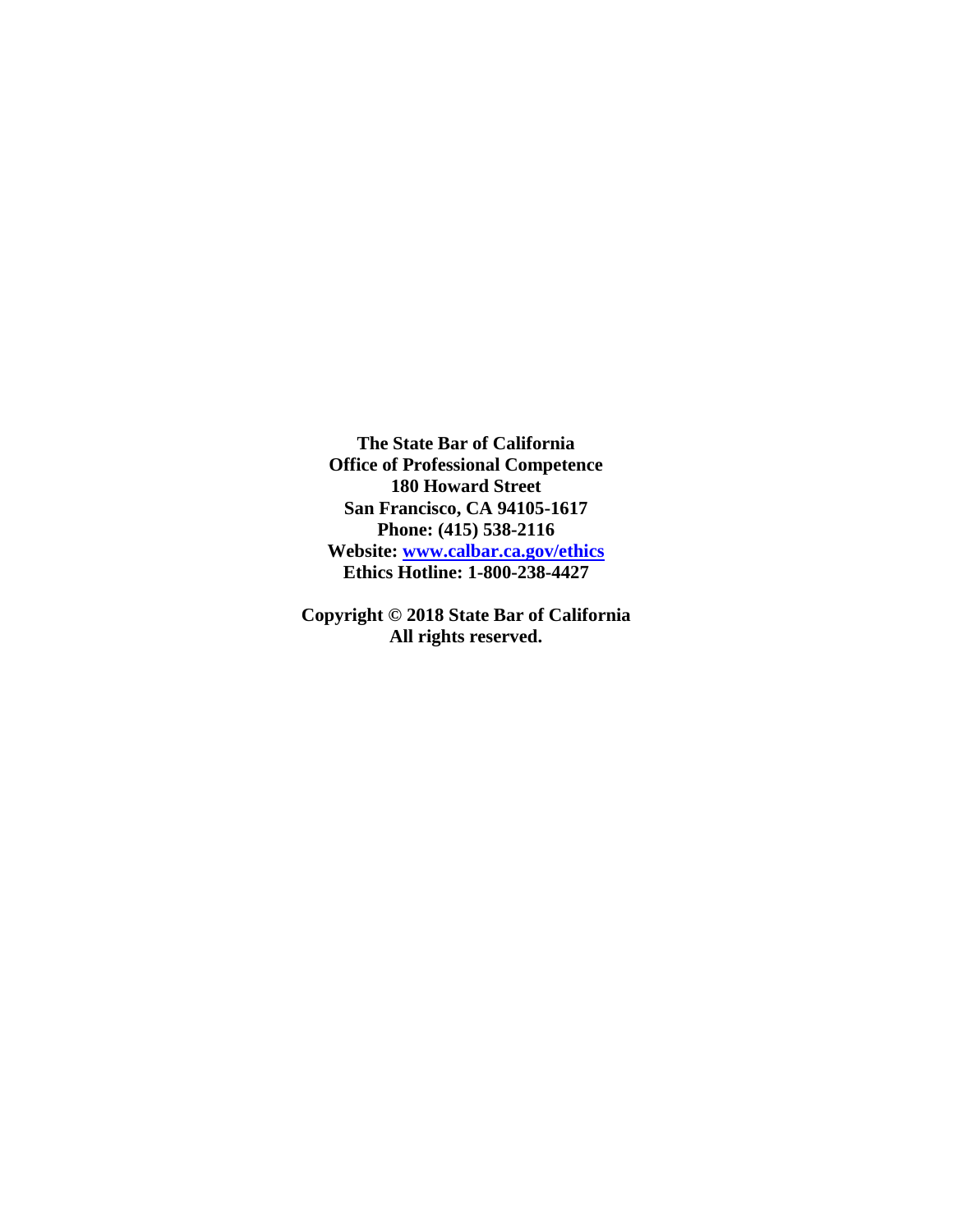**The State Bar of California Office of Professional Competence 180 Howard Street San Francisco, CA 94105-1617 Phone: (415) 538-2116 Website: [www.calbar.ca.gov/ethics](http://www.calbar.ca.gov/ethics) Ethics Hotline: 1-800-238-4427** 

**Copyright © 2018 State Bar of California All rights reserved.**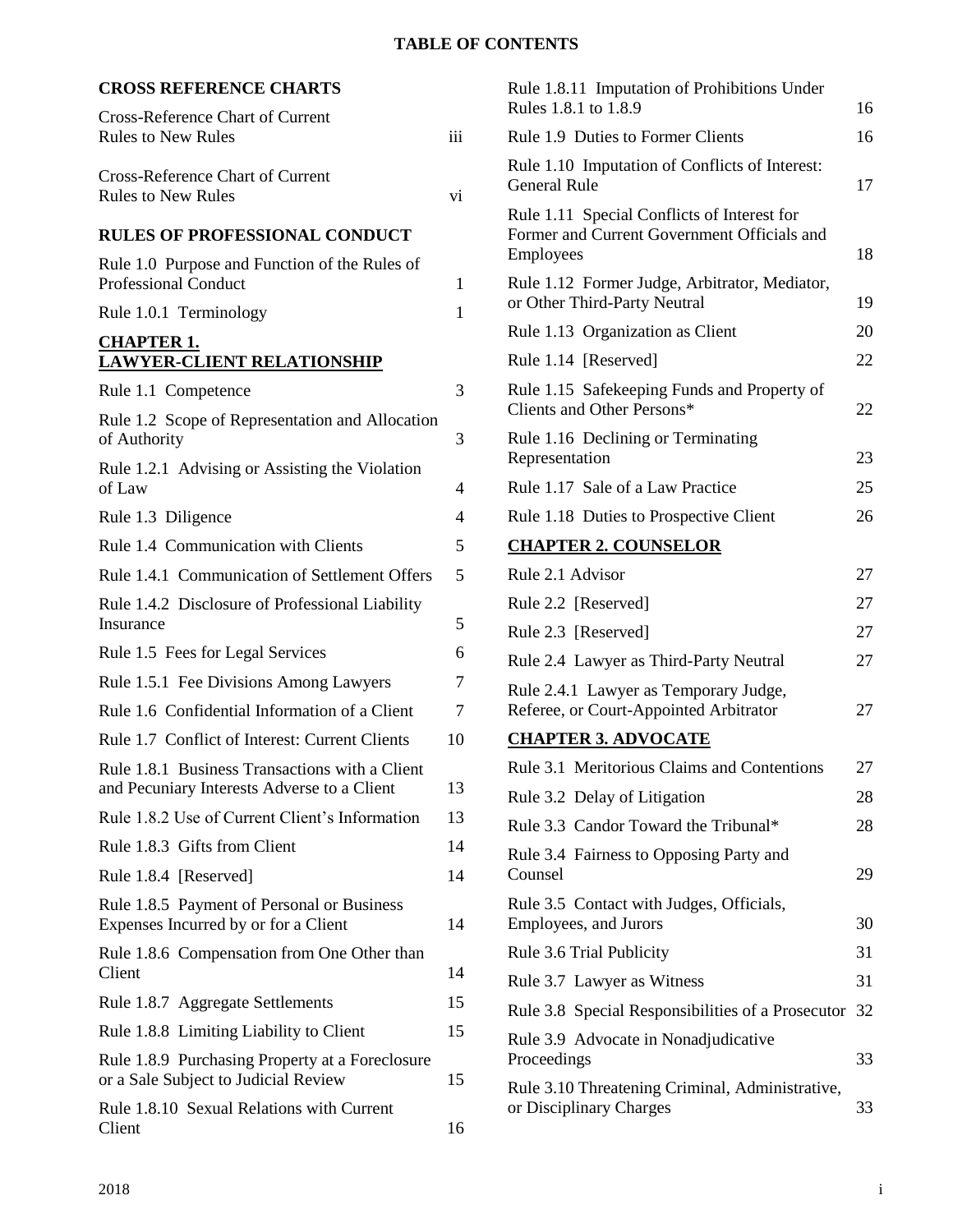# **TABLE OF CONTENTS**

|  |  |  | <b>CROSS REFERENCE CHARTS</b> |
|--|--|--|-------------------------------|
|--|--|--|-------------------------------|

| <b>Cross-Reference Chart of Current</b><br><b>Rules to New Rules</b>                          | iii |
|-----------------------------------------------------------------------------------------------|-----|
| <b>Cross-Reference Chart of Current</b><br><b>Rules to New Rules</b>                          | vi  |
| <b>RULES OF PROFESSIONAL CONDUCT</b>                                                          |     |
| Rule 1.0 Purpose and Function of the Rules of<br><b>Professional Conduct</b>                  | 1   |
| Rule 1.0.1 Terminology                                                                        | 1   |
| <b>CHAPTER 1.</b><br><b>LAWYER-CLIENT RELATIONSHIP</b>                                        |     |
| Rule 1.1 Competence                                                                           | 3   |
| Rule 1.2 Scope of Representation and Allocation<br>of Authority                               | 3   |
| Rule 1.2.1 Advising or Assisting the Violation<br>of Law                                      | 4   |
| Rule 1.3 Diligence                                                                            | 4   |
| Rule 1.4 Communication with Clients                                                           | 5   |
| Rule 1.4.1 Communication of Settlement Offers                                                 | 5   |
| Rule 1.4.2 Disclosure of Professional Liability<br>Insurance                                  | 5   |
| Rule 1.5 Fees for Legal Services                                                              | 6   |
| Rule 1.5.1 Fee Divisions Among Lawyers                                                        | 7   |
| Rule 1.6 Confidential Information of a Client                                                 | 7   |
| Rule 1.7 Conflict of Interest: Current Clients                                                | 10  |
| Rule 1.8.1 Business Transactions with a Client<br>and Pecuniary Interests Adverse to a Client | 13  |
| Rule 1.8.2 Use of Current Client's Information                                                | 13  |
| Rule 1.8.3 Gifts from Client                                                                  | 14  |
| Rule 1.8.4 [Reserved]                                                                         | 14  |
| Rule 1.8.5 Payment of Personal or Business<br>Expenses Incurred by or for a Client            | 14  |
| Rule 1.8.6 Compensation from One Other than<br>Client                                         | 14  |
| Rule 1.8.7 Aggregate Settlements                                                              | 15  |
| Rule 1.8.8 Limiting Liability to Client                                                       | 15  |
| Rule 1.8.9 Purchasing Property at a Foreclosure<br>or a Sale Subject to Judicial Review       | 15  |
| Rule 1.8.10 Sexual Relations with Current<br>Client                                           | 16  |

| Rule 1.8.11 Imputation of Prohibitions Under<br>Rules 1.8.1 to 1.8.9                                    | 16 |
|---------------------------------------------------------------------------------------------------------|----|
| Rule 1.9 Duties to Former Clients                                                                       | 16 |
| Rule 1.10 Imputation of Conflicts of Interest:<br><b>General Rule</b>                                   | 17 |
| Rule 1.11 Special Conflicts of Interest for<br>Former and Current Government Officials and<br>Employees | 18 |
| Rule 1.12 Former Judge, Arbitrator, Mediator,<br>or Other Third-Party Neutral                           | 19 |
| Rule 1.13 Organization as Client                                                                        | 20 |
| Rule 1.14 [Reserved]                                                                                    | 22 |
| Rule 1.15 Safekeeping Funds and Property of<br>Clients and Other Persons*                               | 22 |
| Rule 1.16 Declining or Terminating<br>Representation                                                    | 23 |
| Rule 1.17 Sale of a Law Practice                                                                        | 25 |
| Rule 1.18 Duties to Prospective Client                                                                  | 26 |
| <b>CHAPTER 2. COUNSELOR</b>                                                                             |    |
| Rule 2.1 Advisor                                                                                        | 27 |
| Rule 2.2 [Reserved]                                                                                     | 27 |
| Rule 2.3 [Reserved]                                                                                     | 27 |
| Rule 2.4 Lawyer as Third-Party Neutral                                                                  | 27 |
| Rule 2.4.1 Lawyer as Temporary Judge,<br>Referee, or Court-Appointed Arbitrator                         | 27 |
| <b>CHAPTER 3. ADVOCATE</b>                                                                              |    |
| Rule 3.1 Meritorious Claims and Contentions                                                             | 27 |
| Rule 3.2 Delay of Litigation                                                                            | 28 |
| Rule 3.3 Candor Toward the Tribunal*                                                                    | 28 |
| Rule 3.4 Fairness to Opposing Party and<br>Counsel                                                      | 29 |
| Rule 3.5 Contact with Judges, Officials,<br>Employees, and Jurors                                       | 30 |
| Rule 3.6 Trial Publicity                                                                                | 31 |
| Rule 3.7 Lawyer as Witness                                                                              | 31 |
| Rule 3.8 Special Responsibilities of a Prosecutor                                                       | 32 |
| Rule 3.9 Advocate in Nonadjudicative<br>Proceedings                                                     | 33 |
| Rule 3.10 Threatening Criminal, Administrative,<br>or Disciplinary Charges                              | 33 |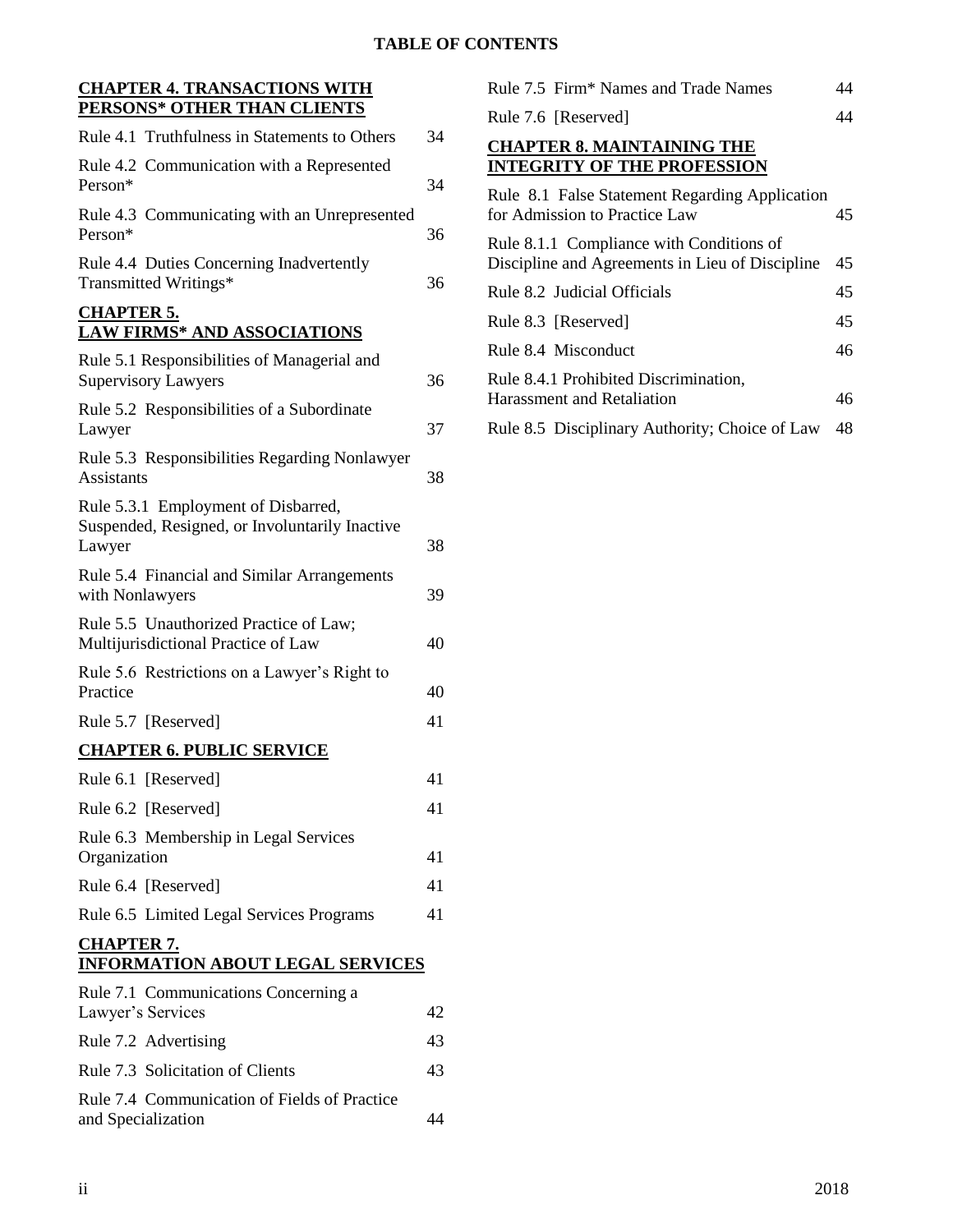# **CHAPTER 4. TRANSACTIONS WITH PERSONS\* OTHER THAN CLIENTS**

| Rule 4.1 Truthfulness in Statements to Others                                                   | 34 |
|-------------------------------------------------------------------------------------------------|----|
| Rule 4.2 Communication with a Represented<br>Person*                                            | 34 |
| Rule 4.3 Communicating with an Unrepresented<br>Person*                                         | 36 |
| Rule 4.4 Duties Concerning Inadvertently<br>Transmitted Writings*                               | 36 |
| <b>CHAPTER 5.</b><br><b>LAW FIRMS* AND ASSOCIATIONS</b>                                         |    |
| Rule 5.1 Responsibilities of Managerial and<br><b>Supervisory Lawyers</b>                       | 36 |
| Rule 5.2 Responsibilities of a Subordinate<br>Lawyer                                            | 37 |
| Rule 5.3 Responsibilities Regarding Nonlawyer<br>Assistants                                     | 38 |
| Rule 5.3.1 Employment of Disbarred,<br>Suspended, Resigned, or Involuntarily Inactive<br>Lawyer | 38 |
| Rule 5.4 Financial and Similar Arrangements<br>with Nonlawyers                                  | 39 |
| Rule 5.5 Unauthorized Practice of Law;<br>Multijurisdictional Practice of Law                   | 40 |
| Rule 5.6 Restrictions on a Lawyer's Right to<br>Practice                                        | 40 |
| Rule 5.7 [Reserved]                                                                             | 41 |
| <b>CHAPTER 6. PUBLIC SERVICE</b>                                                                |    |
| Rule 6.1 [Reserved]                                                                             | 41 |
| Rule 6.2 [Reserved]                                                                             | 41 |
| Rule 6.3 Membership in Legal Services<br>Organization                                           | 41 |
| Rule 6.4 [Reserved]                                                                             | 41 |
| Rule 6.5 Limited Legal Services Programs                                                        | 41 |
| <b>CHAPTER 7.</b><br><b>INFORMATION ABOUT LEGAL SERVICES</b>                                    |    |
| Rule 7.1 Communications Concerning a<br>Lawyer's Services                                       | 42 |

Rule 7.2 Advertising 43 Rule 7.3 Solicitation of Clients 43

Rule 7.4 Communication of Fields of Practice and Specialization 44

| Rule 7.5 Firm* Names and Trade Names                                                        | 44 |
|---------------------------------------------------------------------------------------------|----|
| Rule 7.6 [Reserved]                                                                         | 44 |
| <b>CHAPTER 8. MAINTAINING THE</b>                                                           |    |
| <b>INTEGRITY OF THE PROFESSION</b>                                                          |    |
| Rule 8.1 False Statement Regarding Application<br>for Admission to Practice Law             | 45 |
| Rule 8.1.1 Compliance with Conditions of<br>Discipline and Agreements in Lieu of Discipline | 45 |
| Rule 8.2 Judicial Officials                                                                 | 45 |
| Rule 8.3 [Reserved]                                                                         | 45 |
|                                                                                             |    |

| Rule 8.4 Misconduct                                                 | 46 |
|---------------------------------------------------------------------|----|
| Rule 8.4.1 Prohibited Discrimination,<br>Harassment and Retaliation | 46 |
| Rule 8.5 Disciplinary Authority; Choice of Law 48                   |    |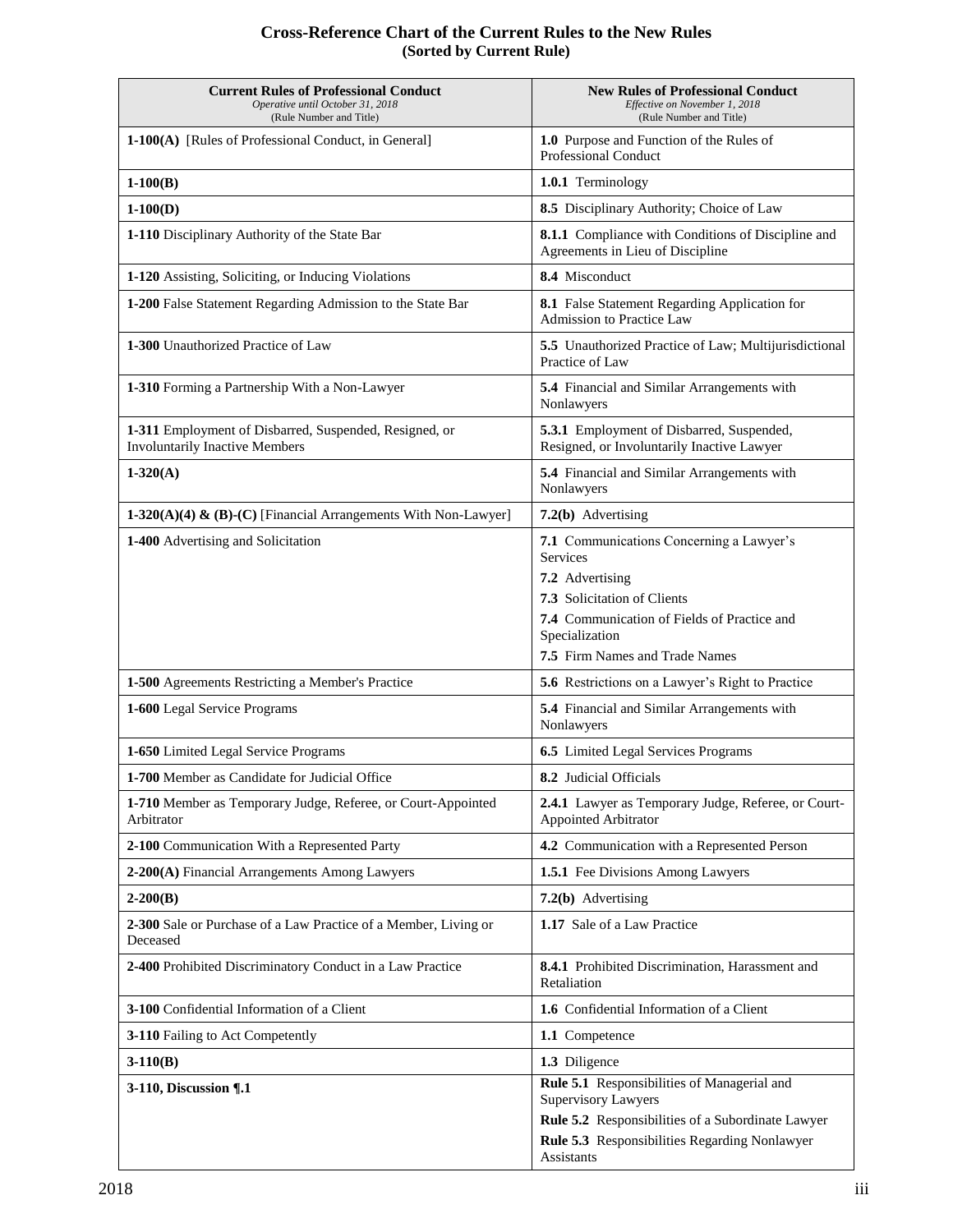# **Cross-Reference Chart of the Current Rules to the New Rules (Sorted by Current Rule)**

| <b>Current Rules of Professional Conduct</b><br>Operative until October 31, 2018<br>(Rule Number and Title) | <b>New Rules of Professional Conduct</b><br>Effective on November 1, 2018<br>(Rule Number and Title) |
|-------------------------------------------------------------------------------------------------------------|------------------------------------------------------------------------------------------------------|
| 1-100(A) [Rules of Professional Conduct, in General]                                                        | 1.0 Purpose and Function of the Rules of<br><b>Professional Conduct</b>                              |
| $1-100(B)$                                                                                                  | 1.0.1 Terminology                                                                                    |
| $1-100(D)$                                                                                                  | 8.5 Disciplinary Authority; Choice of Law                                                            |
| 1-110 Disciplinary Authority of the State Bar                                                               | 8.1.1 Compliance with Conditions of Discipline and<br>Agreements in Lieu of Discipline               |
| 1-120 Assisting, Soliciting, or Inducing Violations                                                         | 8.4 Misconduct                                                                                       |
| 1-200 False Statement Regarding Admission to the State Bar                                                  | 8.1 False Statement Regarding Application for<br><b>Admission to Practice Law</b>                    |
| 1-300 Unauthorized Practice of Law                                                                          | 5.5 Unauthorized Practice of Law; Multijurisdictional<br>Practice of Law                             |
| 1-310 Forming a Partnership With a Non-Lawyer                                                               | 5.4 Financial and Similar Arrangements with<br>Nonlawyers                                            |
| 1-311 Employment of Disbarred, Suspended, Resigned, or<br><b>Involuntarily Inactive Members</b>             | 5.3.1 Employment of Disbarred, Suspended,<br>Resigned, or Involuntarily Inactive Lawyer              |
| $1-320(A)$                                                                                                  | <b>5.4</b> Financial and Similar Arrangements with<br>Nonlawyers                                     |
| 1-320(A)(4) & (B)-(C) [Financial Arrangements With Non-Lawyer]                                              | 7.2(b) Advertising                                                                                   |
| 1-400 Advertising and Solicitation                                                                          | 7.1 Communications Concerning a Lawyer's<br><b>Services</b>                                          |
|                                                                                                             | 7.2 Advertising                                                                                      |
|                                                                                                             | 7.3 Solicitation of Clients                                                                          |
|                                                                                                             | 7.4 Communication of Fields of Practice and<br>Specialization                                        |
|                                                                                                             | <b>7.5</b> Firm Names and Trade Names                                                                |
| 1-500 Agreements Restricting a Member's Practice                                                            | 5.6 Restrictions on a Lawyer's Right to Practice                                                     |
| 1-600 Legal Service Programs                                                                                | 5.4 Financial and Similar Arrangements with<br>Nonlawyers                                            |
| 1-650 Limited Legal Service Programs                                                                        | 6.5 Limited Legal Services Programs                                                                  |
| 1-700 Member as Candidate for Judicial Office                                                               | 8.2 Judicial Officials                                                                               |
| 1-710 Member as Temporary Judge, Referee, or Court-Appointed<br>Arbitrator                                  | 2.4.1 Lawyer as Temporary Judge, Referee, or Court-<br><b>Appointed Arbitrator</b>                   |
| 2-100 Communication With a Represented Party                                                                | 4.2 Communication with a Represented Person                                                          |
| 2-200(A) Financial Arrangements Among Lawyers                                                               | <b>1.5.1</b> Fee Divisions Among Lawyers                                                             |
| $2-200(B)$                                                                                                  | 7.2(b) Advertising                                                                                   |
| 2-300 Sale or Purchase of a Law Practice of a Member, Living or<br>Deceased                                 | 1.17 Sale of a Law Practice                                                                          |
| 2-400 Prohibited Discriminatory Conduct in a Law Practice                                                   | 8.4.1 Prohibited Discrimination, Harassment and<br>Retaliation                                       |
| 3-100 Confidential Information of a Client                                                                  | 1.6 Confidential Information of a Client                                                             |
| 3-110 Failing to Act Competently                                                                            | 1.1 Competence                                                                                       |
| $3-110(B)$                                                                                                  | 1.3 Diligence                                                                                        |
| 3-110, Discussion ¶.1                                                                                       | Rule 5.1 Responsibilities of Managerial and<br><b>Supervisory Lawyers</b>                            |
|                                                                                                             | Rule 5.2 Responsibilities of a Subordinate Lawyer                                                    |
|                                                                                                             | Rule 5.3 Responsibilities Regarding Nonlawyer<br>Assistants                                          |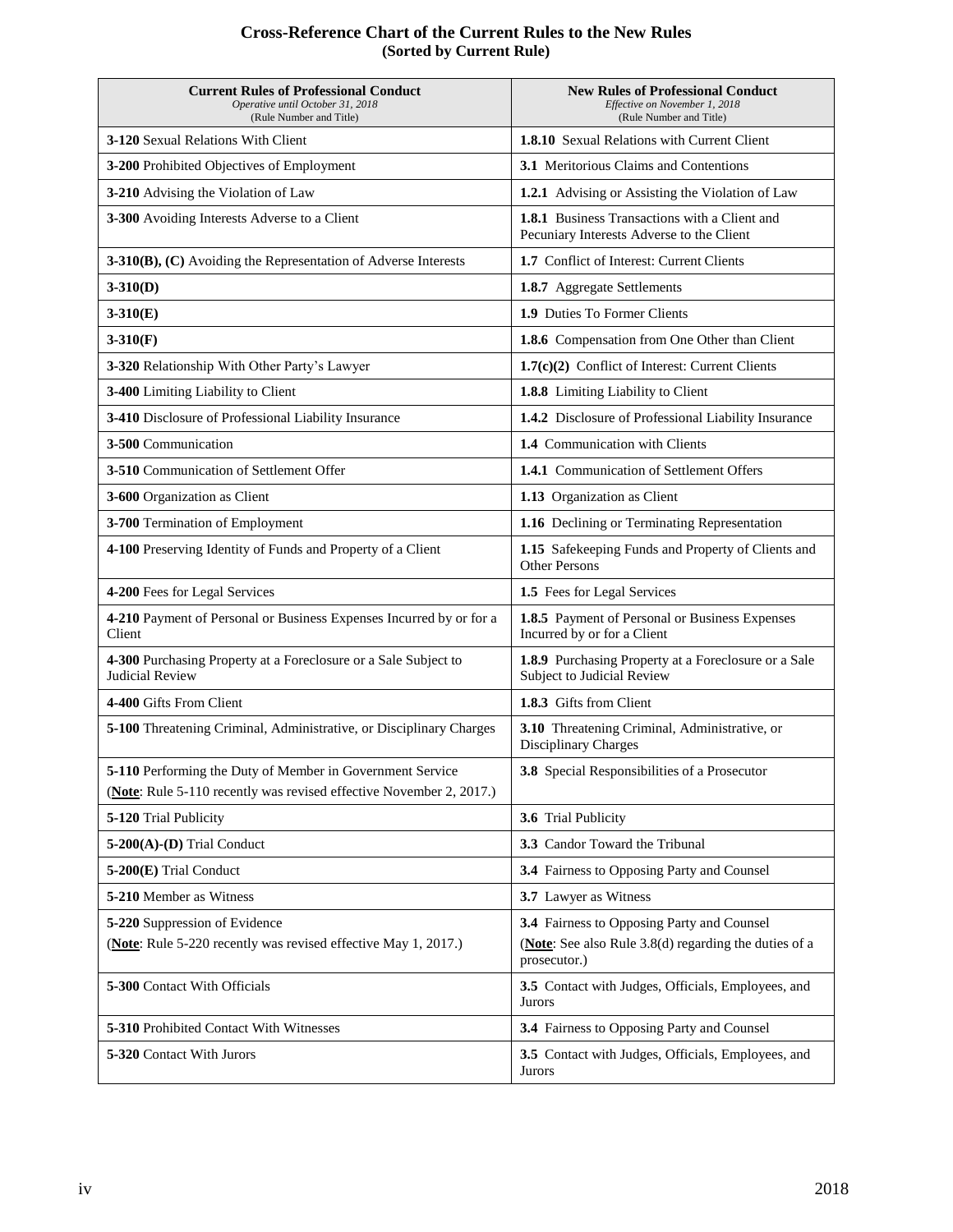### **Cross-Reference Chart of the Current Rules to the New Rules (Sorted by Current Rule)**

| <b>Current Rules of Professional Conduct</b><br>Operative until October 31, 2018<br>(Rule Number and Title)                      | <b>New Rules of Professional Conduct</b><br>Effective on November 1, 2018<br>(Rule Number and Title) |
|----------------------------------------------------------------------------------------------------------------------------------|------------------------------------------------------------------------------------------------------|
| 3-120 Sexual Relations With Client                                                                                               | <b>1.8.10</b> Sexual Relations with Current Client                                                   |
| 3-200 Prohibited Objectives of Employment                                                                                        | 3.1 Meritorious Claims and Contentions                                                               |
| 3-210 Advising the Violation of Law                                                                                              | 1.2.1 Advising or Assisting the Violation of Law                                                     |
| 3-300 Avoiding Interests Adverse to a Client                                                                                     | <b>1.8.1</b> Business Transactions with a Client and<br>Pecuniary Interests Adverse to the Client    |
| 3-310(B), (C) Avoiding the Representation of Adverse Interests                                                                   | 1.7 Conflict of Interest: Current Clients                                                            |
| $3-310(D)$                                                                                                                       | 1.8.7 Aggregate Settlements                                                                          |
| $3-310(E)$                                                                                                                       | <b>1.9</b> Duties To Former Clients                                                                  |
| $3-310(F)$                                                                                                                       | 1.8.6 Compensation from One Other than Client                                                        |
| 3-320 Relationship With Other Party's Lawyer                                                                                     | 1.7(c)(2) Conflict of Interest: Current Clients                                                      |
| 3-400 Limiting Liability to Client                                                                                               | 1.8.8 Limiting Liability to Client                                                                   |
| 3-410 Disclosure of Professional Liability Insurance                                                                             | 1.4.2 Disclosure of Professional Liability Insurance                                                 |
| 3-500 Communication                                                                                                              | <b>1.4</b> Communication with Clients                                                                |
| 3-510 Communication of Settlement Offer                                                                                          | <b>1.4.1</b> Communication of Settlement Offers                                                      |
| 3-600 Organization as Client                                                                                                     | 1.13 Organization as Client                                                                          |
| 3-700 Termination of Employment                                                                                                  | 1.16 Declining or Terminating Representation                                                         |
| 4-100 Preserving Identity of Funds and Property of a Client                                                                      | 1.15 Safekeeping Funds and Property of Clients and<br><b>Other Persons</b>                           |
| 4-200 Fees for Legal Services                                                                                                    | 1.5 Fees for Legal Services                                                                          |
| 4-210 Payment of Personal or Business Expenses Incurred by or for a<br>Client                                                    | 1.8.5 Payment of Personal or Business Expenses<br>Incurred by or for a Client                        |
| 4-300 Purchasing Property at a Foreclosure or a Sale Subject to<br><b>Judicial Review</b>                                        | 1.8.9 Purchasing Property at a Foreclosure or a Sale<br>Subject to Judicial Review                   |
| 4-400 Gifts From Client                                                                                                          | 1.8.3 Gifts from Client                                                                              |
| 5-100 Threatening Criminal, Administrative, or Disciplinary Charges                                                              | 3.10 Threatening Criminal, Administrative, or<br>Disciplinary Charges                                |
| 5-110 Performing the Duty of Member in Government Service<br>(Note: Rule 5-110 recently was revised effective November 2, 2017.) | <b>3.8</b> Special Responsibilities of a Prosecutor                                                  |
| 5-120 Trial Publicity                                                                                                            | 3.6 Trial Publicity                                                                                  |
| 5-200(A)-(D) Trial Conduct                                                                                                       | 3.3 Candor Toward the Tribunal                                                                       |
| 5-200(E) Trial Conduct                                                                                                           | 3.4 Fairness to Opposing Party and Counsel                                                           |
| 5-210 Member as Witness                                                                                                          | 3.7 Lawyer as Witness                                                                                |
| 5-220 Suppression of Evidence                                                                                                    | 3.4 Fairness to Opposing Party and Counsel                                                           |
| (Note: Rule 5-220 recently was revised effective May 1, 2017.)                                                                   | (Note: See also Rule 3.8(d) regarding the duties of a<br>prosecutor.)                                |
| 5-300 Contact With Officials                                                                                                     | 3.5 Contact with Judges, Officials, Employees, and<br>Jurors                                         |
| 5-310 Prohibited Contact With Witnesses                                                                                          | 3.4 Fairness to Opposing Party and Counsel                                                           |
| 5-320 Contact With Jurors                                                                                                        | 3.5 Contact with Judges, Officials, Employees, and<br>Jurors                                         |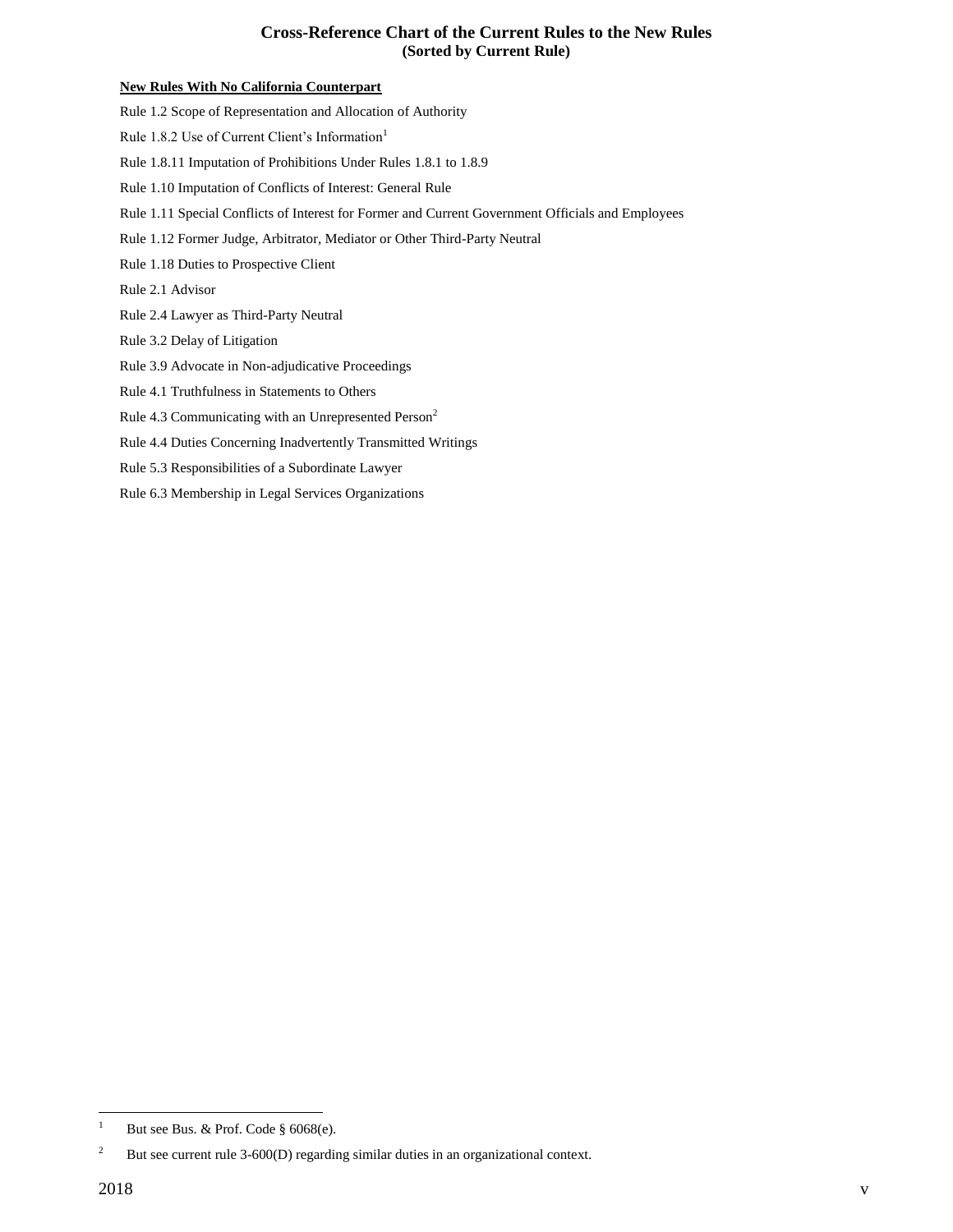### **Cross-Reference Chart of the Current Rules to the New Rules (Sorted by Current Rule)**

#### **New Rules With No California Counterpart**

- Rule 1.2 Scope of Representation and Allocation of Authority
- Rule 1.8.2 Use of Current Client's Information<sup>1</sup>
- Rule 1.8.11 Imputation of Prohibitions Under Rules 1.8.1 to 1.8.9
- Rule 1.10 Imputation of Conflicts of Interest: General Rule
- Rule 1.11 Special Conflicts of Interest for Former and Current Government Officials and Employees
- Rule 1.12 Former Judge, Arbitrator, Mediator or Other Third-Party Neutral
- Rule 1.18 Duties to Prospective Client
- Rule 2.1 Advisor
- Rule 2.4 Lawyer as Third-Party Neutral
- Rule 3.2 Delay of Litigation
- Rule 3.9 Advocate in Non-adjudicative Proceedings
- Rule 4.1 Truthfulness in Statements to Others
- Rule 4.3 Communicating with an Unrepresented Person<sup>2</sup>
- Rule 4.4 Duties Concerning Inadvertently Transmitted Writings
- Rule 5.3 Responsibilities of a Subordinate Lawyer
- Rule 6.3 Membership in Legal Services Organizations

 $\frac{1}{1}$ But see Bus. & Prof. Code § 6068(e).

<sup>2</sup> But see current rule 3-600(D) regarding similar duties in an organizational context.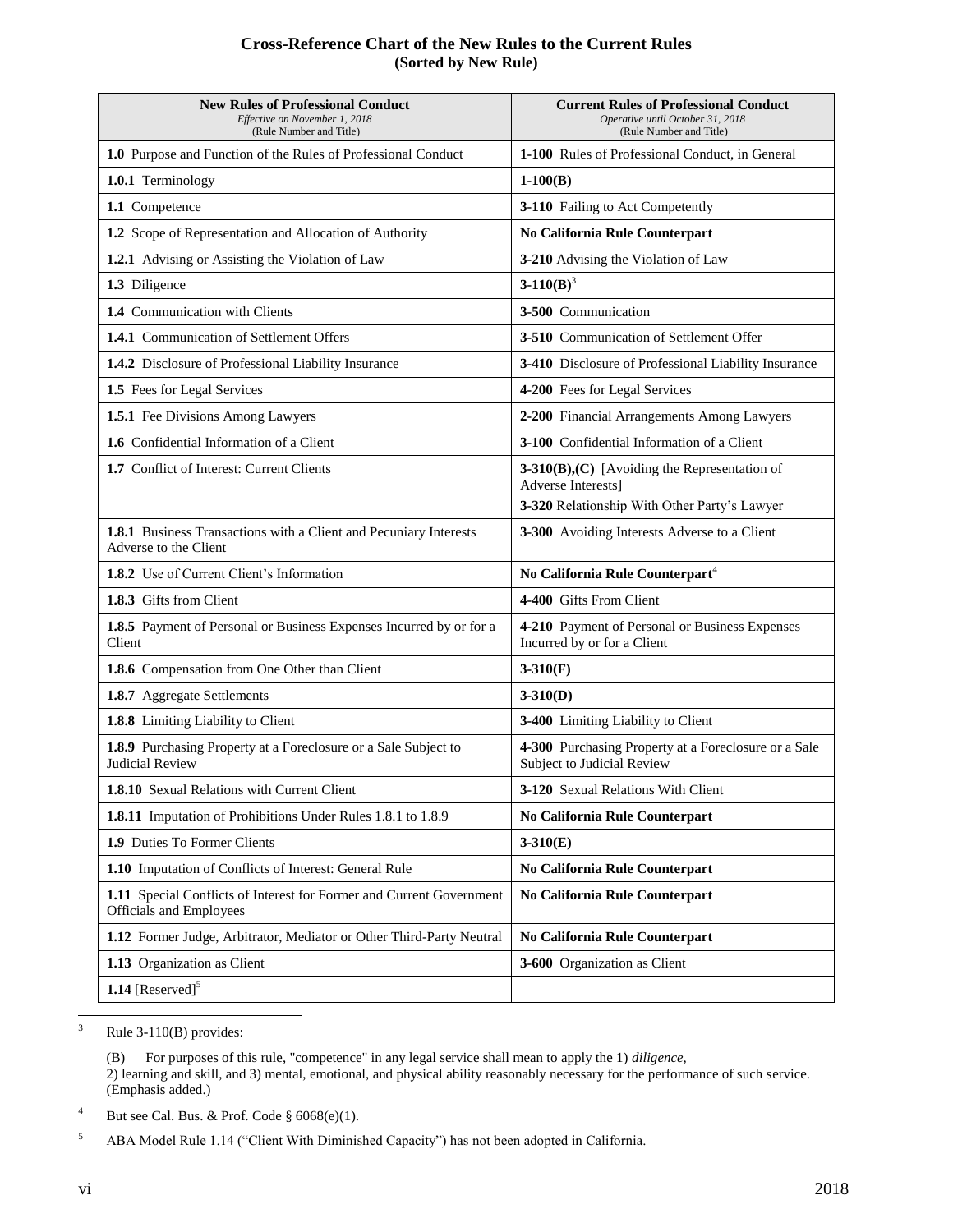# **Cross-Reference Chart of the New Rules to the Current Rules (Sorted by New Rule)**

| <b>New Rules of Professional Conduct</b><br>Effective on November 1, 2018<br>(Rule Number and Title)   | <b>Current Rules of Professional Conduct</b><br>Operative until October 31, 2018<br>(Rule Number and Title) |
|--------------------------------------------------------------------------------------------------------|-------------------------------------------------------------------------------------------------------------|
| 1.0 Purpose and Function of the Rules of Professional Conduct                                          | 1-100 Rules of Professional Conduct, in General                                                             |
| 1.0.1 Terminology                                                                                      | $1-100(B)$                                                                                                  |
| 1.1 Competence                                                                                         | 3-110 Failing to Act Competently                                                                            |
| 1.2 Scope of Representation and Allocation of Authority                                                | No California Rule Counterpart                                                                              |
| 1.2.1 Advising or Assisting the Violation of Law                                                       | 3-210 Advising the Violation of Law                                                                         |
| 1.3 Diligence                                                                                          | 3-110(B) <sup>3</sup>                                                                                       |
| 1.4 Communication with Clients                                                                         | 3-500 Communication                                                                                         |
| 1.4.1 Communication of Settlement Offers                                                               | 3-510 Communication of Settlement Offer                                                                     |
| 1.4.2 Disclosure of Professional Liability Insurance                                                   | 3-410 Disclosure of Professional Liability Insurance                                                        |
| 1.5 Fees for Legal Services                                                                            | 4-200 Fees for Legal Services                                                                               |
| 1.5.1 Fee Divisions Among Lawyers                                                                      | 2-200 Financial Arrangements Among Lawyers                                                                  |
| 1.6 Confidential Information of a Client                                                               | 3-100 Confidential Information of a Client                                                                  |
| 1.7 Conflict of Interest: Current Clients                                                              | $3-310(B)$ , (C) [Avoiding the Representation of<br>Adverse Interests]                                      |
|                                                                                                        | 3-320 Relationship With Other Party's Lawyer                                                                |
| 1.8.1 Business Transactions with a Client and Pecuniary Interests<br>Adverse to the Client             | 3-300 Avoiding Interests Adverse to a Client                                                                |
| 1.8.2 Use of Current Client's Information                                                              | No California Rule Counterpart <sup>4</sup>                                                                 |
| <b>1.8.3</b> Gifts from Client                                                                         | 4-400 Gifts From Client                                                                                     |
| 1.8.5 Payment of Personal or Business Expenses Incurred by or for a<br>Client                          | 4-210 Payment of Personal or Business Expenses<br>Incurred by or for a Client                               |
| <b>1.8.6</b> Compensation from One Other than Client                                                   | $3-310(F)$                                                                                                  |
| 1.8.7 Aggregate Settlements                                                                            | $3-310(D)$                                                                                                  |
| 1.8.8 Limiting Liability to Client                                                                     | 3-400 Limiting Liability to Client                                                                          |
| 1.8.9 Purchasing Property at a Foreclosure or a Sale Subject to<br><b>Judicial Review</b>              | 4-300 Purchasing Property at a Foreclosure or a Sale<br>Subject to Judicial Review                          |
| <b>1.8.10</b> Sexual Relations with Current Client                                                     | <b>3-120</b> Sexual Relations With Client                                                                   |
| 1.8.11 Imputation of Prohibitions Under Rules 1.8.1 to 1.8.9                                           | No California Rule Counterpart                                                                              |
| 1.9 Duties To Former Clients                                                                           | $3-310(E)$                                                                                                  |
| 1.10 Imputation of Conflicts of Interest: General Rule                                                 | No California Rule Counterpart                                                                              |
| 1.11 Special Conflicts of Interest for Former and Current Government<br><b>Officials and Employees</b> | No California Rule Counterpart                                                                              |
| 1.12 Former Judge, Arbitrator, Mediator or Other Third-Party Neutral                                   | No California Rule Counterpart                                                                              |
| 1.13 Organization as Client                                                                            | 3-600 Organization as Client                                                                                |
| 1.14 [Reserved] $5$                                                                                    |                                                                                                             |

 3 Rule 3-110(B) provides:

> (B) For purposes of this rule, "competence" in any legal service shall mean to apply the 1) *diligence*, 2) learning and skill, and 3) mental, emotional, and physical ability reasonably necessary for the performance of such service. (Emphasis added.)

4 But see Cal. Bus. & Prof. Code § 6068(e)(1).

5 ABA Model Rule 1.14 ("Client With Diminished Capacity") has not been adopted in California.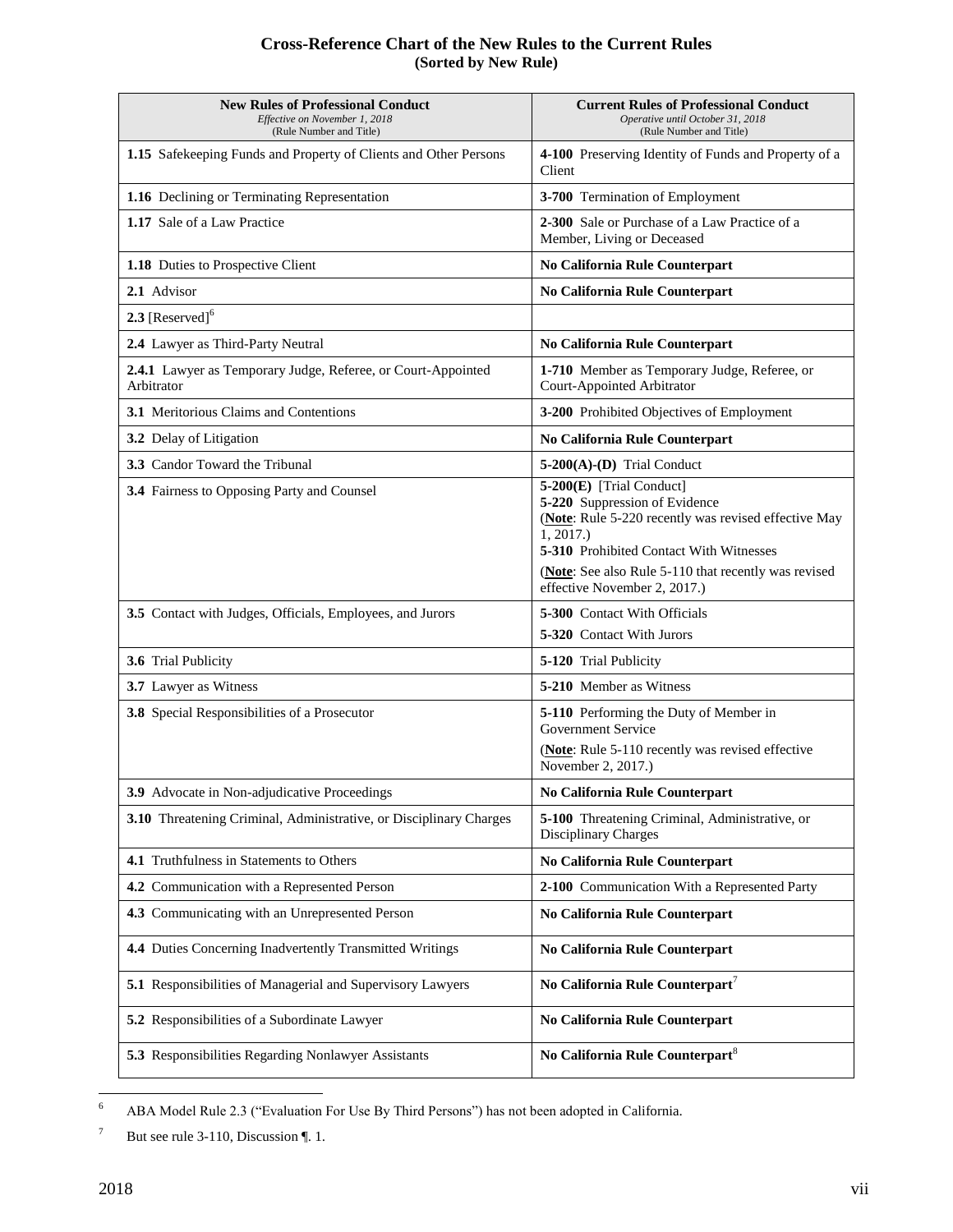# **Cross-Reference Chart of the New Rules to the Current Rules (Sorted by New Rule)**

| <b>New Rules of Professional Conduct</b><br>Effective on November 1, 2018<br>(Rule Number and Title) | <b>Current Rules of Professional Conduct</b><br>Operative until October 31, 2018<br>(Rule Number and Title)                                                                                                                                                      |
|------------------------------------------------------------------------------------------------------|------------------------------------------------------------------------------------------------------------------------------------------------------------------------------------------------------------------------------------------------------------------|
| 1.15 Safekeeping Funds and Property of Clients and Other Persons                                     | 4-100 Preserving Identity of Funds and Property of a<br>Client                                                                                                                                                                                                   |
| 1.16 Declining or Terminating Representation                                                         | 3-700 Termination of Employment                                                                                                                                                                                                                                  |
| <b>1.17</b> Sale of a Law Practice                                                                   | <b>2-300</b> Sale or Purchase of a Law Practice of a<br>Member, Living or Deceased                                                                                                                                                                               |
| 1.18 Duties to Prospective Client                                                                    | No California Rule Counterpart                                                                                                                                                                                                                                   |
| 2.1 Advisor                                                                                          | No California Rule Counterpart                                                                                                                                                                                                                                   |
| 2.3 [Reserved] $6$                                                                                   |                                                                                                                                                                                                                                                                  |
| 2.4 Lawyer as Third-Party Neutral                                                                    | No California Rule Counterpart                                                                                                                                                                                                                                   |
| 2.4.1 Lawyer as Temporary Judge, Referee, or Court-Appointed<br>Arbitrator                           | 1-710 Member as Temporary Judge, Referee, or<br>Court-Appointed Arbitrator                                                                                                                                                                                       |
| <b>3.1</b> Meritorious Claims and Contentions                                                        | 3-200 Prohibited Objectives of Employment                                                                                                                                                                                                                        |
| 3.2 Delay of Litigation                                                                              | No California Rule Counterpart                                                                                                                                                                                                                                   |
| <b>3.3</b> Candor Toward the Tribunal                                                                | $5-200(A)- (D)$ Trial Conduct                                                                                                                                                                                                                                    |
| 3.4 Fairness to Opposing Party and Counsel                                                           | 5-200(E) [Trial Conduct]<br>5-220 Suppression of Evidence<br>(Note: Rule 5-220 recently was revised effective May<br>1, 2017.<br>5-310 Prohibited Contact With Witnesses<br>(Note: See also Rule 5-110 that recently was revised<br>effective November 2, 2017.) |
| 3.5 Contact with Judges, Officials, Employees, and Jurors                                            | 5-300 Contact With Officials<br>5-320 Contact With Jurors                                                                                                                                                                                                        |
| 3.6 Trial Publicity                                                                                  | 5-120 Trial Publicity                                                                                                                                                                                                                                            |
| 3.7 Lawyer as Witness                                                                                | <b>5-210</b> Member as Witness                                                                                                                                                                                                                                   |
| 3.8 Special Responsibilities of a Prosecutor                                                         | 5-110 Performing the Duty of Member in<br>Government Service<br>(Note: Rule 5-110 recently was revised effective<br>November 2, 2017.)                                                                                                                           |
| <b>3.9</b> Advocate in Non-adjudicative Proceedings                                                  | No California Rule Counterpart                                                                                                                                                                                                                                   |
| 3.10 Threatening Criminal, Administrative, or Disciplinary Charges                                   | 5-100 Threatening Criminal, Administrative, or<br>Disciplinary Charges                                                                                                                                                                                           |
| 4.1 Truthfulness in Statements to Others                                                             | No California Rule Counterpart                                                                                                                                                                                                                                   |
| 4.2 Communication with a Represented Person                                                          | 2-100 Communication With a Represented Party                                                                                                                                                                                                                     |
| 4.3 Communicating with an Unrepresented Person                                                       | No California Rule Counterpart                                                                                                                                                                                                                                   |
| 4.4 Duties Concerning Inadvertently Transmitted Writings                                             | No California Rule Counterpart                                                                                                                                                                                                                                   |
| 5.1 Responsibilities of Managerial and Supervisory Lawyers                                           | No California Rule Counterpart <sup>7</sup>                                                                                                                                                                                                                      |
| <b>5.2</b> Responsibilities of a Subordinate Lawyer                                                  | No California Rule Counterpart                                                                                                                                                                                                                                   |
| 5.3 Responsibilities Regarding Nonlawyer Assistants                                                  | No California Rule Counterpart <sup>8</sup>                                                                                                                                                                                                                      |

 $\sqrt{6}$ <sup>6</sup>ABA Model Rule 2.3 ("Evaluation For Use By Third Persons") has not been adopted in California.

<sup>&</sup>lt;sup>7</sup> But see rule 3-110, Discussion  $\P$ . 1.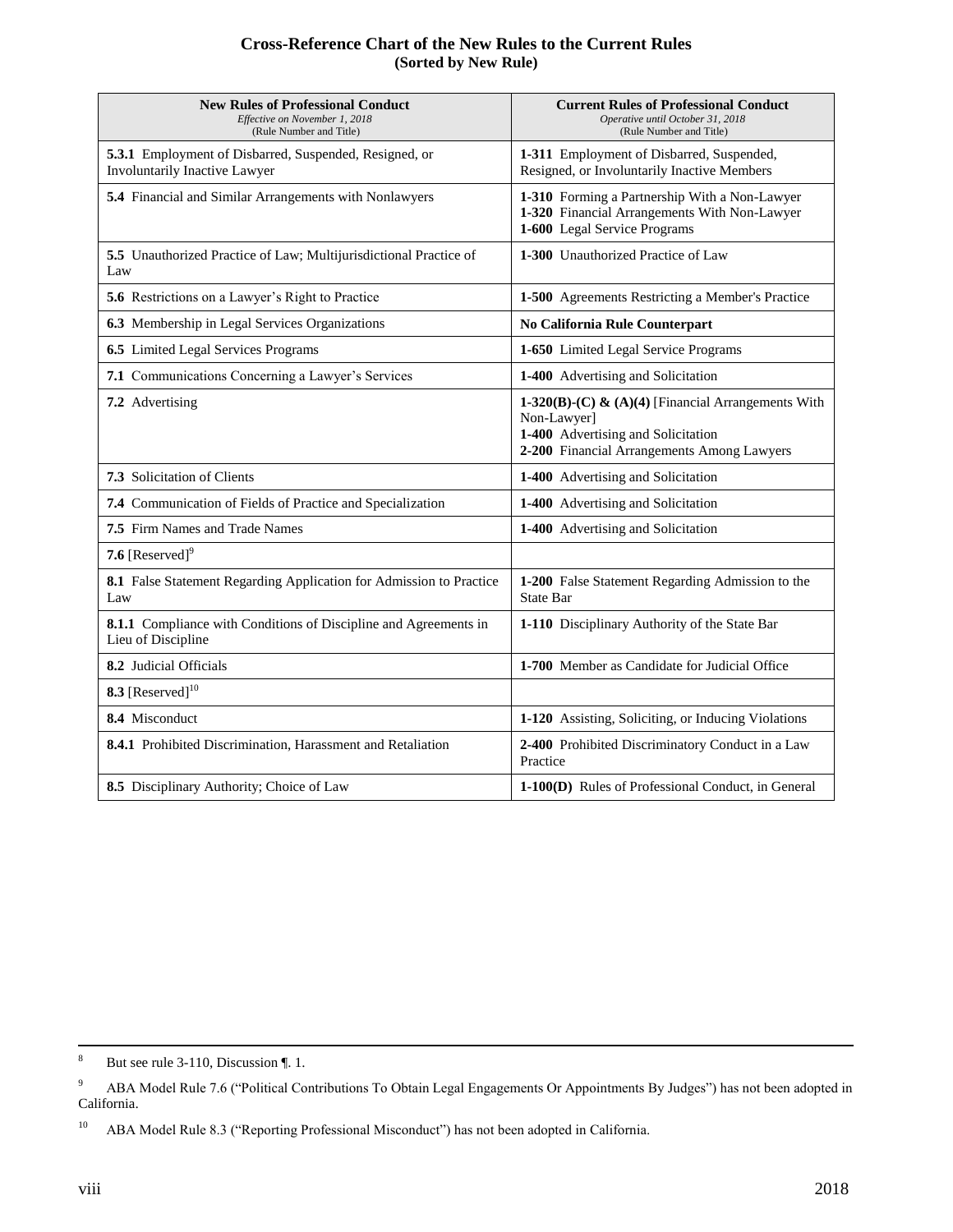# **Cross-Reference Chart of the New Rules to the Current Rules (Sorted by New Rule)**

| <b>New Rules of Professional Conduct</b><br>Effective on November 1, 2018<br>(Rule Number and Title) | <b>Current Rules of Professional Conduct</b><br>Operative until October 31, 2018<br>(Rule Number and Title)                                           |
|------------------------------------------------------------------------------------------------------|-------------------------------------------------------------------------------------------------------------------------------------------------------|
| 5.3.1 Employment of Disbarred, Suspended, Resigned, or<br>Involuntarily Inactive Lawyer              | 1-311 Employment of Disbarred, Suspended,<br>Resigned, or Involuntarily Inactive Members                                                              |
| 5.4 Financial and Similar Arrangements with Nonlawyers                                               | 1-310 Forming a Partnership With a Non-Lawyer<br>1-320 Financial Arrangements With Non-Lawyer<br>1-600 Legal Service Programs                         |
| 5.5 Unauthorized Practice of Law; Multijurisdictional Practice of<br>Law                             | 1-300 Unauthorized Practice of Law                                                                                                                    |
| 5.6 Restrictions on a Lawyer's Right to Practice                                                     | 1-500 Agreements Restricting a Member's Practice                                                                                                      |
| 6.3 Membership in Legal Services Organizations                                                       | No California Rule Counterpart                                                                                                                        |
| 6.5 Limited Legal Services Programs                                                                  | 1-650 Limited Legal Service Programs                                                                                                                  |
| 7.1 Communications Concerning a Lawyer's Services                                                    | 1-400 Advertising and Solicitation                                                                                                                    |
| 7.2 Advertising                                                                                      | 1-320(B)-(C) & (A)(4) [Financial Arrangements With<br>Non-Lawyer]<br>1-400 Advertising and Solicitation<br>2-200 Financial Arrangements Among Lawyers |
| <b>7.3</b> Solicitation of Clients                                                                   | 1-400 Advertising and Solicitation                                                                                                                    |
| 7.4 Communication of Fields of Practice and Specialization                                           | 1-400 Advertising and Solicitation                                                                                                                    |
| 7.5 Firm Names and Trade Names                                                                       | 1-400 Advertising and Solicitation                                                                                                                    |
| 7.6 [Reserved] $9$                                                                                   |                                                                                                                                                       |
| 8.1 False Statement Regarding Application for Admission to Practice<br>Law                           | 1-200 False Statement Regarding Admission to the<br>State Bar                                                                                         |
| 8.1.1 Compliance with Conditions of Discipline and Agreements in<br>Lieu of Discipline               | 1-110 Disciplinary Authority of the State Bar                                                                                                         |
| <b>8.2</b> Judicial Officials                                                                        | 1-700 Member as Candidate for Judicial Office                                                                                                         |
| 8.3 [Reserved] $^{10}$                                                                               |                                                                                                                                                       |
| 8.4 Misconduct                                                                                       | 1-120 Assisting, Soliciting, or Inducing Violations                                                                                                   |
| 8.4.1 Prohibited Discrimination, Harassment and Retaliation                                          | 2-400 Prohibited Discriminatory Conduct in a Law<br>Practice                                                                                          |
| 8.5 Disciplinary Authority; Choice of Law                                                            | 1-100(D) Rules of Professional Conduct, in General                                                                                                    |

 8 But see rule 3-110, Discussion ¶. 1.

<sup>9</sup> ABA Model Rule 7.6 ("Political Contributions To Obtain Legal Engagements Or Appointments By Judges") has not been adopted in California.

<sup>10</sup> ABA Model Rule 8.3 ("Reporting Professional Misconduct") has not been adopted in California.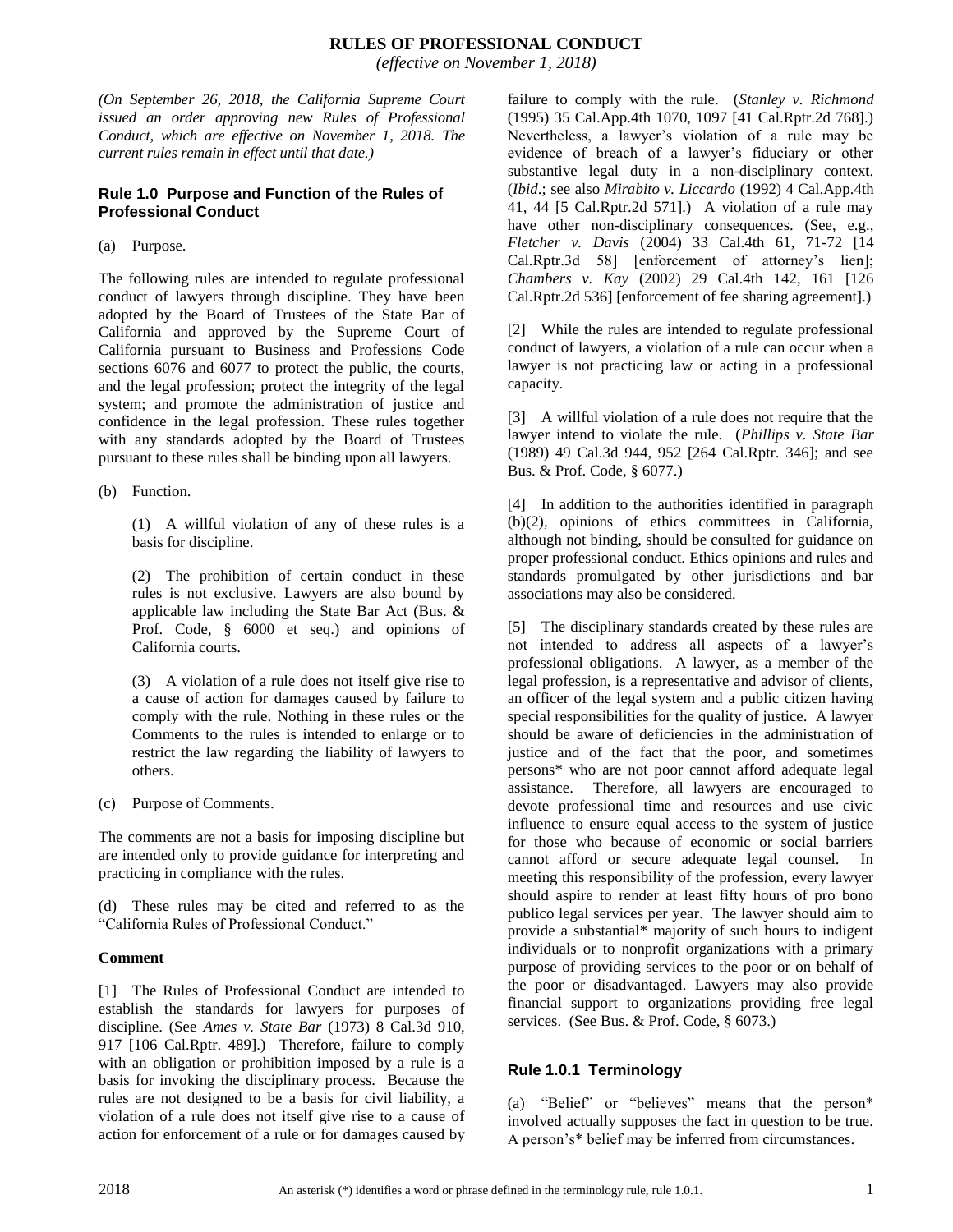*(effective on November 1, 2018)* 

*(On September 26, 2018, the California Supreme Court issued an order approving new Rules of Professional Conduct, which are effective on November 1, 2018. The current rules remain in effect until that date.)* 

### **Rule 1.0 Purpose and Function of the Rules of Professional Conduct**

(a) Purpose.

The following rules are intended to regulate professional conduct of lawyers through discipline. They have been adopted by the Board of Trustees of the State Bar of California and approved by the Supreme Court of California pursuant to Business and Professions Code sections 6076 and 6077 to protect the public, the courts, and the legal profession; protect the integrity of the legal system; and promote the administration of justice and confidence in the legal profession. These rules together with any standards adopted by the Board of Trustees pursuant to these rules shall be binding upon all lawyers.

(b) Function.

(1) A willful violation of any of these rules is a basis for discipline.

(2) The prohibition of certain conduct in these rules is not exclusive. Lawyers are also bound by applicable law including the State Bar Act (Bus. & Prof. Code, § 6000 et seq.) and opinions of California courts.

(3) A violation of a rule does not itself give rise to a cause of action for damages caused by failure to comply with the rule. Nothing in these rules or the Comments to the rules is intended to enlarge or to restrict the law regarding the liability of lawyers to others.

(c) Purpose of Comments.

The comments are not a basis for imposing discipline but are intended only to provide guidance for interpreting and practicing in compliance with the rules.

(d) These rules may be cited and referred to as the "California Rules of Professional Conduct."

### **Comment**

[1] The Rules of Professional Conduct are intended to establish the standards for lawyers for purposes of discipline. (See *Ames v. State Bar* (1973) 8 Cal.3d 910, 917 [106 Cal.Rptr. 489].) Therefore, failure to comply with an obligation or prohibition imposed by a rule is a basis for invoking the disciplinary process. Because the rules are not designed to be a basis for civil liability, a violation of a rule does not itself give rise to a cause of action for enforcement of a rule or for damages caused by failure to comply with the rule. (*Stanley v. Richmond*  (1995) 35 Cal.App.4th 1070, 1097 [41 Cal.Rptr.2d 768].) Nevertheless, a lawyer's violation of a rule may be evidence of breach of a lawyer's fiduciary or other substantive legal duty in a non-disciplinary context. (*Ibid*.; see also *Mirabito v. Liccardo* (1992) 4 Cal.App.4th 41, 44 [5 Cal.Rptr.2d 571].) A violation of a rule may have other non-disciplinary consequences. (See, e.g., *Fletcher v. Davis* (2004) 33 Cal.4th 61, 71-72 [14 Cal.Rptr.3d 58] [enforcement of attorney's lien]; *Chambers v. Kay* (2002) 29 Cal.4th 142, 161 [126 Cal.Rptr.2d 536] [enforcement of fee sharing agreement].)

[2] While the rules are intended to regulate professional conduct of lawyers, a violation of a rule can occur when a lawyer is not practicing law or acting in a professional capacity.

[3] A willful violation of a rule does not require that the lawyer intend to violate the rule. (*Phillips v. State Bar*  (1989) 49 Cal.3d 944, 952 [264 Cal.Rptr. 346]; and see Bus. & Prof. Code, § 6077.)

[4] In addition to the authorities identified in paragraph (b)(2), opinions of ethics committees in California, although not binding, should be consulted for guidance on proper professional conduct. Ethics opinions and rules and standards promulgated by other jurisdictions and bar associations may also be considered.

[5] The disciplinary standards created by these rules are not intended to address all aspects of a lawyer's professional obligations. A lawyer, as a member of the legal profession, is a representative and advisor of clients, an officer of the legal system and a public citizen having special responsibilities for the quality of justice. A lawyer should be aware of deficiencies in the administration of justice and of the fact that the poor, and sometimes persons\* who are not poor cannot afford adequate legal assistance. Therefore, all lawyers are encouraged to devote professional time and resources and use civic influence to ensure equal access to the system of justice for those who because of economic or social barriers cannot afford or secure adequate legal counsel. In meeting this responsibility of the profession, every lawyer should aspire to render at least fifty hours of pro bono publico legal services per year. The lawyer should aim to provide a substantial\* majority of such hours to indigent individuals or to nonprofit organizations with a primary purpose of providing services to the poor or on behalf of the poor or disadvantaged. Lawyers may also provide financial support to organizations providing free legal services. (See Bus. & Prof. Code, § 6073.)

### **Rule 1.0.1 Terminology**

(a) "Belief" or "believes" means that the person\* involved actually supposes the fact in question to be true. A person's\* belief may be inferred from circumstances.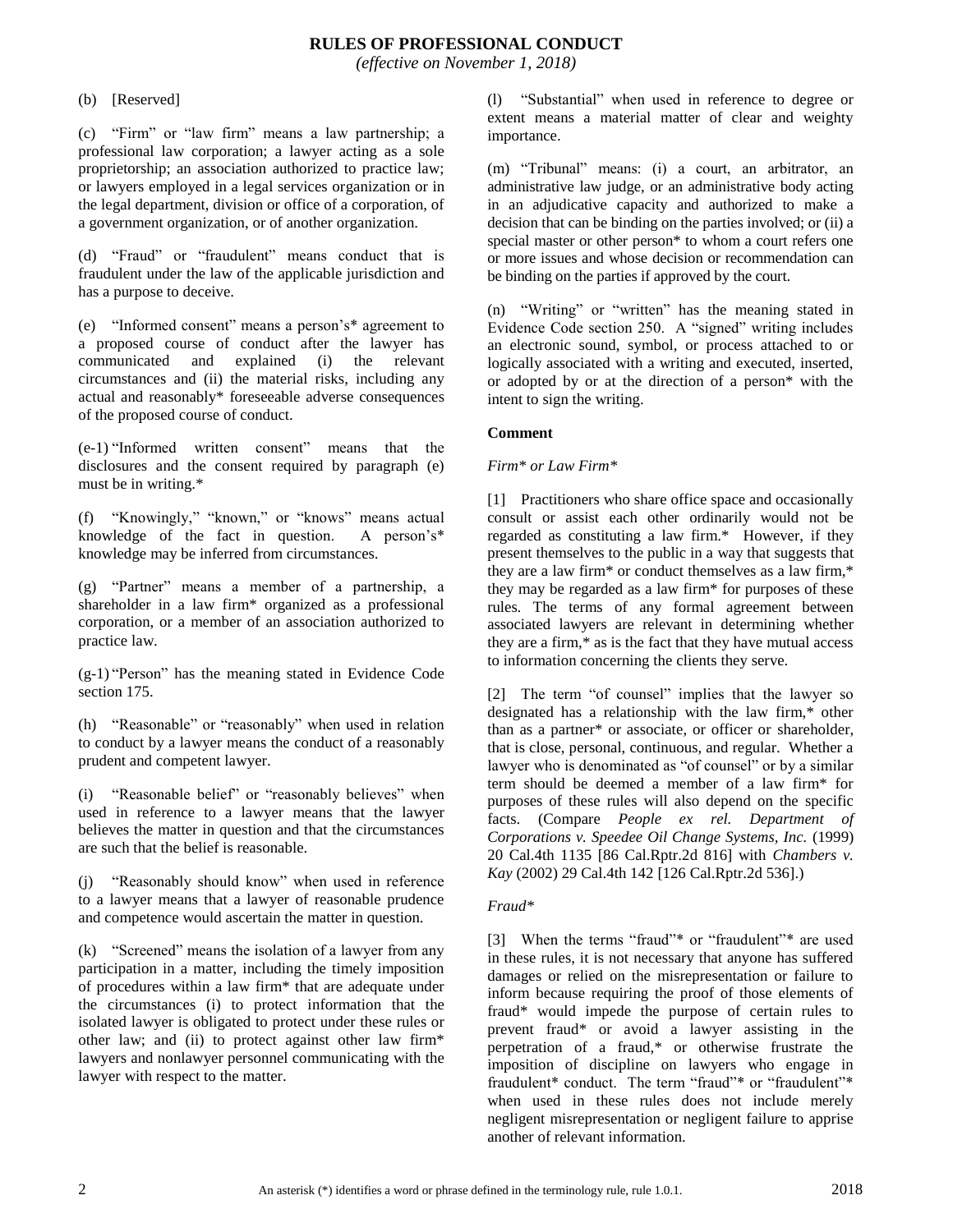*(effective on November 1, 2018)* 

#### (b) [Reserved]

(c) "Firm" or "law firm" means a law partnership; a professional law corporation; a lawyer acting as a sole proprietorship; an association authorized to practice law; or lawyers employed in a legal services organization or in the legal department, division or office of a corporation, of a government organization, or of another organization.

(d) "Fraud" or "fraudulent" means conduct that is fraudulent under the law of the applicable jurisdiction and has a purpose to deceive.

(e) "Informed consent" means a person's\* agreement to a proposed course of conduct after the lawyer has communicated and explained (i) the relevant circumstances and (ii) the material risks, including any actual and reasonably\* foreseeable adverse consequences of the proposed course of conduct.

(e-1) "Informed written consent" means that the disclosures and the consent required by paragraph (e) must be in writing.\*

(f) "Knowingly," "known," or "knows" means actual knowledge of the fact in question. A person's\* knowledge may be inferred from circumstances.

(g) "Partner" means a member of a partnership, a shareholder in a law firm\* organized as a professional corporation, or a member of an association authorized to practice law.

(g-1) "Person" has the meaning stated in Evidence Code section 175.

(h) "Reasonable" or "reasonably" when used in relation to conduct by a lawyer means the conduct of a reasonably prudent and competent lawyer.

(i) "Reasonable belief" or "reasonably believes" when used in reference to a lawyer means that the lawyer believes the matter in question and that the circumstances are such that the belief is reasonable.

(j) "Reasonably should know" when used in reference to a lawyer means that a lawyer of reasonable prudence and competence would ascertain the matter in question.

(k) "Screened" means the isolation of a lawyer from any participation in a matter, including the timely imposition of procedures within a law firm\* that are adequate under the circumstances (i) to protect information that the isolated lawyer is obligated to protect under these rules or other law; and (ii) to protect against other law firm\* lawyers and nonlawyer personnel communicating with the lawyer with respect to the matter.

(l) "Substantial" when used in reference to degree or extent means a material matter of clear and weighty importance.

(m) "Tribunal" means: (i) a court, an arbitrator, an administrative law judge, or an administrative body acting in an adjudicative capacity and authorized to make a decision that can be binding on the parties involved; or (ii) a special master or other person\* to whom a court refers one or more issues and whose decision or recommendation can be binding on the parties if approved by the court.

(n) "Writing" or "written" has the meaning stated in Evidence Code section 250. A "signed" writing includes an electronic sound, symbol, or process attached to or logically associated with a writing and executed, inserted, or adopted by or at the direction of a person\* with the intent to sign the writing.

### **Comment**

#### *Firm\* or Law Firm\**

[1] Practitioners who share office space and occasionally consult or assist each other ordinarily would not be regarded as constituting a law firm.\* However, if they present themselves to the public in a way that suggests that they are a law firm\* or conduct themselves as a law firm,\* they may be regarded as a law firm\* for purposes of these rules. The terms of any formal agreement between associated lawyers are relevant in determining whether they are a firm,\* as is the fact that they have mutual access to information concerning the clients they serve.

[2] The term "of counsel" implies that the lawyer so designated has a relationship with the law firm,\* other than as a partner\* or associate, or officer or shareholder, that is close, personal, continuous, and regular. Whether a lawyer who is denominated as "of counsel" or by a similar term should be deemed a member of a law firm\* for purposes of these rules will also depend on the specific facts. (Compare *People ex rel. Department of Corporations v. Speedee Oil Change Systems, Inc.* (1999) 20 Cal.4th 1135 [86 Cal.Rptr.2d 816] with *Chambers v. Kay* (2002) 29 Cal.4th 142 [126 Cal.Rptr.2d 536].)

#### *Fraud\**

[3] When the terms "fraud"\* or "fraudulent"\* are used in these rules, it is not necessary that anyone has suffered damages or relied on the misrepresentation or failure to inform because requiring the proof of those elements of fraud\* would impede the purpose of certain rules to prevent fraud\* or avoid a lawyer assisting in the perpetration of a fraud,\* or otherwise frustrate the imposition of discipline on lawyers who engage in fraudulent\* conduct. The term "fraud"\* or "fraudulent"\* when used in these rules does not include merely negligent misrepresentation or negligent failure to apprise another of relevant information.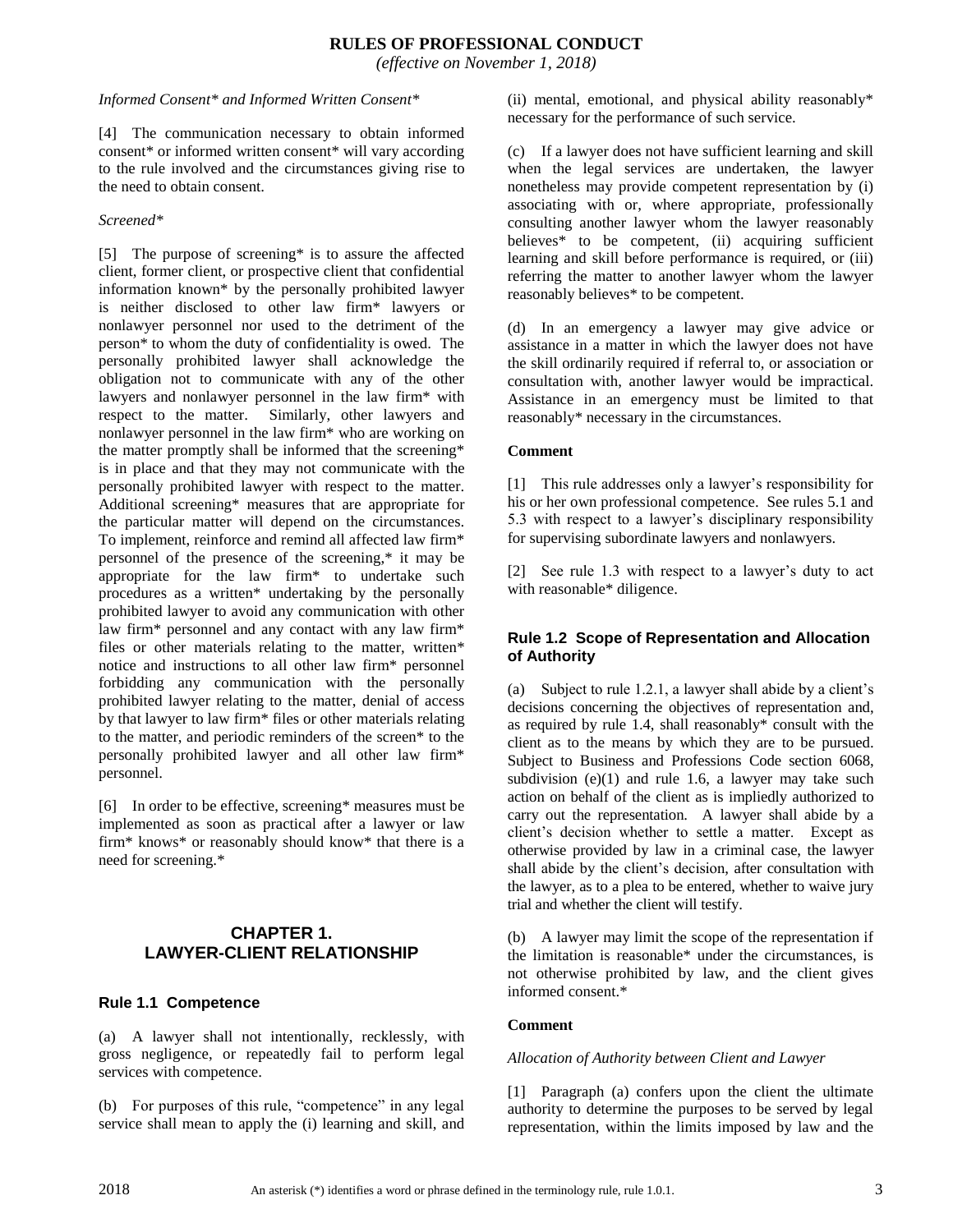*(effective on November 1, 2018)* 

#### *Informed Consent\* and Informed Written Consent\**

[4] The communication necessary to obtain informed consent\* or informed written consent\* will vary according to the rule involved and the circumstances giving rise to the need to obtain consent.

#### *Screened\**

[5] The purpose of screening\* is to assure the affected client, former client, or prospective client that confidential information known\* by the personally prohibited lawyer is neither disclosed to other law firm\* lawyers or nonlawyer personnel nor used to the detriment of the person\* to whom the duty of confidentiality is owed. The personally prohibited lawyer shall acknowledge the obligation not to communicate with any of the other lawyers and nonlawyer personnel in the law firm\* with respect to the matter. Similarly, other lawyers and nonlawyer personnel in the law firm\* who are working on the matter promptly shall be informed that the screening\* is in place and that they may not communicate with the personally prohibited lawyer with respect to the matter. Additional screening\* measures that are appropriate for the particular matter will depend on the circumstances. To implement, reinforce and remind all affected law firm\* personnel of the presence of the screening,\* it may be appropriate for the law firm\* to undertake such procedures as a written\* undertaking by the personally prohibited lawyer to avoid any communication with other law firm\* personnel and any contact with any law firm\* files or other materials relating to the matter, written\* notice and instructions to all other law firm\* personnel forbidding any communication with the personally prohibited lawyer relating to the matter, denial of access by that lawyer to law firm\* files or other materials relating to the matter, and periodic reminders of the screen\* to the personally prohibited lawyer and all other law firm\* personnel.

[6] In order to be effective, screening\* measures must be implemented as soon as practical after a lawyer or law firm\* knows\* or reasonably should know\* that there is a need for screening.\*

# **CHAPTER 1. LAWYER-CLIENT RELATIONSHIP**

### **Rule 1.1 Competence**

(a) A lawyer shall not intentionally, recklessly, with gross negligence, or repeatedly fail to perform legal services with competence.

(b) For purposes of this rule, "competence" in any legal service shall mean to apply the (i) learning and skill, and (ii) mental, emotional, and physical ability reasonably\* necessary for the performance of such service.

(c) If a lawyer does not have sufficient learning and skill when the legal services are undertaken, the lawyer nonetheless may provide competent representation by (i) associating with or, where appropriate, professionally consulting another lawyer whom the lawyer reasonably believes<sup>\*</sup> to be competent, (ii) acquiring sufficient learning and skill before performance is required, or (iii) referring the matter to another lawyer whom the lawyer reasonably believes\* to be competent.

(d) In an emergency a lawyer may give advice or assistance in a matter in which the lawyer does not have the skill ordinarily required if referral to, or association or consultation with, another lawyer would be impractical. Assistance in an emergency must be limited to that reasonably\* necessary in the circumstances.

#### **Comment**

[1] This rule addresses only a lawyer's responsibility for his or her own professional competence. See rules 5.1 and 5.3 with respect to a lawyer's disciplinary responsibility for supervising subordinate lawyers and nonlawyers.

[2] See rule 1.3 with respect to a lawyer's duty to act with reasonable\* diligence.

### **Rule 1.2 Scope of Representation and Allocation of Authority**

(a) Subject to rule 1.2.1, a lawyer shall abide by a client's decisions concerning the objectives of representation and, as required by rule 1.4, shall reasonably\* consult with the client as to the means by which they are to be pursued. Subject to Business and Professions Code section 6068, subdivision  $(e)(1)$  and rule 1.6, a lawyer may take such action on behalf of the client as is impliedly authorized to carry out the representation. A lawyer shall abide by a client's decision whether to settle a matter. Except as otherwise provided by law in a criminal case, the lawyer shall abide by the client's decision, after consultation with the lawyer, as to a plea to be entered, whether to waive jury trial and whether the client will testify.

(b) A lawyer may limit the scope of the representation if the limitation is reasonable\* under the circumstances, is not otherwise prohibited by law, and the client gives informed consent.\*

#### **Comment**

#### *Allocation of Authority between Client and Lawyer*

[1] Paragraph (a) confers upon the client the ultimate authority to determine the purposes to be served by legal representation, within the limits imposed by law and the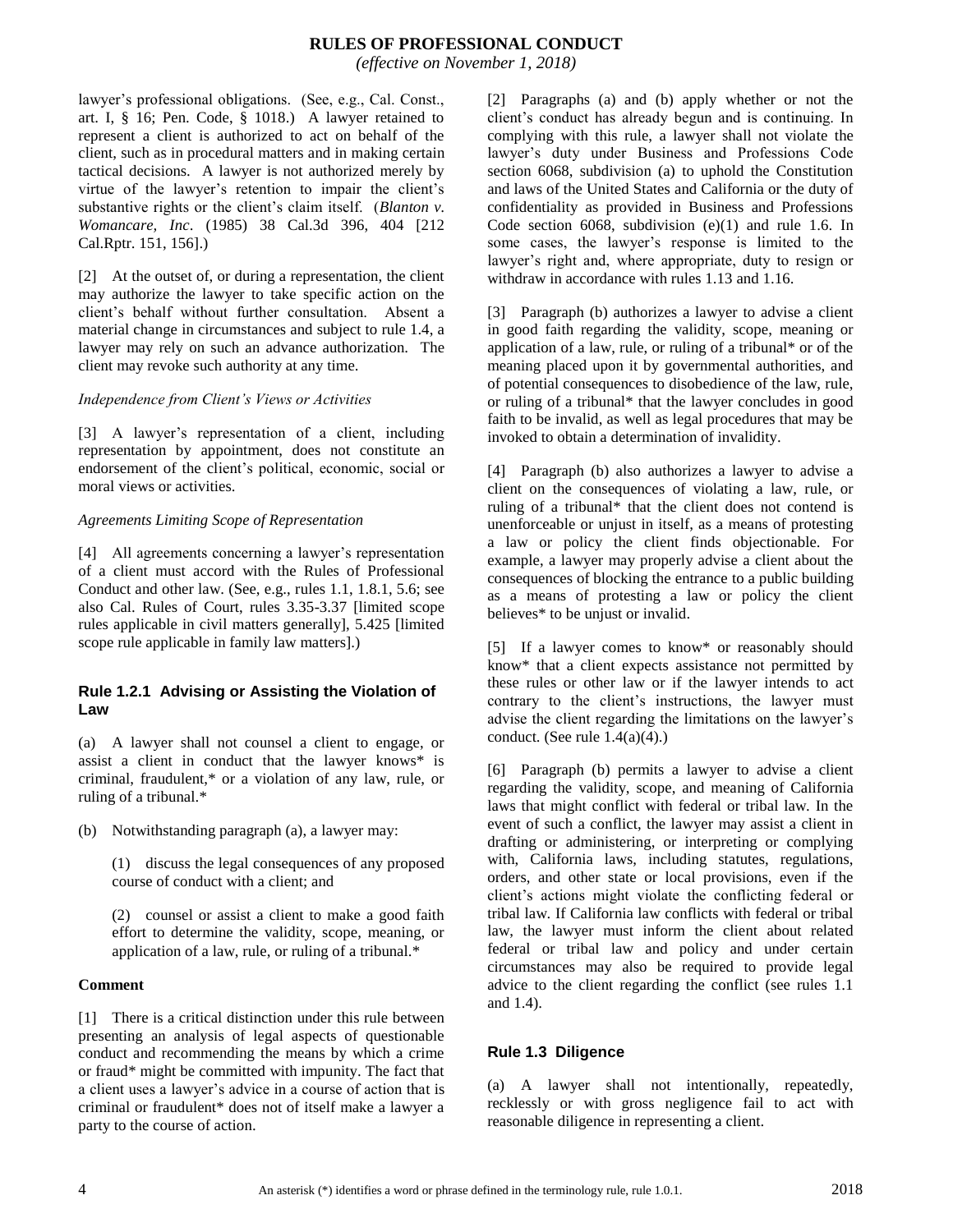*(effective on November 1, 2018)* 

lawyer's professional obligations. (See, e.g., Cal. Const., art. I, § 16; Pen. Code, § 1018.) A lawyer retained to represent a client is authorized to act on behalf of the client, such as in procedural matters and in making certain tactical decisions. A lawyer is not authorized merely by virtue of the lawyer's retention to impair the client's substantive rights or the client's claim itself. (*Blanton v. Womancare, Inc*. (1985) 38 Cal.3d 396, 404 [212 Cal.Rptr. 151, 156].)

[2] At the outset of, or during a representation, the client may authorize the lawyer to take specific action on the client's behalf without further consultation. Absent a material change in circumstances and subject to rule 1.4, a lawyer may rely on such an advance authorization. The client may revoke such authority at any time.

#### *Independence from Client's Views or Activities*

[3] A lawyer's representation of a client, including representation by appointment, does not constitute an endorsement of the client's political, economic, social or moral views or activities.

#### *Agreements Limiting Scope of Representation*

[4] All agreements concerning a lawyer's representation of a client must accord with the Rules of Professional Conduct and other law. (See, e.g., rules 1.1, 1.8.1, 5.6; see also Cal. Rules of Court, rules 3.35-3.37 [limited scope rules applicable in civil matters generally], 5.425 [limited scope rule applicable in family law matters].)

### **Rule 1.2.1 Advising or Assisting the Violation of Law**

(a) A lawyer shall not counsel a client to engage, or assist a client in conduct that the lawyer knows\* is criminal, fraudulent,\* or a violation of any law, rule, or ruling of a tribunal.\*

(b) Notwithstanding paragraph (a), a lawyer may:

(1) discuss the legal consequences of any proposed course of conduct with a client; and

(2) counsel or assist a client to make a good faith effort to determine the validity, scope, meaning, or application of a law, rule, or ruling of a tribunal.\*

### **Comment**

[1] There is a critical distinction under this rule between presenting an analysis of legal aspects of questionable conduct and recommending the means by which a crime or fraud\* might be committed with impunity. The fact that a client uses a lawyer's advice in a course of action that is criminal or fraudulent\* does not of itself make a lawyer a party to the course of action.

[2] Paragraphs (a) and (b) apply whether or not the client's conduct has already begun and is continuing. In complying with this rule, a lawyer shall not violate the lawyer's duty under Business and Professions Code section 6068, subdivision (a) to uphold the Constitution and laws of the United States and California or the duty of confidentiality as provided in Business and Professions Code section 6068, subdivision (e)(1) and rule 1.6. In some cases, the lawyer's response is limited to the lawyer's right and, where appropriate, duty to resign or withdraw in accordance with rules 1.13 and 1.16.

[3] Paragraph (b) authorizes a lawyer to advise a client in good faith regarding the validity, scope, meaning or application of a law, rule, or ruling of a tribunal\* or of the meaning placed upon it by governmental authorities, and of potential consequences to disobedience of the law, rule, or ruling of a tribunal\* that the lawyer concludes in good faith to be invalid, as well as legal procedures that may be invoked to obtain a determination of invalidity.

[4] Paragraph (b) also authorizes a lawyer to advise a client on the consequences of violating a law, rule, or ruling of a tribunal\* that the client does not contend is unenforceable or unjust in itself, as a means of protesting a law or policy the client finds objectionable. For example, a lawyer may properly advise a client about the consequences of blocking the entrance to a public building as a means of protesting a law or policy the client believes\* to be unjust or invalid.

[5] If a lawyer comes to know\* or reasonably should know\* that a client expects assistance not permitted by these rules or other law or if the lawyer intends to act contrary to the client's instructions, the lawyer must advise the client regarding the limitations on the lawyer's conduct. (See rule  $1.4(a)(4)$ .)

[6] Paragraph (b) permits a lawyer to advise a client regarding the validity, scope, and meaning of California laws that might conflict with federal or tribal law. In the event of such a conflict, the lawyer may assist a client in drafting or administering, or interpreting or complying with, California laws, including statutes, regulations, orders, and other state or local provisions, even if the client's actions might violate the conflicting federal or tribal law. If California law conflicts with federal or tribal law, the lawyer must inform the client about related federal or tribal law and policy and under certain circumstances may also be required to provide legal advice to the client regarding the conflict (see rules 1.1 and 1.4).

### **Rule 1.3 Diligence**

(a) A lawyer shall not intentionally, repeatedly, recklessly or with gross negligence fail to act with reasonable diligence in representing a client.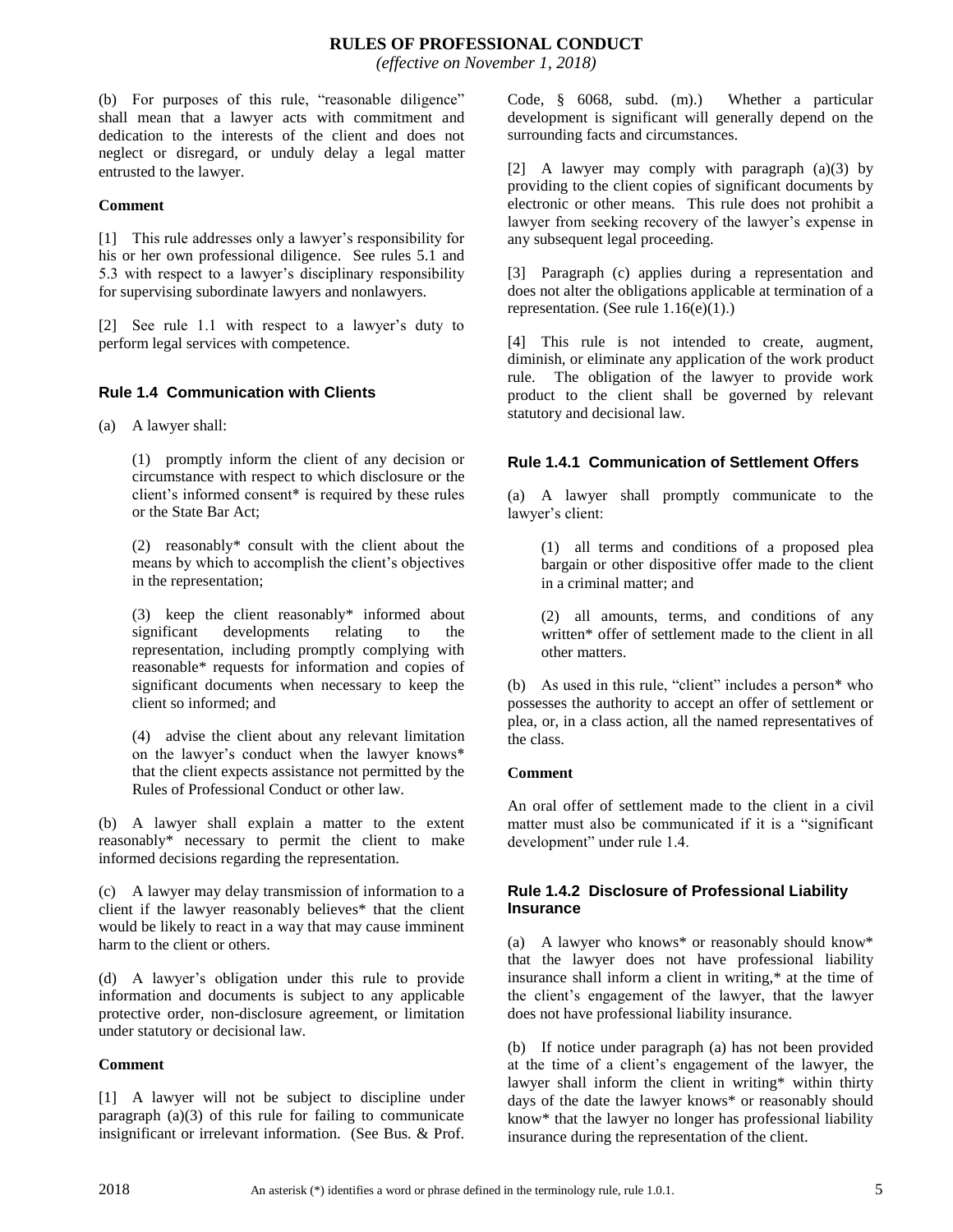*(effective on November 1, 2018)* 

(b) For purposes of this rule, "reasonable diligence" shall mean that a lawyer acts with commitment and dedication to the interests of the client and does not neglect or disregard, or unduly delay a legal matter entrusted to the lawyer.

#### **Comment**

[1] This rule addresses only a lawyer's responsibility for his or her own professional diligence. See rules 5.1 and 5.3 with respect to a lawyer's disciplinary responsibility for supervising subordinate lawyers and nonlawyers.

[2] See rule 1.1 with respect to a lawyer's duty to perform legal services with competence.

### **Rule 1.4 Communication with Clients**

(a) A lawyer shall:

(1) promptly inform the client of any decision or circumstance with respect to which disclosure or the client's informed consent\* is required by these rules or the State Bar Act;

(2) reasonably\* consult with the client about the means by which to accomplish the client's objectives in the representation;

(3) keep the client reasonably\* informed about significant developments relating to the representation, including promptly complying with reasonable\* requests for information and copies of significant documents when necessary to keep the client so informed; and

(4) advise the client about any relevant limitation on the lawyer's conduct when the lawyer knows\* that the client expects assistance not permitted by the Rules of Professional Conduct or other law.

(b) A lawyer shall explain a matter to the extent reasonably\* necessary to permit the client to make informed decisions regarding the representation.

(c) A lawyer may delay transmission of information to a client if the lawyer reasonably believes\* that the client would be likely to react in a way that may cause imminent harm to the client or others.

(d) A lawyer's obligation under this rule to provide information and documents is subject to any applicable protective order, non-disclosure agreement, or limitation under statutory or decisional law.

### **Comment**

[1] A lawyer will not be subject to discipline under paragraph  $(a)(3)$  of this rule for failing to communicate insignificant or irrelevant information. (See Bus. & Prof.

Code, § 6068, subd. (m).) Whether a particular development is significant will generally depend on the surrounding facts and circumstances.

[2] A lawyer may comply with paragraph (a)(3) by providing to the client copies of significant documents by electronic or other means. This rule does not prohibit a lawyer from seeking recovery of the lawyer's expense in any subsequent legal proceeding.

[3] Paragraph (c) applies during a representation and does not alter the obligations applicable at termination of a representation. (See rule 1.16(e)(1).)

[4] This rule is not intended to create, augment, diminish, or eliminate any application of the work product rule. The obligation of the lawyer to provide work product to the client shall be governed by relevant statutory and decisional law.

### **Rule 1.4.1 Communication of Settlement Offers**

(a) A lawyer shall promptly communicate to the lawyer's client:

(1) all terms and conditions of a proposed plea bargain or other dispositive offer made to the client in a criminal matter; and

(2) all amounts, terms, and conditions of any written\* offer of settlement made to the client in all other matters.

(b) As used in this rule, "client" includes a person\* who possesses the authority to accept an offer of settlement or plea, or, in a class action, all the named representatives of the class.

#### **Comment**

An oral offer of settlement made to the client in a civil matter must also be communicated if it is a "significant development" under rule 1.4.

### **Rule 1.4.2 Disclosure of Professional Liability Insurance**

(a) A lawyer who knows\* or reasonably should know\* that the lawyer does not have professional liability insurance shall inform a client in writing,\* at the time of the client's engagement of the lawyer, that the lawyer does not have professional liability insurance.

(b) If notice under paragraph (a) has not been provided at the time of a client's engagement of the lawyer, the lawyer shall inform the client in writing\* within thirty days of the date the lawyer knows\* or reasonably should know\* that the lawyer no longer has professional liability insurance during the representation of the client.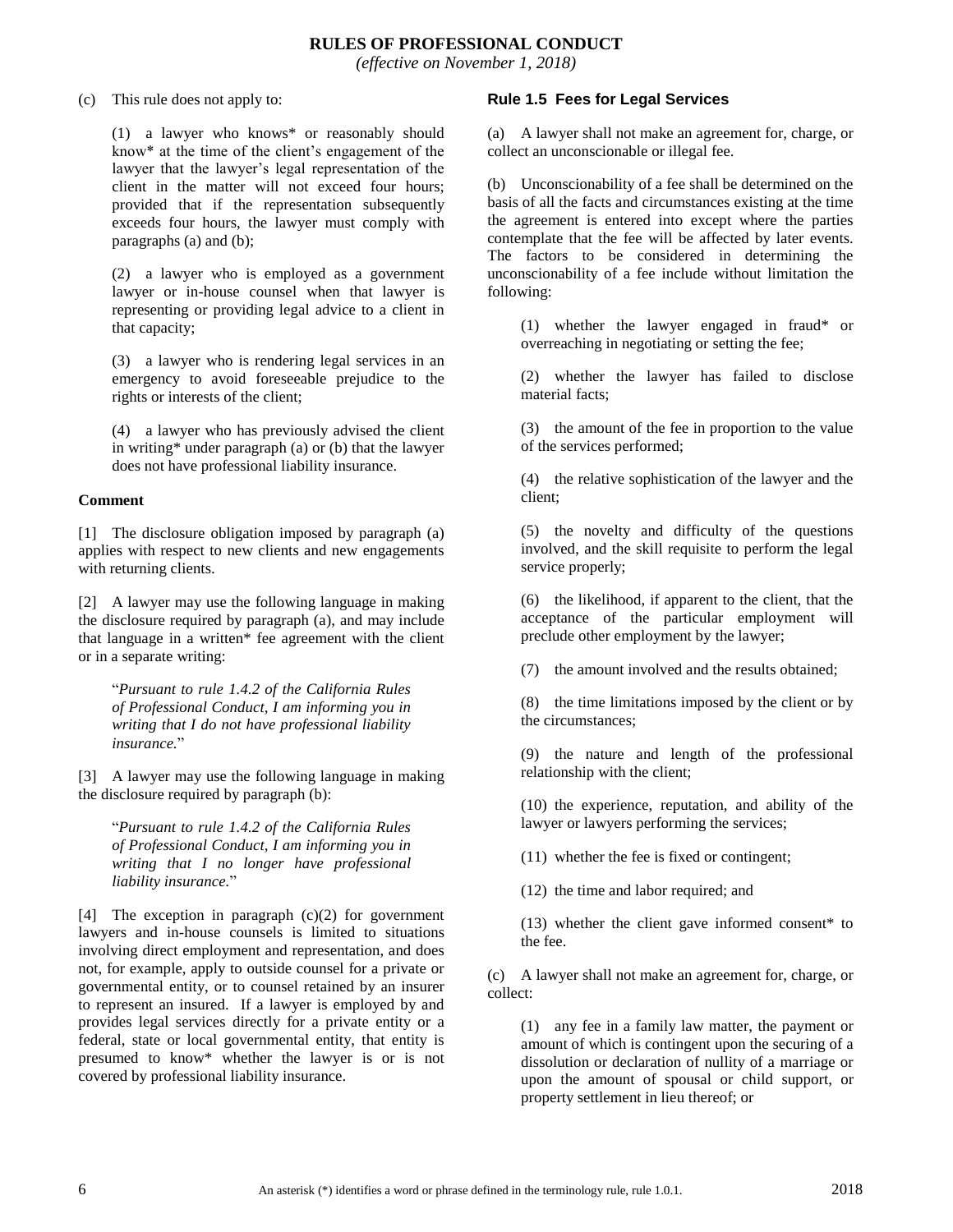*(effective on November 1, 2018)* 

(c) This rule does not apply to:

(1) a lawyer who knows\* or reasonably should know\* at the time of the client's engagement of the lawyer that the lawyer's legal representation of the client in the matter will not exceed four hours; provided that if the representation subsequently exceeds four hours, the lawyer must comply with paragraphs (a) and (b);

(2) a lawyer who is employed as a government lawyer or in-house counsel when that lawyer is representing or providing legal advice to a client in that capacity;

(3) a lawyer who is rendering legal services in an emergency to avoid foreseeable prejudice to the rights or interests of the client;

(4) a lawyer who has previously advised the client in writing\* under paragraph (a) or (b) that the lawyer does not have professional liability insurance.

#### **Comment**

[1] The disclosure obligation imposed by paragraph (a) applies with respect to new clients and new engagements with returning clients.

[2] A lawyer may use the following language in making the disclosure required by paragraph (a), and may include that language in a written\* fee agreement with the client or in a separate writing:

"*Pursuant to rule 1.4.2 of the California Rules of Professional Conduct, I am informing you in writing that I do not have professional liability insurance.*"

[3] A lawyer may use the following language in making the disclosure required by paragraph (b):

"*Pursuant to rule 1.4.2 of the California Rules of Professional Conduct, I am informing you in writing that I no longer have professional liability insurance.*"

[4] The exception in paragraph (c)(2) for government lawyers and in-house counsels is limited to situations involving direct employment and representation, and does not, for example, apply to outside counsel for a private or governmental entity, or to counsel retained by an insurer to represent an insured. If a lawyer is employed by and provides legal services directly for a private entity or a federal, state or local governmental entity, that entity is presumed to know\* whether the lawyer is or is not covered by professional liability insurance.

#### **Rule 1.5 Fees for Legal Services**

(a) A lawyer shall not make an agreement for, charge, or collect an unconscionable or illegal fee.

(b) Unconscionability of a fee shall be determined on the basis of all the facts and circumstances existing at the time the agreement is entered into except where the parties contemplate that the fee will be affected by later events. The factors to be considered in determining the unconscionability of a fee include without limitation the following:

(1) whether the lawyer engaged in fraud\* or overreaching in negotiating or setting the fee;

(2) whether the lawyer has failed to disclose material facts;

(3) the amount of the fee in proportion to the value of the services performed;

(4) the relative sophistication of the lawyer and the client;

(5) the novelty and difficulty of the questions involved, and the skill requisite to perform the legal service properly;

(6) the likelihood, if apparent to the client, that the acceptance of the particular employment will preclude other employment by the lawyer;

(7) the amount involved and the results obtained;

(8) the time limitations imposed by the client or by the circumstances;

(9) the nature and length of the professional relationship with the client;

(10) the experience, reputation, and ability of the lawyer or lawyers performing the services;

(11) whether the fee is fixed or contingent;

(12) the time and labor required; and

(13) whether the client gave informed consent\* to the fee.

(c) A lawyer shall not make an agreement for, charge, or collect:

(1) any fee in a family law matter, the payment or amount of which is contingent upon the securing of a dissolution or declaration of nullity of a marriage or upon the amount of spousal or child support, or property settlement in lieu thereof; or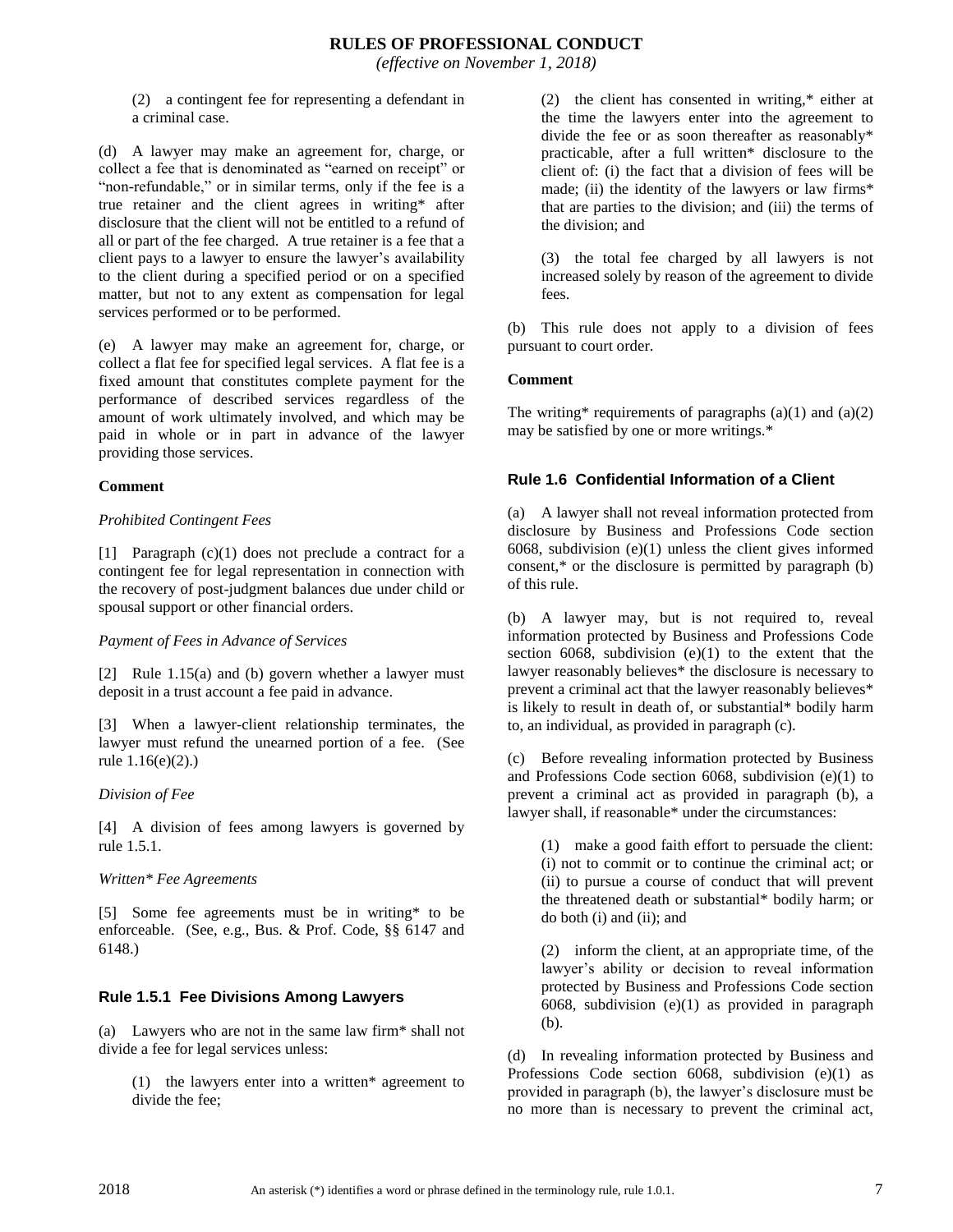*(effective on November 1, 2018)* 

(2) a contingent fee for representing a defendant in a criminal case.

(d) A lawyer may make an agreement for, charge, or collect a fee that is denominated as "earned on receipt" or "non-refundable," or in similar terms, only if the fee is a true retainer and the client agrees in writing\* after disclosure that the client will not be entitled to a refund of all or part of the fee charged. A true retainer is a fee that a client pays to a lawyer to ensure the lawyer's availability to the client during a specified period or on a specified matter, but not to any extent as compensation for legal services performed or to be performed.

(e) A lawyer may make an agreement for, charge, or collect a flat fee for specified legal services. A flat fee is a fixed amount that constitutes complete payment for the performance of described services regardless of the amount of work ultimately involved, and which may be paid in whole or in part in advance of the lawyer providing those services.

### **Comment**

### *Prohibited Contingent Fees*

[1] Paragraph (c)(1) does not preclude a contract for a contingent fee for legal representation in connection with the recovery of post-judgment balances due under child or spousal support or other financial orders.

### *Payment of Fees in Advance of Services*

[2] Rule 1.15(a) and (b) govern whether a lawyer must deposit in a trust account a fee paid in advance.

[3] When a lawyer-client relationship terminates, the lawyer must refund the unearned portion of a fee. (See rule 1.16(e)(2).)

### *Division of Fee*

[4] A division of fees among lawyers is governed by rule 1.5.1.

### *Written\* Fee Agreements*

[5] Some fee agreements must be in writing\* to be enforceable. (See, e.g., Bus. & Prof. Code, §§ 6147 and 6148.)

### **Rule 1.5.1 Fee Divisions Among Lawyers**

(a) Lawyers who are not in the same law firm\* shall not divide a fee for legal services unless:

(1) the lawyers enter into a written\* agreement to divide the fee;

(2) the client has consented in writing,\* either at the time the lawyers enter into the agreement to divide the fee or as soon thereafter as reasonably\* practicable, after a full written\* disclosure to the client of: (i) the fact that a division of fees will be made; (ii) the identity of the lawyers or law firms\* that are parties to the division; and (iii) the terms of the division; and

(3) the total fee charged by all lawyers is not increased solely by reason of the agreement to divide fees.

(b) This rule does not apply to a division of fees pursuant to court order.

### **Comment**

The writing\* requirements of paragraphs  $(a)(1)$  and  $(a)(2)$ may be satisfied by one or more writings.\*

# **Rule 1.6 Confidential Information of a Client**

(a) A lawyer shall not reveal information protected from disclosure by Business and Professions Code section 6068, subdivision  $(e)(1)$  unless the client gives informed consent,\* or the disclosure is permitted by paragraph (b) of this rule.

(b) A lawyer may, but is not required to, reveal information protected by Business and Professions Code section 6068, subdivision (e)(1) to the extent that the lawyer reasonably believes\* the disclosure is necessary to prevent a criminal act that the lawyer reasonably believes\* is likely to result in death of, or substantial\* bodily harm to, an individual, as provided in paragraph (c).

(c) Before revealing information protected by Business and Professions Code section 6068, subdivision (e)(1) to prevent a criminal act as provided in paragraph (b), a lawyer shall, if reasonable\* under the circumstances:

(1) make a good faith effort to persuade the client: (i) not to commit or to continue the criminal act; or (ii) to pursue a course of conduct that will prevent the threatened death or substantial\* bodily harm; or do both (i) and (ii); and

(2) inform the client, at an appropriate time, of the lawyer's ability or decision to reveal information protected by Business and Professions Code section 6068, subdivision (e)(1) as provided in paragraph (b).

(d) In revealing information protected by Business and Professions Code section 6068, subdivision (e)(1) as provided in paragraph (b), the lawyer's disclosure must be no more than is necessary to prevent the criminal act,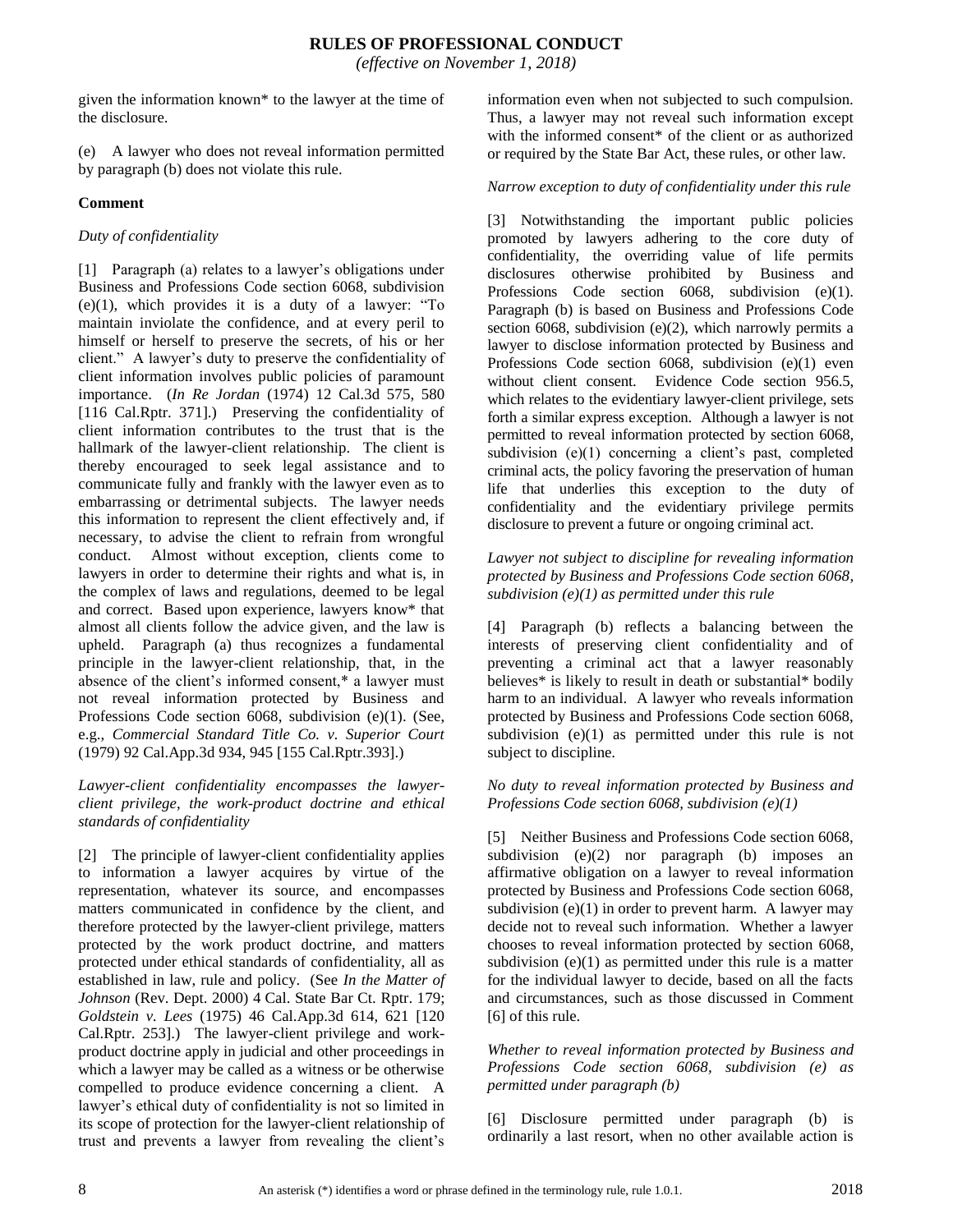given the information known\* to the lawyer at the time of the disclosure.

(e) A lawyer who does not reveal information permitted by paragraph (b) does not violate this rule.

### **Comment**

### *Duty of confidentiality*

[1] Paragraph (a) relates to a lawyer's obligations under Business and Professions Code section 6068, subdivision (e)(1), which provides it is a duty of a lawyer: "To maintain inviolate the confidence, and at every peril to himself or herself to preserve the secrets, of his or her client." A lawyer's duty to preserve the confidentiality of client information involves public policies of paramount importance. (*In Re Jordan* (1974) 12 Cal.3d 575, 580 [116 Cal.Rptr. 371].) Preserving the confidentiality of client information contributes to the trust that is the hallmark of the lawyer-client relationship. The client is thereby encouraged to seek legal assistance and to communicate fully and frankly with the lawyer even as to embarrassing or detrimental subjects. The lawyer needs this information to represent the client effectively and, if necessary, to advise the client to refrain from wrongful conduct. Almost without exception, clients come to lawyers in order to determine their rights and what is, in the complex of laws and regulations, deemed to be legal and correct. Based upon experience, lawyers know\* that almost all clients follow the advice given, and the law is upheld. Paragraph (a) thus recognizes a fundamental principle in the lawyer-client relationship, that, in the absence of the client's informed consent,\* a lawyer must not reveal information protected by Business and Professions Code section 6068, subdivision (e)(1). (See, e.g., *Commercial Standard Title Co. v. Superior Court*  (1979) 92 Cal.App.3d 934, 945 [155 Cal.Rptr.393].)

### *Lawyer-client confidentiality encompasses the lawyerclient privilege, the work-product doctrine and ethical standards of confidentiality*

[2] The principle of lawyer-client confidentiality applies to information a lawyer acquires by virtue of the representation, whatever its source, and encompasses matters communicated in confidence by the client, and therefore protected by the lawyer-client privilege, matters protected by the work product doctrine, and matters protected under ethical standards of confidentiality, all as established in law, rule and policy. (See *In the Matter of Johnson* (Rev. Dept. 2000) 4 Cal. State Bar Ct. Rptr. 179; *Goldstein v. Lees* (1975) 46 Cal.App.3d 614, 621 [120 Cal.Rptr. 253].) The lawyer-client privilege and workproduct doctrine apply in judicial and other proceedings in which a lawyer may be called as a witness or be otherwise compelled to produce evidence concerning a client. A lawyer's ethical duty of confidentiality is not so limited in its scope of protection for the lawyer-client relationship of trust and prevents a lawyer from revealing the client's

information even when not subjected to such compulsion. Thus, a lawyer may not reveal such information except with the informed consent\* of the client or as authorized or required by the State Bar Act, these rules, or other law.

### *Narrow exception to duty of confidentiality under this rule*

[3] Notwithstanding the important public policies promoted by lawyers adhering to the core duty of confidentiality, the overriding value of life permits disclosures otherwise prohibited by Business and Professions Code section 6068, subdivision (e)(1). Paragraph (b) is based on Business and Professions Code section 6068, subdivision (e)(2), which narrowly permits a lawyer to disclose information protected by Business and Professions Code section 6068, subdivision (e)(1) even without client consent. Evidence Code section 956.5, which relates to the evidentiary lawyer-client privilege, sets forth a similar express exception. Although a lawyer is not permitted to reveal information protected by section 6068, subdivision (e)(1) concerning a client's past, completed criminal acts, the policy favoring the preservation of human life that underlies this exception to the duty of confidentiality and the evidentiary privilege permits disclosure to prevent a future or ongoing criminal act.

*Lawyer not subject to discipline for revealing information protected by Business and Professions Code section 6068, subdivision (e)(1) as permitted under this rule*

[4] Paragraph (b) reflects a balancing between the interests of preserving client confidentiality and of preventing a criminal act that a lawyer reasonably believes\* is likely to result in death or substantial\* bodily harm to an individual. A lawyer who reveals information protected by Business and Professions Code section 6068, subdivision  $(e)(1)$  as permitted under this rule is not subject to discipline.

### *No duty to reveal information protected by Business and Professions Code section 6068, subdivision (e)(1)*

[5] Neither Business and Professions Code section 6068, subdivision (e)(2) nor paragraph (b) imposes an affirmative obligation on a lawyer to reveal information protected by Business and Professions Code section 6068, subdivision  $(e)(1)$  in order to prevent harm. A lawyer may decide not to reveal such information. Whether a lawyer chooses to reveal information protected by section 6068, subdivision (e)(1) as permitted under this rule is a matter for the individual lawyer to decide, based on all the facts and circumstances, such as those discussed in Comment [6] of this rule.

*Whether to reveal information protected by Business and Professions Code section 6068, subdivision (e) as permitted under paragraph (b)* 

[6] Disclosure permitted under paragraph (b) is ordinarily a last resort, when no other available action is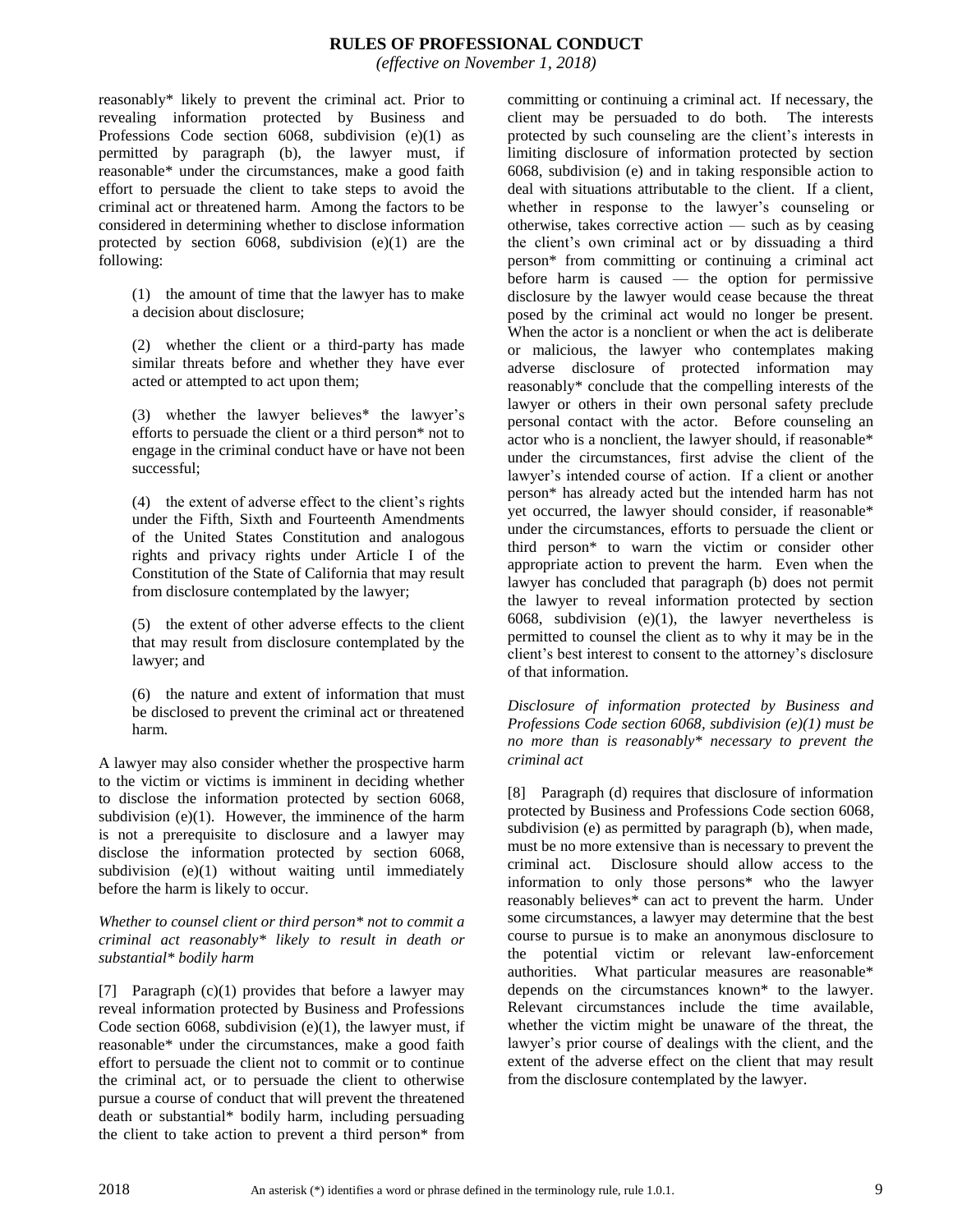*(effective on November 1, 2018)* 

reasonably\* likely to prevent the criminal act. Prior to revealing information protected by Business and Professions Code section 6068, subdivision (e)(1) as permitted by paragraph (b), the lawyer must, if reasonable\* under the circumstances, make a good faith effort to persuade the client to take steps to avoid the criminal act or threatened harm. Among the factors to be considered in determining whether to disclose information protected by section 6068, subdivision (e)(1) are the following:

(1) the amount of time that the lawyer has to make a decision about disclosure;

(2) whether the client or a third-party has made similar threats before and whether they have ever acted or attempted to act upon them;

(3) whether the lawyer believes\* the lawyer's efforts to persuade the client or a third person\* not to engage in the criminal conduct have or have not been successful;

(4) the extent of adverse effect to the client's rights under the Fifth, Sixth and Fourteenth Amendments of the United States Constitution and analogous rights and privacy rights under Article I of the Constitution of the State of California that may result from disclosure contemplated by the lawyer;

(5) the extent of other adverse effects to the client that may result from disclosure contemplated by the lawyer; and

(6) the nature and extent of information that must be disclosed to prevent the criminal act or threatened harm.

A lawyer may also consider whether the prospective harm to the victim or victims is imminent in deciding whether to disclose the information protected by section 6068, subdivision  $(e)(1)$ . However, the imminence of the harm is not a prerequisite to disclosure and a lawyer may disclose the information protected by section 6068, subdivision (e)(1) without waiting until immediately before the harm is likely to occur.

*Whether to counsel client or third person\* not to commit a criminal act reasonably\* likely to result in death or substantial\* bodily harm*

[7] Paragraph (c)(1) provides that before a lawyer may reveal information protected by Business and Professions Code section 6068, subdivision  $(e)(1)$ , the lawyer must, if reasonable\* under the circumstances, make a good faith effort to persuade the client not to commit or to continue the criminal act, or to persuade the client to otherwise pursue a course of conduct that will prevent the threatened death or substantial\* bodily harm, including persuading the client to take action to prevent a third person\* from committing or continuing a criminal act. If necessary, the client may be persuaded to do both. The interests protected by such counseling are the client's interests in limiting disclosure of information protected by section 6068, subdivision (e) and in taking responsible action to deal with situations attributable to the client. If a client, whether in response to the lawyer's counseling or otherwise, takes corrective action — such as by ceasing the client's own criminal act or by dissuading a third person\* from committing or continuing a criminal act before harm is caused — the option for permissive disclosure by the lawyer would cease because the threat posed by the criminal act would no longer be present. When the actor is a nonclient or when the act is deliberate or malicious, the lawyer who contemplates making adverse disclosure of protected information may reasonably\* conclude that the compelling interests of the lawyer or others in their own personal safety preclude personal contact with the actor. Before counseling an actor who is a nonclient, the lawyer should, if reasonable\* under the circumstances, first advise the client of the lawyer's intended course of action. If a client or another person\* has already acted but the intended harm has not yet occurred, the lawyer should consider, if reasonable\* under the circumstances, efforts to persuade the client or third person\* to warn the victim or consider other appropriate action to prevent the harm. Even when the lawyer has concluded that paragraph (b) does not permit the lawyer to reveal information protected by section 6068, subdivision (e) $(1)$ , the lawyer nevertheless is permitted to counsel the client as to why it may be in the client's best interest to consent to the attorney's disclosure of that information.

*Disclosure of information protected by Business and Professions Code section 6068, subdivision (e)(1) must be no more than is reasonably\* necessary to prevent the criminal act* 

[8] Paragraph (d) requires that disclosure of information protected by Business and Professions Code section 6068*,*  subdivision (e) as permitted by paragraph (b), when made, must be no more extensive than is necessary to prevent the criminal act. Disclosure should allow access to the information to only those persons\* who the lawyer reasonably believes\* can act to prevent the harm. Under some circumstances, a lawyer may determine that the best course to pursue is to make an anonymous disclosure to the potential victim or relevant law-enforcement authorities. What particular measures are reasonable\* depends on the circumstances known\* to the lawyer. Relevant circumstances include the time available, whether the victim might be unaware of the threat, the lawyer's prior course of dealings with the client, and the extent of the adverse effect on the client that may result from the disclosure contemplated by the lawyer.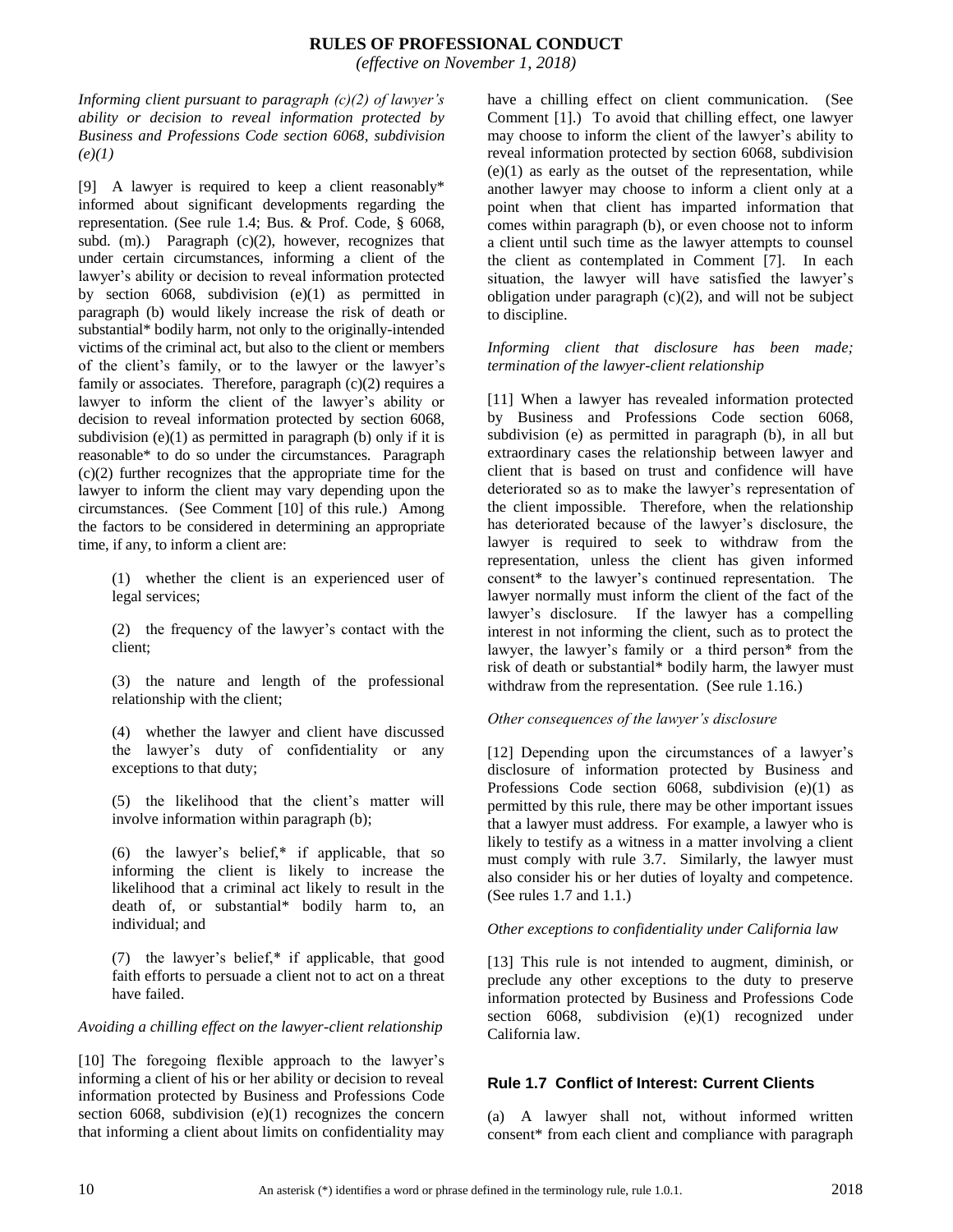*(effective on November 1, 2018)* 

*Informing client pursuant to paragraph (c)(2) of lawyer's ability or decision to reveal information protected by Business and Professions Code section 6068, subdivision (e)(1)*

[9] A lawyer is required to keep a client reasonably\* informed about significant developments regarding the representation. (See rule 1.4; Bus. & Prof. Code, § 6068, subd.  $(m)$ .) Paragraph  $(c)(2)$ , however, recognizes that under certain circumstances, informing a client of the lawyer's ability or decision to reveal information protected by section 6068, subdivision (e)(1) as permitted in paragraph (b) would likely increase the risk of death or substantial\* bodily harm, not only to the originally-intended victims of the criminal act, but also to the client or members of the client's family, or to the lawyer or the lawyer's family or associates. Therefore, paragraph (c)(2) requires a lawyer to inform the client of the lawyer's ability or decision to reveal information protected by section 6068, subdivision  $(e)(1)$  as permitted in paragraph (b) only if it is reasonable\* to do so under the circumstances. Paragraph (c)(2) further recognizes that the appropriate time for the lawyer to inform the client may vary depending upon the circumstances. (See Comment [10] of this rule.) Among the factors to be considered in determining an appropriate time, if any, to inform a client are:

(1) whether the client is an experienced user of legal services;

(2) the frequency of the lawyer's contact with the client;

(3) the nature and length of the professional relationship with the client;

(4) whether the lawyer and client have discussed the lawyer's duty of confidentiality or any exceptions to that duty;

(5) the likelihood that the client's matter will involve information within paragraph (b);

(6) the lawyer's belief,\* if applicable, that so informing the client is likely to increase the likelihood that a criminal act likely to result in the death of, or substantial\* bodily harm to, an individual; and

(7) the lawyer's belief,\* if applicable, that good faith efforts to persuade a client not to act on a threat have failed.

### *Avoiding a chilling effect on the lawyer-client relationship*

[10] The foregoing flexible approach to the lawyer's informing a client of his or her ability or decision to reveal information protected by Business and Professions Code section 6068, subdivision  $(e)(1)$  recognizes the concern that informing a client about limits on confidentiality may

have a chilling effect on client communication. (See Comment [1].) To avoid that chilling effect, one lawyer may choose to inform the client of the lawyer's ability to reveal information protected by section 6068, subdivision (e)(1) as early as the outset of the representation, while another lawyer may choose to inform a client only at a point when that client has imparted information that comes within paragraph (b), or even choose not to inform a client until such time as the lawyer attempts to counsel the client as contemplated in Comment [7]. In each situation, the lawyer will have satisfied the lawyer's obligation under paragraph  $(c)(2)$ , and will not be subject to discipline.

*Informing client that disclosure has been made; termination of the lawyer-client relationship*

[11] When a lawyer has revealed information protected by Business and Professions Code section 6068, subdivision (e) as permitted in paragraph (b), in all but extraordinary cases the relationship between lawyer and client that is based on trust and confidence will have deteriorated so as to make the lawyer's representation of the client impossible. Therefore, when the relationship has deteriorated because of the lawyer's disclosure, the lawyer is required to seek to withdraw from the representation, unless the client has given informed consent\* to the lawyer's continued representation. The lawyer normally must inform the client of the fact of the lawyer's disclosure. If the lawyer has a compelling interest in not informing the client, such as to protect the lawyer, the lawyer's family or a third person\* from the risk of death or substantial\* bodily harm, the lawyer must withdraw from the representation. (See rule 1.16.)

#### *Other consequences of the lawyer's disclosure*

[12] Depending upon the circumstances of a lawyer's disclosure of information protected by Business and Professions Code section 6068, subdivision (e)(1) as permitted by this rule, there may be other important issues that a lawyer must address. For example, a lawyer who is likely to testify as a witness in a matter involving a client must comply with rule 3.7. Similarly, the lawyer must also consider his or her duties of loyalty and competence. (See rules 1.7 and 1.1.)

#### *Other exceptions to confidentiality under California law*

[13] This rule is not intended to augment, diminish, or preclude any other exceptions to the duty to preserve information protected by Business and Professions Code section 6068, subdivision (e)(1) recognized under California law.

### **Rule 1.7 Conflict of Interest: Current Clients**

(a) A lawyer shall not, without informed written consent\* from each client and compliance with paragraph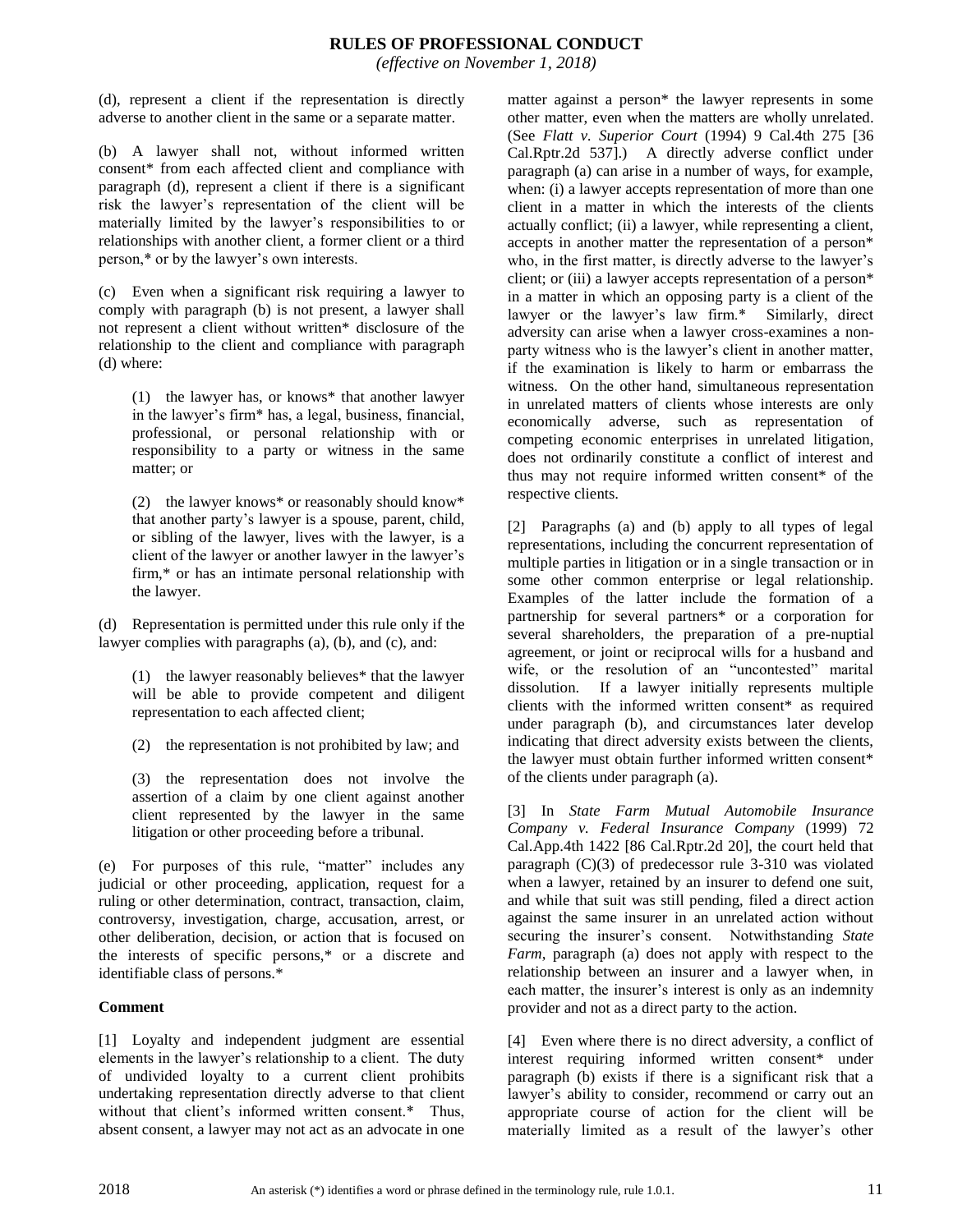*(effective on November 1, 2018)* 

(d), represent a client if the representation is directly adverse to another client in the same or a separate matter.

(b) A lawyer shall not, without informed written consent\* from each affected client and compliance with paragraph (d), represent a client if there is a significant risk the lawyer's representation of the client will be materially limited by the lawyer's responsibilities to or relationships with another client, a former client or a third person,\* or by the lawyer's own interests.

(c) Even when a significant risk requiring a lawyer to comply with paragraph (b) is not present, a lawyer shall not represent a client without written\* disclosure of the relationship to the client and compliance with paragraph (d) where:

(1) the lawyer has, or knows\* that another lawyer in the lawyer's firm\* has, a legal, business, financial, professional, or personal relationship with or responsibility to a party or witness in the same matter; or

(2) the lawyer knows\* or reasonably should know\* that another party's lawyer is a spouse, parent, child, or sibling of the lawyer, lives with the lawyer, is a client of the lawyer or another lawyer in the lawyer's firm,\* or has an intimate personal relationship with the lawyer.

(d) Representation is permitted under this rule only if the lawyer complies with paragraphs (a), (b), and (c), and:

(1) the lawyer reasonably believes\* that the lawyer will be able to provide competent and diligent representation to each affected client;

(2) the representation is not prohibited by law; and

(3) the representation does not involve the assertion of a claim by one client against another client represented by the lawyer in the same litigation or other proceeding before a tribunal.

(e) For purposes of this rule, "matter" includes any judicial or other proceeding, application, request for a ruling or other determination, contract, transaction, claim, controversy, investigation, charge, accusation, arrest, or other deliberation, decision, or action that is focused on the interests of specific persons,\* or a discrete and identifiable class of persons.\*

### **Comment**

[1] Loyalty and independent judgment are essential elements in the lawyer's relationship to a client. The duty of undivided loyalty to a current client prohibits undertaking representation directly adverse to that client without that client's informed written consent.\* Thus, absent consent, a lawyer may not act as an advocate in one matter against a person\* the lawyer represents in some other matter, even when the matters are wholly unrelated. (See *Flatt v. Superior Court* (1994) 9 Cal.4th 275 [36 Cal.Rptr.2d 537].) A directly adverse conflict under paragraph (a) can arise in a number of ways, for example, when: (i) a lawyer accepts representation of more than one client in a matter in which the interests of the clients actually conflict; (ii) a lawyer, while representing a client, accepts in another matter the representation of a person\* who, in the first matter, is directly adverse to the lawyer's client; or (iii) a lawyer accepts representation of a person\* in a matter in which an opposing party is a client of the lawyer or the lawyer's law firm.\* Similarly, direct adversity can arise when a lawyer cross-examines a nonparty witness who is the lawyer's client in another matter, if the examination is likely to harm or embarrass the witness. On the other hand, simultaneous representation in unrelated matters of clients whose interests are only economically adverse, such as representation of competing economic enterprises in unrelated litigation, does not ordinarily constitute a conflict of interest and thus may not require informed written consent\* of the respective clients.

[2] Paragraphs (a) and (b) apply to all types of legal representations, including the concurrent representation of multiple parties in litigation or in a single transaction or in some other common enterprise or legal relationship. Examples of the latter include the formation of a partnership for several partners\* or a corporation for several shareholders, the preparation of a pre-nuptial agreement, or joint or reciprocal wills for a husband and wife, or the resolution of an "uncontested" marital dissolution. If a lawyer initially represents multiple clients with the informed written consent\* as required under paragraph (b), and circumstances later develop indicating that direct adversity exists between the clients, the lawyer must obtain further informed written consent\* of the clients under paragraph (a).

[3] In *State Farm Mutual Automobile Insurance Company v. Federal Insurance Company* (1999) 72 Cal.App.4th 1422 [86 Cal.Rptr.2d 20], the court held that paragraph (C)(3) of predecessor rule 3-310 was violated when a lawyer, retained by an insurer to defend one suit, and while that suit was still pending, filed a direct action against the same insurer in an unrelated action without securing the insurer's consent. Notwithstanding *State Farm*, paragraph (a) does not apply with respect to the relationship between an insurer and a lawyer when, in each matter, the insurer's interest is only as an indemnity provider and not as a direct party to the action.

[4] Even where there is no direct adversity, a conflict of interest requiring informed written consent\* under paragraph (b) exists if there is a significant risk that a lawyer's ability to consider, recommend or carry out an appropriate course of action for the client will be materially limited as a result of the lawyer's other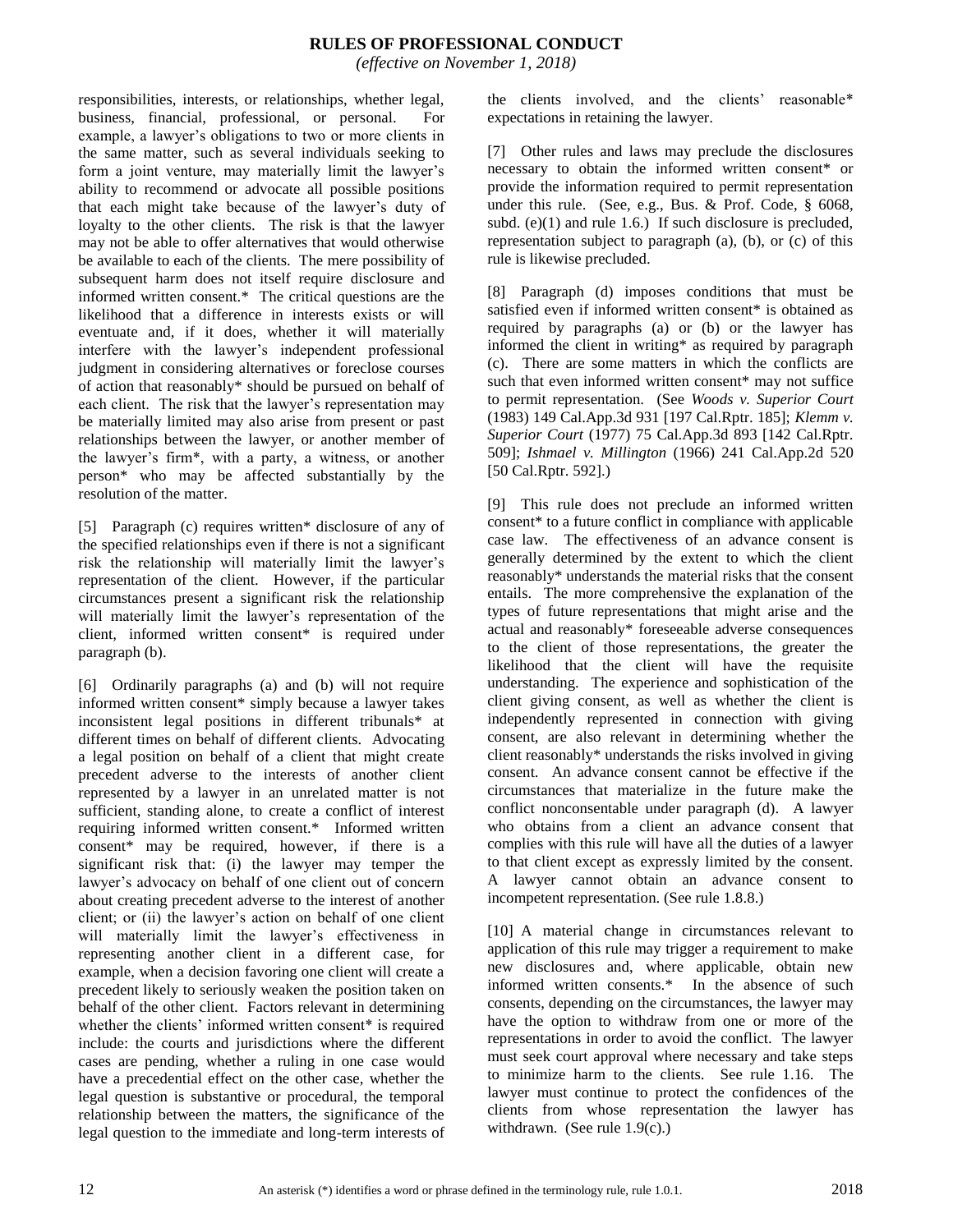*(effective on November 1, 2018)* 

responsibilities, interests, or relationships, whether legal, business, financial, professional, or personal. For example, a lawyer's obligations to two or more clients in the same matter, such as several individuals seeking to form a joint venture, may materially limit the lawyer's ability to recommend or advocate all possible positions that each might take because of the lawyer's duty of loyalty to the other clients. The risk is that the lawyer may not be able to offer alternatives that would otherwise be available to each of the clients. The mere possibility of subsequent harm does not itself require disclosure and informed written consent.\* The critical questions are the likelihood that a difference in interests exists or will eventuate and, if it does, whether it will materially interfere with the lawyer's independent professional judgment in considering alternatives or foreclose courses of action that reasonably\* should be pursued on behalf of each client. The risk that the lawyer's representation may be materially limited may also arise from present or past relationships between the lawyer, or another member of the lawyer's firm\*, with a party, a witness, or another person\* who may be affected substantially by the resolution of the matter.

[5] Paragraph (c) requires written\* disclosure of any of the specified relationships even if there is not a significant risk the relationship will materially limit the lawyer's representation of the client. However, if the particular circumstances present a significant risk the relationship will materially limit the lawyer's representation of the client, informed written consent\* is required under paragraph (b).

[6] Ordinarily paragraphs (a) and (b) will not require informed written consent\* simply because a lawyer takes inconsistent legal positions in different tribunals\* at different times on behalf of different clients. Advocating a legal position on behalf of a client that might create precedent adverse to the interests of another client represented by a lawyer in an unrelated matter is not sufficient, standing alone, to create a conflict of interest requiring informed written consent.\* Informed written consent\* may be required, however, if there is a significant risk that: (i) the lawyer may temper the lawyer's advocacy on behalf of one client out of concern about creating precedent adverse to the interest of another client; or (ii) the lawyer's action on behalf of one client will materially limit the lawyer's effectiveness in representing another client in a different case, for example, when a decision favoring one client will create a precedent likely to seriously weaken the position taken on behalf of the other client. Factors relevant in determining whether the clients' informed written consent\* is required include: the courts and jurisdictions where the different cases are pending, whether a ruling in one case would have a precedential effect on the other case, whether the legal question is substantive or procedural, the temporal relationship between the matters, the significance of the legal question to the immediate and long-term interests of the clients involved, and the clients' reasonable\* expectations in retaining the lawyer.

[7] Other rules and laws may preclude the disclosures necessary to obtain the informed written consent\* or provide the information required to permit representation under this rule. (See, e.g., Bus. & Prof. Code, § 6068, subd. (e)(1) and rule 1.6.) If such disclosure is precluded, representation subject to paragraph (a), (b), or (c) of this rule is likewise precluded.

[8] Paragraph (d) imposes conditions that must be satisfied even if informed written consent\* is obtained as required by paragraphs (a) or (b) or the lawyer has informed the client in writing\* as required by paragraph (c). There are some matters in which the conflicts are such that even informed written consent\* may not suffice to permit representation. (See *Woods v. Superior Court* (1983) 149 Cal.App.3d 931 [197 Cal.Rptr. 185]; *Klemm v. Superior Court* (1977) 75 Cal.App.3d 893 [142 Cal.Rptr. 509]; *Ishmael v. Millington* (1966) 241 Cal.App.2d 520 [50 Cal.Rptr. 592].)

[9] This rule does not preclude an informed written consent\* to a future conflict in compliance with applicable case law. The effectiveness of an advance consent is generally determined by the extent to which the client reasonably\* understands the material risks that the consent entails. The more comprehensive the explanation of the types of future representations that might arise and the actual and reasonably\* foreseeable adverse consequences to the client of those representations, the greater the likelihood that the client will have the requisite understanding. The experience and sophistication of the client giving consent, as well as whether the client is independently represented in connection with giving consent, are also relevant in determining whether the client reasonably\* understands the risks involved in giving consent. An advance consent cannot be effective if the circumstances that materialize in the future make the conflict nonconsentable under paragraph (d). A lawyer who obtains from a client an advance consent that complies with this rule will have all the duties of a lawyer to that client except as expressly limited by the consent. A lawyer cannot obtain an advance consent to incompetent representation. (See rule 1.8.8.)

[10] A material change in circumstances relevant to application of this rule may trigger a requirement to make new disclosures and, where applicable, obtain new informed written consents.\* In the absence of such consents, depending on the circumstances, the lawyer may have the option to withdraw from one or more of the representations in order to avoid the conflict. The lawyer must seek court approval where necessary and take steps to minimize harm to the clients. See rule 1.16. The lawyer must continue to protect the confidences of the clients from whose representation the lawyer has withdrawn. (See rule 1.9(c).)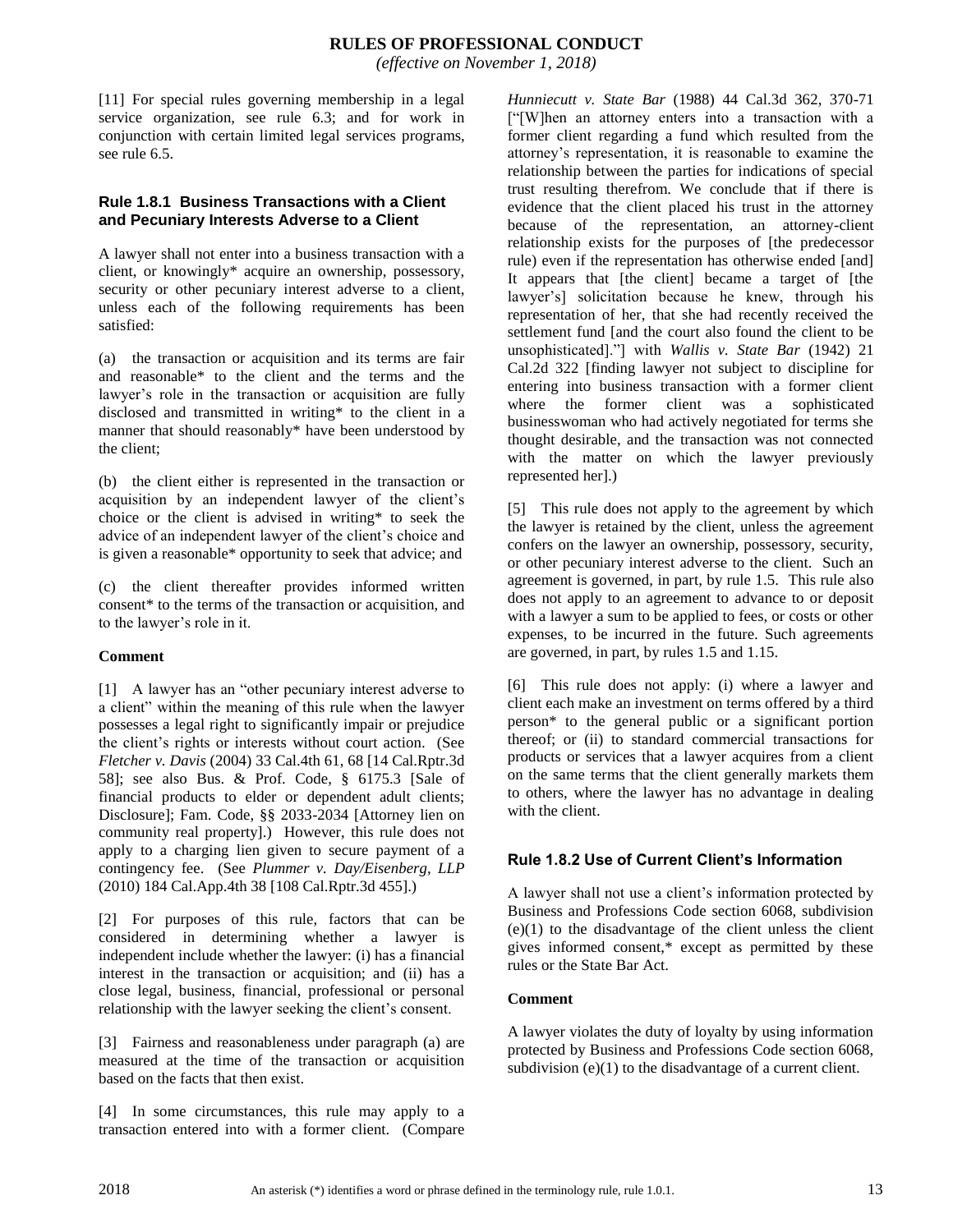[11] For special rules governing membership in a legal service organization, see rule 6.3; and for work in conjunction with certain limited legal services programs, see rule 6.5.

### **Rule 1.8.1 Business Transactions with a Client and Pecuniary Interests Adverse to a Client**

A lawyer shall not enter into a business transaction with a client, or knowingly\* acquire an ownership, possessory, security or other pecuniary interest adverse to a client, unless each of the following requirements has been satisfied:

(a) the transaction or acquisition and its terms are fair and reasonable\* to the client and the terms and the lawyer's role in the transaction or acquisition are fully disclosed and transmitted in writing\* to the client in a manner that should reasonably\* have been understood by the client;

(b) the client either is represented in the transaction or acquisition by an independent lawyer of the client's choice or the client is advised in writing\* to seek the advice of an independent lawyer of the client's choice and is given a reasonable\* opportunity to seek that advice; and

(c) the client thereafter provides informed written consent\* to the terms of the transaction or acquisition, and to the lawyer's role in it.

### **Comment**

[1] A lawyer has an "other pecuniary interest adverse to a client" within the meaning of this rule when the lawyer possesses a legal right to significantly impair or prejudice the client's rights or interests without court action. (See *Fletcher v. Davis* (2004) 33 Cal.4th 61, 68 [14 Cal.Rptr.3d 58]; see also Bus. & Prof. Code, § 6175.3 [Sale of financial products to elder or dependent adult clients; Disclosure]; Fam. Code, §§ 2033-2034 [Attorney lien on community real property].) However, this rule does not apply to a charging lien given to secure payment of a contingency fee. (See *Plummer v. Day/Eisenberg, LLP* (2010) 184 Cal.App.4th 38 [108 Cal.Rptr.3d 455].)

[2] For purposes of this rule, factors that can be considered in determining whether a lawyer is independent include whether the lawyer: (i) has a financial interest in the transaction or acquisition; and (ii) has a close legal, business, financial, professional or personal relationship with the lawyer seeking the client's consent.

[3] Fairness and reasonableness under paragraph (a) are measured at the time of the transaction or acquisition based on the facts that then exist.

[4] In some circumstances, this rule may apply to a transaction entered into with a former client. (Compare

*Hunniecutt v. State Bar* (1988) 44 Cal.3d 362, 370-71 ["[W]hen an attorney enters into a transaction with a former client regarding a fund which resulted from the attorney's representation, it is reasonable to examine the relationship between the parties for indications of special trust resulting therefrom. We conclude that if there is evidence that the client placed his trust in the attorney because of the representation, an attorney-client relationship exists for the purposes of [the predecessor rule) even if the representation has otherwise ended [and] It appears that [the client] became a target of [the lawyer's] solicitation because he knew, through his representation of her, that she had recently received the settlement fund [and the court also found the client to be unsophisticated]."] with *Wallis v. State Bar* (1942) 21 Cal.2d 322 [finding lawyer not subject to discipline for entering into business transaction with a former client where the former client was a sophisticated businesswoman who had actively negotiated for terms she thought desirable, and the transaction was not connected with the matter on which the lawyer previously represented her].)

[5]This rule does not apply to the agreement by which the lawyer is retained by the client, unless the agreement confers on the lawyer an ownership, possessory, security, or other pecuniary interest adverse to the client. Such an agreement is governed, in part, by rule 1.5. This rule also does not apply to an agreement to advance to or deposit with a lawyer a sum to be applied to fees, or costs or other expenses, to be incurred in the future. Such agreements are governed, in part, by rules 1.5 and 1.15.

[6] This rule does not apply: (i) where a lawyer and client each make an investment on terms offered by a third person\* to the general public or a significant portion thereof; or (ii) to standard commercial transactions for products or services that a lawyer acquires from a client on the same terms that the client generally markets them to others, where the lawyer has no advantage in dealing with the client.

### **Rule 1.8.2 Use of Current Client's Information**

A lawyer shall not use a client's information protected by Business and Professions Code section 6068, subdivision  $(e)(1)$  to the disadvantage of the client unless the client gives informed consent,\* except as permitted by these rules or the State Bar Act.

#### **Comment**

A lawyer violates the duty of loyalty by using information protected by Business and Professions Code section 6068, subdivision (e)(1) to the disadvantage of a current client.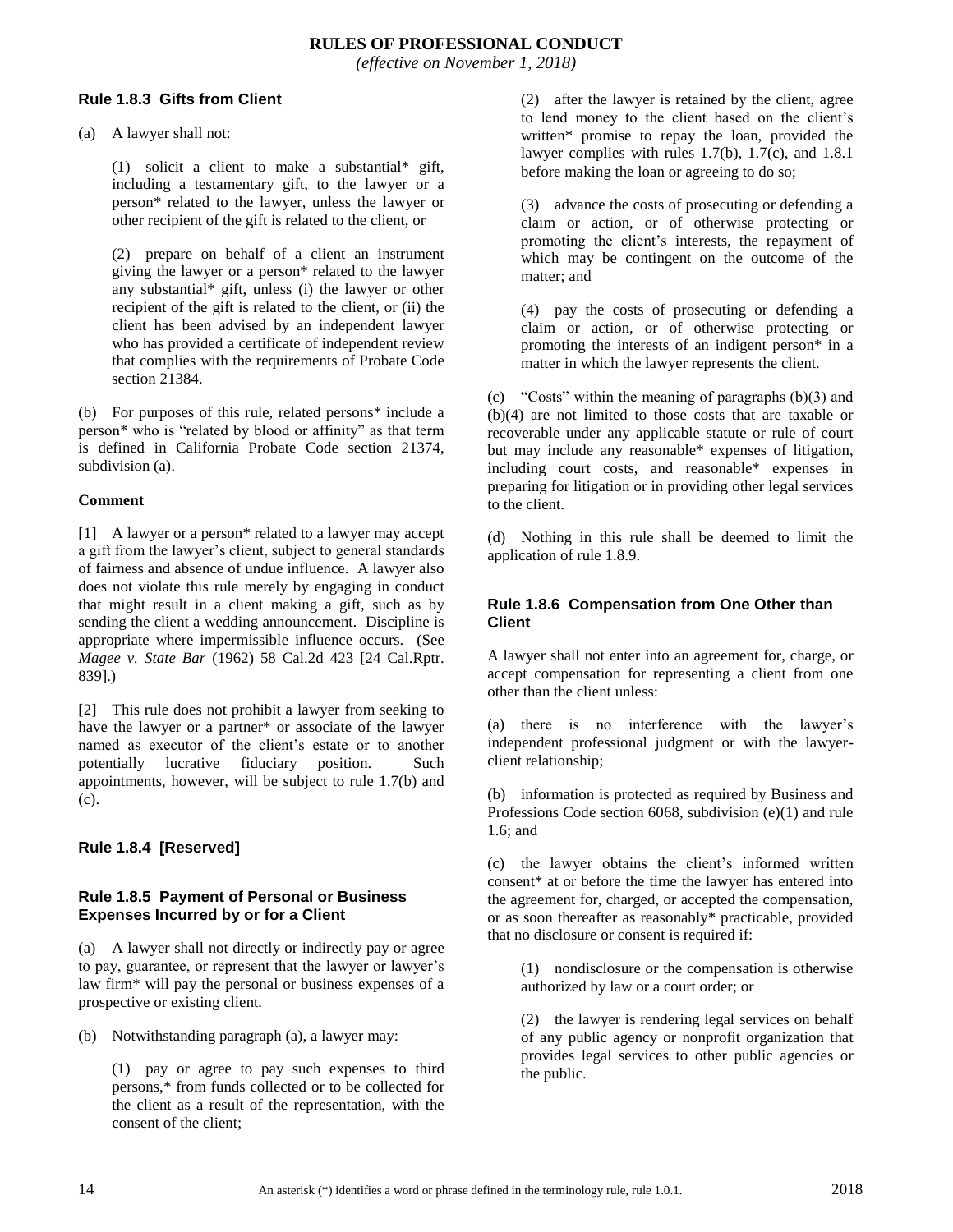### **Rule 1.8.3 Gifts from Client**

(a) A lawyer shall not:

(1) solicit a client to make a substantial\* gift, including a testamentary gift, to the lawyer or a person\* related to the lawyer, unless the lawyer or other recipient of the gift is related to the client, or

(2) prepare on behalf of a client an instrument giving the lawyer or a person\* related to the lawyer any substantial\* gift, unless (i) the lawyer or other recipient of the gift is related to the client, or (ii) the client has been advised by an independent lawyer who has provided a certificate of independent review that complies with the requirements of Probate Code section 21384.

(b) For purposes of this rule, related persons\* include a person\* who is "related by blood or affinity" as that term is defined in California Probate Code section 21374, subdivision (a).

### **Comment**

[1] A lawyer or a person\* related to a lawyer may accept a gift from the lawyer's client, subject to general standards of fairness and absence of undue influence. A lawyer also does not violate this rule merely by engaging in conduct that might result in a client making a gift, such as by sending the client a wedding announcement. Discipline is appropriate where impermissible influence occurs. (See *Magee v. State Bar* (1962) 58 Cal.2d 423 [24 Cal.Rptr. 839].)

[2] This rule does not prohibit a lawyer from seeking to have the lawyer or a partner\* or associate of the lawyer named as executor of the client's estate or to another potentially lucrative fiduciary position. Such appointments, however, will be subject to rule 1.7(b) and (c).

### **Rule 1.8.4 [Reserved]**

### **Rule 1.8.5 Payment of Personal or Business Expenses Incurred by or for a Client**

(a) A lawyer shall not directly or indirectly pay or agree to pay, guarantee, or represent that the lawyer or lawyer's law firm\* will pay the personal or business expenses of a prospective or existing client.

(b) Notwithstanding paragraph (a), a lawyer may:

(1) pay or agree to pay such expenses to third persons,\* from funds collected or to be collected for the client as a result of the representation, with the consent of the client;

(2) after the lawyer is retained by the client, agree to lend money to the client based on the client's written\* promise to repay the loan, provided the lawyer complies with rules  $1.7(b)$ ,  $1.7(c)$ , and  $1.8.1$ before making the loan or agreeing to do so;

(3) advance the costs of prosecuting or defending a claim or action, or of otherwise protecting or promoting the client's interests, the repayment of which may be contingent on the outcome of the matter; and

(4) pay the costs of prosecuting or defending a claim or action, or of otherwise protecting or promoting the interests of an indigent person\* in a matter in which the lawyer represents the client.

(c) "Costs" within the meaning of paragraphs (b)(3) and (b)(4) are not limited to those costs that are taxable or recoverable under any applicable statute or rule of court but may include any reasonable\* expenses of litigation, including court costs, and reasonable\* expenses in preparing for litigation or in providing other legal services to the client.

(d) Nothing in this rule shall be deemed to limit the application of rule 1.8.9.

### **Rule 1.8.6 Compensation from One Other than Client**

A lawyer shall not enter into an agreement for, charge, or accept compensation for representing a client from one other than the client unless:

(a) there is no interference with the lawyer's independent professional judgment or with the lawyerclient relationship;

(b) information is protected as required by Business and Professions Code section 6068, subdivision (e)(1) and rule 1.6; and

(c) the lawyer obtains the client's informed written consent\* at or before the time the lawyer has entered into the agreement for, charged, or accepted the compensation, or as soon thereafter as reasonably\* practicable, provided that no disclosure or consent is required if:

(1) nondisclosure or the compensation is otherwise authorized by law or a court order; or

(2) the lawyer is rendering legal services on behalf of any public agency or nonprofit organization that provides legal services to other public agencies or the public.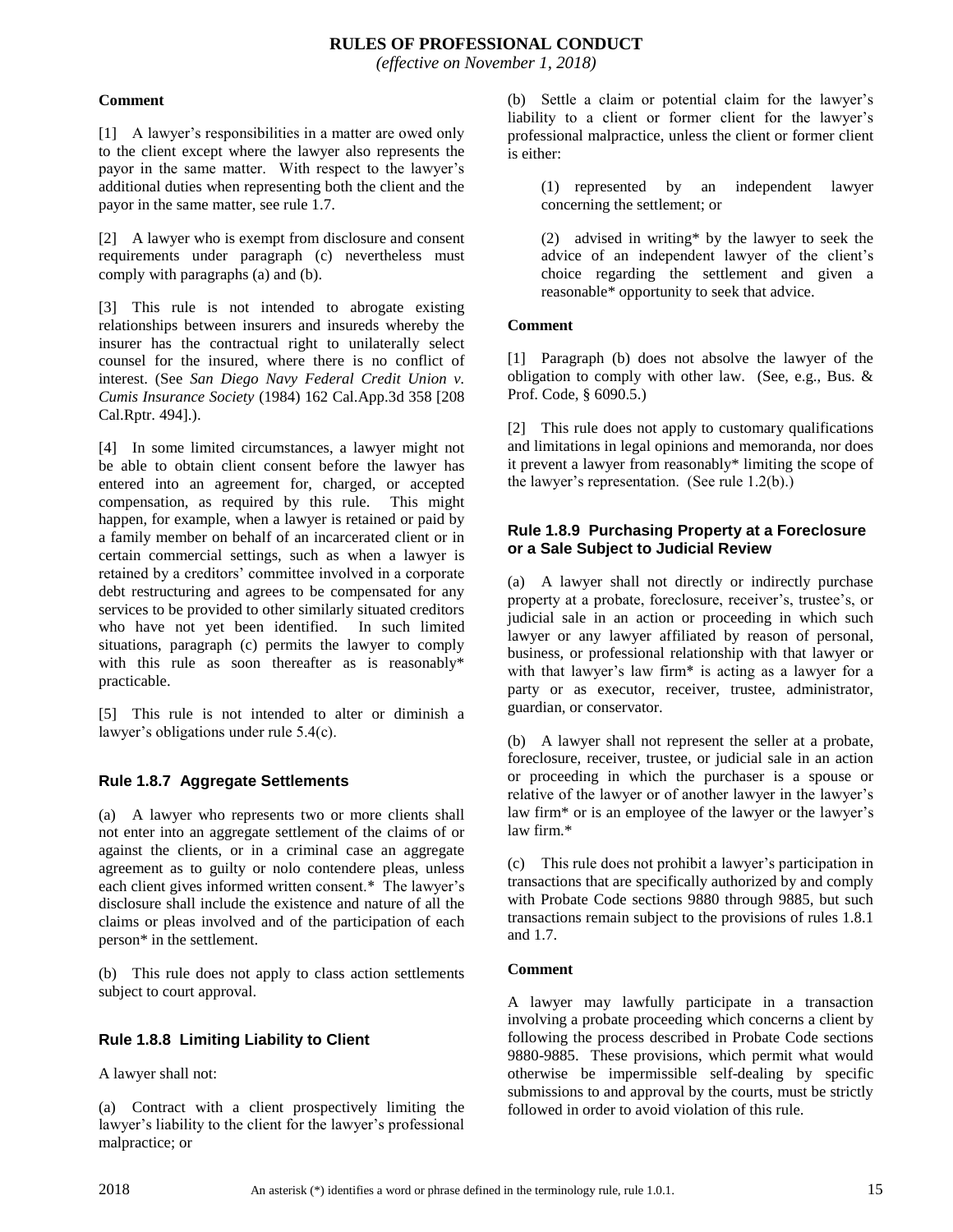*(effective on November 1, 2018)* 

#### **Comment**

[1] A lawyer's responsibilities in a matter are owed only to the client except where the lawyer also represents the payor in the same matter. With respect to the lawyer's additional duties when representing both the client and the payor in the same matter, see rule 1.7.

[2] A lawyer who is exempt from disclosure and consent requirements under paragraph (c) nevertheless must comply with paragraphs (a) and (b).

[3] This rule is not intended to abrogate existing relationships between insurers and insureds whereby the insurer has the contractual right to unilaterally select counsel for the insured, where there is no conflict of interest. (See *San Diego Navy Federal Credit Union v. Cumis Insurance Society* (1984) 162 Cal.App.3d 358 [208 Cal.Rptr. 494].).

[4] In some limited circumstances, a lawyer might not be able to obtain client consent before the lawyer has entered into an agreement for, charged, or accepted compensation, as required by this rule. This might happen, for example, when a lawyer is retained or paid by a family member on behalf of an incarcerated client or in certain commercial settings, such as when a lawyer is retained by a creditors' committee involved in a corporate debt restructuring and agrees to be compensated for any services to be provided to other similarly situated creditors who have not yet been identified. In such limited situations, paragraph (c) permits the lawyer to comply with this rule as soon thereafter as is reasonably\* practicable.

[5] This rule is not intended to alter or diminish a lawyer's obligations under rule 5.4(c).

### **Rule 1.8.7 Aggregate Settlements**

(a) A lawyer who represents two or more clients shall not enter into an aggregate settlement of the claims of or against the clients, or in a criminal case an aggregate agreement as to guilty or nolo contendere pleas, unless each client gives informed written consent.\* The lawyer's disclosure shall include the existence and nature of all the claims or pleas involved and of the participation of each person\* in the settlement.

(b) This rule does not apply to class action settlements subject to court approval.

### **Rule 1.8.8 Limiting Liability to Client**

A lawyer shall not:

(a) Contract with a client prospectively limiting the lawyer's liability to the client for the lawyer's professional malpractice; or

(b) Settle a claim or potential claim for the lawyer's liability to a client or former client for the lawyer's professional malpractice, unless the client or former client is either:

(1) represented by an independent lawyer concerning the settlement; or

(2) advised in writing\* by the lawyer to seek the advice of an independent lawyer of the client's choice regarding the settlement and given a reasonable\* opportunity to seek that advice.

#### **Comment**

[1] Paragraph (b) does not absolve the lawyer of the obligation to comply with other law. (See, e.g., Bus. & Prof. Code, § 6090.5.)

[2] This rule does not apply to customary qualifications and limitations in legal opinions and memoranda, nor does it prevent a lawyer from reasonably\* limiting the scope of the lawyer's representation. (See rule 1.2(b).)

### **Rule 1.8.9 Purchasing Property at a Foreclosure or a Sale Subject to Judicial Review**

(a) A lawyer shall not directly or indirectly purchase property at a probate, foreclosure, receiver's, trustee's, or judicial sale in an action or proceeding in which such lawyer or any lawyer affiliated by reason of personal, business, or professional relationship with that lawyer or with that lawyer's law firm\* is acting as a lawyer for a party or as executor, receiver, trustee, administrator, guardian, or conservator.

(b) A lawyer shall not represent the seller at a probate, foreclosure, receiver, trustee, or judicial sale in an action or proceeding in which the purchaser is a spouse or relative of the lawyer or of another lawyer in the lawyer's law firm\* or is an employee of the lawyer or the lawyer's law firm.\*

(c) This rule does not prohibit a lawyer's participation in transactions that are specifically authorized by and comply with Probate Code sections 9880 through 9885, but such transactions remain subject to the provisions of rules 1.8.1 and 1.7.

#### **Comment**

A lawyer may lawfully participate in a transaction involving a probate proceeding which concerns a client by following the process described in Probate Code sections 9880-9885. These provisions, which permit what would otherwise be impermissible self-dealing by specific submissions to and approval by the courts, must be strictly followed in order to avoid violation of this rule.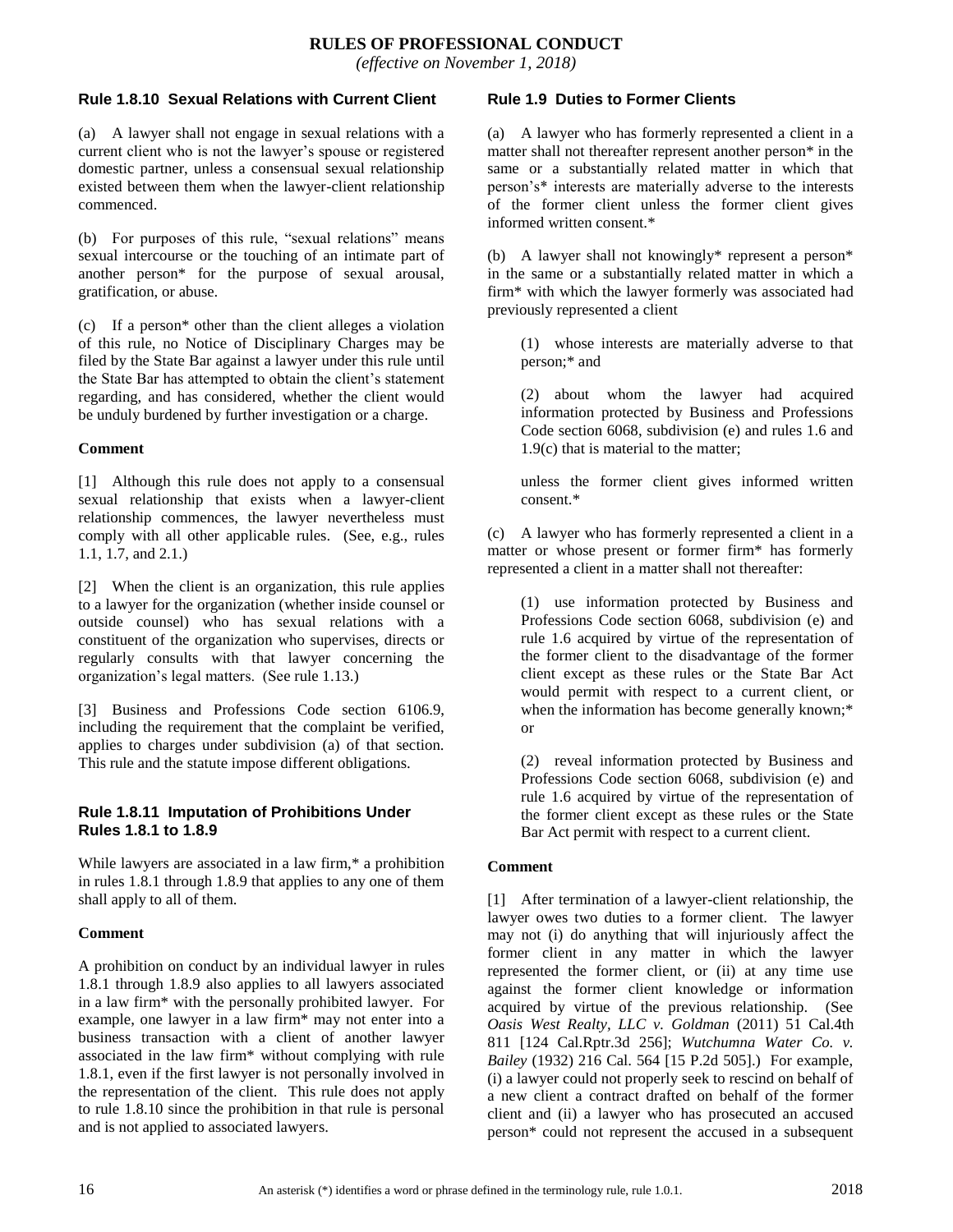*(effective on November 1, 2018)* 

### **Rule 1.8.10 Sexual Relations with Current Client**

(a) A lawyer shall not engage in sexual relations with a current client who is not the lawyer's spouse or registered domestic partner, unless a consensual sexual relationship existed between them when the lawyer-client relationship commenced.

(b) For purposes of this rule, "sexual relations" means sexual intercourse or the touching of an intimate part of another person\* for the purpose of sexual arousal, gratification, or abuse.

(c) If a person\* other than the client alleges a violation of this rule, no Notice of Disciplinary Charges may be filed by the State Bar against a lawyer under this rule until the State Bar has attempted to obtain the client's statement regarding, and has considered, whether the client would be unduly burdened by further investigation or a charge.

#### **Comment**

[1] Although this rule does not apply to a consensual sexual relationship that exists when a lawyer-client relationship commences, the lawyer nevertheless must comply with all other applicable rules. (See, e.g., rules 1.1, 1.7, and 2.1.)

[2] When the client is an organization, this rule applies to a lawyer for the organization (whether inside counsel or outside counsel) who has sexual relations with a constituent of the organization who supervises, directs or regularly consults with that lawyer concerning the organization's legal matters. (See rule 1.13.)

[3] Business and Professions Code section 6106.9, including the requirement that the complaint be verified, applies to charges under subdivision (a) of that section. This rule and the statute impose different obligations.

### **Rule 1.8.11 Imputation of Prohibitions Under Rules 1.8.1 to 1.8.9**

While lawyers are associated in a law firm,\* a prohibition in rules 1.8.1 through 1.8.9 that applies to any one of them shall apply to all of them.

### **Comment**

A prohibition on conduct by an individual lawyer in rules 1.8.1 through 1.8.9 also applies to all lawyers associated in a law firm\* with the personally prohibited lawyer. For example, one lawyer in a law firm\* may not enter into a business transaction with a client of another lawyer associated in the law firm\* without complying with rule 1.8.1, even if the first lawyer is not personally involved in the representation of the client. This rule does not apply to rule 1.8.10 since the prohibition in that rule is personal and is not applied to associated lawyers.

#### **Rule 1.9 Duties to Former Clients**

(a) A lawyer who has formerly represented a client in a matter shall not thereafter represent another person\* in the same or a substantially related matter in which that person's\* interests are materially adverse to the interests of the former client unless the former client gives informed written consent.\*

(b) A lawyer shall not knowingly\* represent a person\* in the same or a substantially related matter in which a firm\* with which the lawyer formerly was associated had previously represented a client

(1) whose interests are materially adverse to that person;\* and

(2) about whom the lawyer had acquired information protected by Business and Professions Code section 6068, subdivision (e) and rules 1.6 and 1.9(c) that is material to the matter;

unless the former client gives informed written consent.\*

(c) A lawyer who has formerly represented a client in a matter or whose present or former firm\* has formerly represented a client in a matter shall not thereafter:

(1) use information protected by Business and Professions Code section 6068, subdivision (e) and rule 1.6 acquired by virtue of the representation of the former client to the disadvantage of the former client except as these rules or the State Bar Act would permit with respect to a current client, or when the information has become generally known;\* or

(2) reveal information protected by Business and Professions Code section 6068, subdivision (e) and rule 1.6 acquired by virtue of the representation of the former client except as these rules or the State Bar Act permit with respect to a current client.

#### **Comment**

[1] After termination of a lawyer-client relationship, the lawyer owes two duties to a former client. The lawyer may not (i) do anything that will injuriously affect the former client in any matter in which the lawyer represented the former client, or (ii) at any time use against the former client knowledge or information acquired by virtue of the previous relationship. (See *Oasis West Realty, LLC v. Goldman* (2011) 51 Cal.4th 811 [124 Cal.Rptr.3d 256]; *Wutchumna Water Co. v. Bailey* (1932) 216 Cal. 564 [15 P.2d 505].) For example, (i) a lawyer could not properly seek to rescind on behalf of a new client a contract drafted on behalf of the former client and (ii) a lawyer who has prosecuted an accused person\* could not represent the accused in a subsequent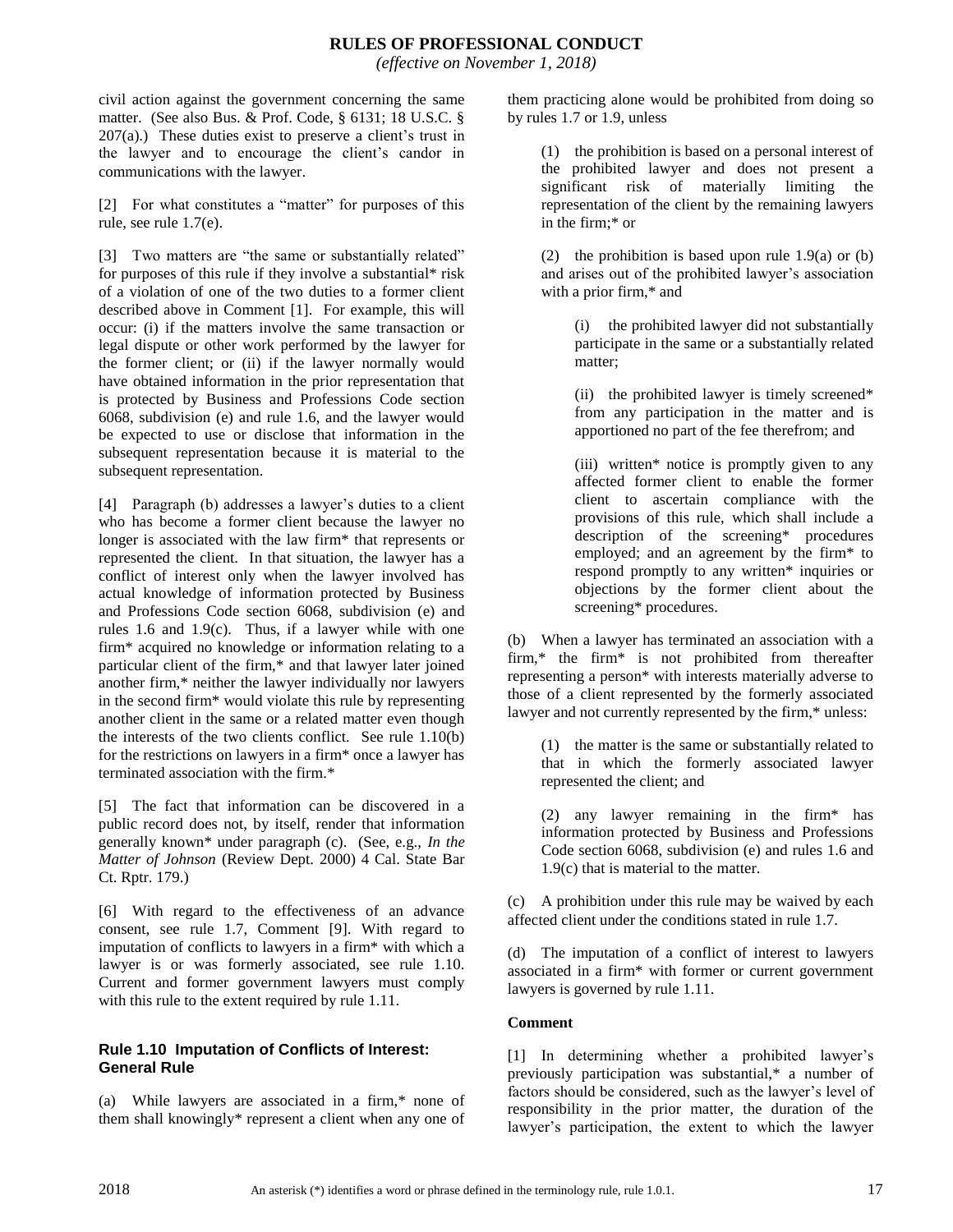civil action against the government concerning the same matter. (See also Bus. & Prof. Code, § 6131; 18 U.S.C. §  $207(a)$ .) These duties exist to preserve a client's trust in the lawyer and to encourage the client's candor in communications with the lawyer.

[2] For what constitutes a "matter" for purposes of this rule, see rule 1.7(e).

[3] Two matters are "the same or substantially related" for purposes of this rule if they involve a substantial\* risk of a violation of one of the two duties to a former client described above in Comment [1]. For example, this will occur: (i) if the matters involve the same transaction or legal dispute or other work performed by the lawyer for the former client; or (ii) if the lawyer normally would have obtained information in the prior representation that is protected by Business and Professions Code section 6068, subdivision (e) and rule 1.6, and the lawyer would be expected to use or disclose that information in the subsequent representation because it is material to the subsequent representation.

[4] Paragraph (b) addresses a lawyer's duties to a client who has become a former client because the lawyer no longer is associated with the law firm\* that represents or represented the client. In that situation, the lawyer has a conflict of interest only when the lawyer involved has actual knowledge of information protected by Business and Professions Code section 6068, subdivision (e) and rules 1.6 and 1.9(c). Thus, if a lawyer while with one firm\* acquired no knowledge or information relating to a particular client of the firm,\* and that lawyer later joined another firm,\* neither the lawyer individually nor lawyers in the second firm\* would violate this rule by representing another client in the same or a related matter even though the interests of the two clients conflict. See rule 1.10(b) for the restrictions on lawyers in a firm\* once a lawyer has terminated association with the firm.\*

[5] The fact that information can be discovered in a public record does not, by itself, render that information generally known\* under paragraph (c). (See, e.g., *In the Matter of Johnson* (Review Dept. 2000) 4 Cal. State Bar Ct. Rptr. 179.)

[6] With regard to the effectiveness of an advance consent, see rule 1.7, Comment [9]. With regard to imputation of conflicts to lawyers in a firm\* with which a lawyer is or was formerly associated, see rule 1.10. Current and former government lawyers must comply with this rule to the extent required by rule 1.11.

### **Rule 1.10 Imputation of Conflicts of Interest: General Rule**

(a) While lawyers are associated in a firm,\* none of them shall knowingly\* represent a client when any one of them practicing alone would be prohibited from doing so by rules 1.7 or 1.9, unless

(1) the prohibition is based on a personal interest of the prohibited lawyer and does not present a significant risk of materially limiting the representation of the client by the remaining lawyers in the firm;\* or

(2) the prohibition is based upon rule 1.9(a) or (b) and arises out of the prohibited lawyer's association with a prior firm,\* and

(i) the prohibited lawyer did not substantially participate in the same or a substantially related matter;

(ii) the prohibited lawyer is timely screened\* from any participation in the matter and is apportioned no part of the fee therefrom; and

(iii) written\* notice is promptly given to any affected former client to enable the former client to ascertain compliance with the provisions of this rule, which shall include a description of the screening\* procedures employed; and an agreement by the firm\* to respond promptly to any written\* inquiries or objections by the former client about the screening\* procedures.

(b) When a lawyer has terminated an association with a firm,\* the firm\* is not prohibited from thereafter representing a person\* with interests materially adverse to those of a client represented by the formerly associated lawyer and not currently represented by the firm,\* unless:

(1) the matter is the same or substantially related to that in which the formerly associated lawyer represented the client; and

(2) any lawyer remaining in the firm\* has information protected by Business and Professions Code section 6068, subdivision (e) and rules 1.6 and 1.9(c) that is material to the matter.

(c) A prohibition under this rule may be waived by each affected client under the conditions stated in rule 1.7.

(d) The imputation of a conflict of interest to lawyers associated in a firm\* with former or current government lawyers is governed by rule 1.11.

### **Comment**

[1] In determining whether a prohibited lawyer's previously participation was substantial,\* a number of factors should be considered, such as the lawyer's level of responsibility in the prior matter, the duration of the lawyer's participation, the extent to which the lawyer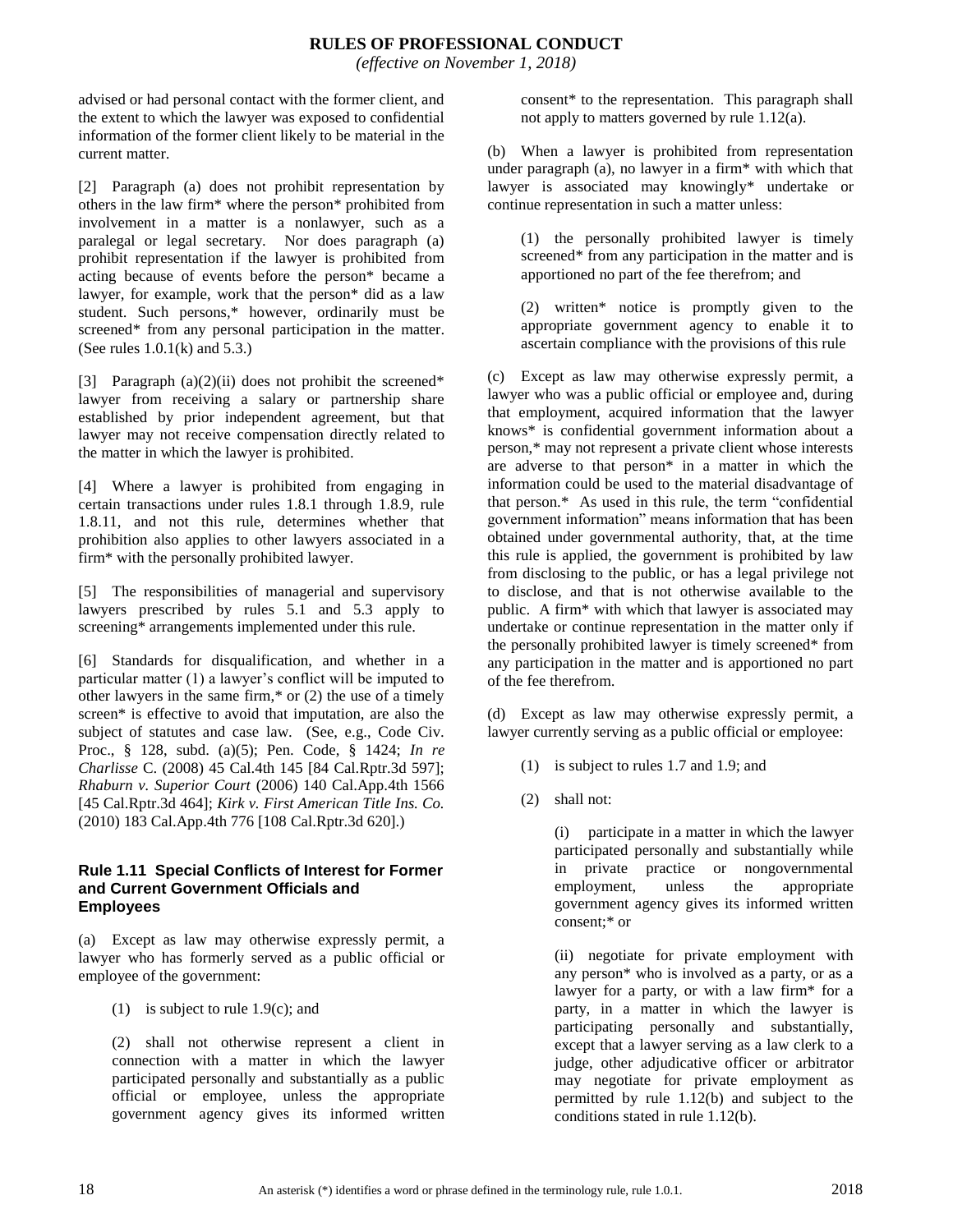*(effective on November 1, 2018)* 

advised or had personal contact with the former client, and the extent to which the lawyer was exposed to confidential information of the former client likely to be material in the current matter.

[2] Paragraph (a) does not prohibit representation by others in the law firm\* where the person\* prohibited from involvement in a matter is a nonlawyer, such as a paralegal or legal secretary. Nor does paragraph (a) prohibit representation if the lawyer is prohibited from acting because of events before the person\* became a lawyer, for example, work that the person\* did as a law student. Such persons,\* however, ordinarily must be screened\* from any personal participation in the matter. (See rules 1.0.1(k) and 5.3.)

[3] Paragraph (a)(2)(ii) does not prohibit the screened\* lawyer from receiving a salary or partnership share established by prior independent agreement, but that lawyer may not receive compensation directly related to the matter in which the lawyer is prohibited.

[4] Where a lawyer is prohibited from engaging in certain transactions under rules 1.8.1 through 1.8.9, rule 1.8.11, and not this rule, determines whether that prohibition also applies to other lawyers associated in a firm\* with the personally prohibited lawyer.

[5] The responsibilities of managerial and supervisory lawyers prescribed by rules 5.1 and 5.3 apply to screening\* arrangements implemented under this rule.

[6] Standards for disqualification, and whether in a particular matter (1) a lawyer's conflict will be imputed to other lawyers in the same firm,\* or (2) the use of a timely screen\* is effective to avoid that imputation, are also the subject of statutes and case law. (See, e.g., Code Civ. Proc., § 128, subd. (a)(5); Pen. Code, § 1424; *In re Charlisse* C. (2008) 45 Cal.4th 145 [84 Cal.Rptr.3d 597]; *Rhaburn v. Superior Court* (2006) 140 Cal.App.4th 1566 [45 Cal.Rptr.3d 464]; *Kirk v. First American Title Ins. Co.*  (2010) 183 Cal.App.4th 776 [108 Cal.Rptr.3d 620].)

### **Rule 1.11 Special Conflicts of Interest for Former and Current Government Officials and Employees**

(a) Except as law may otherwise expressly permit, a lawyer who has formerly served as a public official or employee of the government:

(1) is subject to rule 1.9(c); and

(2) shall not otherwise represent a client in connection with a matter in which the lawyer participated personally and substantially as a public official or employee, unless the appropriate government agency gives its informed written consent\* to the representation. This paragraph shall not apply to matters governed by rule 1.12(a).

(b) When a lawyer is prohibited from representation under paragraph (a), no lawyer in a firm\* with which that lawyer is associated may knowingly\* undertake or continue representation in such a matter unless:

(1) the personally prohibited lawyer is timely screened\* from any participation in the matter and is apportioned no part of the fee therefrom; and

(2) written\* notice is promptly given to the appropriate government agency to enable it to ascertain compliance with the provisions of this rule

(c) Except as law may otherwise expressly permit, a lawyer who was a public official or employee and, during that employment, acquired information that the lawyer knows\* is confidential government information about a person,\* may not represent a private client whose interests are adverse to that person\* in a matter in which the information could be used to the material disadvantage of that person.\* As used in this rule, the term "confidential government information" means information that has been obtained under governmental authority, that, at the time this rule is applied, the government is prohibited by law from disclosing to the public, or has a legal privilege not to disclose, and that is not otherwise available to the public. A firm\* with which that lawyer is associated may undertake or continue representation in the matter only if the personally prohibited lawyer is timely screened\* from any participation in the matter and is apportioned no part of the fee therefrom.

(d) Except as law may otherwise expressly permit, a lawyer currently serving as a public official or employee:

- (1) is subject to rules 1.7 and 1.9; and
- (2) shall not:

(i) participate in a matter in which the lawyer participated personally and substantially while in private practice or nongovernmental employment, unless the appropriate government agency gives its informed written consent;\* or

(ii) negotiate for private employment with any person\* who is involved as a party, or as a lawyer for a party, or with a law firm\* for a party, in a matter in which the lawyer is participating personally and substantially, except that a lawyer serving as a law clerk to a judge, other adjudicative officer or arbitrator may negotiate for private employment as permitted by rule 1.12(b) and subject to the conditions stated in rule 1.12(b).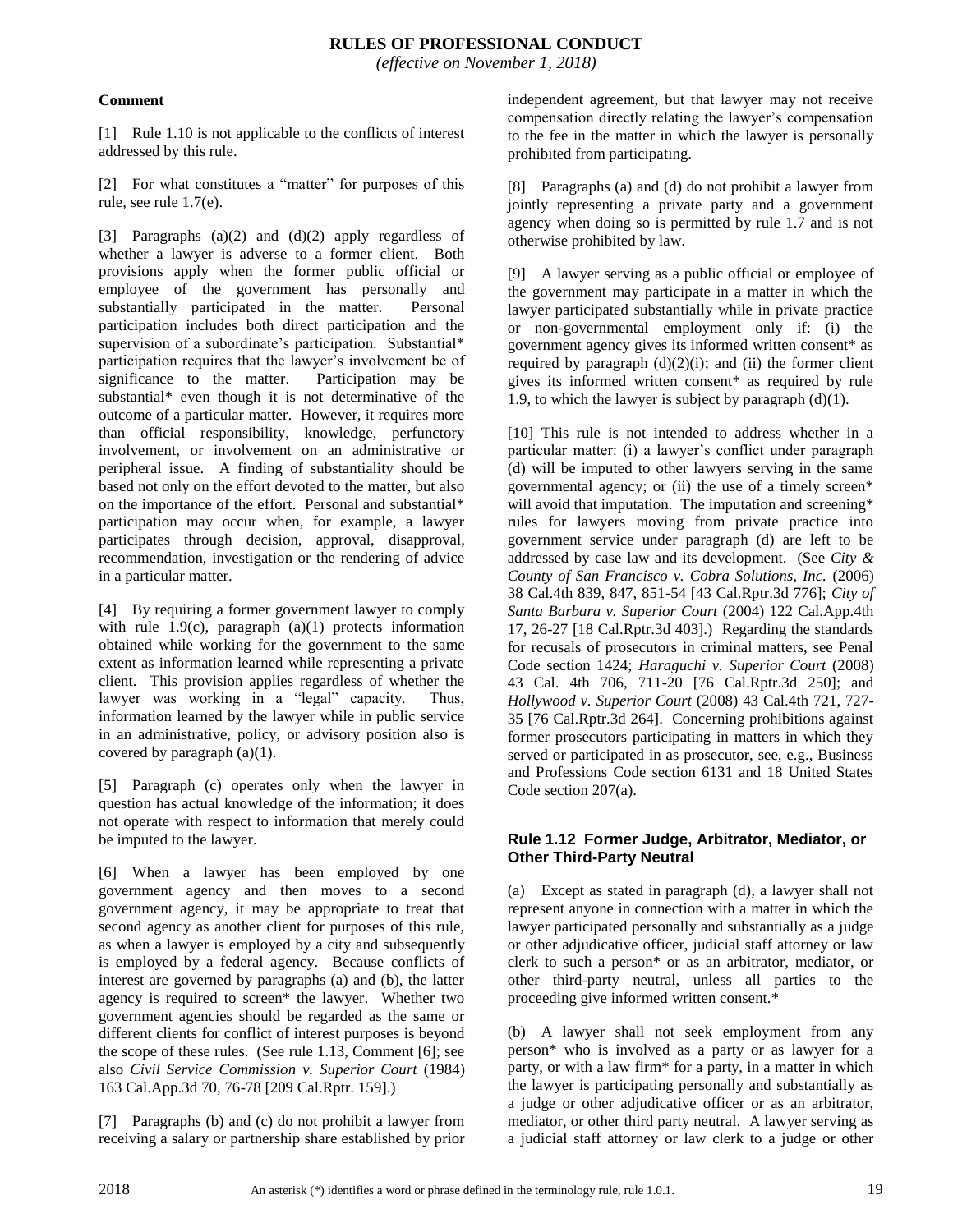*(effective on November 1, 2018)* 

#### **Comment**

[1] Rule 1.10 is not applicable to the conflicts of interest addressed by this rule.

[2] For what constitutes a "matter" for purposes of this rule, see rule 1.7(e).

[3] Paragraphs (a)(2) and (d)(2) apply regardless of whether a lawyer is adverse to a former client. Both provisions apply when the former public official or employee of the government has personally and substantially participated in the matter. Personal participation includes both direct participation and the supervision of a subordinate's participation. Substantial\* participation requires that the lawyer's involvement be of significance to the matter. Participation may be substantial\* even though it is not determinative of the outcome of a particular matter. However, it requires more than official responsibility, knowledge, perfunctory involvement, or involvement on an administrative or peripheral issue. A finding of substantiality should be based not only on the effort devoted to the matter, but also on the importance of the effort. Personal and substantial\* participation may occur when, for example, a lawyer participates through decision, approval, disapproval, recommendation, investigation or the rendering of advice in a particular matter.

[4] By requiring a former government lawyer to comply with rule 1.9(c), paragraph  $(a)(1)$  protects information obtained while working for the government to the same extent as information learned while representing a private client. This provision applies regardless of whether the lawyer was working in a "legal" capacity. Thus, information learned by the lawyer while in public service in an administrative, policy, or advisory position also is covered by paragraph (a)(1).

[5] Paragraph (c) operates only when the lawyer in question has actual knowledge of the information; it does not operate with respect to information that merely could be imputed to the lawyer.

[6] When a lawyer has been employed by one government agency and then moves to a second government agency, it may be appropriate to treat that second agency as another client for purposes of this rule, as when a lawyer is employed by a city and subsequently is employed by a federal agency. Because conflicts of interest are governed by paragraphs (a) and (b), the latter agency is required to screen\* the lawyer. Whether two government agencies should be regarded as the same or different clients for conflict of interest purposes is beyond the scope of these rules. (See rule 1.13, Comment [6]; see also *Civil Service Commission v. Superior Court* (1984) 163 Cal.App.3d 70, 76-78 [209 Cal.Rptr. 159].)

[7] Paragraphs (b) and (c) do not prohibit a lawyer from receiving a salary or partnership share established by prior independent agreement, but that lawyer may not receive compensation directly relating the lawyer's compensation to the fee in the matter in which the lawyer is personally prohibited from participating.

[8] Paragraphs (a) and (d) do not prohibit a lawyer from jointly representing a private party and a government agency when doing so is permitted by rule 1.7 and is not otherwise prohibited by law.

[9] A lawyer serving as a public official or employee of the government may participate in a matter in which the lawyer participated substantially while in private practice or non-governmental employment only if: (i) the government agency gives its informed written consent\* as required by paragraph  $(d)(2)(i)$ ; and  $(ii)$  the former client gives its informed written consent\* as required by rule 1.9, to which the lawyer is subject by paragraph  $(d)(1)$ .

[10] This rule is not intended to address whether in a particular matter: (i) a lawyer's conflict under paragraph (d) will be imputed to other lawyers serving in the same governmental agency; or (ii) the use of a timely screen\* will avoid that imputation. The imputation and screening\* rules for lawyers moving from private practice into government service under paragraph (d) are left to be addressed by case law and its development. (See *City & County of San Francisco v. Cobra Solutions, Inc.* (2006) 38 Cal.4th 839, 847, 851-54 [43 Cal.Rptr.3d 776]; *City of Santa Barbara v. Superior Court* (2004) 122 Cal.App.4th 17, 26-27 [18 Cal.Rptr.3d 403].) Regarding the standards for recusals of prosecutors in criminal matters, see Penal Code section 1424; *Haraguchi v. Superior Court* (2008) 43 Cal. 4th 706, 711-20 [76 Cal.Rptr.3d 250]; and *Hollywood v. Superior Court* (2008) 43 Cal.4th 721, 727- 35 [76 Cal.Rptr.3d 264]. Concerning prohibitions against former prosecutors participating in matters in which they served or participated in as prosecutor, see, e.g., Business and Professions Code section 6131 and 18 United States Code section 207(a).

### **Rule 1.12 Former Judge, Arbitrator, Mediator, or Other Third-Party Neutral**

(a) Except as stated in paragraph (d), a lawyer shall not represent anyone in connection with a matter in which the lawyer participated personally and substantially as a judge or other adjudicative officer, judicial staff attorney or law clerk to such a person\* or as an arbitrator, mediator, or other third-party neutral, unless all parties to the proceeding give informed written consent.\*

(b) A lawyer shall not seek employment from any person\* who is involved as a party or as lawyer for a party, or with a law firm\* for a party, in a matter in which the lawyer is participating personally and substantially as a judge or other adjudicative officer or as an arbitrator, mediator, or other third party neutral. A lawyer serving as a judicial staff attorney or law clerk to a judge or other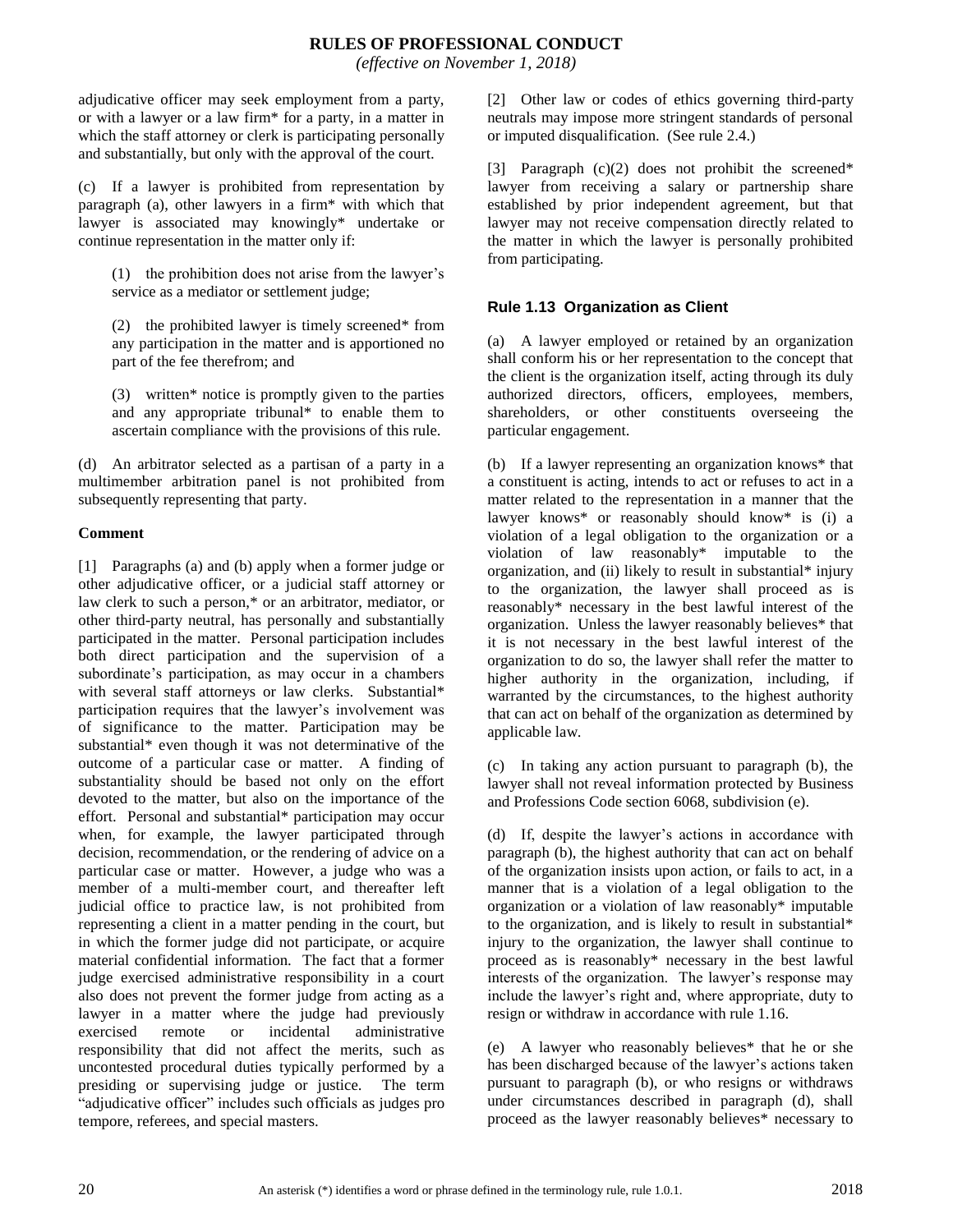*(effective on November 1, 2018)* 

adjudicative officer may seek employment from a party, or with a lawyer or a law firm\* for a party, in a matter in which the staff attorney or clerk is participating personally and substantially, but only with the approval of the court.

(c) If a lawyer is prohibited from representation by paragraph (a), other lawyers in a firm\* with which that lawyer is associated may knowingly\* undertake or continue representation in the matter only if:

(1) the prohibition does not arise from the lawyer's service as a mediator or settlement judge;

(2) the prohibited lawyer is timely screened\* from any participation in the matter and is apportioned no part of the fee therefrom; and

(3) written\* notice is promptly given to the parties and any appropriate tribunal\* to enable them to ascertain compliance with the provisions of this rule.

(d) An arbitrator selected as a partisan of a party in a multimember arbitration panel is not prohibited from subsequently representing that party.

#### **Comment**

[1] Paragraphs (a) and (b) apply when a former judge or other adjudicative officer, or a judicial staff attorney or law clerk to such a person,\* or an arbitrator, mediator, or other third-party neutral, has personally and substantially participated in the matter. Personal participation includes both direct participation and the supervision of a subordinate's participation, as may occur in a chambers with several staff attorneys or law clerks. Substantial\* participation requires that the lawyer's involvement was of significance to the matter. Participation may be substantial\* even though it was not determinative of the outcome of a particular case or matter. A finding of substantiality should be based not only on the effort devoted to the matter, but also on the importance of the effort. Personal and substantial\* participation may occur when, for example, the lawyer participated through decision, recommendation, or the rendering of advice on a particular case or matter. However, a judge who was a member of a multi-member court, and thereafter left judicial office to practice law, is not prohibited from representing a client in a matter pending in the court, but in which the former judge did not participate, or acquire material confidential information. The fact that a former judge exercised administrative responsibility in a court also does not prevent the former judge from acting as a lawyer in a matter where the judge had previously exercised remote or incidental administrative responsibility that did not affect the merits, such as uncontested procedural duties typically performed by a presiding or supervising judge or justice. The term "adjudicative officer" includes such officials as judges pro tempore, referees, and special masters.

[2] Other law or codes of ethics governing third-party neutrals may impose more stringent standards of personal or imputed disqualification. (See rule 2.4.)

[3] Paragraph (c)(2) does not prohibit the screened\* lawyer from receiving a salary or partnership share established by prior independent agreement, but that lawyer may not receive compensation directly related to the matter in which the lawyer is personally prohibited from participating.

### **Rule 1.13 Organization as Client**

(a) A lawyer employed or retained by an organization shall conform his or her representation to the concept that the client is the organization itself, acting through its duly authorized directors, officers, employees, members, shareholders, or other constituents overseeing the particular engagement.

(b) If a lawyer representing an organization knows\* that a constituent is acting, intends to act or refuses to act in a matter related to the representation in a manner that the lawyer knows\* or reasonably should know\* is (i) a violation of a legal obligation to the organization or a violation of law reasonably\* imputable to the organization, and (ii) likely to result in substantial\* injury to the organization, the lawyer shall proceed as is reasonably\* necessary in the best lawful interest of the organization. Unless the lawyer reasonably believes\* that it is not necessary in the best lawful interest of the organization to do so, the lawyer shall refer the matter to higher authority in the organization, including, if warranted by the circumstances, to the highest authority that can act on behalf of the organization as determined by applicable law.

(c) In taking any action pursuant to paragraph (b), the lawyer shall not reveal information protected by Business and Professions Code section 6068, subdivision (e).

(d) If, despite the lawyer's actions in accordance with paragraph (b), the highest authority that can act on behalf of the organization insists upon action, or fails to act, in a manner that is a violation of a legal obligation to the organization or a violation of law reasonably\* imputable to the organization, and is likely to result in substantial\* injury to the organization, the lawyer shall continue to proceed as is reasonably\* necessary in the best lawful interests of the organization. The lawyer's response may include the lawyer's right and, where appropriate, duty to resign or withdraw in accordance with rule 1.16.

(e) A lawyer who reasonably believes\* that he or she has been discharged because of the lawyer's actions taken pursuant to paragraph (b), or who resigns or withdraws under circumstances described in paragraph (d), shall proceed as the lawyer reasonably believes\* necessary to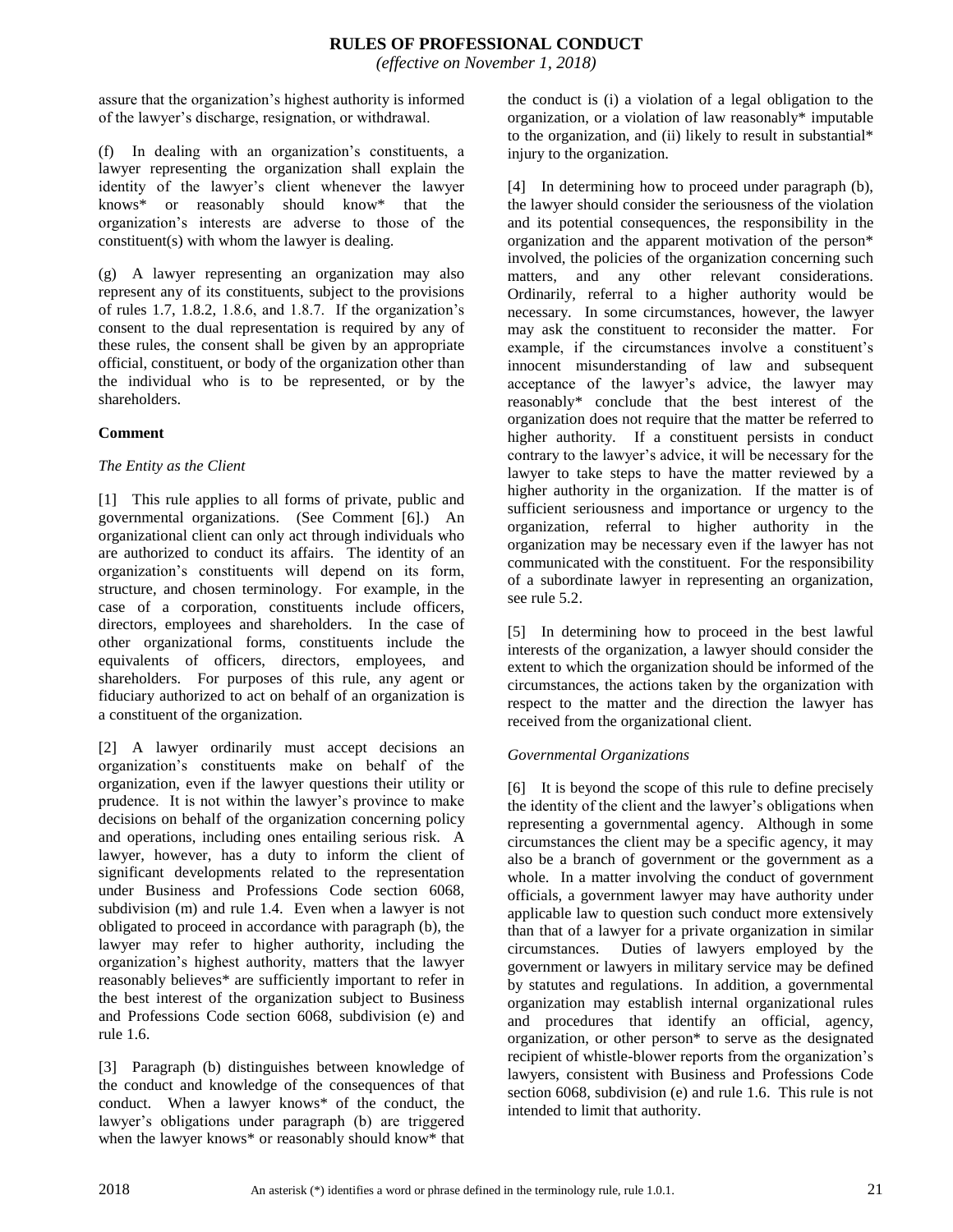assure that the organization's highest authority is informed of the lawyer's discharge, resignation, or withdrawal.

(f) In dealing with an organization's constituents, a lawyer representing the organization shall explain the identity of the lawyer's client whenever the lawyer knows\* or reasonably should know\* that the organization's interests are adverse to those of the constituent(s) with whom the lawyer is dealing.

(g) A lawyer representing an organization may also represent any of its constituents, subject to the provisions of rules 1.7, 1.8.2, 1.8.6, and 1.8.7. If the organization's consent to the dual representation is required by any of these rules, the consent shall be given by an appropriate official, constituent, or body of the organization other than the individual who is to be represented, or by the shareholders.

### **Comment**

### *The Entity as the Client*

[1] This rule applies to all forms of private, public and governmental organizations. (See Comment [6].) An organizational client can only act through individuals who are authorized to conduct its affairs. The identity of an organization's constituents will depend on its form, structure, and chosen terminology. For example, in the case of a corporation, constituents include officers, directors, employees and shareholders. In the case of other organizational forms, constituents include the equivalents of officers, directors, employees, and shareholders. For purposes of this rule, any agent or fiduciary authorized to act on behalf of an organization is a constituent of the organization.

[2] A lawyer ordinarily must accept decisions an organization's constituents make on behalf of the organization, even if the lawyer questions their utility or prudence. It is not within the lawyer's province to make decisions on behalf of the organization concerning policy and operations, including ones entailing serious risk. A lawyer, however, has a duty to inform the client of significant developments related to the representation under Business and Professions Code section 6068, subdivision (m) and rule 1.4. Even when a lawyer is not obligated to proceed in accordance with paragraph (b), the lawyer may refer to higher authority, including the organization's highest authority, matters that the lawyer reasonably believes\* are sufficiently important to refer in the best interest of the organization subject to Business and Professions Code section 6068, subdivision (e) and rule 1.6.

[3] Paragraph (b) distinguishes between knowledge of the conduct and knowledge of the consequences of that conduct. When a lawyer knows\* of the conduct, the lawyer's obligations under paragraph (b) are triggered when the lawyer knows\* or reasonably should know\* that the conduct is (i) a violation of a legal obligation to the organization, or a violation of law reasonably\* imputable to the organization, and (ii) likely to result in substantial\* injury to the organization.

[4] In determining how to proceed under paragraph (b), the lawyer should consider the seriousness of the violation and its potential consequences, the responsibility in the organization and the apparent motivation of the person\* involved, the policies of the organization concerning such matters, and any other relevant considerations. Ordinarily, referral to a higher authority would be necessary. In some circumstances, however, the lawyer may ask the constituent to reconsider the matter. For example, if the circumstances involve a constituent's innocent misunderstanding of law and subsequent acceptance of the lawyer's advice, the lawyer may reasonably\* conclude that the best interest of the organization does not require that the matter be referred to higher authority. If a constituent persists in conduct contrary to the lawyer's advice, it will be necessary for the lawyer to take steps to have the matter reviewed by a higher authority in the organization. If the matter is of sufficient seriousness and importance or urgency to the organization, referral to higher authority in the organization may be necessary even if the lawyer has not communicated with the constituent. For the responsibility of a subordinate lawyer in representing an organization, see rule 5.2.

[5] In determining how to proceed in the best lawful interests of the organization, a lawyer should consider the extent to which the organization should be informed of the circumstances, the actions taken by the organization with respect to the matter and the direction the lawyer has received from the organizational client.

### *Governmental Organizations*

[6] It is beyond the scope of this rule to define precisely the identity of the client and the lawyer's obligations when representing a governmental agency. Although in some circumstances the client may be a specific agency, it may also be a branch of government or the government as a whole. In a matter involving the conduct of government officials, a government lawyer may have authority under applicable law to question such conduct more extensively than that of a lawyer for a private organization in similar circumstances. Duties of lawyers employed by the government or lawyers in military service may be defined by statutes and regulations. In addition, a governmental organization may establish internal organizational rules and procedures that identify an official, agency, organization, or other person\* to serve as the designated recipient of whistle-blower reports from the organization's lawyers, consistent with Business and Professions Code section 6068, subdivision (e) and rule 1.6. This rule is not intended to limit that authority.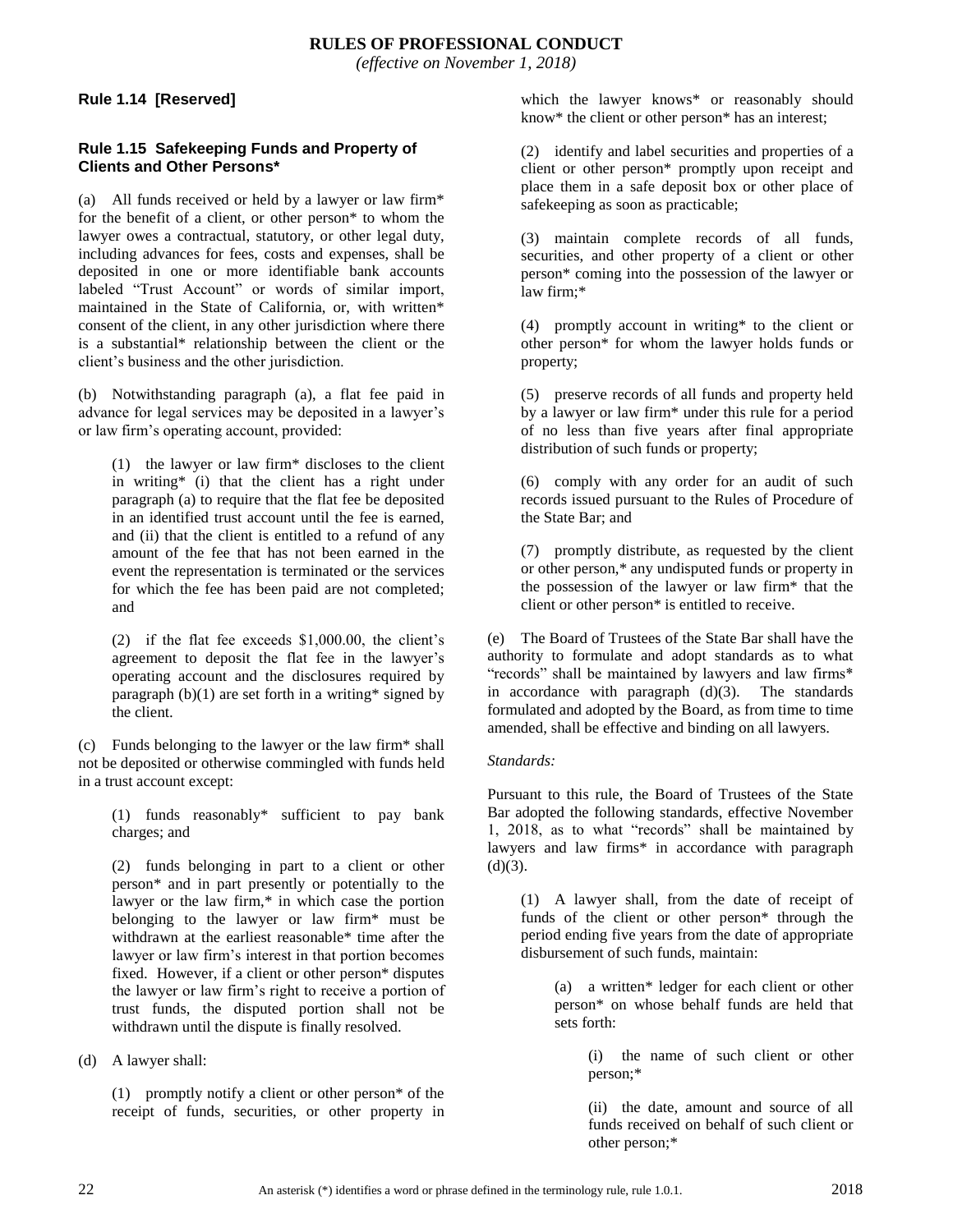*(effective on November 1, 2018)* 

**Rule 1.14 [Reserved]** 

### **Rule 1.15 Safekeeping Funds and Property of Clients and Other Persons\***

(a) All funds received or held by a lawyer or law firm\* for the benefit of a client, or other person\* to whom the lawyer owes a contractual, statutory, or other legal duty, including advances for fees, costs and expenses, shall be deposited in one or more identifiable bank accounts labeled "Trust Account" or words of similar import, maintained in the State of California, or, with written\* consent of the client, in any other jurisdiction where there is a substantial\* relationship between the client or the client's business and the other jurisdiction.

(b) Notwithstanding paragraph (a), a flat fee paid in advance for legal services may be deposited in a lawyer's or law firm's operating account, provided:

(1) the lawyer or law firm\* discloses to the client in writing\* (i) that the client has a right under paragraph (a) to require that the flat fee be deposited in an identified trust account until the fee is earned, and (ii) that the client is entitled to a refund of any amount of the fee that has not been earned in the event the representation is terminated or the services for which the fee has been paid are not completed; and

(2) if the flat fee exceeds \$1,000.00, the client's agreement to deposit the flat fee in the lawyer's operating account and the disclosures required by paragraph  $(b)(1)$  are set forth in a writing\* signed by the client.

(c) Funds belonging to the lawyer or the law firm\* shall not be deposited or otherwise commingled with funds held in a trust account except:

(1) funds reasonably\* sufficient to pay bank charges; and

(2) funds belonging in part to a client or other person\* and in part presently or potentially to the lawyer or the law firm,\* in which case the portion belonging to the lawyer or law firm\* must be withdrawn at the earliest reasonable\* time after the lawyer or law firm's interest in that portion becomes fixed. However, if a client or other person\* disputes the lawyer or law firm's right to receive a portion of trust funds, the disputed portion shall not be withdrawn until the dispute is finally resolved.

(d) A lawyer shall:

(1) promptly notify a client or other person\* of the receipt of funds, securities, or other property in

which the lawyer knows\* or reasonably should know\* the client or other person\* has an interest;

(2) identify and label securities and properties of a client or other person\* promptly upon receipt and place them in a safe deposit box or other place of safekeeping as soon as practicable;

(3) maintain complete records of all funds, securities, and other property of a client or other person\* coming into the possession of the lawyer or law firm;\*

(4) promptly account in writing\* to the client or other person\* for whom the lawyer holds funds or property;

(5) preserve records of all funds and property held by a lawyer or law firm\* under this rule for a period of no less than five years after final appropriate distribution of such funds or property;

(6) comply with any order for an audit of such records issued pursuant to the Rules of Procedure of the State Bar; and

(7) promptly distribute, as requested by the client or other person,\* any undisputed funds or property in the possession of the lawyer or law firm\* that the client or other person\* is entitled to receive.

(e) The Board of Trustees of the State Bar shall have the authority to formulate and adopt standards as to what "records" shall be maintained by lawyers and law firms\* in accordance with paragraph  $(d)(3)$ . The standards formulated and adopted by the Board, as from time to time amended, shall be effective and binding on all lawyers.

### *Standards:*

Pursuant to this rule, the Board of Trustees of the State Bar adopted the following standards, effective November 1, 2018, as to what "records" shall be maintained by lawyers and law firms\* in accordance with paragraph  $(d)(3)$ .

(1) A lawyer shall, from the date of receipt of funds of the client or other person\* through the period ending five years from the date of appropriate disbursement of such funds, maintain:

(a) a written\* ledger for each client or other person\* on whose behalf funds are held that sets forth:

> (i) the name of such client or other person;\*

> (ii) the date, amount and source of all funds received on behalf of such client or other person;\*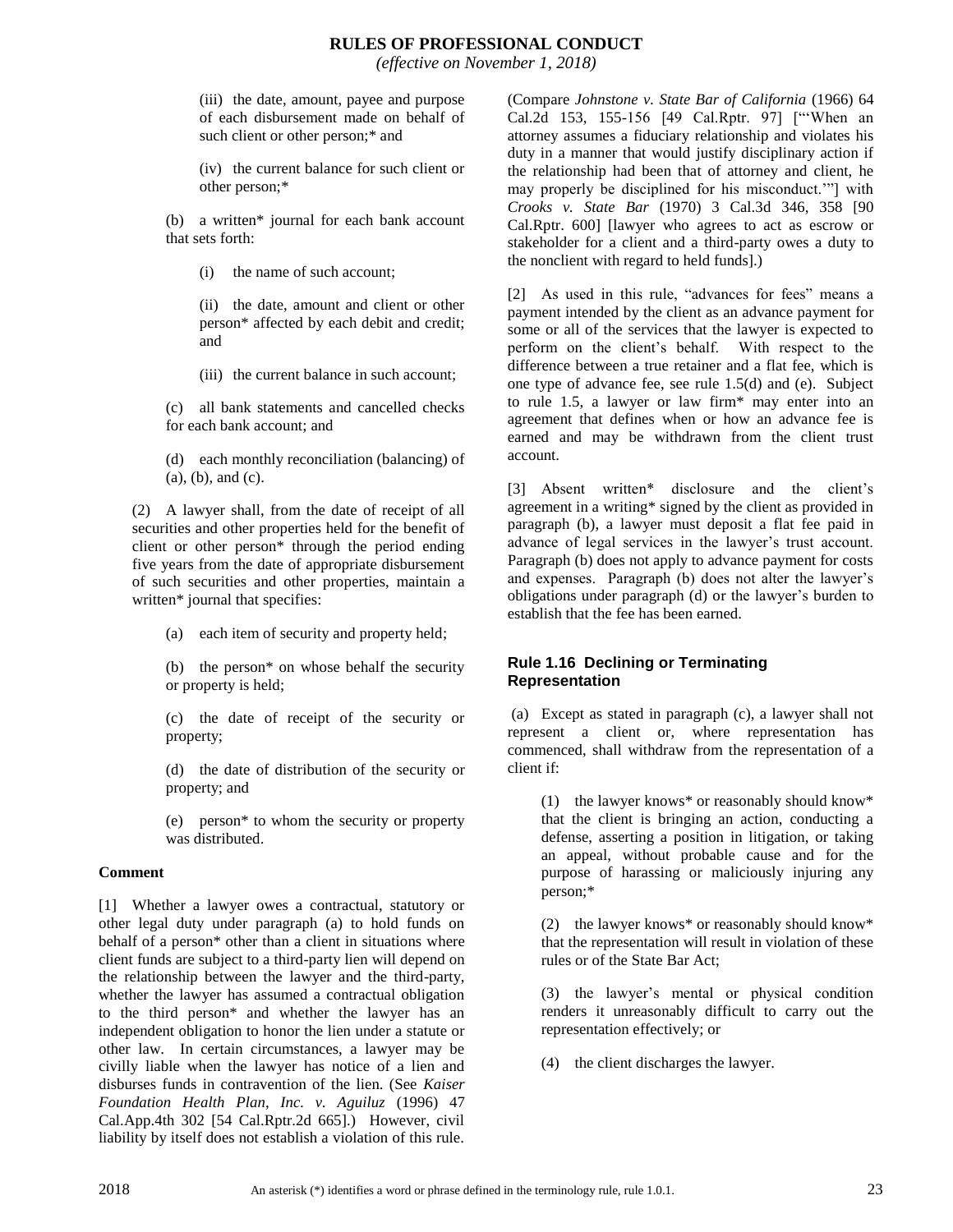*(effective on November 1, 2018)* 

(iii) the date, amount, payee and purpose of each disbursement made on behalf of such client or other person;\* and

(iv) the current balance for such client or other person;\*

(b) a written\* journal for each bank account that sets forth:

(i) the name of such account;

(ii) the date, amount and client or other person\* affected by each debit and credit; and

(iii) the current balance in such account;

(c) all bank statements and cancelled checks for each bank account; and

(d) each monthly reconciliation (balancing) of (a), (b), and (c).

(2) A lawyer shall, from the date of receipt of all securities and other properties held for the benefit of client or other person\* through the period ending five years from the date of appropriate disbursement of such securities and other properties, maintain a written\* journal that specifies:

(a) each item of security and property held;

(b) the person\* on whose behalf the security or property is held;

(c) the date of receipt of the security or property;

(d) the date of distribution of the security or property; and

(e) person\* to whom the security or property was distributed.

### **Comment**

[1] Whether a lawyer owes a contractual, statutory or other legal duty under paragraph (a) to hold funds on behalf of a person\* other than a client in situations where client funds are subject to a third-party lien will depend on the relationship between the lawyer and the third-party, whether the lawyer has assumed a contractual obligation to the third person\* and whether the lawyer has an independent obligation to honor the lien under a statute or other law. In certain circumstances, a lawyer may be civilly liable when the lawyer has notice of a lien and disburses funds in contravention of the lien. (See *Kaiser Foundation Health Plan, Inc. v. Aguiluz* (1996) 47 Cal.App.4th 302 [54 Cal.Rptr.2d 665].) However, civil liability by itself does not establish a violation of this rule. (Compare *Johnstone v. State Bar of California* (1966) 64 Cal.2d 153, 155-156 [49 Cal.Rptr. 97] ["'When an attorney assumes a fiduciary relationship and violates his duty in a manner that would justify disciplinary action if the relationship had been that of attorney and client, he may properly be disciplined for his misconduct.'"] with *Crooks v. State Bar* (1970) 3 Cal.3d 346, 358 [90 Cal.Rptr. 600] [lawyer who agrees to act as escrow or stakeholder for a client and a third-party owes a duty to the nonclient with regard to held funds].)

[2] As used in this rule, "advances for fees" means a payment intended by the client as an advance payment for some or all of the services that the lawyer is expected to perform on the client's behalf. With respect to the difference between a true retainer and a flat fee, which is one type of advance fee, see rule 1.5(d) and (e). Subject to rule 1.5, a lawyer or law firm\* may enter into an agreement that defines when or how an advance fee is earned and may be withdrawn from the client trust account.

[3] Absent written\* disclosure and the client's agreement in a writing\* signed by the client as provided in paragraph (b), a lawyer must deposit a flat fee paid in advance of legal services in the lawyer's trust account. Paragraph (b) does not apply to advance payment for costs and expenses. Paragraph (b) does not alter the lawyer's obligations under paragraph (d) or the lawyer's burden to establish that the fee has been earned.

### **Rule 1.16 Declining or Terminating Representation**

 (a) Except as stated in paragraph (c), a lawyer shall not represent a client or, where representation has commenced, shall withdraw from the representation of a client if:

(1) the lawyer knows\* or reasonably should know\* that the client is bringing an action, conducting a defense, asserting a position in litigation, or taking an appeal, without probable cause and for the purpose of harassing or maliciously injuring any person;\*

(2) the lawyer knows\* or reasonably should know\* that the representation will result in violation of these rules or of the State Bar Act;

(3) the lawyer's mental or physical condition renders it unreasonably difficult to carry out the representation effectively; or

(4) the client discharges the lawyer.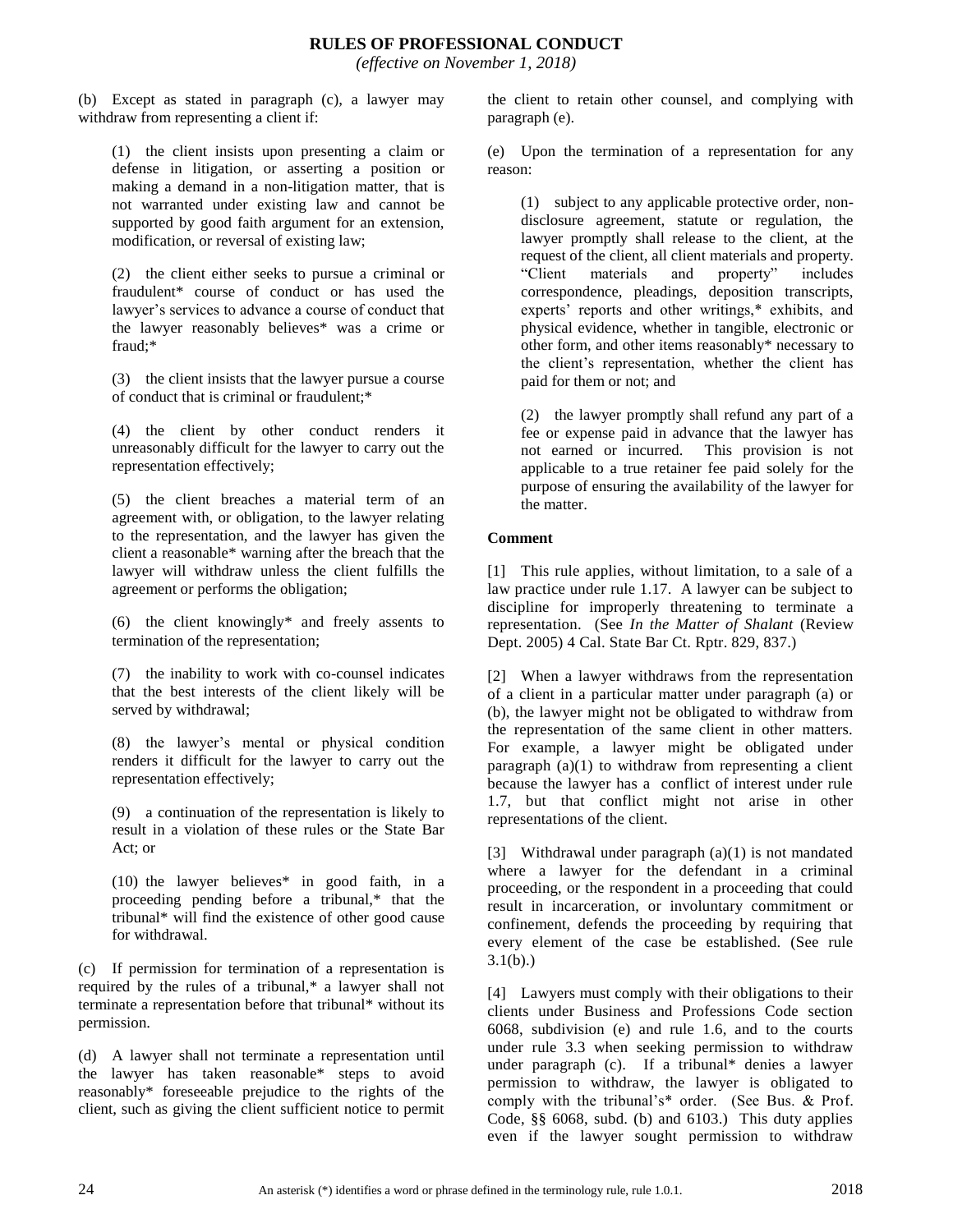(b) Except as stated in paragraph (c), a lawyer may withdraw from representing a client if:

(1) the client insists upon presenting a claim or defense in litigation, or asserting a position or making a demand in a non-litigation matter, that is not warranted under existing law and cannot be supported by good faith argument for an extension, modification, or reversal of existing law;

(2) the client either seeks to pursue a criminal or fraudulent\* course of conduct or has used the lawyer's services to advance a course of conduct that the lawyer reasonably believes\* was a crime or fraud;\*

(3) the client insists that the lawyer pursue a course of conduct that is criminal or fraudulent;\*

(4) the client by other conduct renders it unreasonably difficult for the lawyer to carry out the representation effectively;

(5) the client breaches a material term of an agreement with, or obligation, to the lawyer relating to the representation, and the lawyer has given the client a reasonable\* warning after the breach that the lawyer will withdraw unless the client fulfills the agreement or performs the obligation;

(6) the client knowingly\* and freely assents to termination of the representation;

(7) the inability to work with co-counsel indicates that the best interests of the client likely will be served by withdrawal;

(8) the lawyer's mental or physical condition renders it difficult for the lawyer to carry out the representation effectively;

(9) a continuation of the representation is likely to result in a violation of these rules or the State Bar Act; or

(10) the lawyer believes\* in good faith, in a proceeding pending before a tribunal,\* that the tribunal\* will find the existence of other good cause for withdrawal.

(c) If permission for termination of a representation is required by the rules of a tribunal,\* a lawyer shall not terminate a representation before that tribunal\* without its permission.

(d) A lawyer shall not terminate a representation until the lawyer has taken reasonable\* steps to avoid reasonably\* foreseeable prejudice to the rights of the client, such as giving the client sufficient notice to permit

the client to retain other counsel, and complying with paragraph (e).

(e) Upon the termination of a representation for any reason:

(1) subject to any applicable protective order, nondisclosure agreement, statute or regulation, the lawyer promptly shall release to the client, at the request of the client, all client materials and property. "Client materials and property" includes correspondence, pleadings, deposition transcripts, experts' reports and other writings,\* exhibits, and physical evidence, whether in tangible, electronic or other form, and other items reasonably\* necessary to the client's representation, whether the client has paid for them or not; and

(2) the lawyer promptly shall refund any part of a fee or expense paid in advance that the lawyer has not earned or incurred. This provision is not applicable to a true retainer fee paid solely for the purpose of ensuring the availability of the lawyer for the matter.

#### **Comment**

[1] This rule applies, without limitation, to a sale of a law practice under rule 1.17. A lawyer can be subject to discipline for improperly threatening to terminate a representation. (See *In the Matter of Shalant* (Review Dept. 2005) 4 Cal. State Bar Ct. Rptr. 829, 837.)

[2] When a lawyer withdraws from the representation of a client in a particular matter under paragraph (a) or (b), the lawyer might not be obligated to withdraw from the representation of the same client in other matters. For example, a lawyer might be obligated under paragraph  $(a)(1)$  to withdraw from representing a client because the lawyer has a conflict of interest under rule 1.7, but that conflict might not arise in other representations of the client.

[3] Withdrawal under paragraph  $(a)(1)$  is not mandated where a lawyer for the defendant in a criminal proceeding, or the respondent in a proceeding that could result in incarceration, or involuntary commitment or confinement, defends the proceeding by requiring that every element of the case be established. (See rule  $3.1(b)$ .)

[4] Lawyers must comply with their obligations to their clients under Business and Professions Code section 6068, subdivision (e) and rule 1.6, and to the courts under rule 3.3 when seeking permission to withdraw under paragraph (c). If a tribunal\* denies a lawyer permission to withdraw, the lawyer is obligated to comply with the tribunal's\* order. (See Bus. & Prof. Code, §§ 6068, subd. (b) and 6103.) This duty applies even if the lawyer sought permission to withdraw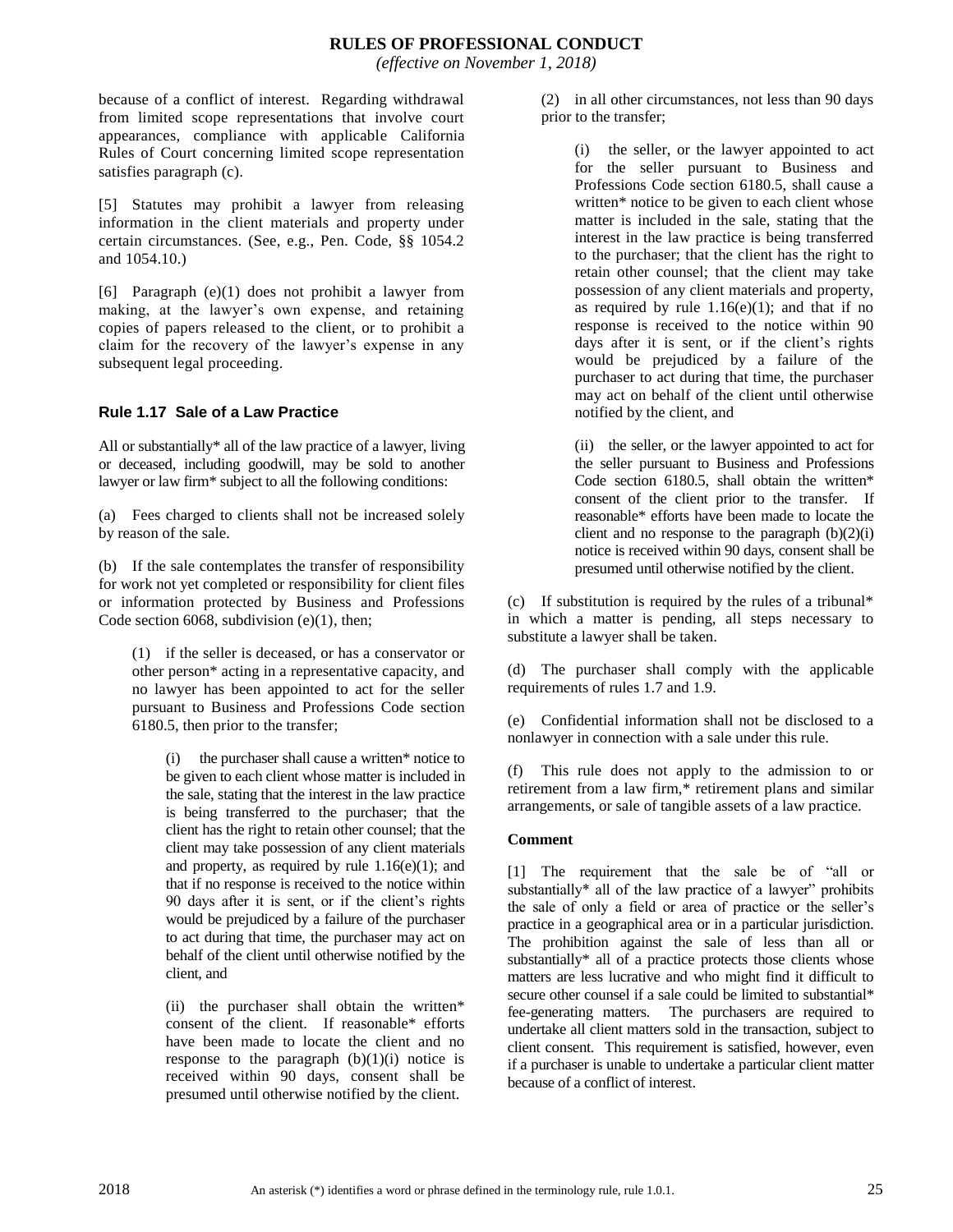because of a conflict of interest. Regarding withdrawal from limited scope representations that involve court appearances, compliance with applicable California Rules of Court concerning limited scope representation satisfies paragraph (c).

[5] Statutes may prohibit a lawyer from releasing information in the client materials and property under certain circumstances. (See, e.g., Pen. Code, §§ 1054.2 and 1054.10.)

[6] Paragraph (e)(1) does not prohibit a lawyer from making, at the lawyer's own expense, and retaining copies of papers released to the client, or to prohibit a claim for the recovery of the lawyer's expense in any subsequent legal proceeding.

### **Rule 1.17 Sale of a Law Practice**

All or substantially\* all of the law practice of a lawyer, living or deceased, including goodwill, may be sold to another lawyer or law firm\* subject to all the following conditions:

(a) Fees charged to clients shall not be increased solely by reason of the sale.

(b) If the sale contemplates the transfer of responsibility for work not yet completed or responsibility for client files or information protected by Business and Professions Code section 6068, subdivision  $(e)(1)$ , then;

(1) if the seller is deceased, or has a conservator or other person\* acting in a representative capacity, and no lawyer has been appointed to act for the seller pursuant to Business and Professions Code section 6180.5, then prior to the transfer;

> (i) the purchaser shall cause a written\* notice to be given to each client whose matter is included in the sale, stating that the interest in the law practice is being transferred to the purchaser; that the client has the right to retain other counsel; that the client may take possession of any client materials and property, as required by rule  $1.16(e)(1)$ ; and that if no response is received to the notice within 90 days after it is sent, or if the client's rights would be prejudiced by a failure of the purchaser to act during that time, the purchaser may act on behalf of the client until otherwise notified by the client, and

> (ii) the purchaser shall obtain the written\* consent of the client. If reasonable\* efforts have been made to locate the client and no response to the paragraph  $(b)(1)(i)$  notice is received within 90 days, consent shall be presumed until otherwise notified by the client.

(2) in all other circumstances, not less than 90 days prior to the transfer;

> (i) the seller, or the lawyer appointed to act for the seller pursuant to Business and Professions Code section 6180.5, shall cause a written\* notice to be given to each client whose matter is included in the sale, stating that the interest in the law practice is being transferred to the purchaser; that the client has the right to retain other counsel; that the client may take possession of any client materials and property, as required by rule  $1.16(e)(1)$ ; and that if no response is received to the notice within 90 days after it is sent, or if the client's rights would be prejudiced by a failure of the purchaser to act during that time, the purchaser may act on behalf of the client until otherwise notified by the client, and

> (ii) the seller, or the lawyer appointed to act for the seller pursuant to Business and Professions Code section 6180.5, shall obtain the written\* consent of the client prior to the transfer. If reasonable\* efforts have been made to locate the client and no response to the paragraph  $(b)(2)(i)$ notice is received within 90 days, consent shall be presumed until otherwise notified by the client.

(c) If substitution is required by the rules of a tribunal\* in which a matter is pending, all steps necessary to substitute a lawyer shall be taken.

(d) The purchaser shall comply with the applicable requirements of rules 1.7 and 1.9.

(e) Confidential information shall not be disclosed to a nonlawyer in connection with a sale under this rule.

(f) This rule does not apply to the admission to or retirement from a law firm,\* retirement plans and similar arrangements, or sale of tangible assets of a law practice.

### **Comment**

[1] The requirement that the sale be of "all or substantially\* all of the law practice of a lawyer" prohibits the sale of only a field or area of practice or the seller's practice in a geographical area or in a particular jurisdiction. The prohibition against the sale of less than all or substantially\* all of a practice protects those clients whose matters are less lucrative and who might find it difficult to secure other counsel if a sale could be limited to substantial\* fee-generating matters. The purchasers are required to undertake all client matters sold in the transaction, subject to client consent. This requirement is satisfied, however, even if a purchaser is unable to undertake a particular client matter because of a conflict of interest.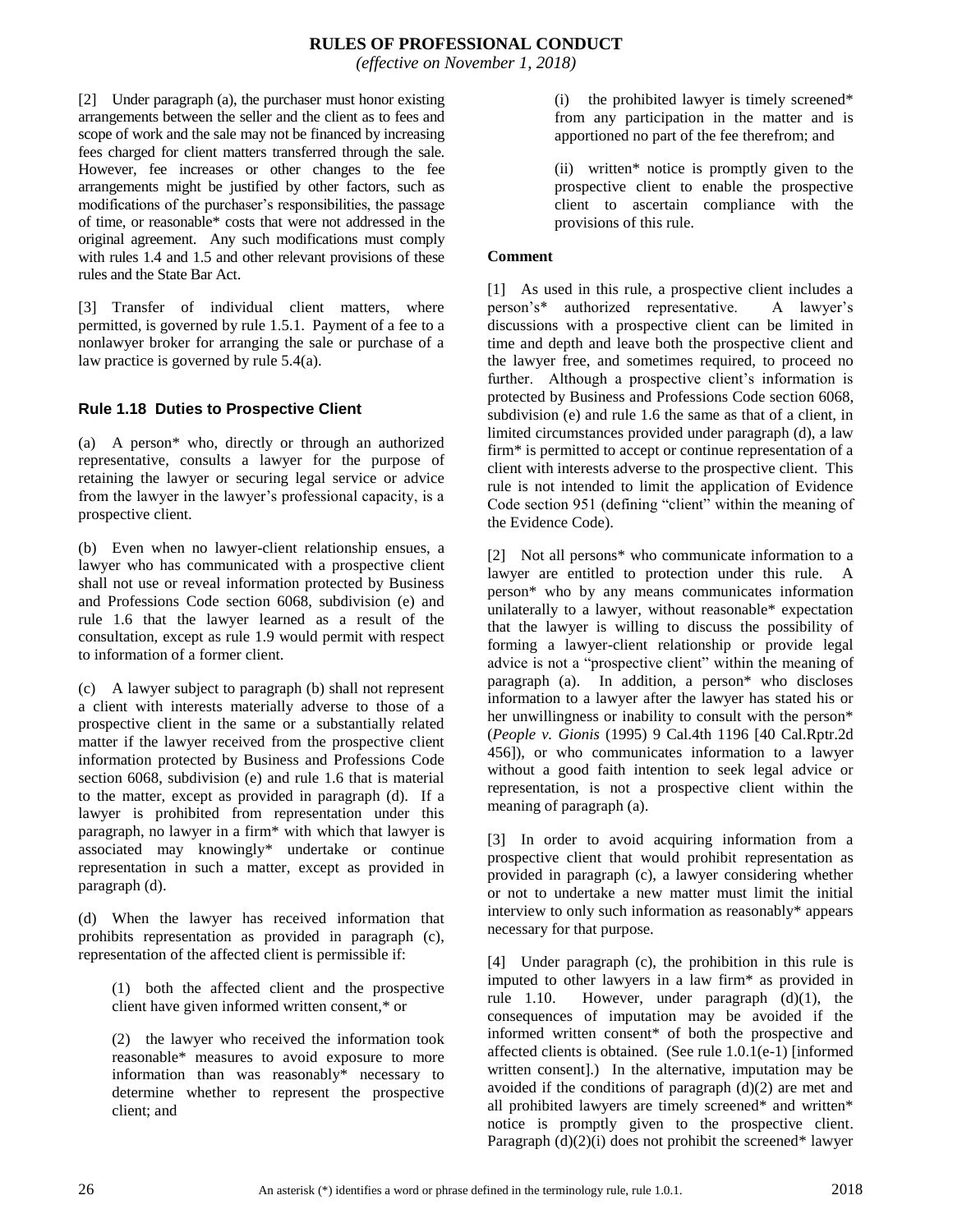[2] Under paragraph (a), the purchaser must honor existing arrangements between the seller and the client as to fees and scope of work and the sale may not be financed by increasing fees charged for client matters transferred through the sale. However, fee increases or other changes to the fee arrangements might be justified by other factors, such as modifications of the purchaser's responsibilities, the passage of time, or reasonable\* costs that were not addressed in the original agreement. Any such modifications must comply with rules 1.4 and 1.5 and other relevant provisions of these rules and the State Bar Act.

[3] Transfer of individual client matters, where permitted, is governed by rule 1.5.1. Payment of a fee to a nonlawyer broker for arranging the sale or purchase of a law practice is governed by rule 5.4(a).

### **Rule 1.18 Duties to Prospective Client**

(a) A person\* who, directly or through an authorized representative, consults a lawyer for the purpose of retaining the lawyer or securing legal service or advice from the lawyer in the lawyer's professional capacity, is a prospective client.

(b) Even when no lawyer-client relationship ensues, a lawyer who has communicated with a prospective client shall not use or reveal information protected by Business and Professions Code section 6068, subdivision (e) and rule 1.6 that the lawyer learned as a result of the consultation, except as rule 1.9 would permit with respect to information of a former client.

(c) A lawyer subject to paragraph (b) shall not represent a client with interests materially adverse to those of a prospective client in the same or a substantially related matter if the lawyer received from the prospective client information protected by Business and Professions Code section 6068, subdivision (e) and rule 1.6 that is material to the matter, except as provided in paragraph (d). If a lawyer is prohibited from representation under this paragraph, no lawyer in a firm\* with which that lawyer is associated may knowingly\* undertake or continue representation in such a matter, except as provided in paragraph (d).

(d) When the lawyer has received information that prohibits representation as provided in paragraph (c), representation of the affected client is permissible if:

(1) both the affected client and the prospective client have given informed written consent,\* or

(2) the lawyer who received the information took reasonable\* measures to avoid exposure to more information than was reasonably\* necessary to determine whether to represent the prospective client; and

(i) the prohibited lawyer is timely screened\* from any participation in the matter and is apportioned no part of the fee therefrom; and

(ii) written\* notice is promptly given to the prospective client to enable the prospective client to ascertain compliance with the provisions of this rule.

### **Comment**

[1] As used in this rule, a prospective client includes a person's\* authorized representative. A lawyer's discussions with a prospective client can be limited in time and depth and leave both the prospective client and the lawyer free, and sometimes required, to proceed no further. Although a prospective client's information is protected by Business and Professions Code section 6068, subdivision (e) and rule 1.6 the same as that of a client, in limited circumstances provided under paragraph (d), a law firm\* is permitted to accept or continue representation of a client with interests adverse to the prospective client. This rule is not intended to limit the application of Evidence Code section 951 (defining "client" within the meaning of the Evidence Code).

[2] Not all persons\* who communicate information to a lawyer are entitled to protection under this rule. A person\* who by any means communicates information unilaterally to a lawyer, without reasonable\* expectation that the lawyer is willing to discuss the possibility of forming a lawyer-client relationship or provide legal advice is not a "prospective client" within the meaning of paragraph (a). In addition, a person\* who discloses information to a lawyer after the lawyer has stated his or her unwillingness or inability to consult with the person\* (*People v. Gionis* (1995) 9 Cal.4th 1196 [40 Cal.Rptr.2d 456]), or who communicates information to a lawyer without a good faith intention to seek legal advice or representation, is not a prospective client within the meaning of paragraph (a).

[3] In order to avoid acquiring information from a prospective client that would prohibit representation as provided in paragraph (c), a lawyer considering whether or not to undertake a new matter must limit the initial interview to only such information as reasonably\* appears necessary for that purpose.

[4] Under paragraph (c), the prohibition in this rule is imputed to other lawyers in a law firm\* as provided in rule 1.10. However, under paragraph  $(d)(1)$ , the consequences of imputation may be avoided if the informed written consent\* of both the prospective and affected clients is obtained. (See rule 1.0.1(e-1) [informed written consent].) In the alternative, imputation may be avoided if the conditions of paragraph (d)(2) are met and all prohibited lawyers are timely screened\* and written\* notice is promptly given to the prospective client. Paragraph  $(d)(2)(i)$  does not prohibit the screened\* lawyer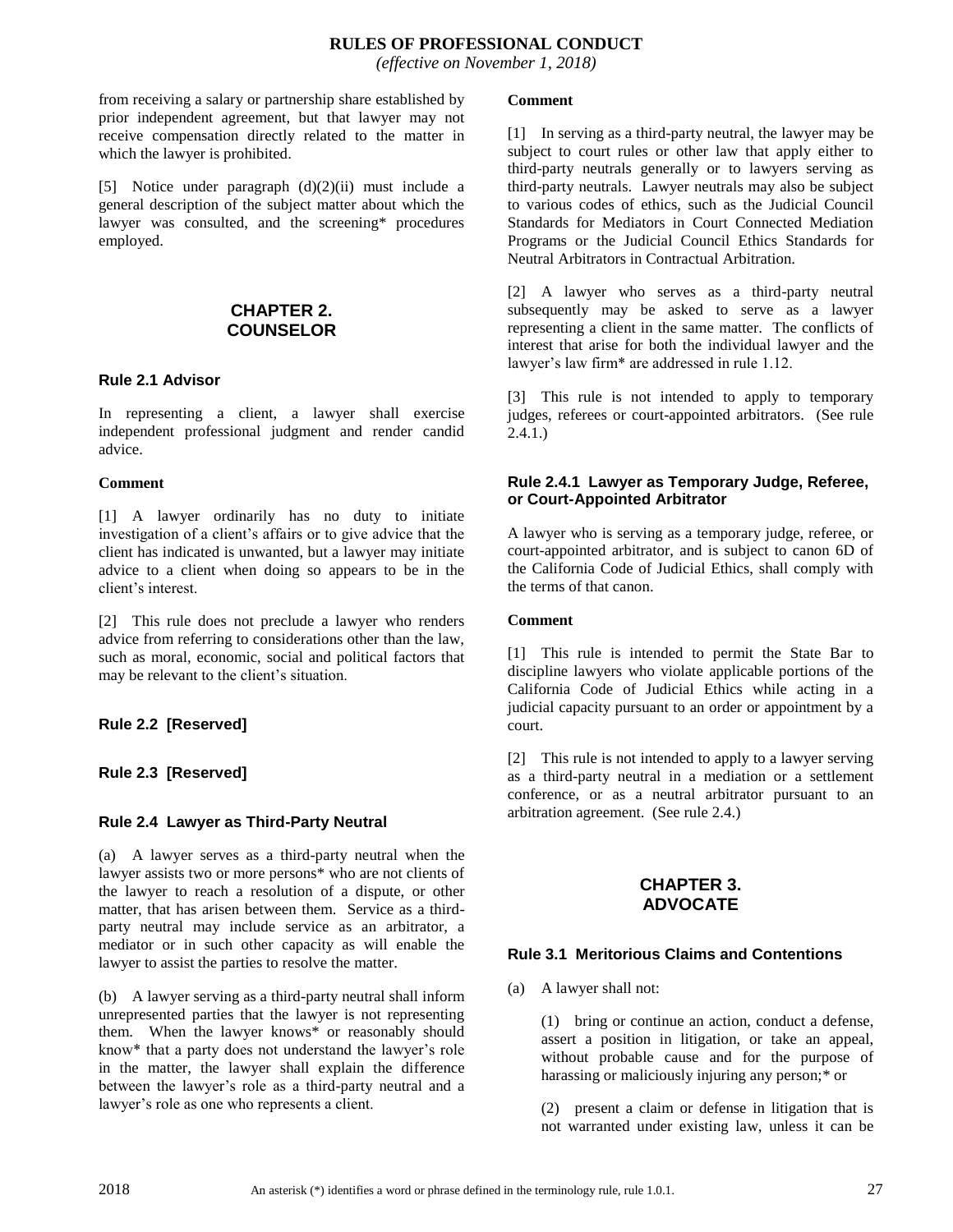*(effective on November 1, 2018)* 

from receiving a salary or partnership share established by prior independent agreement, but that lawyer may not receive compensation directly related to the matter in which the lawyer is prohibited.

[5] Notice under paragraph (d)(2)(ii) must include a general description of the subject matter about which the lawyer was consulted, and the screening\* procedures employed.

### **CHAPTER 2. COUNSELOR**

### **Rule 2.1 Advisor**

In representing a client, a lawyer shall exercise independent professional judgment and render candid advice.

#### **Comment**

[1] A lawyer ordinarily has no duty to initiate investigation of a client's affairs or to give advice that the client has indicated is unwanted, but a lawyer may initiate advice to a client when doing so appears to be in the client's interest.

[2] This rule does not preclude a lawyer who renders advice from referring to considerations other than the law, such as moral, economic, social and political factors that may be relevant to the client's situation.

### **Rule 2.2 [Reserved]**

### **Rule 2.3 [Reserved]**

### **Rule 2.4 Lawyer as Third-Party Neutral**

(a) A lawyer serves as a third-party neutral when the lawyer assists two or more persons\* who are not clients of the lawyer to reach a resolution of a dispute, or other matter, that has arisen between them. Service as a thirdparty neutral may include service as an arbitrator, a mediator or in such other capacity as will enable the lawyer to assist the parties to resolve the matter.

(b) A lawyer serving as a third-party neutral shall inform unrepresented parties that the lawyer is not representing them. When the lawyer knows\* or reasonably should know\* that a party does not understand the lawyer's role in the matter, the lawyer shall explain the difference between the lawyer's role as a third-party neutral and a lawyer's role as one who represents a client.

#### **Comment**

[1] In serving as a third-party neutral, the lawyer may be subject to court rules or other law that apply either to third-party neutrals generally or to lawyers serving as third-party neutrals. Lawyer neutrals may also be subject to various codes of ethics, such as the Judicial Council Standards for Mediators in Court Connected Mediation Programs or the Judicial Council Ethics Standards for Neutral Arbitrators in Contractual Arbitration.

[2] A lawyer who serves as a third-party neutral subsequently may be asked to serve as a lawyer representing a client in the same matter. The conflicts of interest that arise for both the individual lawyer and the lawyer's law firm\* are addressed in rule 1.12.

[3] This rule is not intended to apply to temporary judges, referees or court-appointed arbitrators. (See rule  $2.4.1.$ 

### **Rule 2.4.1 Lawyer as Temporary Judge, Referee, or Court-Appointed Arbitrator**

A lawyer who is serving as a temporary judge, referee, or court-appointed arbitrator, and is subject to canon 6D of the California Code of Judicial Ethics, shall comply with the terms of that canon.

#### **Comment**

[1] This rule is intended to permit the State Bar to discipline lawyers who violate applicable portions of the California Code of Judicial Ethics while acting in a judicial capacity pursuant to an order or appointment by a court.

[2] This rule is not intended to apply to a lawyer serving as a third-party neutral in a mediation or a settlement conference, or as a neutral arbitrator pursuant to an arbitration agreement. (See rule 2.4.)

### **CHAPTER 3. ADVOCATE**

### **Rule 3.1 Meritorious Claims and Contentions**

(a) A lawyer shall not:

(1) bring or continue an action, conduct a defense, assert a position in litigation, or take an appeal, without probable cause and for the purpose of harassing or maliciously injuring any person;\* or

(2) present a claim or defense in litigation that is not warranted under existing law, unless it can be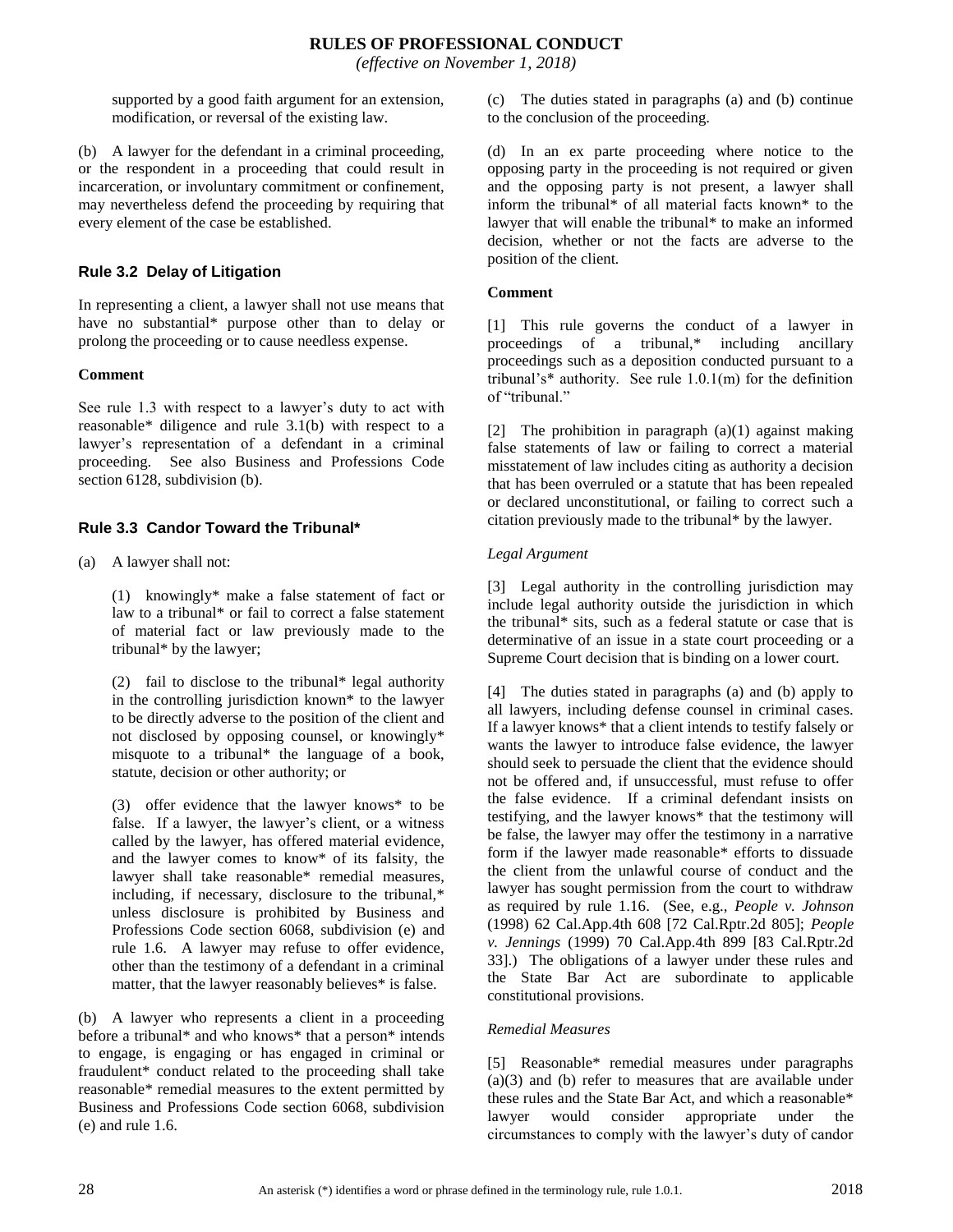supported by a good faith argument for an extension, modification, or reversal of the existing law.

(b) A lawyer for the defendant in a criminal proceeding, or the respondent in a proceeding that could result in incarceration, or involuntary commitment or confinement, may nevertheless defend the proceeding by requiring that every element of the case be established.

# **Rule 3.2 Delay of Litigation**

In representing a client, a lawyer shall not use means that have no substantial\* purpose other than to delay or prolong the proceeding or to cause needless expense.

### **Comment**

See rule 1.3 with respect to a lawyer's duty to act with reasonable\* diligence and rule 3.1(b) with respect to a lawyer's representation of a defendant in a criminal proceeding. See also Business and Professions Code section 6128, subdivision (b).

### **Rule 3.3 Candor Toward the Tribunal\***

(a) A lawyer shall not:

(1) knowingly\* make a false statement of fact or law to a tribunal\* or fail to correct a false statement of material fact or law previously made to the tribunal\* by the lawyer;

(2) fail to disclose to the tribunal\* legal authority in the controlling jurisdiction known\* to the lawyer to be directly adverse to the position of the client and not disclosed by opposing counsel, or knowingly\* misquote to a tribunal\* the language of a book, statute, decision or other authority; or

(3) offer evidence that the lawyer knows\* to be false. If a lawyer, the lawyer's client, or a witness called by the lawyer, has offered material evidence, and the lawyer comes to know\* of its falsity, the lawyer shall take reasonable\* remedial measures, including, if necessary, disclosure to the tribunal,\* unless disclosure is prohibited by Business and Professions Code section 6068, subdivision (e) and rule 1.6. A lawyer may refuse to offer evidence, other than the testimony of a defendant in a criminal matter, that the lawyer reasonably believes\* is false.

(b) A lawyer who represents a client in a proceeding before a tribunal\* and who knows\* that a person\* intends to engage, is engaging or has engaged in criminal or fraudulent\* conduct related to the proceeding shall take reasonable\* remedial measures to the extent permitted by Business and Professions Code section 6068, subdivision (e) and rule 1.6.

(c) The duties stated in paragraphs (a) and (b) continue to the conclusion of the proceeding.

(d) In an ex parte proceeding where notice to the opposing party in the proceeding is not required or given and the opposing party is not present, a lawyer shall inform the tribunal\* of all material facts known\* to the lawyer that will enable the tribunal\* to make an informed decision, whether or not the facts are adverse to the position of the client*.* 

### **Comment**

[1] This rule governs the conduct of a lawyer in proceedings of a tribunal,\* including ancillary proceedings such as a deposition conducted pursuant to a tribunal's\* authority. See rule 1.0.1(m) for the definition of "tribunal."

[2] The prohibition in paragraph  $(a)(1)$  against making false statements of law or failing to correct a material misstatement of law includes citing as authority a decision that has been overruled or a statute that has been repealed or declared unconstitutional, or failing to correct such a citation previously made to the tribunal\* by the lawyer.

### *Legal Argument*

[3] Legal authority in the controlling jurisdiction may include legal authority outside the jurisdiction in which the tribunal\* sits, such as a federal statute or case that is determinative of an issue in a state court proceeding or a Supreme Court decision that is binding on a lower court.

[4] The duties stated in paragraphs (a) and (b) apply to all lawyers, including defense counsel in criminal cases. If a lawyer knows\* that a client intends to testify falsely or wants the lawyer to introduce false evidence, the lawyer should seek to persuade the client that the evidence should not be offered and, if unsuccessful, must refuse to offer the false evidence. If a criminal defendant insists on testifying, and the lawyer knows\* that the testimony will be false, the lawyer may offer the testimony in a narrative form if the lawyer made reasonable\* efforts to dissuade the client from the unlawful course of conduct and the lawyer has sought permission from the court to withdraw as required by rule 1.16. (See, e.g., *People v. Johnson* (1998) 62 Cal.App.4th 608 [72 Cal.Rptr.2d 805]; *People v. Jennings* (1999) 70 Cal.App.4th 899 [83 Cal.Rptr.2d 33].) The obligations of a lawyer under these rules and the State Bar Act are subordinate to applicable constitutional provisions.

### *Remedial Measures*

[5] Reasonable\* remedial measures under paragraphs (a)(3) and (b) refer to measures that are available under these rules and the State Bar Act, and which a reasonable\* lawyer would consider appropriate under the circumstances to comply with the lawyer's duty of candor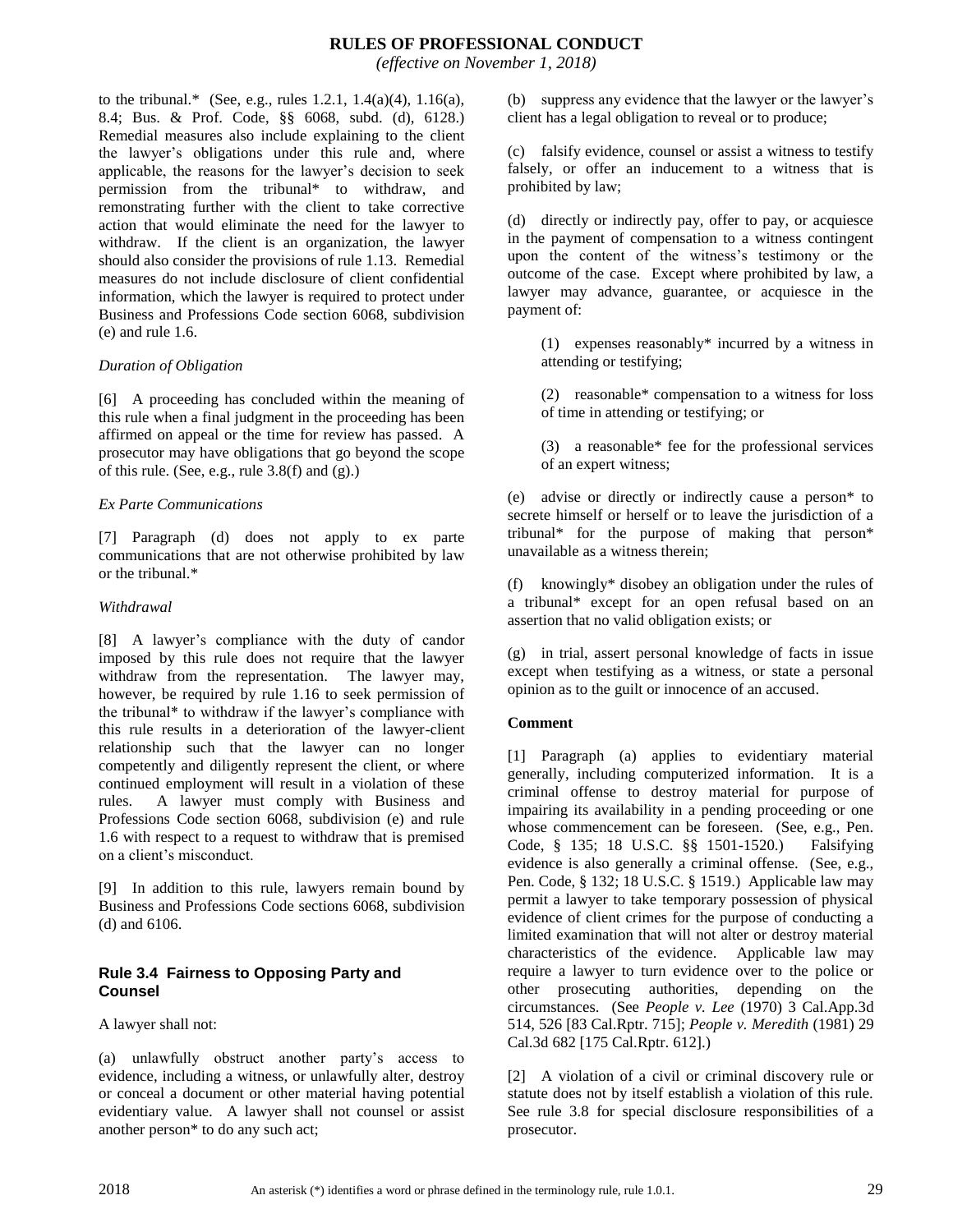to the tribunal.\* (See, e.g., rules 1.2.1, 1.4(a)(4), 1.16(a), 8.4; Bus. & Prof. Code, §§ 6068, subd. (d), 6128.) Remedial measures also include explaining to the client the lawyer's obligations under this rule and, where applicable, the reasons for the lawyer's decision to seek permission from the tribunal\* to withdraw, and remonstrating further with the client to take corrective action that would eliminate the need for the lawyer to withdraw. If the client is an organization, the lawyer should also consider the provisions of rule 1.13. Remedial measures do not include disclosure of client confidential information, which the lawyer is required to protect under Business and Professions Code section 6068, subdivision (e) and rule 1.6.

#### *Duration of Obligation*

[6] A proceeding has concluded within the meaning of this rule when a final judgment in the proceeding has been affirmed on appeal or the time for review has passed. A prosecutor may have obligations that go beyond the scope of this rule. (See, e.g., rule 3.8(f) and (g).)

#### *Ex Parte Communications*

[7] Paragraph (d) does not apply to ex parte communications that are not otherwise prohibited by law or the tribunal.\*

#### *Withdrawal*

[8] A lawyer's compliance with the duty of candor imposed by this rule does not require that the lawyer withdraw from the representation. The lawyer may, however, be required by rule 1.16 to seek permission of the tribunal\* to withdraw if the lawyer's compliance with this rule results in a deterioration of the lawyer-client relationship such that the lawyer can no longer competently and diligently represent the client, or where continued employment will result in a violation of these rules. A lawyer must comply with Business and Professions Code section 6068, subdivision (e) and rule 1.6 with respect to a request to withdraw that is premised on a client's misconduct.

[9] In addition to this rule, lawyers remain bound by Business and Professions Code sections 6068, subdivision (d) and 6106.

### **Rule 3.4 Fairness to Opposing Party and Counsel**

A lawyer shall not:

(a) unlawfully obstruct another party's access to evidence, including a witness, or unlawfully alter, destroy or conceal a document or other material having potential evidentiary value. A lawyer shall not counsel or assist another person\* to do any such act;

(b) suppress any evidence that the lawyer or the lawyer's client has a legal obligation to reveal or to produce;

(c) falsify evidence, counsel or assist a witness to testify falsely, or offer an inducement to a witness that is prohibited by law;

(d) directly or indirectly pay, offer to pay, or acquiesce in the payment of compensation to a witness contingent upon the content of the witness's testimony or the outcome of the case. Except where prohibited by law, a lawyer may advance, guarantee, or acquiesce in the payment of:

(1) expenses reasonably\* incurred by a witness in attending or testifying;

(2) reasonable\* compensation to a witness for loss of time in attending or testifying; or

(3) a reasonable\* fee for the professional services of an expert witness;

(e) advise or directly or indirectly cause a person\* to secrete himself or herself or to leave the jurisdiction of a tribunal\* for the purpose of making that person\* unavailable as a witness therein;

(f) knowingly\* disobey an obligation under the rules of a tribunal\* except for an open refusal based on an assertion that no valid obligation exists; or

(g) in trial, assert personal knowledge of facts in issue except when testifying as a witness, or state a personal opinion as to the guilt or innocence of an accused.

### **Comment**

[1] Paragraph (a) applies to evidentiary material generally, including computerized information. It is a criminal offense to destroy material for purpose of impairing its availability in a pending proceeding or one whose commencement can be foreseen. (See, e.g., Pen. Code, § 135; 18 U.S.C. §§ 1501-1520.) Falsifying evidence is also generally a criminal offense. (See, e.g., Pen. Code, § 132; 18 U.S.C. § 1519.) Applicable law may permit a lawyer to take temporary possession of physical evidence of client crimes for the purpose of conducting a limited examination that will not alter or destroy material characteristics of the evidence. Applicable law may require a lawyer to turn evidence over to the police or other prosecuting authorities, depending on the circumstances. (See *People v. Lee* (1970) 3 Cal.App.3d 514, 526 [83 Cal.Rptr. 715]; *People v. Meredith* (1981) 29 Cal.3d 682 [175 Cal.Rptr. 612].)

[2] A violation of a civil or criminal discovery rule or statute does not by itself establish a violation of this rule. See rule 3.8 for special disclosure responsibilities of a prosecutor.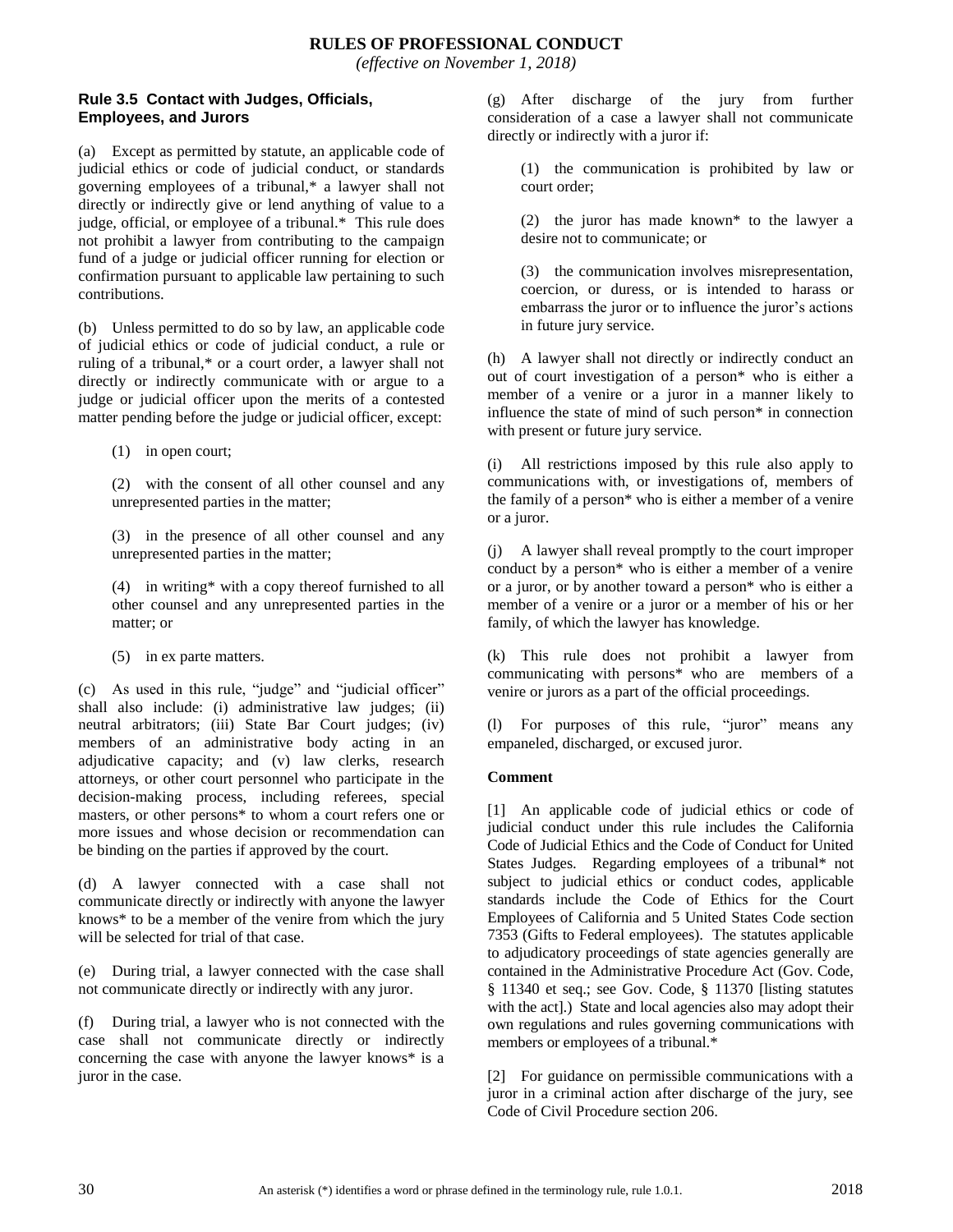*(effective on November 1, 2018)* 

#### **Rule 3.5 Contact with Judges, Officials, Employees, and Jurors**

(a) Except as permitted by statute, an applicable code of judicial ethics or code of judicial conduct, or standards governing employees of a tribunal,\* a lawyer shall not directly or indirectly give or lend anything of value to a judge, official, or employee of a tribunal.\* This rule does not prohibit a lawyer from contributing to the campaign fund of a judge or judicial officer running for election or confirmation pursuant to applicable law pertaining to such contributions.

(b) Unless permitted to do so by law, an applicable code of judicial ethics or code of judicial conduct, a rule or ruling of a tribunal,\* or a court order, a lawyer shall not directly or indirectly communicate with or argue to a judge or judicial officer upon the merits of a contested matter pending before the judge or judicial officer, except:

(1) in open court;

(2) with the consent of all other counsel and any unrepresented parties in the matter;

(3) in the presence of all other counsel and any unrepresented parties in the matter;

(4) in writing\* with a copy thereof furnished to all other counsel and any unrepresented parties in the matter; or

(5) in ex parte matters.

(c) As used in this rule, "judge" and "judicial officer" shall also include: (i) administrative law judges; (ii) neutral arbitrators; (iii) State Bar Court judges; (iv) members of an administrative body acting in an adjudicative capacity; and (v) law clerks, research attorneys, or other court personnel who participate in the decision-making process, including referees, special masters, or other persons\* to whom a court refers one or more issues and whose decision or recommendation can be binding on the parties if approved by the court.

(d) A lawyer connected with a case shall not communicate directly or indirectly with anyone the lawyer knows\* to be a member of the venire from which the jury will be selected for trial of that case.

(e) During trial, a lawyer connected with the case shall not communicate directly or indirectly with any juror.

(f) During trial, a lawyer who is not connected with the case shall not communicate directly or indirectly concerning the case with anyone the lawyer knows\* is a juror in the case.

(g) After discharge of the jury from further consideration of a case a lawyer shall not communicate directly or indirectly with a juror if:

(1) the communication is prohibited by law or court order;

(2) the juror has made known\* to the lawyer a desire not to communicate; or

(3) the communication involves misrepresentation, coercion, or duress, or is intended to harass or embarrass the juror or to influence the juror's actions in future jury service.

(h) A lawyer shall not directly or indirectly conduct an out of court investigation of a person\* who is either a member of a venire or a juror in a manner likely to influence the state of mind of such person\* in connection with present or future jury service.

(i) All restrictions imposed by this rule also apply to communications with, or investigations of, members of the family of a person\* who is either a member of a venire or a juror.

(j) A lawyer shall reveal promptly to the court improper conduct by a person\* who is either a member of a venire or a juror, or by another toward a person\* who is either a member of a venire or a juror or a member of his or her family, of which the lawyer has knowledge.

(k) This rule does not prohibit a lawyer from communicating with persons\* who are members of a venire or jurors as a part of the official proceedings.

(l) For purposes of this rule, "juror" means any empaneled, discharged, or excused juror.

### **Comment**

[1] An applicable code of judicial ethics or code of judicial conduct under this rule includes the California Code of Judicial Ethics and the Code of Conduct for United States Judges. Regarding employees of a tribunal\* not subject to judicial ethics or conduct codes, applicable standards include the Code of Ethics for the Court Employees of California and 5 United States Code section 7353 (Gifts to Federal employees). The statutes applicable to adjudicatory proceedings of state agencies generally are contained in the Administrative Procedure Act (Gov. Code, § 11340 et seq.; see Gov. Code, § 11370 [listing statutes with the act].) State and local agencies also may adopt their own regulations and rules governing communications with members or employees of a tribunal.\*

[2] For guidance on permissible communications with a juror in a criminal action after discharge of the jury, see Code of Civil Procedure section 206.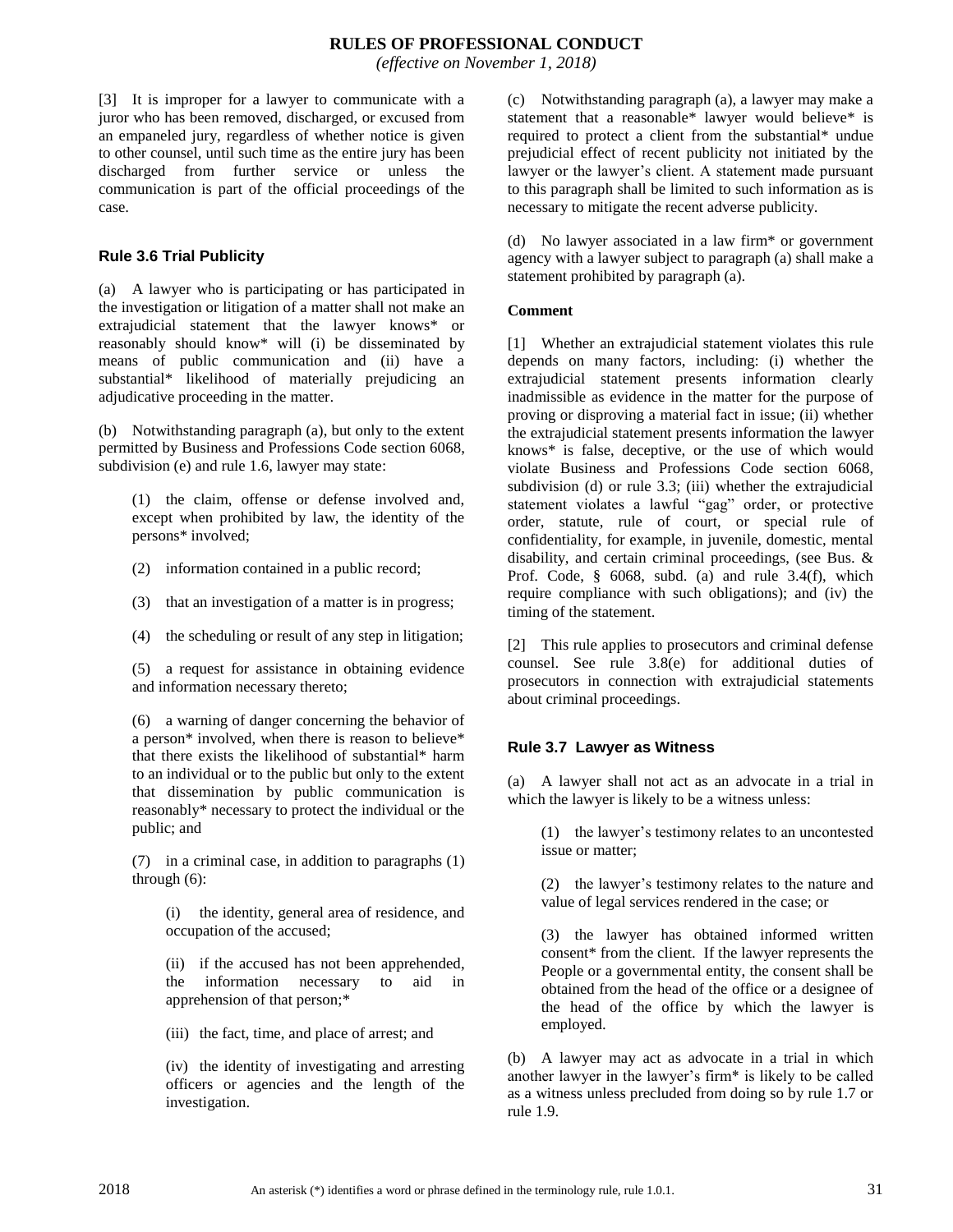*(effective on November 1, 2018)* 

[3] It is improper for a lawyer to communicate with a juror who has been removed, discharged, or excused from an empaneled jury, regardless of whether notice is given to other counsel, until such time as the entire jury has been discharged from further service or unless the communication is part of the official proceedings of the case.

### **Rule 3.6 Trial Publicity**

(a) A lawyer who is participating or has participated in the investigation or litigation of a matter shall not make an extrajudicial statement that the lawyer knows\* or reasonably should know\* will (i) be disseminated by means of public communication and (ii) have a substantial\* likelihood of materially prejudicing an adjudicative proceeding in the matter.

(b) Notwithstanding paragraph (a), but only to the extent permitted by Business and Professions Code section 6068, subdivision (e) and rule 1.6, lawyer may state:

(1) the claim, offense or defense involved and, except when prohibited by law, the identity of the persons\* involved;

- (2) information contained in a public record;
- (3) that an investigation of a matter is in progress;

(4) the scheduling or result of any step in litigation;

(5) a request for assistance in obtaining evidence and information necessary thereto;

(6) a warning of danger concerning the behavior of a person\* involved, when there is reason to believe\* that there exists the likelihood of substantial\* harm to an individual or to the public but only to the extent that dissemination by public communication is reasonably\* necessary to protect the individual or the public; and

(7) in a criminal case, in addition to paragraphs (1) through (6):

(i) the identity, general area of residence, and occupation of the accused;

(ii) if the accused has not been apprehended, the information necessary to aid in apprehension of that person;\*

(iii) the fact, time, and place of arrest; and

(iv) the identity of investigating and arresting officers or agencies and the length of the investigation.

(c) Notwithstanding paragraph (a), a lawyer may make a statement that a reasonable\* lawyer would believe\* is required to protect a client from the substantial\* undue prejudicial effect of recent publicity not initiated by the lawyer or the lawyer's client. A statement made pursuant to this paragraph shall be limited to such information as is necessary to mitigate the recent adverse publicity.

(d) No lawyer associated in a law firm\* or government agency with a lawyer subject to paragraph (a) shall make a statement prohibited by paragraph (a).

#### **Comment**

[1] Whether an extrajudicial statement violates this rule depends on many factors, including: (i) whether the extrajudicial statement presents information clearly inadmissible as evidence in the matter for the purpose of proving or disproving a material fact in issue; (ii) whether the extrajudicial statement presents information the lawyer knows\* is false, deceptive, or the use of which would violate Business and Professions Code section 6068, subdivision (d) or rule 3.3; (iii) whether the extrajudicial statement violates a lawful "gag" order, or protective order, statute, rule of court, or special rule of confidentiality, for example, in juvenile, domestic, mental disability, and certain criminal proceedings, (see Bus. & Prof. Code,  $\S$  6068, subd. (a) and rule 3.4(f), which require compliance with such obligations); and (iv) the timing of the statement.

[2] This rule applies to prosecutors and criminal defense counsel. See rule 3.8(e) for additional duties of prosecutors in connection with extrajudicial statements about criminal proceedings.

### **Rule 3.7 Lawyer as Witness**

(a) A lawyer shall not act as an advocate in a trial in which the lawyer is likely to be a witness unless:

(1) the lawyer's testimony relates to an uncontested issue or matter;

(2) the lawyer's testimony relates to the nature and value of legal services rendered in the case; or

(3) the lawyer has obtained informed written consent\* from the client. If the lawyer represents the People or a governmental entity, the consent shall be obtained from the head of the office or a designee of the head of the office by which the lawyer is employed.

(b) A lawyer may act as advocate in a trial in which another lawyer in the lawyer's firm\* is likely to be called as a witness unless precluded from doing so by rule 1.7 or rule 1.9.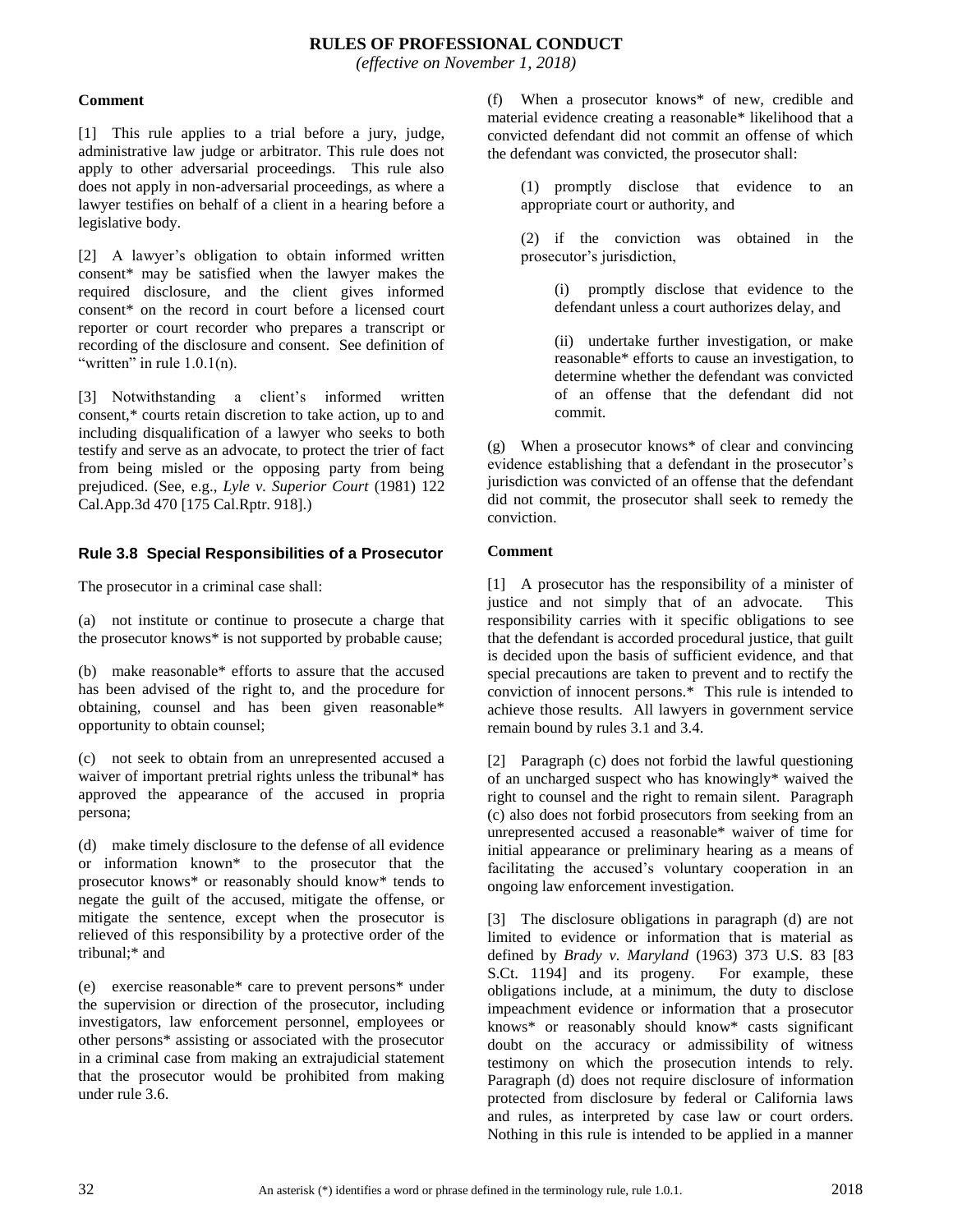*(effective on November 1, 2018)* 

#### **Comment**

[1] This rule applies to a trial before a jury, judge, administrative law judge or arbitrator. This rule does not apply to other adversarial proceedings. This rule also does not apply in non-adversarial proceedings, as where a lawyer testifies on behalf of a client in a hearing before a legislative body.

[2] A lawyer's obligation to obtain informed written consent\* may be satisfied when the lawyer makes the required disclosure, and the client gives informed consent\* on the record in court before a licensed court reporter or court recorder who prepares a transcript or recording of the disclosure and consent. See definition of "written" in rule  $1.0.1(n)$ .

[3] Notwithstanding a client's informed written consent,\* courts retain discretion to take action, up to and including disqualification of a lawyer who seeks to both testify and serve as an advocate, to protect the trier of fact from being misled or the opposing party from being prejudiced. (See, e.g., *Lyle v. Superior Court* (1981) 122 Cal.App.3d 470 [175 Cal.Rptr. 918].)

### **Rule 3.8 Special Responsibilities of a Prosecutor**

The prosecutor in a criminal case shall:

(a) not institute or continue to prosecute a charge that the prosecutor knows\* is not supported by probable cause;

(b) make reasonable\* efforts to assure that the accused has been advised of the right to, and the procedure for obtaining, counsel and has been given reasonable\* opportunity to obtain counsel;

(c) not seek to obtain from an unrepresented accused a waiver of important pretrial rights unless the tribunal\* has approved the appearance of the accused in propria persona;

(d) make timely disclosure to the defense of all evidence or information known\* to the prosecutor that the prosecutor knows\* or reasonably should know\* tends to negate the guilt of the accused, mitigate the offense, or mitigate the sentence, except when the prosecutor is relieved of this responsibility by a protective order of the tribunal;\* and

(e) exercise reasonable\* care to prevent persons\* under the supervision or direction of the prosecutor, including investigators, law enforcement personnel, employees or other persons\* assisting or associated with the prosecutor in a criminal case from making an extrajudicial statement that the prosecutor would be prohibited from making under rule 3.6.

(f) When a prosecutor knows\* of new, credible and material evidence creating a reasonable\* likelihood that a convicted defendant did not commit an offense of which the defendant was convicted, the prosecutor shall:

(1) promptly disclose that evidence to an appropriate court or authority, and

(2) if the conviction was obtained in the prosecutor's jurisdiction,

(i) promptly disclose that evidence to the defendant unless a court authorizes delay, and

(ii) undertake further investigation, or make reasonable\* efforts to cause an investigation, to determine whether the defendant was convicted of an offense that the defendant did not commit.

(g) When a prosecutor knows\* of clear and convincing evidence establishing that a defendant in the prosecutor's jurisdiction was convicted of an offense that the defendant did not commit, the prosecutor shall seek to remedy the conviction.

### **Comment**

[1] A prosecutor has the responsibility of a minister of justice and not simply that of an advocate. This responsibility carries with it specific obligations to see that the defendant is accorded procedural justice, that guilt is decided upon the basis of sufficient evidence, and that special precautions are taken to prevent and to rectify the conviction of innocent persons.\* This rule is intended to achieve those results. All lawyers in government service remain bound by rules 3.1 and 3.4.

[2] Paragraph (c) does not forbid the lawful questioning of an uncharged suspect who has knowingly\* waived the right to counsel and the right to remain silent. Paragraph (c) also does not forbid prosecutors from seeking from an unrepresented accused a reasonable\* waiver of time for initial appearance or preliminary hearing as a means of facilitating the accused's voluntary cooperation in an ongoing law enforcement investigation.

[3] The disclosure obligations in paragraph (d) are not limited to evidence or information that is material as defined by *Brady v. Maryland* (1963) 373 U.S. 83 [83 S.Ct. 1194] and its progeny. For example, these obligations include, at a minimum, the duty to disclose impeachment evidence or information that a prosecutor knows\* or reasonably should know\* casts significant doubt on the accuracy or admissibility of witness testimony on which the prosecution intends to rely. Paragraph (d) does not require disclosure of information protected from disclosure by federal or California laws and rules, as interpreted by case law or court orders. Nothing in this rule is intended to be applied in a manner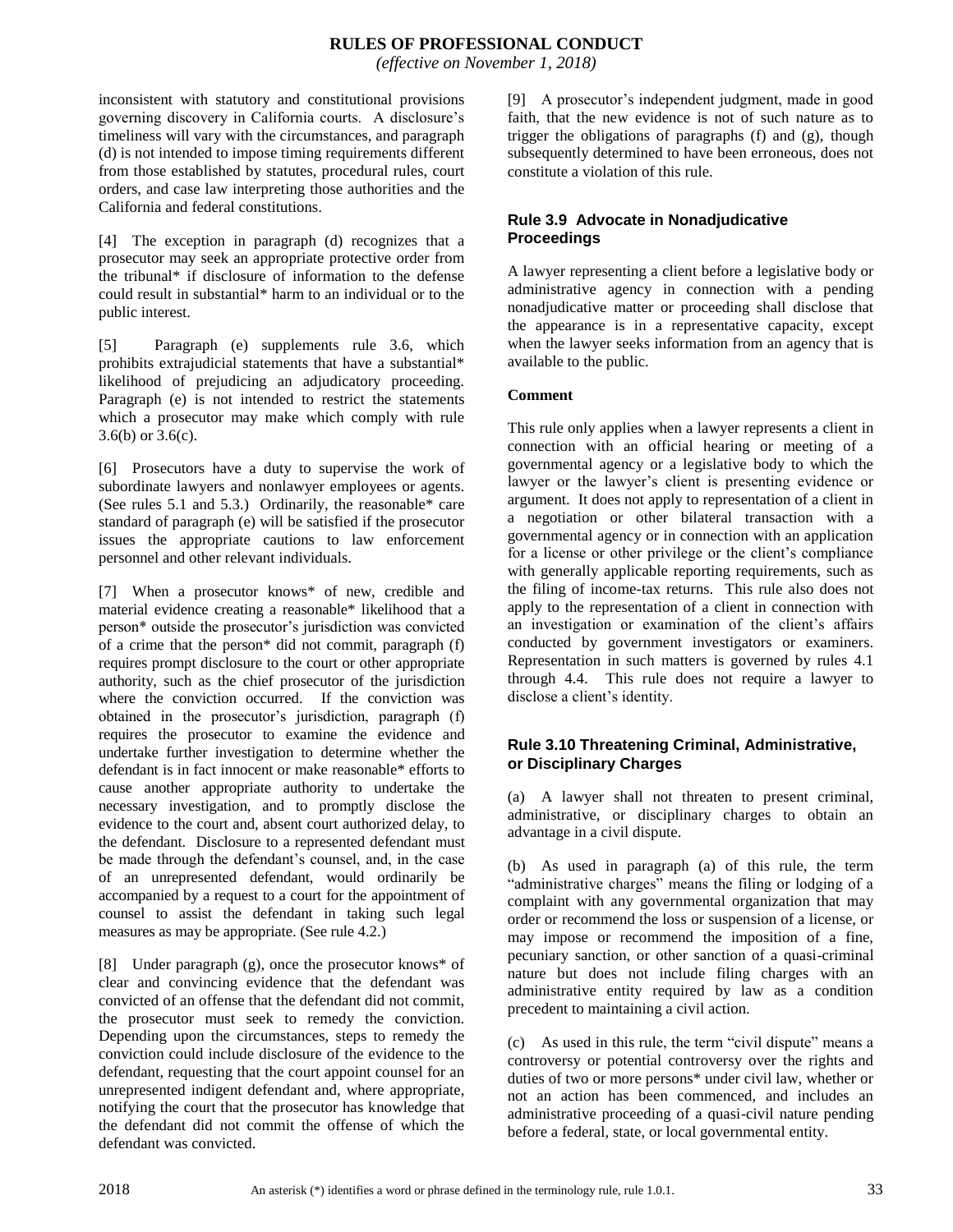*(effective on November 1, 2018)* 

inconsistent with statutory and constitutional provisions governing discovery in California courts. A disclosure's timeliness will vary with the circumstances, and paragraph (d) is not intended to impose timing requirements different from those established by statutes, procedural rules, court orders, and case law interpreting those authorities and the California and federal constitutions.

[4] The exception in paragraph (d) recognizes that a prosecutor may seek an appropriate protective order from the tribunal\* if disclosure of information to the defense could result in substantial\* harm to an individual or to the public interest.

[5] Paragraph (e) supplements rule 3.6, which prohibits extrajudicial statements that have a substantial\* likelihood of prejudicing an adjudicatory proceeding. Paragraph (e) is not intended to restrict the statements which a prosecutor may make which comply with rule 3.6(b) or 3.6(c).

[6] Prosecutors have a duty to supervise the work of subordinate lawyers and nonlawyer employees or agents. (See rules 5.1 and 5.3.) Ordinarily, the reasonable\* care standard of paragraph (e) will be satisfied if the prosecutor issues the appropriate cautions to law enforcement personnel and other relevant individuals.

[7] When a prosecutor knows\* of new, credible and material evidence creating a reasonable\* likelihood that a person\* outside the prosecutor's jurisdiction was convicted of a crime that the person\* did not commit, paragraph (f) requires prompt disclosure to the court or other appropriate authority, such as the chief prosecutor of the jurisdiction where the conviction occurred. If the conviction was obtained in the prosecutor's jurisdiction, paragraph (f) requires the prosecutor to examine the evidence and undertake further investigation to determine whether the defendant is in fact innocent or make reasonable\* efforts to cause another appropriate authority to undertake the necessary investigation, and to promptly disclose the evidence to the court and, absent court authorized delay, to the defendant. Disclosure to a represented defendant must be made through the defendant's counsel, and, in the case of an unrepresented defendant, would ordinarily be accompanied by a request to a court for the appointment of counsel to assist the defendant in taking such legal measures as may be appropriate. (See rule 4.2.)

[8] Under paragraph (g), once the prosecutor knows\* of clear and convincing evidence that the defendant was convicted of an offense that the defendant did not commit, the prosecutor must seek to remedy the conviction. Depending upon the circumstances, steps to remedy the conviction could include disclosure of the evidence to the defendant, requesting that the court appoint counsel for an unrepresented indigent defendant and, where appropriate, notifying the court that the prosecutor has knowledge that the defendant did not commit the offense of which the defendant was convicted.

[9] A prosecutor's independent judgment, made in good faith, that the new evidence is not of such nature as to trigger the obligations of paragraphs (f) and (g), though subsequently determined to have been erroneous, does not constitute a violation of this rule.

### **Rule 3.9 Advocate in Nonadjudicative Proceedings**

A lawyer representing a client before a legislative body or administrative agency in connection with a pending nonadjudicative matter or proceeding shall disclose that the appearance is in a representative capacity, except when the lawyer seeks information from an agency that is available to the public.

### **Comment**

This rule only applies when a lawyer represents a client in connection with an official hearing or meeting of a governmental agency or a legislative body to which the lawyer or the lawyer's client is presenting evidence or argument. It does not apply to representation of a client in a negotiation or other bilateral transaction with a governmental agency or in connection with an application for a license or other privilege or the client's compliance with generally applicable reporting requirements, such as the filing of income-tax returns. This rule also does not apply to the representation of a client in connection with an investigation or examination of the client's affairs conducted by government investigators or examiners. Representation in such matters is governed by rules 4.1 through 4.4. This rule does not require a lawyer to disclose a client's identity.

### **Rule 3.10 Threatening Criminal, Administrative, or Disciplinary Charges**

(a) A lawyer shall not threaten to present criminal, administrative, or disciplinary charges to obtain an advantage in a civil dispute.

(b) As used in paragraph (a) of this rule, the term "administrative charges" means the filing or lodging of a complaint with any governmental organization that may order or recommend the loss or suspension of a license, or may impose or recommend the imposition of a fine, pecuniary sanction, or other sanction of a quasi-criminal nature but does not include filing charges with an administrative entity required by law as a condition precedent to maintaining a civil action.

(c) As used in this rule, the term "civil dispute" means a controversy or potential controversy over the rights and duties of two or more persons\* under civil law, whether or not an action has been commenced, and includes an administrative proceeding of a quasi-civil nature pending before a federal, state, or local governmental entity.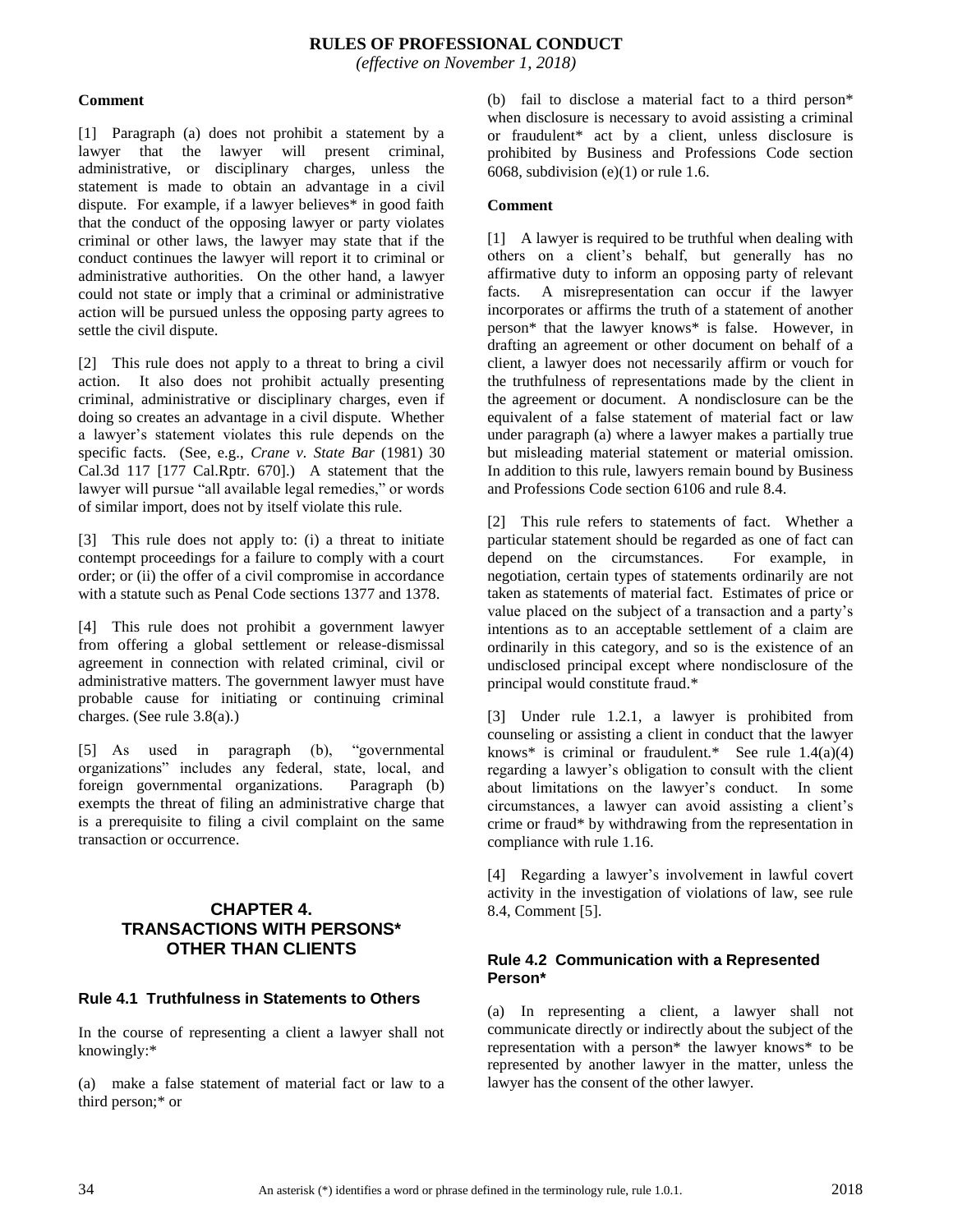*(effective on November 1, 2018)* 

#### **Comment**

[1] Paragraph (a) does not prohibit a statement by a lawyer that the lawyer will present criminal, administrative, or disciplinary charges, unless the statement is made to obtain an advantage in a civil dispute. For example, if a lawyer believes\* in good faith that the conduct of the opposing lawyer or party violates criminal or other laws, the lawyer may state that if the conduct continues the lawyer will report it to criminal or administrative authorities. On the other hand, a lawyer could not state or imply that a criminal or administrative action will be pursued unless the opposing party agrees to settle the civil dispute.

[2] This rule does not apply to a threat to bring a civil action. It also does not prohibit actually presenting criminal, administrative or disciplinary charges, even if doing so creates an advantage in a civil dispute. Whether a lawyer's statement violates this rule depends on the specific facts. (See, e.g., *Crane v. State Bar* (1981) 30 Cal.3d 117 [177 Cal.Rptr. 670].) A statement that the lawyer will pursue "all available legal remedies," or words of similar import, does not by itself violate this rule.

[3] This rule does not apply to: (i) a threat to initiate contempt proceedings for a failure to comply with a court order; or (ii) the offer of a civil compromise in accordance with a statute such as Penal Code sections 1377 and 1378.

[4] This rule does not prohibit a government lawyer from offering a global settlement or release-dismissal agreement in connection with related criminal, civil or administrative matters. The government lawyer must have probable cause for initiating or continuing criminal charges. (See rule 3.8(a).)

[5] As used in paragraph (b), "governmental organizations" includes any federal, state, local, and foreign governmental organizations. Paragraph (b) exempts the threat of filing an administrative charge that is a prerequisite to filing a civil complaint on the same transaction or occurrence.

# **CHAPTER 4. TRANSACTIONS WITH PERSONS\* OTHER THAN CLIENTS**

### **Rule 4.1 Truthfulness in Statements to Others**

In the course of representing a client a lawyer shall not knowingly:\*

(a) make a false statement of material fact or law to a third person;\* or

(b) fail to disclose a material fact to a third person\* when disclosure is necessary to avoid assisting a criminal or fraudulent\* act by a client, unless disclosure is prohibited by Business and Professions Code section 6068, subdivision (e)(1) or rule 1.6.

#### **Comment**

[1] A lawyer is required to be truthful when dealing with others on a client's behalf, but generally has no affirmative duty to inform an opposing party of relevant facts. A misrepresentation can occur if the lawyer incorporates or affirms the truth of a statement of another person\* that the lawyer knows\* is false. However, in drafting an agreement or other document on behalf of a client, a lawyer does not necessarily affirm or vouch for the truthfulness of representations made by the client in the agreement or document. A nondisclosure can be the equivalent of a false statement of material fact or law under paragraph (a) where a lawyer makes a partially true but misleading material statement or material omission. In addition to this rule, lawyers remain bound by Business and Professions Code section 6106 and rule 8.4.

[2] This rule refers to statements of fact. Whether a particular statement should be regarded as one of fact can depend on the circumstances. For example, in negotiation, certain types of statements ordinarily are not taken as statements of material fact. Estimates of price or value placed on the subject of a transaction and a party's intentions as to an acceptable settlement of a claim are ordinarily in this category, and so is the existence of an undisclosed principal except where nondisclosure of the principal would constitute fraud.\*

[3] Under rule 1.2.1, a lawyer is prohibited from counseling or assisting a client in conduct that the lawyer knows\* is criminal or fraudulent.\* See rule  $1.4(a)(4)$ regarding a lawyer's obligation to consult with the client about limitations on the lawyer's conduct. In some circumstances, a lawyer can avoid assisting a client's crime or fraud\* by withdrawing from the representation in compliance with rule 1.16.

[4] Regarding a lawyer's involvement in lawful covert activity in the investigation of violations of law, see rule 8.4, Comment [5].

### **Rule 4.2 Communication with a Represented Person\***

(a) In representing a client, a lawyer shall not communicate directly or indirectly about the subject of the representation with a person\* the lawyer knows\* to be represented by another lawyer in the matter, unless the lawyer has the consent of the other lawyer.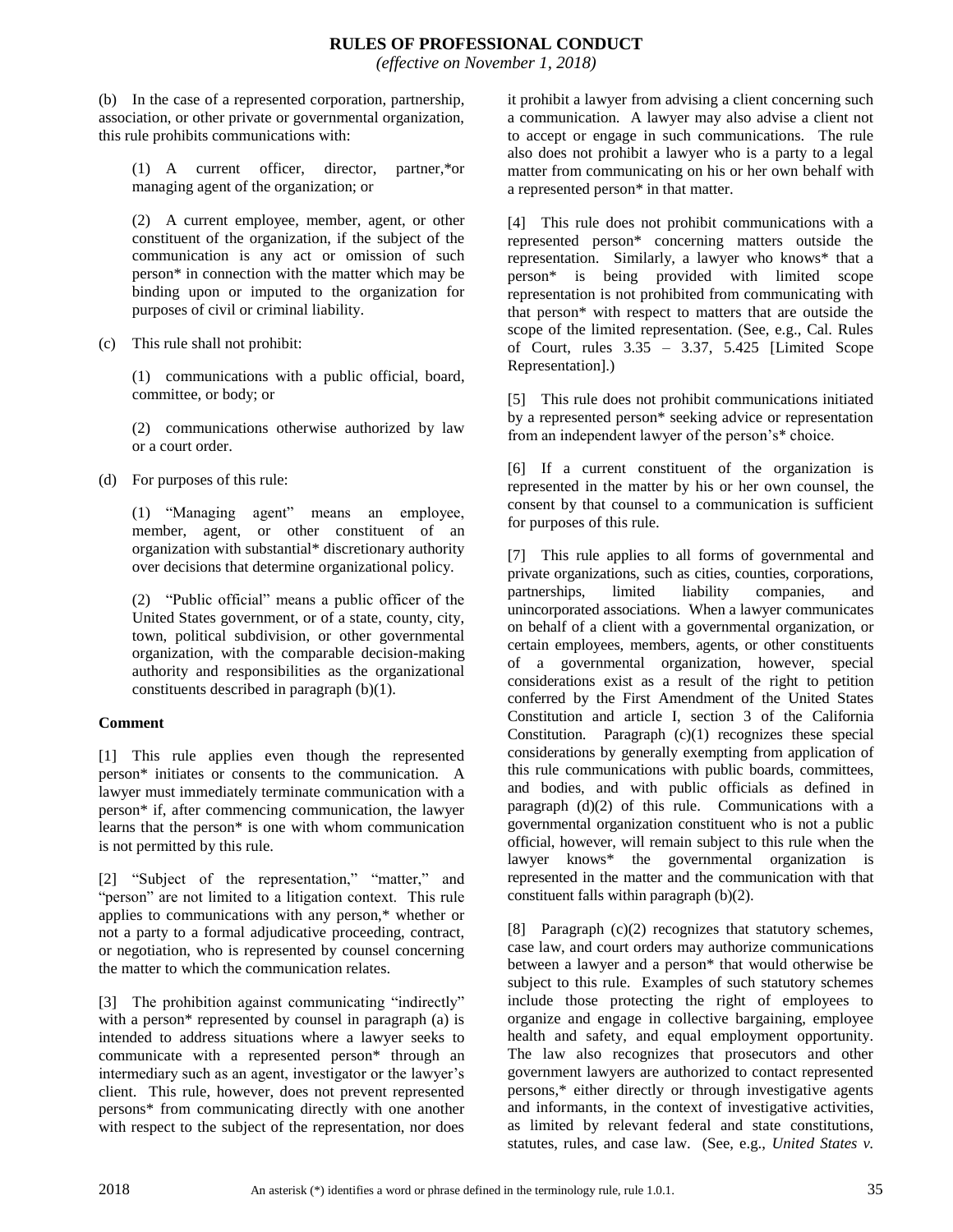(b) In the case of a represented corporation, partnership, association, or other private or governmental organization, this rule prohibits communications with:

(1) A current officer, director, partner,\*or managing agent of the organization; or

(2) A current employee, member, agent, or other constituent of the organization, if the subject of the communication is any act or omission of such person\* in connection with the matter which may be binding upon or imputed to the organization for purposes of civil or criminal liability.

(c) This rule shall not prohibit:

(1) communications with a public official, board, committee, or body; or

(2) communications otherwise authorized by law or a court order.

(d) For purposes of this rule:

(1) "Managing agent" means an employee, member, agent, or other constituent of an organization with substantial\* discretionary authority over decisions that determine organizational policy.

(2) "Public official" means a public officer of the United States government, or of a state, county, city, town, political subdivision, or other governmental organization, with the comparable decision-making authority and responsibilities as the organizational constituents described in paragraph (b)(1).

### **Comment**

[1] This rule applies even though the represented person\* initiates or consents to the communication. A lawyer must immediately terminate communication with a person\* if, after commencing communication, the lawyer learns that the person\* is one with whom communication is not permitted by this rule.

[2] "Subject of the representation," "matter," and "person" are not limited to a litigation context. This rule applies to communications with any person,\* whether or not a party to a formal adjudicative proceeding, contract, or negotiation, who is represented by counsel concerning the matter to which the communication relates.

[3] The prohibition against communicating "indirectly" with a person\* represented by counsel in paragraph (a) is intended to address situations where a lawyer seeks to communicate with a represented person\* through an intermediary such as an agent, investigator or the lawyer's client. This rule, however, does not prevent represented persons\* from communicating directly with one another with respect to the subject of the representation, nor does

it prohibit a lawyer from advising a client concerning such a communication. A lawyer may also advise a client not to accept or engage in such communications. The rule also does not prohibit a lawyer who is a party to a legal matter from communicating on his or her own behalf with a represented person\* in that matter.

[4] This rule does not prohibit communications with a represented person\* concerning matters outside the representation. Similarly, a lawyer who knows\* that a person\* is being provided with limited scope representation is not prohibited from communicating with that person\* with respect to matters that are outside the scope of the limited representation. (See, e.g., Cal. Rules of Court, rules 3.35 – 3.37, 5.425 [Limited Scope Representation].)

[5] This rule does not prohibit communications initiated by a represented person\* seeking advice or representation from an independent lawyer of the person's\* choice.

[6] If a current constituent of the organization is represented in the matter by his or her own counsel, the consent by that counsel to a communication is sufficient for purposes of this rule.

[7] This rule applies to all forms of governmental and private organizations, such as cities, counties, corporations, partnerships, limited liability companies, and unincorporated associations. When a lawyer communicates on behalf of a client with a governmental organization, or certain employees, members, agents, or other constituents of a governmental organization, however, special considerations exist as a result of the right to petition conferred by the First Amendment of the United States Constitution and article I, section 3 of the California Constitution. Paragraph  $(c)(1)$  recognizes these special considerations by generally exempting from application of this rule communications with public boards, committees, and bodies, and with public officials as defined in paragraph (d)(2) of this rule. Communications with a governmental organization constituent who is not a public official, however, will remain subject to this rule when the lawyer knows\* the governmental organization is represented in the matter and the communication with that constituent falls within paragraph (b)(2).

[8] Paragraph (c)(2) recognizes that statutory schemes, case law, and court orders may authorize communications between a lawyer and a person\* that would otherwise be subject to this rule. Examples of such statutory schemes include those protecting the right of employees to organize and engage in collective bargaining, employee health and safety, and equal employment opportunity. The law also recognizes that prosecutors and other government lawyers are authorized to contact represented persons,\* either directly or through investigative agents and informants, in the context of investigative activities, as limited by relevant federal and state constitutions, statutes, rules, and case law. (See, e.g., *United States v.*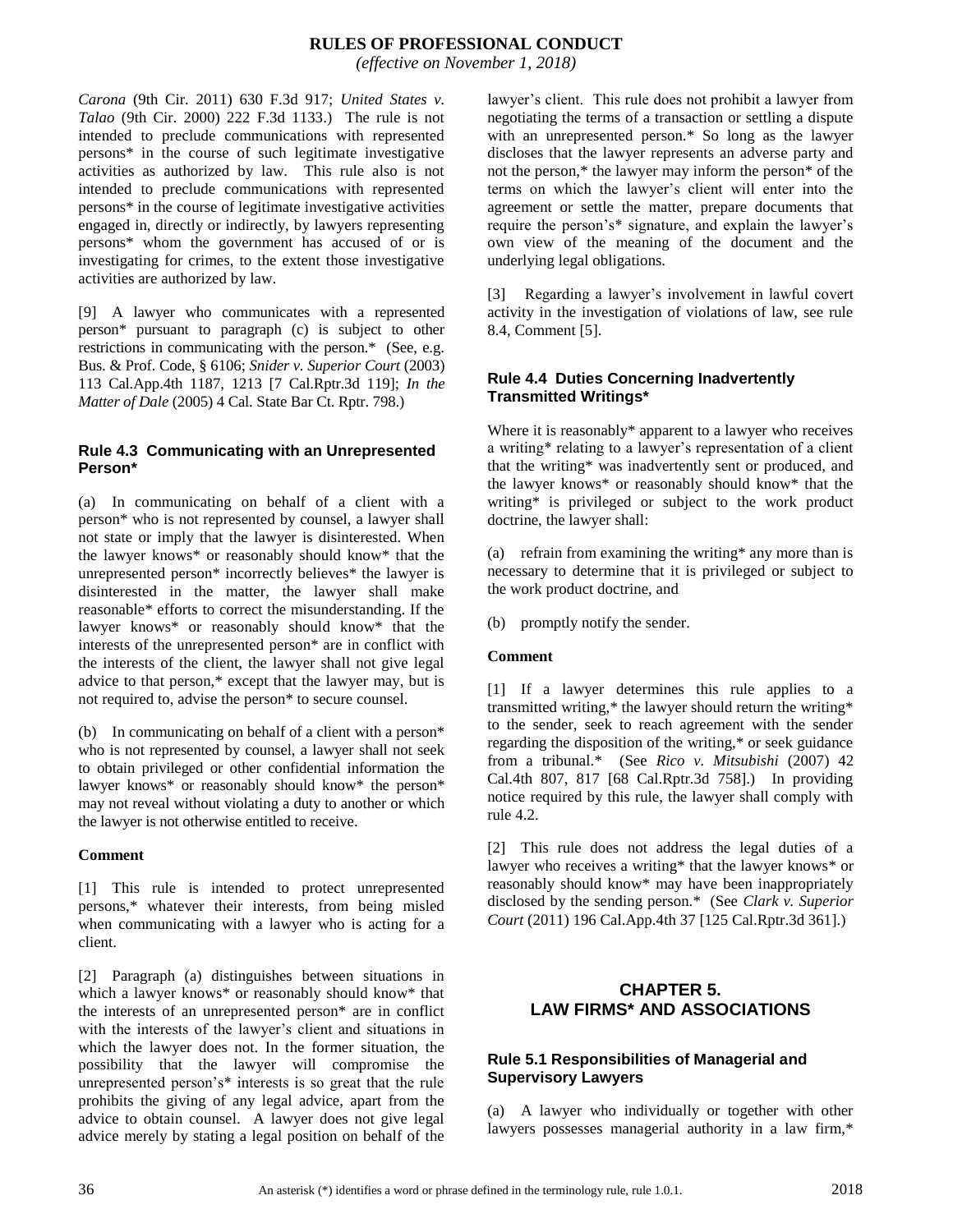*(effective on November 1, 2018)* 

*Carona* (9th Cir. 2011) 630 F.3d 917; *United States v. Talao* (9th Cir. 2000) 222 F.3d 1133.) The rule is not intended to preclude communications with represented persons\* in the course of such legitimate investigative activities as authorized by law. This rule also is not intended to preclude communications with represented persons\* in the course of legitimate investigative activities engaged in, directly or indirectly, by lawyers representing persons\* whom the government has accused of or is investigating for crimes, to the extent those investigative activities are authorized by law.

[9] A lawyer who communicates with a represented person\* pursuant to paragraph (c) is subject to other restrictions in communicating with the person.\* (See, e.g. Bus. & Prof. Code, § 6106; *Snider v. Superior Court* (2003) 113 Cal.App.4th 1187, 1213 [7 Cal.Rptr.3d 119]; *In the Matter of Dale* (2005) 4 Cal. State Bar Ct. Rptr. 798.)

### **Rule 4.3 Communicating with an Unrepresented Person\***

(a) In communicating on behalf of a client with a person\* who is not represented by counsel, a lawyer shall not state or imply that the lawyer is disinterested. When the lawyer knows\* or reasonably should know\* that the unrepresented person\* incorrectly believes\* the lawyer is disinterested in the matter, the lawyer shall make reasonable\* efforts to correct the misunderstanding. If the lawyer knows\* or reasonably should know\* that the interests of the unrepresented person\* are in conflict with the interests of the client, the lawyer shall not give legal advice to that person,\* except that the lawyer may, but is not required to, advise the person\* to secure counsel.

(b) In communicating on behalf of a client with a person\* who is not represented by counsel, a lawyer shall not seek to obtain privileged or other confidential information the lawyer knows\* or reasonably should know\* the person\* may not reveal without violating a duty to another or which the lawyer is not otherwise entitled to receive.

#### **Comment**

[1] This rule is intended to protect unrepresented persons,\* whatever their interests, from being misled when communicating with a lawyer who is acting for a client.

[2] Paragraph (a) distinguishes between situations in which a lawyer knows\* or reasonably should know\* that the interests of an unrepresented person\* are in conflict with the interests of the lawyer's client and situations in which the lawyer does not. In the former situation, the possibility that the lawyer will compromise the unrepresented person's\* interests is so great that the rule prohibits the giving of any legal advice, apart from the advice to obtain counsel. A lawyer does not give legal advice merely by stating a legal position on behalf of the

lawyer's client. This rule does not prohibit a lawyer from negotiating the terms of a transaction or settling a dispute with an unrepresented person.\* So long as the lawyer discloses that the lawyer represents an adverse party and not the person,\* the lawyer may inform the person\* of the terms on which the lawyer's client will enter into the agreement or settle the matter, prepare documents that require the person's\* signature, and explain the lawyer's own view of the meaning of the document and the underlying legal obligations.

[3] Regarding a lawyer's involvement in lawful covert activity in the investigation of violations of law, see rule 8.4, Comment [5].

### **Rule 4.4 Duties Concerning Inadvertently Transmitted Writings\***

Where it is reasonably\* apparent to a lawyer who receives a writing\* relating to a lawyer's representation of a client that the writing\* was inadvertently sent or produced, and the lawyer knows\* or reasonably should know\* that the writing\* is privileged or subject to the work product doctrine, the lawyer shall:

(a) refrain from examining the writing\* any more than is necessary to determine that it is privileged or subject to the work product doctrine, and

(b) promptly notify the sender.

#### **Comment**

[1] If a lawyer determines this rule applies to a transmitted writing,\* the lawyer should return the writing\* to the sender, seek to reach agreement with the sender regarding the disposition of the writing,\* or seek guidance from a tribunal.\* (See *Rico v. Mitsubishi* (2007) 42 Cal.4th 807, 817 [68 Cal.Rptr.3d 758].) In providing notice required by this rule, the lawyer shall comply with rule 4.2.

[2] This rule does not address the legal duties of a lawyer who receives a writing\* that the lawyer knows\* or reasonably should know\* may have been inappropriately disclosed by the sending person.\* (See *Clark v. Superior Court* (2011) 196 Cal.App.4th 37 [125 Cal.Rptr.3d 361].)

### **CHAPTER 5. LAW FIRMS\* AND ASSOCIATIONS**

### **Rule 5.1 Responsibilities of Managerial and Supervisory Lawyers**

(a) A lawyer who individually or together with other lawyers possesses managerial authority in a law firm,\*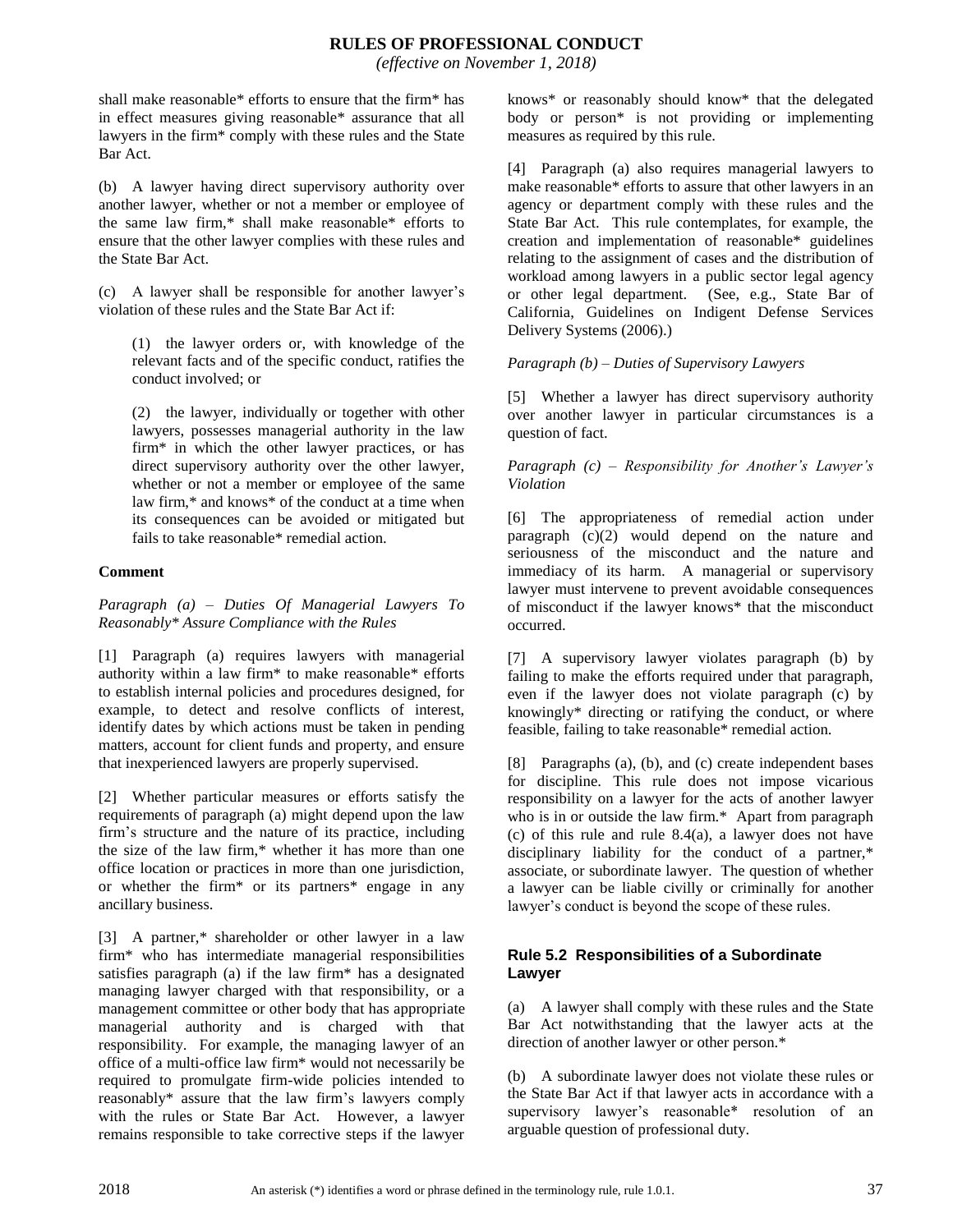*(effective on November 1, 2018)* 

shall make reasonable\* efforts to ensure that the firm\* has in effect measures giving reasonable\* assurance that all lawyers in the firm\* comply with these rules and the State Bar Act.

(b) A lawyer having direct supervisory authority over another lawyer, whether or not a member or employee of the same law firm,\* shall make reasonable\* efforts to ensure that the other lawyer complies with these rules and the State Bar Act.

(c) A lawyer shall be responsible for another lawyer's violation of these rules and the State Bar Act if:

(1) the lawyer orders or, with knowledge of the relevant facts and of the specific conduct, ratifies the conduct involved; or

(2) the lawyer, individually or together with other lawyers, possesses managerial authority in the law firm\* in which the other lawyer practices, or has direct supervisory authority over the other lawyer, whether or not a member or employee of the same law firm,\* and knows\* of the conduct at a time when its consequences can be avoided or mitigated but fails to take reasonable\* remedial action.

#### **Comment**

*Paragraph (a) – Duties Of Managerial Lawyers To Reasonably\* Assure Compliance with the Rules*

[1] Paragraph (a) requires lawyers with managerial authority within a law firm\* to make reasonable\* efforts to establish internal policies and procedures designed, for example, to detect and resolve conflicts of interest, identify dates by which actions must be taken in pending matters, account for client funds and property, and ensure that inexperienced lawyers are properly supervised.

[2] Whether particular measures or efforts satisfy the requirements of paragraph (a) might depend upon the law firm's structure and the nature of its practice, including the size of the law firm,\* whether it has more than one office location or practices in more than one jurisdiction, or whether the firm\* or its partners\* engage in any ancillary business.

[3] A partner,\* shareholder or other lawyer in a law firm\* who has intermediate managerial responsibilities satisfies paragraph (a) if the law firm\* has a designated managing lawyer charged with that responsibility, or a management committee or other body that has appropriate managerial authority and is charged with that responsibility. For example, the managing lawyer of an office of a multi-office law firm\* would not necessarily be required to promulgate firm-wide policies intended to reasonably\* assure that the law firm's lawyers comply with the rules or State Bar Act. However, a lawyer remains responsible to take corrective steps if the lawyer

knows\* or reasonably should know\* that the delegated body or person\* is not providing or implementing measures as required by this rule.

[4] Paragraph (a) also requires managerial lawyers to make reasonable\* efforts to assure that other lawyers in an agency or department comply with these rules and the State Bar Act. This rule contemplates, for example, the creation and implementation of reasonable\* guidelines relating to the assignment of cases and the distribution of workload among lawyers in a public sector legal agency or other legal department. (See, e.g., State Bar of California, Guidelines on Indigent Defense Services Delivery Systems (2006).)

*Paragraph (b) – Duties of Supervisory Lawyers* 

[5] Whether a lawyer has direct supervisory authority over another lawyer in particular circumstances is a question of fact.

*Paragraph (c) – Responsibility for Another's Lawyer's Violation* 

[6] The appropriateness of remedial action under paragraph (c)(2) would depend on the nature and seriousness of the misconduct and the nature and immediacy of its harm. A managerial or supervisory lawyer must intervene to prevent avoidable consequences of misconduct if the lawyer knows\* that the misconduct occurred.

[7] A supervisory lawyer violates paragraph (b) by failing to make the efforts required under that paragraph, even if the lawyer does not violate paragraph (c) by knowingly\* directing or ratifying the conduct, or where feasible, failing to take reasonable\* remedial action.

[8] Paragraphs (a), (b), and (c) create independent bases for discipline. This rule does not impose vicarious responsibility on a lawyer for the acts of another lawyer who is in or outside the law firm.\* Apart from paragraph (c) of this rule and rule 8.4(a), a lawyer does not have disciplinary liability for the conduct of a partner,\* associate, or subordinate lawyer. The question of whether a lawyer can be liable civilly or criminally for another lawyer's conduct is beyond the scope of these rules.

### **Rule 5.2 Responsibilities of a Subordinate Lawyer**

(a) A lawyer shall comply with these rules and the State Bar Act notwithstanding that the lawyer acts at the direction of another lawyer or other person.\*

(b) A subordinate lawyer does not violate these rules or the State Bar Act if that lawyer acts in accordance with a supervisory lawyer's reasonable\* resolution of an arguable question of professional duty.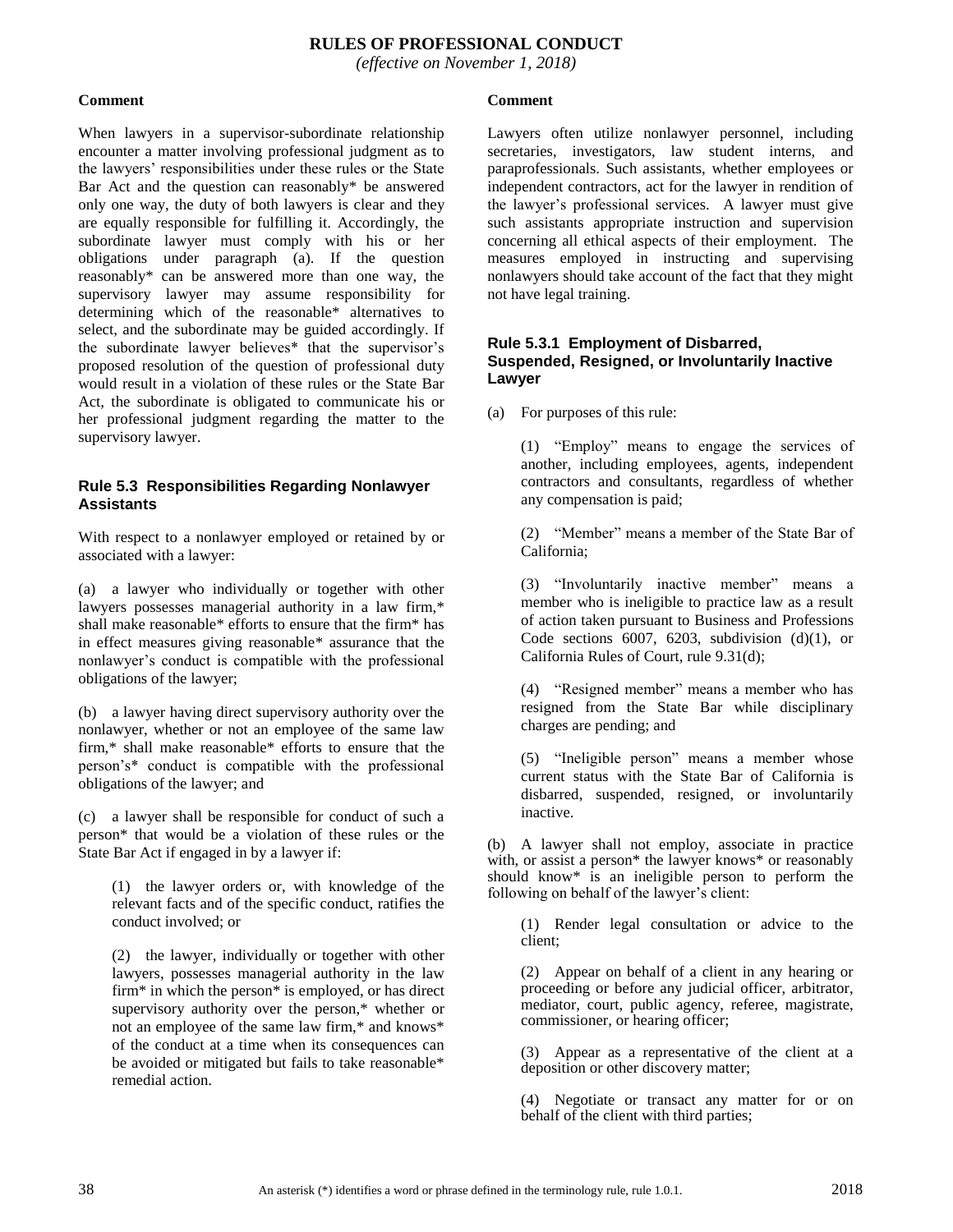*(effective on November 1, 2018)* 

#### **Comment**

When lawyers in a supervisor-subordinate relationship encounter a matter involving professional judgment as to the lawyers' responsibilities under these rules or the State Bar Act and the question can reasonably\* be answered only one way, the duty of both lawyers is clear and they are equally responsible for fulfilling it. Accordingly, the subordinate lawyer must comply with his or her obligations under paragraph (a). If the question reasonably\* can be answered more than one way, the supervisory lawyer may assume responsibility for determining which of the reasonable\* alternatives to select, and the subordinate may be guided accordingly. If the subordinate lawyer believes\* that the supervisor's proposed resolution of the question of professional duty would result in a violation of these rules or the State Bar Act, the subordinate is obligated to communicate his or her professional judgment regarding the matter to the supervisory lawyer.

### **Rule 5.3 Responsibilities Regarding Nonlawyer Assistants**

With respect to a nonlawyer employed or retained by or associated with a lawyer:

(a) a lawyer who individually or together with other lawyers possesses managerial authority in a law firm,\* shall make reasonable\* efforts to ensure that the firm\* has in effect measures giving reasonable\* assurance that the nonlawyer's conduct is compatible with the professional obligations of the lawyer;

(b) a lawyer having direct supervisory authority over the nonlawyer, whether or not an employee of the same law firm,\* shall make reasonable\* efforts to ensure that the person's\* conduct is compatible with the professional obligations of the lawyer; and

(c) a lawyer shall be responsible for conduct of such a person\* that would be a violation of these rules or the State Bar Act if engaged in by a lawyer if:

(1) the lawyer orders or, with knowledge of the relevant facts and of the specific conduct, ratifies the conduct involved; or

(2) the lawyer, individually or together with other lawyers, possesses managerial authority in the law firm\* in which the person\* is employed, or has direct supervisory authority over the person,\* whether or not an employee of the same law firm,\* and knows\* of the conduct at a time when its consequences can be avoided or mitigated but fails to take reasonable\* remedial action.

#### **Comment**

Lawyers often utilize nonlawyer personnel, including secretaries, investigators, law student interns, and paraprofessionals. Such assistants, whether employees or independent contractors, act for the lawyer in rendition of the lawyer's professional services. A lawyer must give such assistants appropriate instruction and supervision concerning all ethical aspects of their employment. The measures employed in instructing and supervising nonlawyers should take account of the fact that they might not have legal training.

#### **Rule 5.3.1 Employment of Disbarred, Suspended, Resigned, or Involuntarily Inactive Lawyer**

(a) For purposes of this rule:

(1) "Employ" means to engage the services of another, including employees, agents, independent contractors and consultants, regardless of whether any compensation is paid;

(2) "Member" means a member of the State Bar of California;

(3) "Involuntarily inactive member" means a member who is ineligible to practice law as a result of action taken pursuant to Business and Professions Code sections  $6007$ ,  $6203$ , subdivision  $(d)(1)$ , or California Rules of Court, rule 9.31(d);

(4) "Resigned member" means a member who has resigned from the State Bar while disciplinary charges are pending; and

(5) "Ineligible person" means a member whose current status with the State Bar of California is disbarred, suspended, resigned, or involuntarily inactive.

(b) A lawyer shall not employ, associate in practice with, or assist a person\* the lawyer knows\* or reasonably should know\* is an ineligible person to perform the following on behalf of the lawyer's client:

(1) Render legal consultation or advice to the client;

(2) Appear on behalf of a client in any hearing or proceeding or before any judicial officer, arbitrator, mediator, court, public agency, referee, magistrate, commissioner, or hearing officer;

(3) Appear as a representative of the client at a deposition or other discovery matter;

(4) Negotiate or transact any matter for or on behalf of the client with third parties;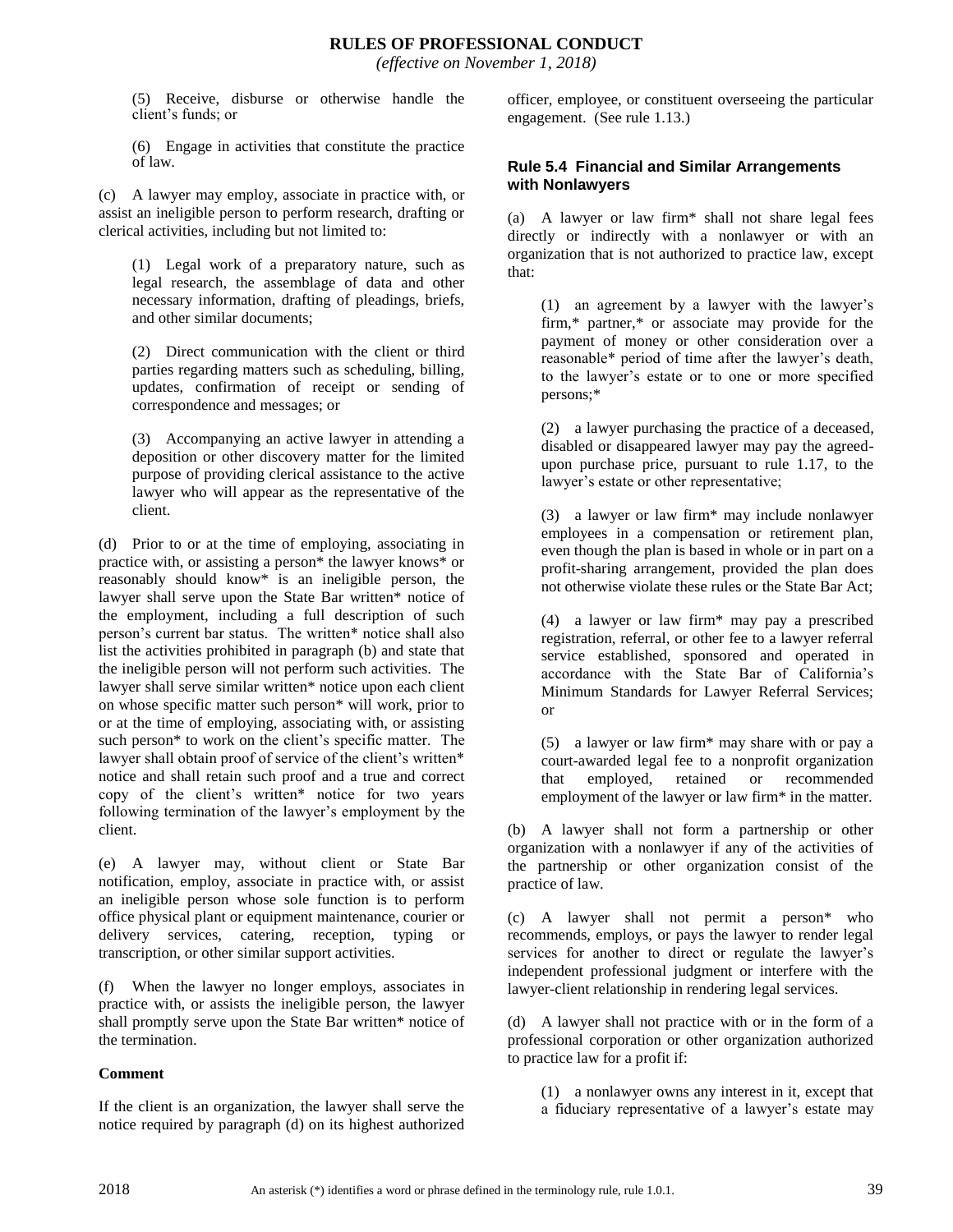(5) Receive, disburse or otherwise handle the client's funds; or

(6) Engage in activities that constitute the practice of law.

(c) A lawyer may employ, associate in practice with, or assist an ineligible person to perform research, drafting or clerical activities, including but not limited to:

(1) Legal work of a preparatory nature, such as legal research, the assemblage of data and other necessary information, drafting of pleadings, briefs, and other similar documents;

(2) Direct communication with the client or third parties regarding matters such as scheduling, billing, updates, confirmation of receipt or sending of correspondence and messages; or

(3) Accompanying an active lawyer in attending a deposition or other discovery matter for the limited purpose of providing clerical assistance to the active lawyer who will appear as the representative of the client.

(d) Prior to or at the time of employing, associating in practice with, or assisting a person\* the lawyer knows\* or reasonably should know\* is an ineligible person, the lawyer shall serve upon the State Bar written\* notice of the employment, including a full description of such person's current bar status. The written\* notice shall also list the activities prohibited in paragraph (b) and state that the ineligible person will not perform such activities. The lawyer shall serve similar written\* notice upon each client on whose specific matter such person\* will work, prior to or at the time of employing, associating with, or assisting such person\* to work on the client's specific matter. The lawyer shall obtain proof of service of the client's written\* notice and shall retain such proof and a true and correct copy of the client's written\* notice for two years following termination of the lawyer's employment by the client.

(e) A lawyer may, without client or State Bar notification, employ, associate in practice with, or assist an ineligible person whose sole function is to perform office physical plant or equipment maintenance, courier or delivery services, catering, reception, typing or transcription, or other similar support activities.

(f) When the lawyer no longer employs, associates in practice with, or assists the ineligible person, the lawyer shall promptly serve upon the State Bar written\* notice of the termination.

### **Comment**

If the client is an organization, the lawyer shall serve the notice required by paragraph (d) on its highest authorized officer, employee, or constituent overseeing the particular engagement. (See rule 1.13.)

### **Rule 5.4 Financial and Similar Arrangements with Nonlawyers**

(a) A lawyer or law firm\* shall not share legal fees directly or indirectly with a nonlawyer or with an organization that is not authorized to practice law, except that:

(1) an agreement by a lawyer with the lawyer's firm,\* partner,\* or associate may provide for the payment of money or other consideration over a reasonable\* period of time after the lawyer's death, to the lawyer's estate or to one or more specified persons;\*

(2) a lawyer purchasing the practice of a deceased, disabled or disappeared lawyer may pay the agreedupon purchase price, pursuant to rule 1.17, to the lawyer's estate or other representative;

(3) a lawyer or law firm\* may include nonlawyer employees in a compensation or retirement plan, even though the plan is based in whole or in part on a profit-sharing arrangement, provided the plan does not otherwise violate these rules or the State Bar Act;

(4) a lawyer or law firm\* may pay a prescribed registration, referral, or other fee to a lawyer referral service established, sponsored and operated in accordance with the State Bar of California's Minimum Standards for Lawyer Referral Services; or

(5) a lawyer or law firm\* may share with or pay a court-awarded legal fee to a nonprofit organization that employed, retained or recommended employment of the lawyer or law firm\* in the matter.

(b) A lawyer shall not form a partnership or other organization with a nonlawyer if any of the activities of the partnership or other organization consist of the practice of law.

(c) A lawyer shall not permit a person\* who recommends, employs, or pays the lawyer to render legal services for another to direct or regulate the lawyer's independent professional judgment or interfere with the lawyer-client relationship in rendering legal services.

(d) A lawyer shall not practice with or in the form of a professional corporation or other organization authorized to practice law for a profit if:

(1) a nonlawyer owns any interest in it, except that a fiduciary representative of a lawyer's estate may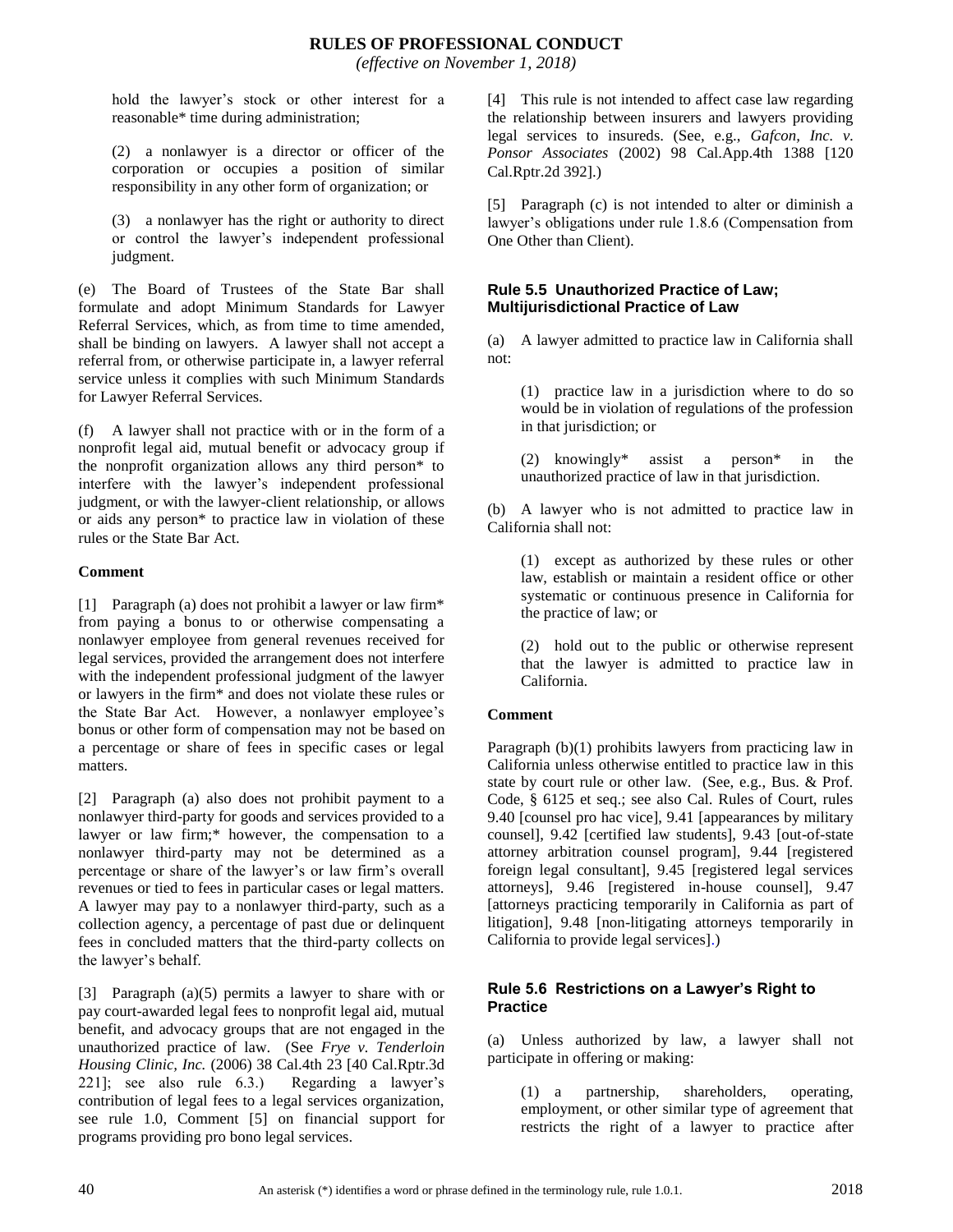hold the lawyer's stock or other interest for a reasonable\* time during administration;

(2) a nonlawyer is a director or officer of the corporation or occupies a position of similar responsibility in any other form of organization; or

(3) a nonlawyer has the right or authority to direct or control the lawyer's independent professional judgment.

(e) The Board of Trustees of the State Bar shall formulate and adopt Minimum Standards for Lawyer Referral Services, which, as from time to time amended, shall be binding on lawyers. A lawyer shall not accept a referral from, or otherwise participate in, a lawyer referral service unless it complies with such Minimum Standards for Lawyer Referral Services.

(f) A lawyer shall not practice with or in the form of a nonprofit legal aid, mutual benefit or advocacy group if the nonprofit organization allows any third person\* to interfere with the lawyer's independent professional judgment, or with the lawyer-client relationship, or allows or aids any person\* to practice law in violation of these rules or the State Bar Act.

### **Comment**

[1] Paragraph (a) does not prohibit a lawyer or law firm\* from paying a bonus to or otherwise compensating a nonlawyer employee from general revenues received for legal services, provided the arrangement does not interfere with the independent professional judgment of the lawyer or lawyers in the firm\* and does not violate these rules or the State Bar Act. However, a nonlawyer employee's bonus or other form of compensation may not be based on a percentage or share of fees in specific cases or legal matters.

[2] Paragraph (a) also does not prohibit payment to a nonlawyer third-party for goods and services provided to a lawyer or law firm;\* however, the compensation to a nonlawyer third-party may not be determined as a percentage or share of the lawyer's or law firm's overall revenues or tied to fees in particular cases or legal matters. A lawyer may pay to a nonlawyer third-party, such as a collection agency, a percentage of past due or delinquent fees in concluded matters that the third-party collects on the lawyer's behalf.

[3] Paragraph (a)(5) permits a lawyer to share with or pay court-awarded legal fees to nonprofit legal aid, mutual benefit, and advocacy groups that are not engaged in the unauthorized practice of law. (See *Frye v. Tenderloin Housing Clinic, Inc.* (2006) 38 Cal.4th 23 [40 Cal.Rptr.3d 221]; see also rule 6.3.) Regarding a lawyer's contribution of legal fees to a legal services organization, see rule 1.0, Comment [5] on financial support for programs providing pro bono legal services.

[4] This rule is not intended to affect case law regarding the relationship between insurers and lawyers providing legal services to insureds. (See, e.g., *Gafcon, Inc. v. Ponsor Associates* (2002) 98 Cal.App.4th 1388 [120 Cal.Rptr.2d 392].)

[5] Paragraph (c) is not intended to alter or diminish a lawyer's obligations under rule 1.8.6 (Compensation from One Other than Client).

### **Rule 5.5 Unauthorized Practice of Law; Multijurisdictional Practice of Law**

(a) A lawyer admitted to practice law in California shall not:

(1) practice law in a jurisdiction where to do so would be in violation of regulations of the profession in that jurisdiction; or

(2) knowingly\* assist a person\* in the unauthorized practice of law in that jurisdiction.

(b) A lawyer who is not admitted to practice law in California shall not:

(1) except as authorized by these rules or other law, establish or maintain a resident office or other systematic or continuous presence in California for the practice of law; or

(2) hold out to the public or otherwise represent that the lawyer is admitted to practice law in California.

### **Comment**

Paragraph (b)(1) prohibits lawyers from practicing law in California unless otherwise entitled to practice law in this state by court rule or other law. (See, e.g., Bus. & Prof. Code, § 6125 et seq.; see also Cal. Rules of Court, rules 9.40 [counsel pro hac vice], 9.41 [appearances by military counsel], 9.42 [certified law students], 9.43 [out-of-state attorney arbitration counsel program], 9.44 [registered foreign legal consultant], 9.45 [registered legal services attorneys], 9.46 [registered in-house counsel], 9.47 [attorneys practicing temporarily in California as part of litigation], 9.48 [non-litigating attorneys temporarily in California to provide legal services].)

### **Rule 5.6 Restrictions on a Lawyer's Right to Practice**

(a) Unless authorized by law, a lawyer shall not participate in offering or making:

(1) a partnership, shareholders, operating, employment, or other similar type of agreement that restricts the right of a lawyer to practice after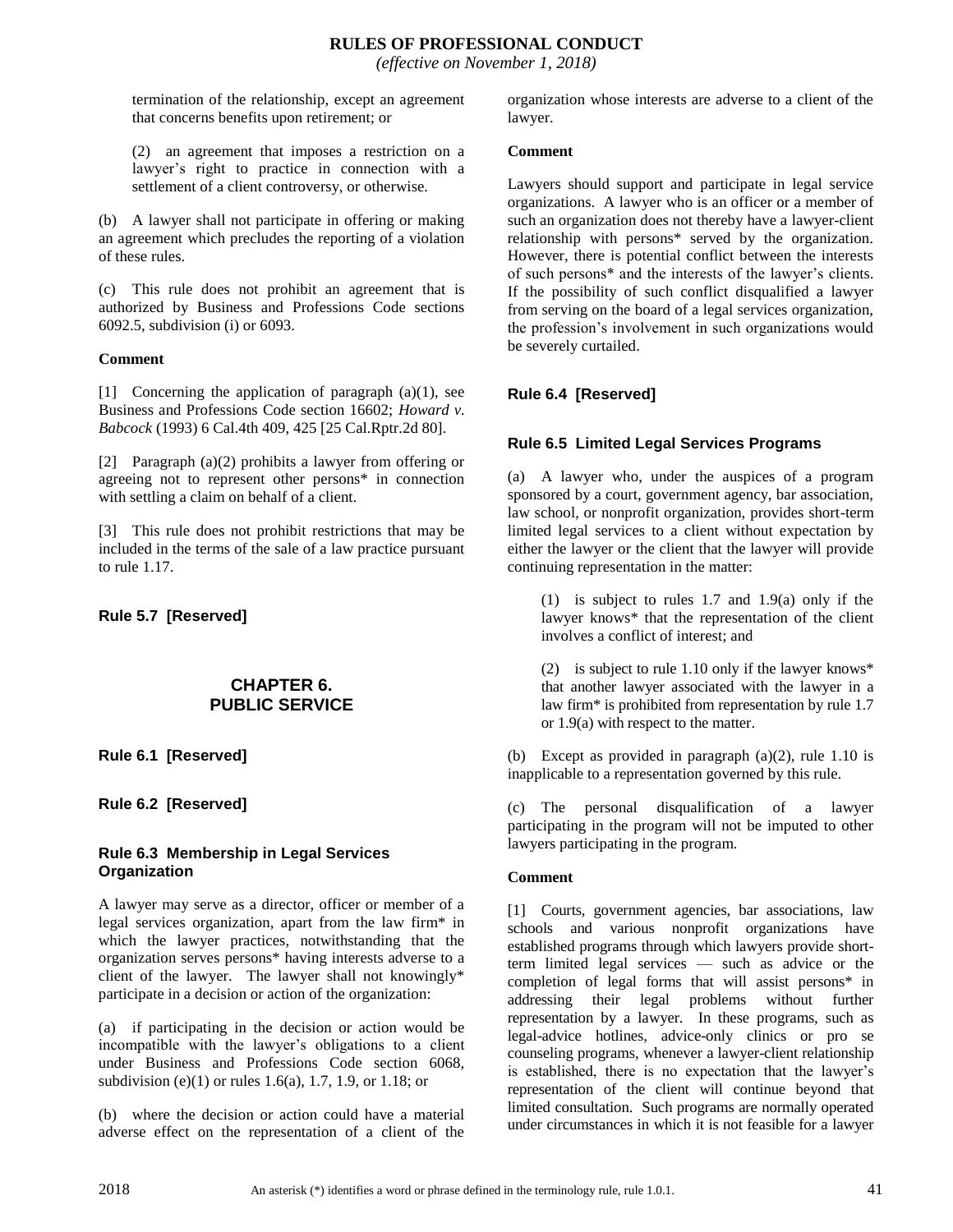*(effective on November 1, 2018)* 

termination of the relationship, except an agreement that concerns benefits upon retirement; or

(2) an agreement that imposes a restriction on a lawyer's right to practice in connection with a settlement of a client controversy, or otherwise.

(b) A lawyer shall not participate in offering or making an agreement which precludes the reporting of a violation of these rules.

(c) This rule does not prohibit an agreement that is authorized by Business and Professions Code sections 6092.5, subdivision (i) or 6093.

#### **Comment**

[1] Concerning the application of paragraph (a)(1), see Business and Professions Code section 16602; *Howard v. Babcock* (1993) 6 Cal.4th 409, 425 [25 Cal.Rptr.2d 80].

[2] Paragraph (a)(2) prohibits a lawyer from offering or agreeing not to represent other persons\* in connection with settling a claim on behalf of a client.

[3] This rule does not prohibit restrictions that may be included in the terms of the sale of a law practice pursuant to rule 1.17.

### **Rule 5.7 [Reserved]**

### **CHAPTER 6. PUBLIC SERVICE**

### **Rule 6.1 [Reserved]**

### **Rule 6.2 [Reserved]**

#### **Rule 6.3 Membership in Legal Services Organization**

A lawyer may serve as a director, officer or member of a legal services organization, apart from the law firm\* in which the lawyer practices, notwithstanding that the organization serves persons\* having interests adverse to a client of the lawyer. The lawyer shall not knowingly\* participate in a decision or action of the organization:

(a) if participating in the decision or action would be incompatible with the lawyer's obligations to a client under Business and Professions Code section 6068, subdivision (e)(1) or rules 1.6(a), 1.7, 1.9, or 1.18; or

(b) where the decision or action could have a material adverse effect on the representation of a client of the organization whose interests are adverse to a client of the lawyer.

#### **Comment**

Lawyers should support and participate in legal service organizations. A lawyer who is an officer or a member of such an organization does not thereby have a lawyer-client relationship with persons\* served by the organization. However, there is potential conflict between the interests of such persons\* and the interests of the lawyer's clients. If the possibility of such conflict disqualified a lawyer from serving on the board of a legal services organization, the profession's involvement in such organizations would be severely curtailed.

### **Rule 6.4 [Reserved]**

### **Rule 6.5 Limited Legal Services Programs**

(a) A lawyer who, under the auspices of a program sponsored by a court, government agency, bar association, law school, or nonprofit organization, provides short-term limited legal services to a client without expectation by either the lawyer or the client that the lawyer will provide continuing representation in the matter:

(1) is subject to rules 1.7 and 1.9(a) only if the lawyer knows\* that the representation of the client involves a conflict of interest; and

(2) is subject to rule 1.10 only if the lawyer knows\* that another lawyer associated with the lawyer in a law firm\* is prohibited from representation by rule 1.7 or 1.9(a) with respect to the matter.

(b) Except as provided in paragraph  $(a)(2)$ , rule 1.10 is inapplicable to a representation governed by this rule.

(c) The personal disqualification of a lawyer participating in the program will not be imputed to other lawyers participating in the program.

#### **Comment**

[1] Courts, government agencies, bar associations, law schools and various nonprofit organizations have established programs through which lawyers provide shortterm limited legal services — such as advice or the completion of legal forms that will assist persons\* in addressing their legal problems without further representation by a lawyer. In these programs, such as legal-advice hotlines, advice-only clinics or pro se counseling programs, whenever a lawyer-client relationship is established, there is no expectation that the lawyer's representation of the client will continue beyond that limited consultation. Such programs are normally operated under circumstances in which it is not feasible for a lawyer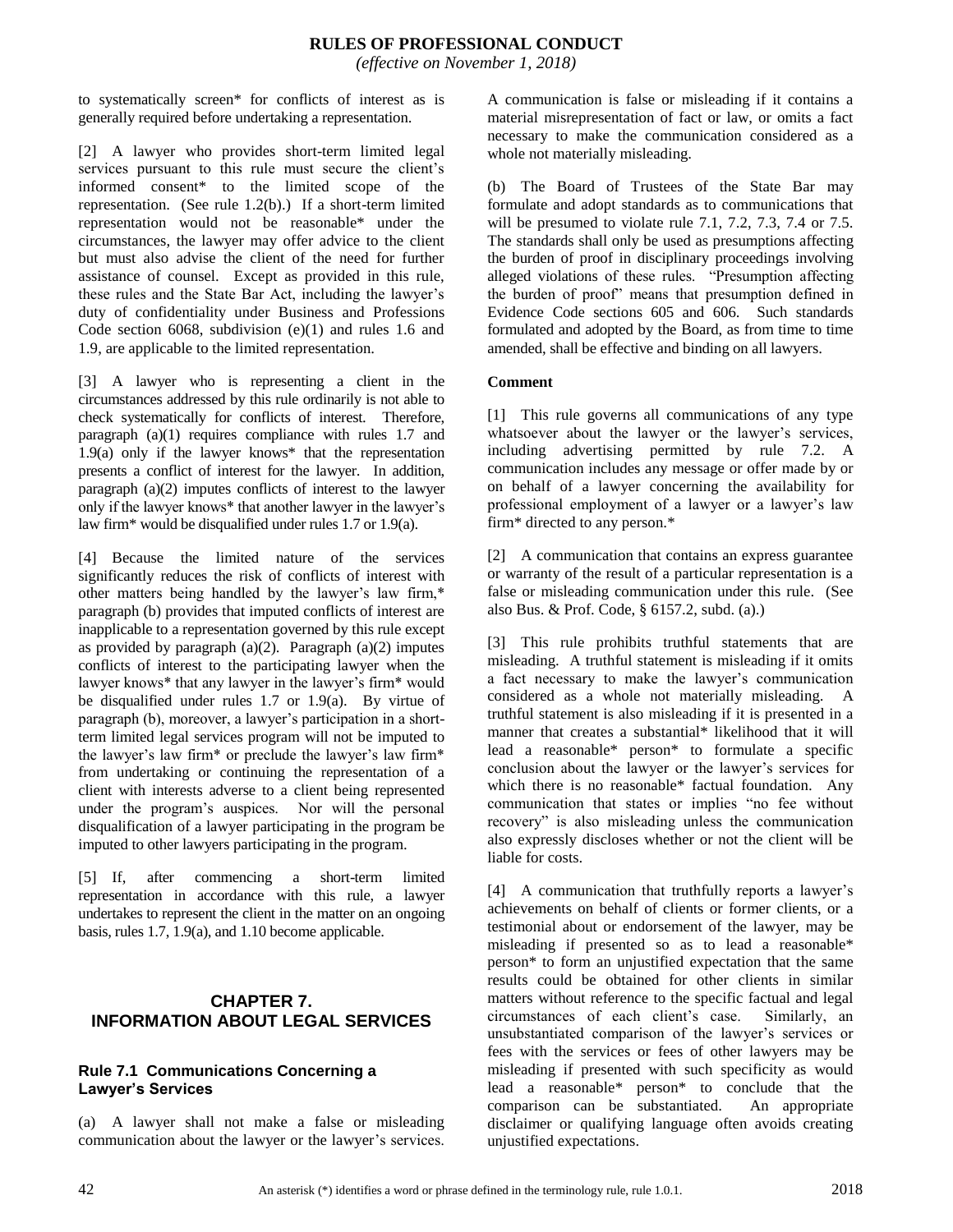to systematically screen\* for conflicts of interest as is generally required before undertaking a representation.

[2] A lawyer who provides short-term limited legal services pursuant to this rule must secure the client's informed consent\* to the limited scope of the representation. (See rule 1.2(b).) If a short-term limited representation would not be reasonable\* under the circumstances, the lawyer may offer advice to the client but must also advise the client of the need for further assistance of counsel. Except as provided in this rule, these rules and the State Bar Act, including the lawyer's duty of confidentiality under Business and Professions Code section 6068, subdivision (e)(1) and rules 1.6 and 1.9, are applicable to the limited representation.

[3] A lawyer who is representing a client in the circumstances addressed by this rule ordinarily is not able to check systematically for conflicts of interest. Therefore, paragraph (a)(1) requires compliance with rules 1.7 and 1.9(a) only if the lawyer knows\* that the representation presents a conflict of interest for the lawyer. In addition, paragraph (a)(2) imputes conflicts of interest to the lawyer only if the lawyer knows\* that another lawyer in the lawyer's law firm\* would be disqualified under rules 1.7 or 1.9(a).

[4] Because the limited nature of the services significantly reduces the risk of conflicts of interest with other matters being handled by the lawyer's law firm,\* paragraph (b) provides that imputed conflicts of interest are inapplicable to a representation governed by this rule except as provided by paragraph  $(a)(2)$ . Paragraph  $(a)(2)$  imputes conflicts of interest to the participating lawyer when the lawyer knows\* that any lawyer in the lawyer's firm\* would be disqualified under rules 1.7 or 1.9(a). By virtue of paragraph (b), moreover, a lawyer's participation in a shortterm limited legal services program will not be imputed to the lawyer's law firm\* or preclude the lawyer's law firm\* from undertaking or continuing the representation of a client with interests adverse to a client being represented under the program's auspices. Nor will the personal disqualification of a lawyer participating in the program be imputed to other lawyers participating in the program.

[5] If, after commencing a short-term limited representation in accordance with this rule, a lawyer undertakes to represent the client in the matter on an ongoing basis, rules 1.7, 1.9(a), and 1.10 become applicable.

# **CHAPTER 7. INFORMATION ABOUT LEGAL SERVICES**

### **Rule 7.1 Communications Concerning a Lawyer's Services**

(a) A lawyer shall not make a false or misleading communication about the lawyer or the lawyer's services. A communication is false or misleading if it contains a material misrepresentation of fact or law, or omits a fact necessary to make the communication considered as a whole not materially misleading.

(b) The Board of Trustees of the State Bar may formulate and adopt standards as to communications that will be presumed to violate rule 7.1, 7.2, 7.3, 7.4 or 7.5. The standards shall only be used as presumptions affecting the burden of proof in disciplinary proceedings involving alleged violations of these rules. "Presumption affecting the burden of proof" means that presumption defined in Evidence Code sections 605 and 606. Such standards formulated and adopted by the Board, as from time to time amended, shall be effective and binding on all lawyers.

### **Comment**

[1] This rule governs all communications of any type whatsoever about the lawyer or the lawyer's services, including advertising permitted by rule 7.2. A communication includes any message or offer made by or on behalf of a lawyer concerning the availability for professional employment of a lawyer or a lawyer's law firm\* directed to any person.\*

[2] A communication that contains an express guarantee or warranty of the result of a particular representation is a false or misleading communication under this rule. (See also Bus. & Prof. Code, § 6157.2, subd. (a).)

[3] This rule prohibits truthful statements that are misleading. A truthful statement is misleading if it omits a fact necessary to make the lawyer's communication considered as a whole not materially misleading. A truthful statement is also misleading if it is presented in a manner that creates a substantial\* likelihood that it will lead a reasonable\* person\* to formulate a specific conclusion about the lawyer or the lawyer's services for which there is no reasonable\* factual foundation. Any communication that states or implies "no fee without recovery" is also misleading unless the communication also expressly discloses whether or not the client will be liable for costs.

[4] A communication that truthfully reports a lawyer's achievements on behalf of clients or former clients, or a testimonial about or endorsement of the lawyer, may be misleading if presented so as to lead a reasonable\* person\* to form an unjustified expectation that the same results could be obtained for other clients in similar matters without reference to the specific factual and legal circumstances of each client's case. Similarly, an unsubstantiated comparison of the lawyer's services or fees with the services or fees of other lawyers may be misleading if presented with such specificity as would lead a reasonable\* person\* to conclude that the comparison can be substantiated. An appropriate disclaimer or qualifying language often avoids creating unjustified expectations.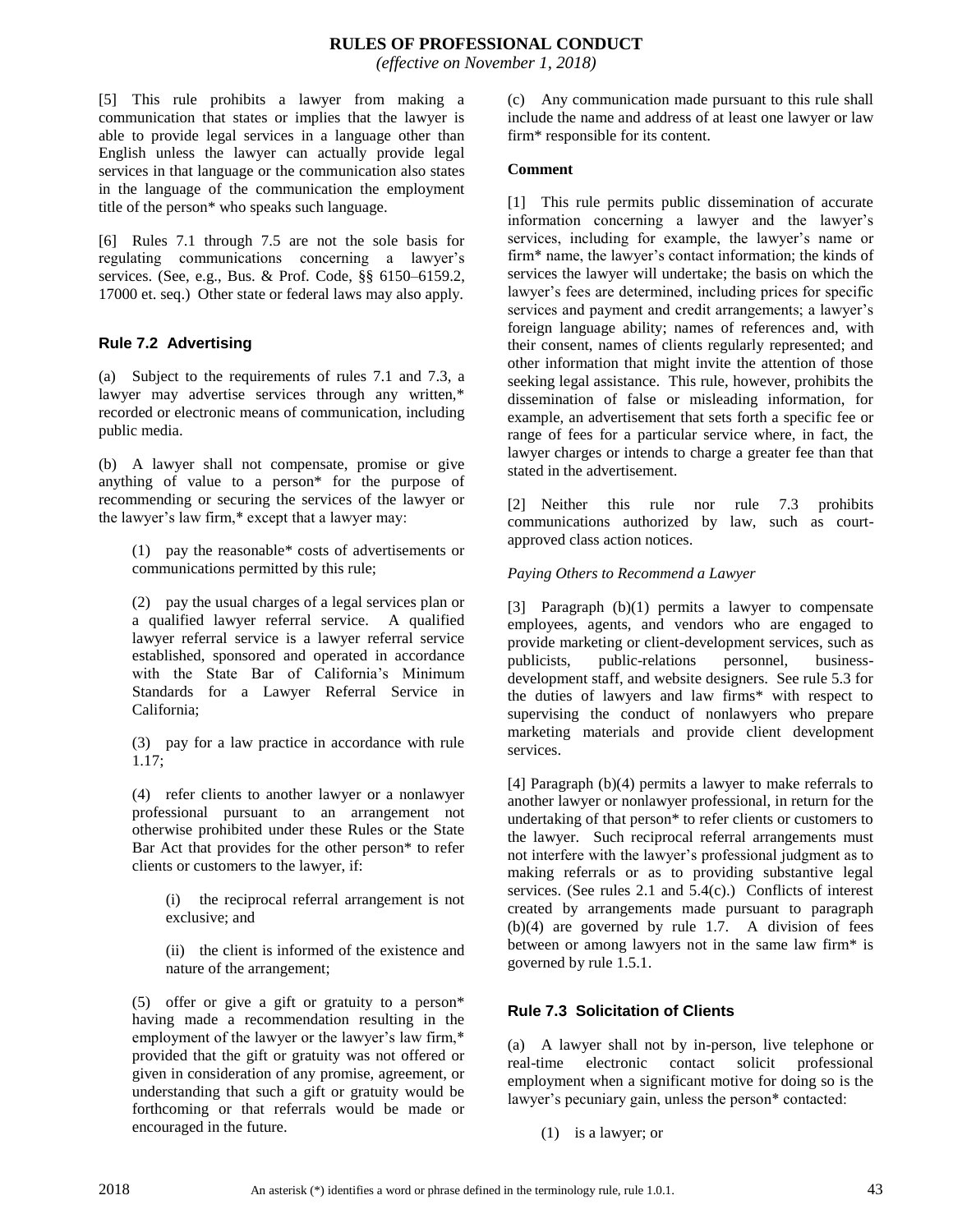*(effective on November 1, 2018)* 

[5] This rule prohibits a lawyer from making a communication that states or implies that the lawyer is able to provide legal services in a language other than English unless the lawyer can actually provide legal services in that language or the communication also states in the language of the communication the employment title of the person\* who speaks such language.

[6] Rules 7.1 through 7.5 are not the sole basis for regulating communications concerning a lawyer's services. (See, e.g., Bus. & Prof. Code, §§ 6150–6159.2, 17000 et. seq.) Other state or federal laws may also apply.

### **Rule 7.2 Advertising**

(a) Subject to the requirements of rules 7.1 and 7.3, a lawyer may advertise services through any written,\* recorded or electronic means of communication, including public media.

(b) A lawyer shall not compensate, promise or give anything of value to a person\* for the purpose of recommending or securing the services of the lawyer or the lawyer's law firm,\* except that a lawyer may:

(1) pay the reasonable\* costs of advertisements or communications permitted by this rule;

(2) pay the usual charges of a legal services plan or a qualified lawyer referral service. A qualified lawyer referral service is a lawyer referral service established, sponsored and operated in accordance with the State Bar of California's Minimum Standards for a Lawyer Referral Service in California;

(3) pay for a law practice in accordance with rule 1.17;

(4) refer clients to another lawyer or a nonlawyer professional pursuant to an arrangement not otherwise prohibited under these Rules or the State Bar Act that provides for the other person\* to refer clients or customers to the lawyer, if:

> (i) the reciprocal referral arrangement is not exclusive; and

> (ii) the client is informed of the existence and nature of the arrangement;

(5) offer or give a gift or gratuity to a person\* having made a recommendation resulting in the employment of the lawyer or the lawyer's law firm,\* provided that the gift or gratuity was not offered or given in consideration of any promise, agreement, or understanding that such a gift or gratuity would be forthcoming or that referrals would be made or encouraged in the future.

(c) Any communication made pursuant to this rule shall include the name and address of at least one lawyer or law firm\* responsible for its content.

#### **Comment**

[1] This rule permits public dissemination of accurate information concerning a lawyer and the lawyer's services, including for example, the lawyer's name or firm\* name, the lawyer's contact information; the kinds of services the lawyer will undertake; the basis on which the lawyer's fees are determined, including prices for specific services and payment and credit arrangements; a lawyer's foreign language ability; names of references and, with their consent, names of clients regularly represented; and other information that might invite the attention of those seeking legal assistance. This rule, however, prohibits the dissemination of false or misleading information, for example, an advertisement that sets forth a specific fee or range of fees for a particular service where, in fact, the lawyer charges or intends to charge a greater fee than that stated in the advertisement.

[2] Neither this rule nor rule 7.3 prohibits communications authorized by law, such as courtapproved class action notices.

### *Paying Others to Recommend a Lawyer*

[3] Paragraph (b)(1) permits a lawyer to compensate employees, agents, and vendors who are engaged to provide marketing or client-development services, such as publicists, public-relations personnel, businessdevelopment staff, and website designers. See rule 5.3 for the duties of lawyers and law firms\* with respect to supervising the conduct of nonlawyers who prepare marketing materials and provide client development services.

[4] Paragraph (b)(4) permits a lawyer to make referrals to another lawyer or nonlawyer professional, in return for the undertaking of that person\* to refer clients or customers to the lawyer. Such reciprocal referral arrangements must not interfere with the lawyer's professional judgment as to making referrals or as to providing substantive legal services. (See rules  $2.1$  and  $5.4(c)$ .) Conflicts of interest created by arrangements made pursuant to paragraph (b)(4) are governed by rule 1.7. A division of fees between or among lawyers not in the same law firm\* is governed by rule 1.5.1.

### **Rule 7.3 Solicitation of Clients**

(a) A lawyer shall not by in-person, live telephone or real-time electronic contact solicit professional employment when a significant motive for doing so is the lawyer's pecuniary gain, unless the person\* contacted:

```
(1) is a lawyer; or
```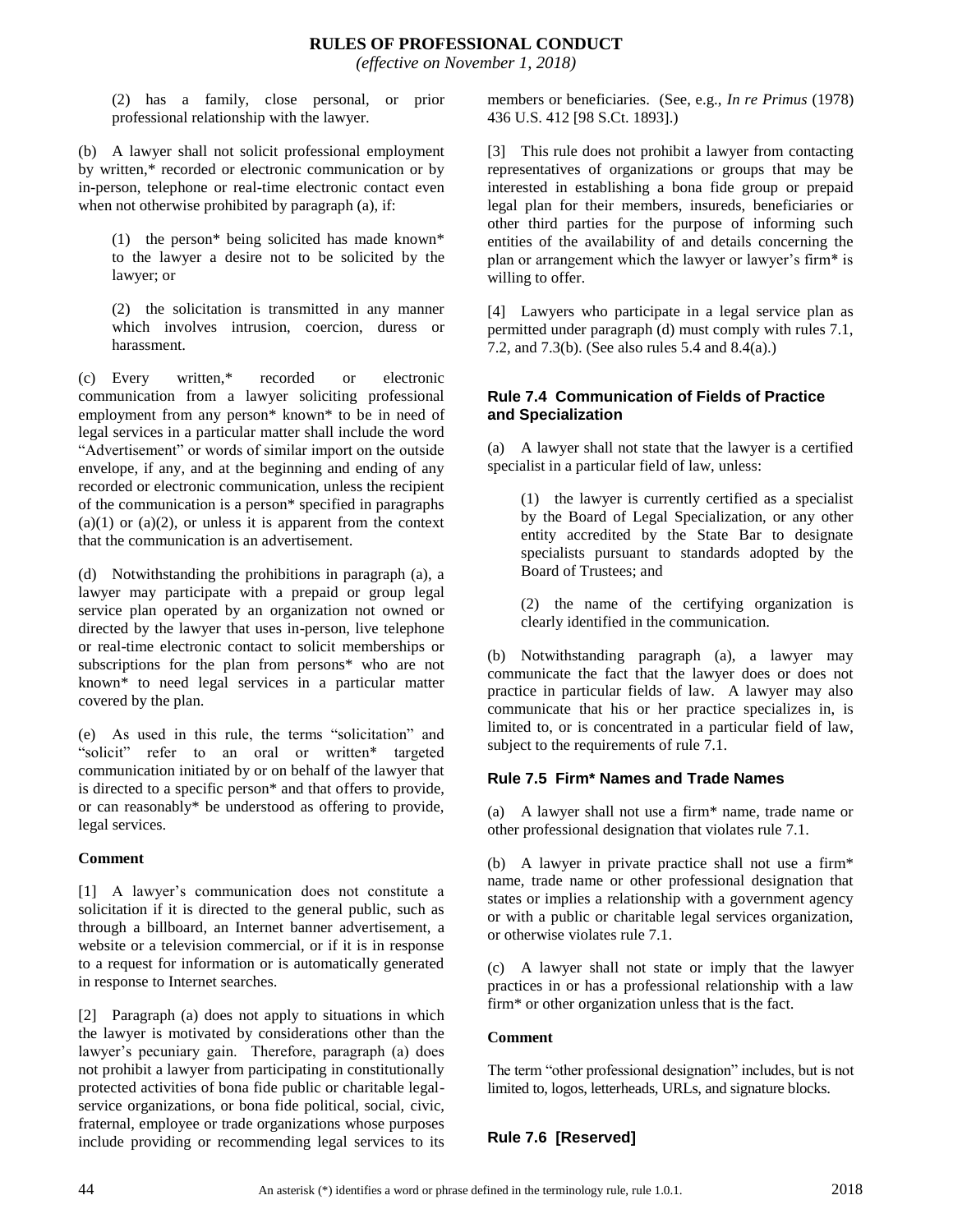(2) has a family, close personal, or prior professional relationship with the lawyer.

(b) A lawyer shall not solicit professional employment by written,\* recorded or electronic communication or by in-person, telephone or real-time electronic contact even when not otherwise prohibited by paragraph (a), if:

(1) the person\* being solicited has made known\* to the lawyer a desire not to be solicited by the lawyer; or

(2) the solicitation is transmitted in any manner which involves intrusion, coercion, duress or harassment.

(c) Every written,\* recorded or electronic communication from a lawyer soliciting professional employment from any person\* known\* to be in need of legal services in a particular matter shall include the word "Advertisement" or words of similar import on the outside envelope, if any, and at the beginning and ending of any recorded or electronic communication, unless the recipient of the communication is a person\* specified in paragraphs  $(a)(1)$  or  $(a)(2)$ , or unless it is apparent from the context that the communication is an advertisement.

(d) Notwithstanding the prohibitions in paragraph (a), a lawyer may participate with a prepaid or group legal service plan operated by an organization not owned or directed by the lawyer that uses in-person, live telephone or real-time electronic contact to solicit memberships or subscriptions for the plan from persons\* who are not known\* to need legal services in a particular matter covered by the plan.

(e) As used in this rule, the terms "solicitation" and "solicit" refer to an oral or written\* targeted communication initiated by or on behalf of the lawyer that is directed to a specific person\* and that offers to provide, or can reasonably\* be understood as offering to provide, legal services.

### **Comment**

[1] A lawyer's communication does not constitute a solicitation if it is directed to the general public, such as through a billboard, an Internet banner advertisement, a website or a television commercial, or if it is in response to a request for information or is automatically generated in response to Internet searches.

[2] Paragraph (a) does not apply to situations in which the lawyer is motivated by considerations other than the lawyer's pecuniary gain. Therefore, paragraph (a) does not prohibit a lawyer from participating in constitutionally protected activities of bona fide public or charitable legalservice organizations, or bona fide political, social, civic, fraternal, employee or trade organizations whose purposes include providing or recommending legal services to its

members or beneficiaries. (See, e.g., *In re Primus* (1978) 436 U.S. 412 [98 S.Ct. 1893].)

[3] This rule does not prohibit a lawyer from contacting representatives of organizations or groups that may be interested in establishing a bona fide group or prepaid legal plan for their members, insureds, beneficiaries or other third parties for the purpose of informing such entities of the availability of and details concerning the plan or arrangement which the lawyer or lawyer's firm\* is willing to offer.

[4] Lawyers who participate in a legal service plan as permitted under paragraph (d) must comply with rules 7.1, 7.2, and 7.3(b). (See also rules 5.4 and 8.4(a).)

### **Rule 7.4 Communication of Fields of Practice and Specialization**

(a) A lawyer shall not state that the lawyer is a certified specialist in a particular field of law, unless:

(1) the lawyer is currently certified as a specialist by the Board of Legal Specialization, or any other entity accredited by the State Bar to designate specialists pursuant to standards adopted by the Board of Trustees; and

(2) the name of the certifying organization is clearly identified in the communication.

(b) Notwithstanding paragraph (a), a lawyer may communicate the fact that the lawyer does or does not practice in particular fields of law. A lawyer may also communicate that his or her practice specializes in, is limited to, or is concentrated in a particular field of law, subject to the requirements of rule 7.1.

### **Rule 7.5 Firm\* Names and Trade Names**

(a) A lawyer shall not use a firm\* name, trade name or other professional designation that violates rule 7.1.

(b) A lawyer in private practice shall not use a firm\* name, trade name or other professional designation that states or implies a relationship with a government agency or with a public or charitable legal services organization, or otherwise violates rule 7.1.

(c) A lawyer shall not state or imply that the lawyer practices in or has a professional relationship with a law firm\* or other organization unless that is the fact.

### **Comment**

The term "other professional designation" includes, but is not limited to, logos, letterheads, URLs, and signature blocks.

### **Rule 7.6 [Reserved]**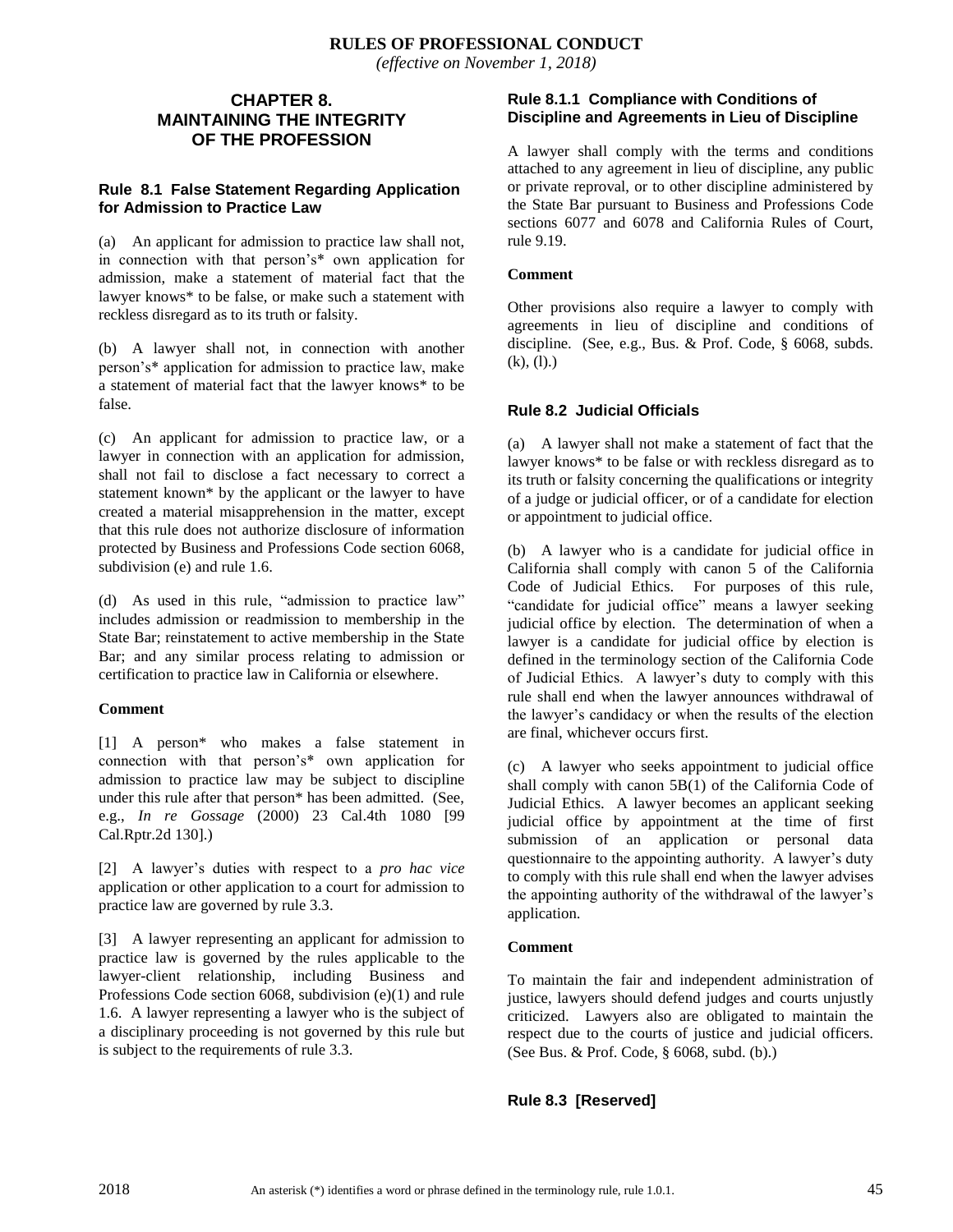# **CHAPTER 8. MAINTAINING THE INTEGRITY OF THE PROFESSION**

### **Rule 8.1 False Statement Regarding Application for Admission to Practice Law**

(a) An applicant for admission to practice law shall not, in connection with that person's\* own application for admission, make a statement of material fact that the lawyer knows\* to be false, or make such a statement with reckless disregard as to its truth or falsity.

(b) A lawyer shall not, in connection with another person's\* application for admission to practice law, make a statement of material fact that the lawyer knows\* to be false.

(c) An applicant for admission to practice law, or a lawyer in connection with an application for admission, shall not fail to disclose a fact necessary to correct a statement known\* by the applicant or the lawyer to have created a material misapprehension in the matter, except that this rule does not authorize disclosure of information protected by Business and Professions Code section 6068, subdivision (e) and rule 1.6.

(d) As used in this rule, "admission to practice law" includes admission or readmission to membership in the State Bar; reinstatement to active membership in the State Bar; and any similar process relating to admission or certification to practice law in California or elsewhere.

#### **Comment**

[1] A person\* who makes a false statement in connection with that person's\* own application for admission to practice law may be subject to discipline under this rule after that person\* has been admitted. (See, e.g., *In re Gossage* (2000) 23 Cal.4th 1080 [99 Cal.Rptr.2d 130].)

[2] A lawyer's duties with respect to a *pro hac vice* application or other application to a court for admission to practice law are governed by rule 3.3.

[3] A lawyer representing an applicant for admission to practice law is governed by the rules applicable to the lawyer-client relationship, including Business and Professions Code section 6068, subdivision (e)(1) and rule 1.6. A lawyer representing a lawyer who is the subject of a disciplinary proceeding is not governed by this rule but is subject to the requirements of rule 3.3.

### **Rule 8.1.1 Compliance with Conditions of Discipline and Agreements in Lieu of Discipline**

A lawyer shall comply with the terms and conditions attached to any agreement in lieu of discipline, any public or private reproval, or to other discipline administered by the State Bar pursuant to Business and Professions Code sections 6077 and 6078 and California Rules of Court, rule 9.19.

#### **Comment**

Other provisions also require a lawyer to comply with agreements in lieu of discipline and conditions of discipline. (See, e.g., Bus. & Prof. Code, § 6068, subds.  $(k), (l).$ 

### **Rule 8.2 Judicial Officials**

(a) A lawyer shall not make a statement of fact that the lawyer knows\* to be false or with reckless disregard as to its truth or falsity concerning the qualifications or integrity of a judge or judicial officer, or of a candidate for election or appointment to judicial office.

(b) A lawyer who is a candidate for judicial office in California shall comply with canon 5 of the California Code of Judicial Ethics. For purposes of this rule, "candidate for judicial office" means a lawyer seeking judicial office by election. The determination of when a lawyer is a candidate for judicial office by election is defined in the terminology section of the California Code of Judicial Ethics. A lawyer's duty to comply with this rule shall end when the lawyer announces withdrawal of the lawyer's candidacy or when the results of the election are final, whichever occurs first.

(c) A lawyer who seeks appointment to judicial office shall comply with canon 5B(1) of the California Code of Judicial Ethics. A lawyer becomes an applicant seeking judicial office by appointment at the time of first submission of an application or personal data questionnaire to the appointing authority. A lawyer's duty to comply with this rule shall end when the lawyer advises the appointing authority of the withdrawal of the lawyer's application.

### **Comment**

To maintain the fair and independent administration of justice, lawyers should defend judges and courts unjustly criticized. Lawyers also are obligated to maintain the respect due to the courts of justice and judicial officers. (See Bus. & Prof. Code, § 6068, subd. (b).)

### **Rule 8.3 [Reserved]**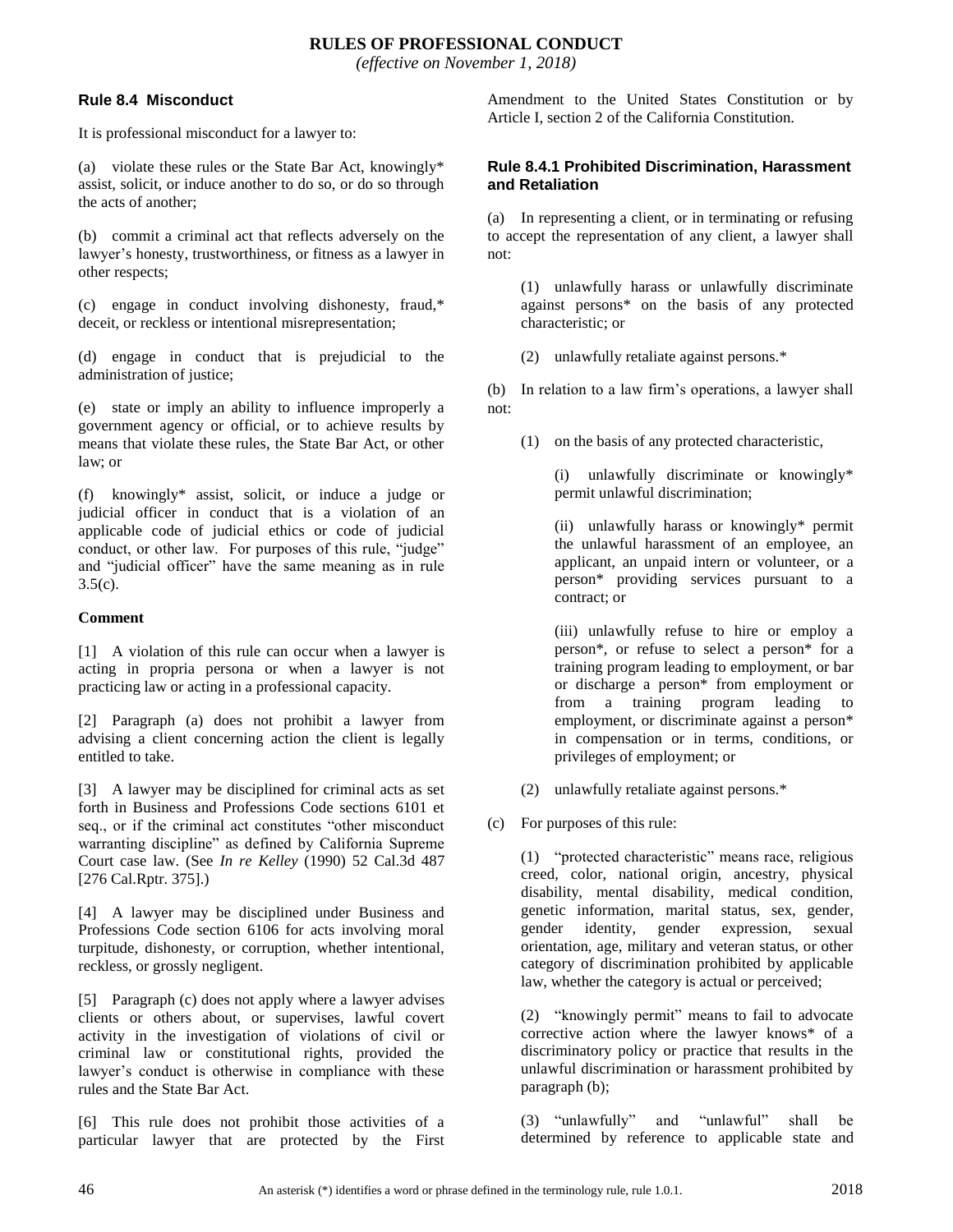*(effective on November 1, 2018)* 

#### **Rule 8.4 Misconduct**

It is professional misconduct for a lawyer to:

(a) violate these rules or the State Bar Act, knowingly\* assist, solicit, or induce another to do so, or do so through the acts of another;

(b) commit a criminal act that reflects adversely on the lawyer's honesty, trustworthiness, or fitness as a lawyer in other respects;

(c) engage in conduct involving dishonesty, fraud,\* deceit, or reckless or intentional misrepresentation;

(d) engage in conduct that is prejudicial to the administration of justice;

(e) state or imply an ability to influence improperly a government agency or official, or to achieve results by means that violate these rules, the State Bar Act, or other law; or

(f) knowingly\* assist, solicit, or induce a judge or judicial officer in conduct that is a violation of an applicable code of judicial ethics or code of judicial conduct, or other law. For purposes of this rule, "judge" and "judicial officer" have the same meaning as in rule  $3.5(c)$ .

#### **Comment**

[1] A violation of this rule can occur when a lawyer is acting in propria persona or when a lawyer is not practicing law or acting in a professional capacity.

[2] Paragraph (a) does not prohibit a lawyer from advising a client concerning action the client is legally entitled to take.

[3] A lawyer may be disciplined for criminal acts as set forth in Business and Professions Code sections 6101 et seq., or if the criminal act constitutes "other misconduct warranting discipline" as defined by California Supreme Court case law. (See *In re Kelley* (1990) 52 Cal.3d 487 [276 Cal.Rptr. 375].)

[4] A lawyer may be disciplined under Business and Professions Code section 6106 for acts involving moral turpitude, dishonesty, or corruption, whether intentional, reckless, or grossly negligent.

[5] Paragraph (c) does not apply where a lawyer advises clients or others about, or supervises, lawful covert activity in the investigation of violations of civil or criminal law or constitutional rights, provided the lawyer's conduct is otherwise in compliance with these rules and the State Bar Act.

[6] This rule does not prohibit those activities of a particular lawyer that are protected by the First Amendment to the United States Constitution or by Article I, section 2 of the California Constitution.

#### **Rule 8.4.1 Prohibited Discrimination, Harassment and Retaliation**

(a) In representing a client, or in terminating or refusing to accept the representation of any client, a lawyer shall not:

(1) unlawfully harass or unlawfully discriminate against persons\* on the basis of any protected characteristic; or

(2) unlawfully retaliate against persons.\*

(b) In relation to a law firm's operations, a lawyer shall not:

(1) on the basis of any protected characteristic,

(i) unlawfully discriminate or knowingly\* permit unlawful discrimination;

(ii) unlawfully harass or knowingly\* permit the unlawful harassment of an employee, an applicant, an unpaid intern or volunteer, or a person\* providing services pursuant to a contract; or

(iii) unlawfully refuse to hire or employ a person\*, or refuse to select a person\* for a training program leading to employment, or bar or discharge a person\* from employment or from a training program leading to employment, or discriminate against a person\* in compensation or in terms, conditions, or privileges of employment; or

(2) unlawfully retaliate against persons.\*

(c) For purposes of this rule:

(1) "protected characteristic" means race, religious creed, color, national origin, ancestry, physical disability, mental disability, medical condition, genetic information, marital status, sex, gender, gender identity, gender expression, sexual orientation, age, military and veteran status, or other category of discrimination prohibited by applicable law, whether the category is actual or perceived;

(2) "knowingly permit" means to fail to advocate corrective action where the lawyer knows\* of a discriminatory policy or practice that results in the unlawful discrimination or harassment prohibited by paragraph (b);

(3) "unlawfully" and "unlawful" shall be determined by reference to applicable state and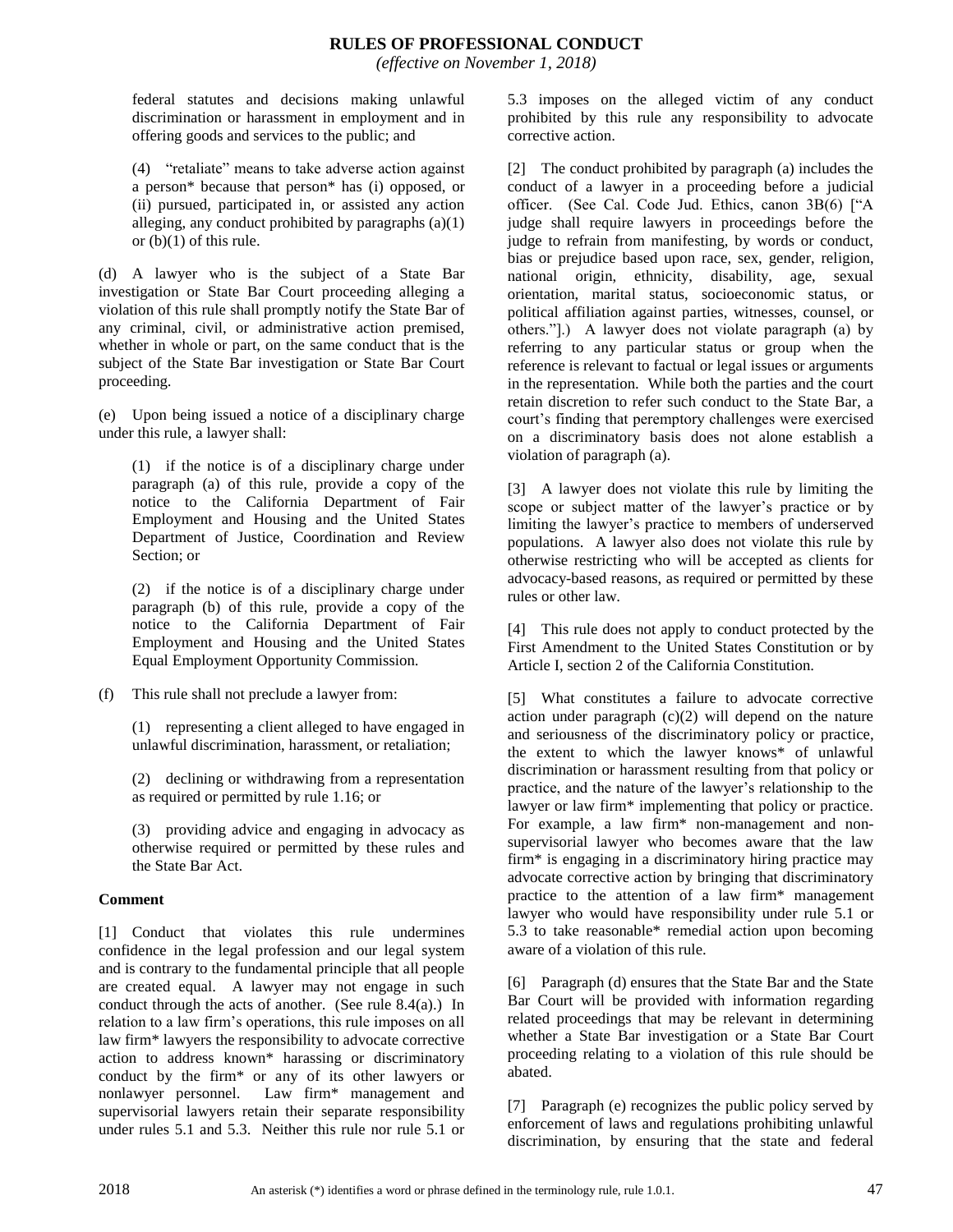*(effective on November 1, 2018)* 

federal statutes and decisions making unlawful discrimination or harassment in employment and in offering goods and services to the public; and

(4) "retaliate" means to take adverse action against a person\* because that person\* has (i) opposed, or (ii) pursued, participated in, or assisted any action alleging, any conduct prohibited by paragraphs (a)(1) or  $(b)(1)$  of this rule.

(d) A lawyer who is the subject of a State Bar investigation or State Bar Court proceeding alleging a violation of this rule shall promptly notify the State Bar of any criminal, civil, or administrative action premised, whether in whole or part, on the same conduct that is the subject of the State Bar investigation or State Bar Court proceeding.

(e) Upon being issued a notice of a disciplinary charge under this rule, a lawyer shall:

(1) if the notice is of a disciplinary charge under paragraph (a) of this rule, provide a copy of the notice to the California Department of Fair Employment and Housing and the United States Department of Justice, Coordination and Review Section; or

(2) if the notice is of a disciplinary charge under paragraph (b) of this rule, provide a copy of the notice to the California Department of Fair Employment and Housing and the United States Equal Employment Opportunity Commission.

(f) This rule shall not preclude a lawyer from:

(1) representing a client alleged to have engaged in unlawful discrimination, harassment, or retaliation;

(2) declining or withdrawing from a representation as required or permitted by rule 1.16; or

(3) providing advice and engaging in advocacy as otherwise required or permitted by these rules and the State Bar Act.

### **Comment**

[1] Conduct that violates this rule undermines confidence in the legal profession and our legal system and is contrary to the fundamental principle that all people are created equal. A lawyer may not engage in such conduct through the acts of another. (See rule 8.4(a).) In relation to a law firm's operations, this rule imposes on all law firm\* lawyers the responsibility to advocate corrective action to address known\* harassing or discriminatory conduct by the firm\* or any of its other lawyers or nonlawyer personnel. Law firm\* management and supervisorial lawyers retain their separate responsibility under rules 5.1 and 5.3. Neither this rule nor rule 5.1 or 5.3 imposes on the alleged victim of any conduct prohibited by this rule any responsibility to advocate corrective action.

[2] The conduct prohibited by paragraph (a) includes the conduct of a lawyer in a proceeding before a judicial officer. (See Cal. Code Jud. Ethics, canon 3B(6) ["A judge shall require lawyers in proceedings before the judge to refrain from manifesting, by words or conduct, bias or prejudice based upon race, sex, gender, religion, national origin, ethnicity, disability, age, sexual orientation, marital status, socioeconomic status, or political affiliation against parties, witnesses, counsel, or others."].) A lawyer does not violate paragraph (a) by referring to any particular status or group when the reference is relevant to factual or legal issues or arguments in the representation. While both the parties and the court retain discretion to refer such conduct to the State Bar, a court's finding that peremptory challenges were exercised on a discriminatory basis does not alone establish a violation of paragraph (a).

[3] A lawyer does not violate this rule by limiting the scope or subject matter of the lawyer's practice or by limiting the lawyer's practice to members of underserved populations. A lawyer also does not violate this rule by otherwise restricting who will be accepted as clients for advocacy-based reasons, as required or permitted by these rules or other law.

[4] This rule does not apply to conduct protected by the First Amendment to the United States Constitution or by Article I, section 2 of the California Constitution.

[5] What constitutes a failure to advocate corrective action under paragraph (c)(2) will depend on the nature and seriousness of the discriminatory policy or practice, the extent to which the lawyer knows\* of unlawful discrimination or harassment resulting from that policy or practice, and the nature of the lawyer's relationship to the lawyer or law firm\* implementing that policy or practice. For example, a law firm\* non-management and nonsupervisorial lawyer who becomes aware that the law firm\* is engaging in a discriminatory hiring practice may advocate corrective action by bringing that discriminatory practice to the attention of a law firm\* management lawyer who would have responsibility under rule 5.1 or 5.3 to take reasonable\* remedial action upon becoming aware of a violation of this rule.

[6] Paragraph (d) ensures that the State Bar and the State Bar Court will be provided with information regarding related proceedings that may be relevant in determining whether a State Bar investigation or a State Bar Court proceeding relating to a violation of this rule should be abated.

[7] Paragraph (e) recognizes the public policy served by enforcement of laws and regulations prohibiting unlawful discrimination, by ensuring that the state and federal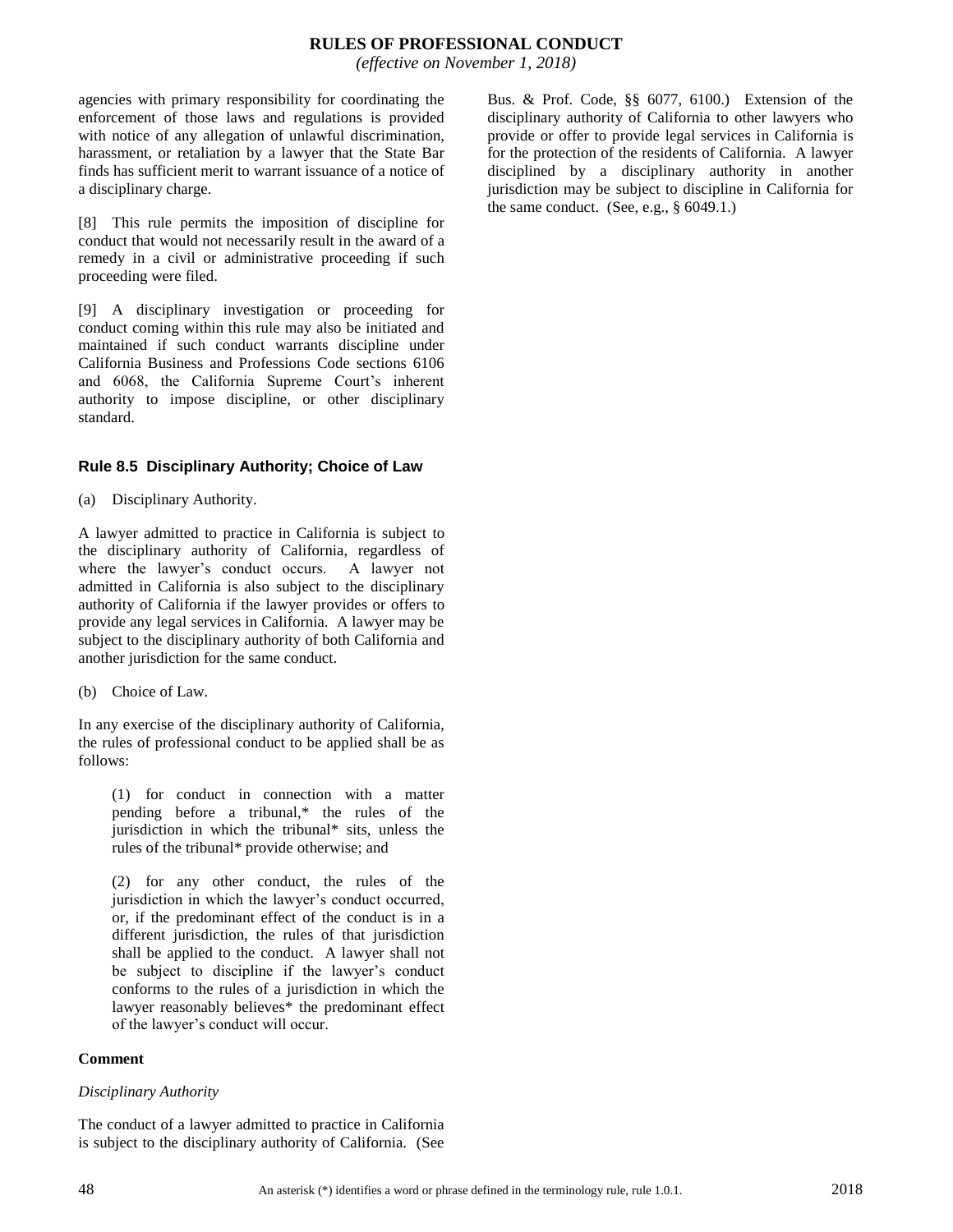*(effective on November 1, 2018)* 

agencies with primary responsibility for coordinating the enforcement of those laws and regulations is provided with notice of any allegation of unlawful discrimination, harassment, or retaliation by a lawyer that the State Bar finds has sufficient merit to warrant issuance of a notice of a disciplinary charge.

[8] This rule permits the imposition of discipline for conduct that would not necessarily result in the award of a remedy in a civil or administrative proceeding if such proceeding were filed.

[9] A disciplinary investigation or proceeding for conduct coming within this rule may also be initiated and maintained if such conduct warrants discipline under California Business and Professions Code sections 6106 and 6068, the California Supreme Court's inherent authority to impose discipline, or other disciplinary standard.

### **Rule 8.5 Disciplinary Authority; Choice of Law**

(a) Disciplinary Authority.

A lawyer admitted to practice in California is subject to the disciplinary authority of California, regardless of where the lawyer's conduct occurs. A lawyer not admitted in California is also subject to the disciplinary authority of California if the lawyer provides or offers to provide any legal services in California. A lawyer may be subject to the disciplinary authority of both California and another jurisdiction for the same conduct.

(b) Choice of Law.

In any exercise of the disciplinary authority of California, the rules of professional conduct to be applied shall be as follows:

(1) for conduct in connection with a matter pending before a tribunal,\* the rules of the jurisdiction in which the tribunal\* sits, unless the rules of the tribunal\* provide otherwise; and

(2) for any other conduct, the rules of the jurisdiction in which the lawyer's conduct occurred, or, if the predominant effect of the conduct is in a different jurisdiction, the rules of that jurisdiction shall be applied to the conduct. A lawyer shall not be subject to discipline if the lawyer's conduct conforms to the rules of a jurisdiction in which the lawyer reasonably believes\* the predominant effect of the lawyer's conduct will occur.

#### **Comment**

### *Disciplinary Authority*

The conduct of a lawyer admitted to practice in California is subject to the disciplinary authority of California. (See

Bus. & Prof. Code, §§ 6077, 6100.) Extension of the disciplinary authority of California to other lawyers who provide or offer to provide legal services in California is for the protection of the residents of California. A lawyer disciplined by a disciplinary authority in another jurisdiction may be subject to discipline in California for the same conduct. (See, e.g., § 6049.1.)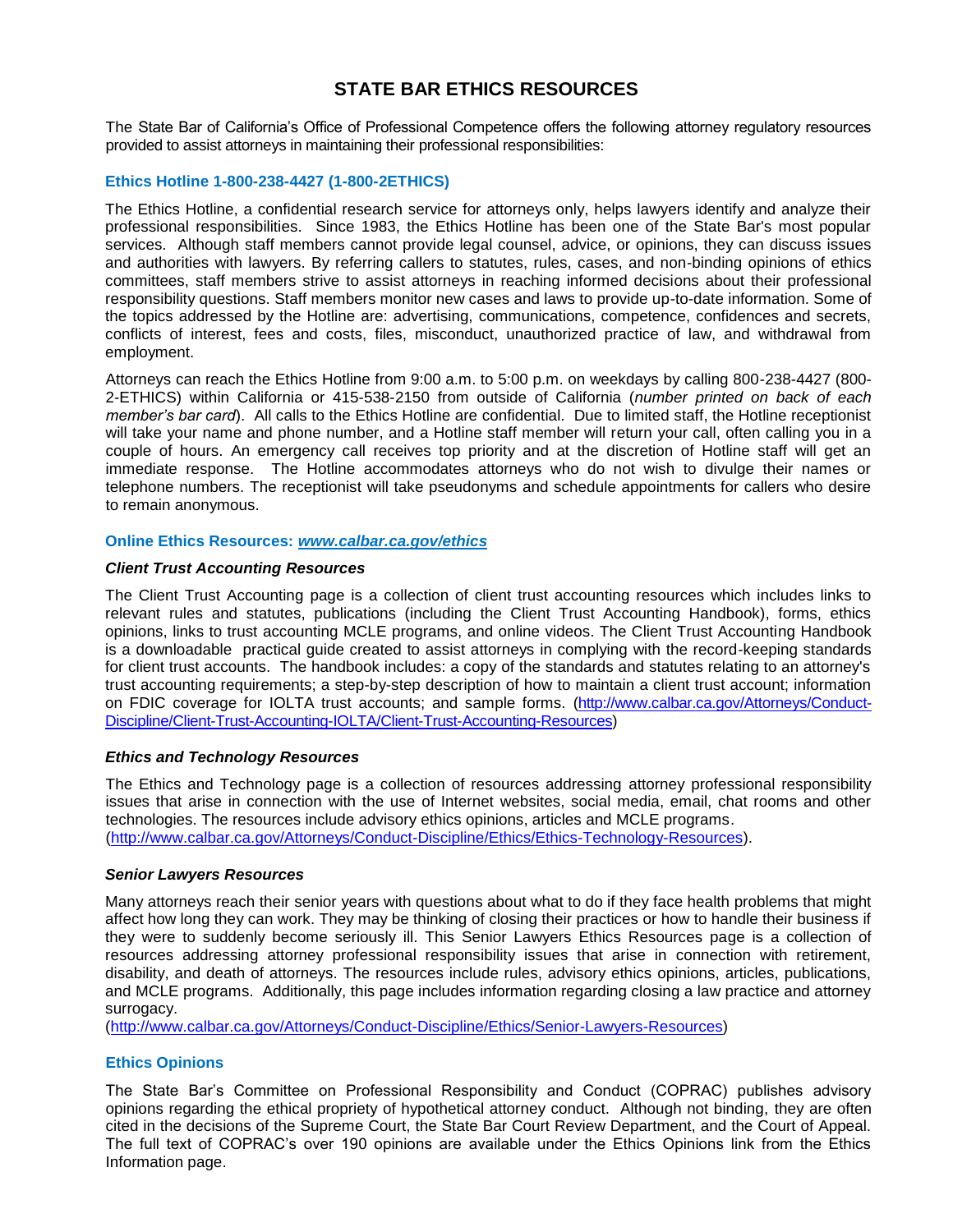# **STATE BAR ETHICS RESOURCES**

The State Bar of California's Office of Professional Competence offers the following attorney regulatory resources provided to assist attorneys in maintaining their professional responsibilities:

#### **Ethics Hotline 1-800-238-4427 (1-800-2ETHICS)**

The Ethics Hotline, a confidential research service for attorneys only, helps lawyers identify and analyze their professional responsibilities. Since 1983, the Ethics Hotline has been one of the State Bar's most popular services. Although staff members cannot provide legal counsel, advice, or opinions, they can discuss issues and authorities with lawyers. By referring callers to statutes, rules, cases, and non-binding opinions of ethics committees, staff members strive to assist attorneys in reaching informed decisions about their professional responsibility questions. Staff members monitor new cases and laws to provide up-to-date information. Some of the topics addressed by the Hotline are: advertising, communications, competence, confidences and secrets, conflicts of interest, fees and costs, files, misconduct, unauthorized practice of law, and withdrawal from employment.

Attorneys can reach the Ethics Hotline from 9:00 a.m. to 5:00 p.m. on weekdays by calling 800-238-4427 (800- 2-ETHICS) within California or 415-538-2150 from outside of California (*number printed on back of each member's bar card*). All calls to the Ethics Hotline are confidential. Due to limited staff, the Hotline receptionist will take your name and phone number, and a Hotline staff member will return your call, often calling you in a couple of hours. An emergency call receives top priority and at the discretion of Hotline staff will get an immediate response. The Hotline accommodates attorneys who do not wish to divulge their names or telephone numbers. The receptionist will take pseudonyms and schedule appointments for callers who desire to remain anonymous.

#### **Online Ethics Resources:** *www.calbar.ca.gov/ethics*

#### *Client Trust Accounting Resources*

The Client Trust Accounting page is a collection of client trust accounting resources which includes links to relevant rules and statutes, publications (including the Client Trust Accounting Handbook), forms, ethics opinions, links to trust accounting MCLE programs, and online videos. The Client Trust Accounting Handbook is a downloadable practical guide created to assist attorneys in complying with the record-keeping standards for client trust accounts. The handbook includes: a copy of the standards and statutes relating to an attorney's trust accounting requirements; a step-by-step description of how to maintain a client trust account; information on FDIC coverage for IOLTA trust accounts; and sample forms. [\(http://www.calbar.ca.gov/Attorneys/Conduct-](http://www.calbar.ca.gov/Attorneys/Conduct-Discipline/Client-Trust-Accounting-IOLTA/Client-Trust-Accounting-Resources)[Discipline/Client-Trust-Accounting-IOLTA/Client-Trust-Accounting-Resources\)](http://www.calbar.ca.gov/Attorneys/Conduct-Discipline/Client-Trust-Accounting-IOLTA/Client-Trust-Accounting-Resources)

### *Ethics and Technology Resources*

The Ethics and Technology page is a collection of resources addressing attorney professional responsibility issues that arise in connection with the use of Internet websites, social media, email, chat rooms and other technologies. The resources include advisory ethics opinions, articles and MCLE programs. [\(http://www.calbar.ca.gov/Attorneys/Conduct-Discipline/Ethics/Ethics-Technology-Resources\)](http://www.calbar.ca.gov/Attorneys/Conduct-Discipline/Ethics/Ethics-Technology-Resources).

#### *Senior Lawyers Resources*

Many attorneys reach their senior years with questions about what to do if they face health problems that might affect how long they can work. They may be thinking of closing their practices or how to handle their business if they were to suddenly become seriously ill. This Senior Lawyers Ethics Resources page is a collection of resources addressing attorney professional responsibility issues that arise in connection with retirement, disability, and death of attorneys. The resources include rules, advisory ethics opinions, articles, publications, and MCLE programs. Additionally, this page includes information regarding closing a law practice and attorney surrogacy.

[\(http://www.calbar.ca.gov/Attorneys/Conduct-Discipline/Ethics/Senior-Lawyers-Resources\)](http://www.calbar.ca.gov/Attorneys/Conduct-Discipline/Ethics/Senior-Lawyers-Resources)

### **Ethics Opinions**

The State Bar's Committee on Professional Responsibility and Conduct (COPRAC) publishes advisory opinions regarding the ethical propriety of hypothetical attorney conduct. Although not binding, they are often cited in the decisions of the Supreme Court, the State Bar Court Review Department, and the Court of Appeal. The full text of COPRAC's over 190 opinions are available under the Ethics Opinions link from the Ethics Information page.